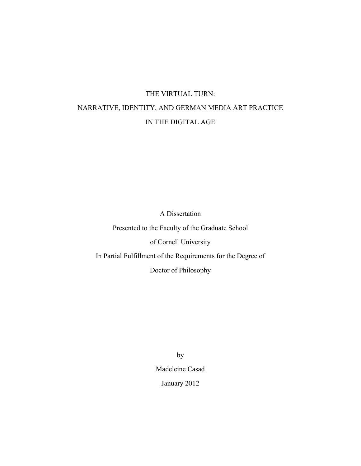# THE VIRTUAL TURN: NARRATIVE, IDENTITY, AND GERMAN MEDIA ART PRACTICE IN THE DIGITAL AGE

A Dissertation

Presented to the Faculty of the Graduate School

of Cornell University

In Partial Fulfillment of the Requirements for the Degree of

Doctor of Philosophy

by Madeleine Casad January 2012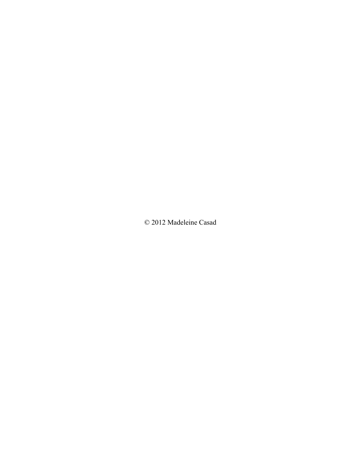© 2012 Madeleine Casad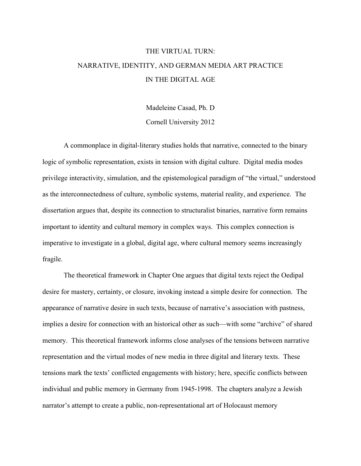# THE VIRTUAL TURN: NARRATIVE, IDENTITY, AND GERMAN MEDIA ART PRACTICE IN THE DIGITAL AGE

Madeleine Casad, Ph. D Cornell University 2012

A commonplace in digital-literary studies holds that narrative, connected to the binary logic of symbolic representation, exists in tension with digital culture. Digital media modes privilege interactivity, simulation, and the epistemological paradigm of "the virtual," understood as the interconnectedness of culture, symbolic systems, material reality, and experience. The dissertation argues that, despite its connection to structuralist binaries, narrative form remains important to identity and cultural memory in complex ways. This complex connection is imperative to investigate in a global, digital age, where cultural memory seems increasingly fragile.

The theoretical framework in Chapter One argues that digital texts reject the Oedipal desire for mastery, certainty, or closure, invoking instead a simple desire for connection. The appearance of narrative desire in such texts, because of narrative's association with pastness, implies a desire for connection with an historical other as such—with some "archive" of shared memory. This theoretical framework informs close analyses of the tensions between narrative representation and the virtual modes of new media in three digital and literary texts. These tensions mark the texts' conflicted engagements with history; here, specific conflicts between individual and public memory in Germany from 1945-1998. The chapters analyze a Jewish narrator's attempt to create a public, non-representational art of Holocaust memory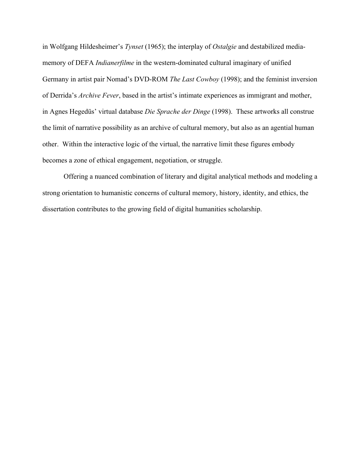in Wolfgang Hildesheimer's *Tynset* (1965); the interplay of *Ostalgie* and destabilized mediamemory of DEFA *Indianerfilme* in the western-dominated cultural imaginary of unified Germany in artist pair Nomad's DVD-ROM *The Last Cowboy* (1998); and the feminist inversion of Derrida's *Archive Fever*, based in the artist's intimate experiences as immigrant and mother, in Agnes Hegedüs' virtual database *Die Sprache der Dinge* (1998). These artworks all construe the limit of narrative possibility as an archive of cultural memory, but also as an agential human other. Within the interactive logic of the virtual, the narrative limit these figures embody becomes a zone of ethical engagement, negotiation, or struggle.

Offering a nuanced combination of literary and digital analytical methods and modeling a strong orientation to humanistic concerns of cultural memory, history, identity, and ethics, the dissertation contributes to the growing field of digital humanities scholarship.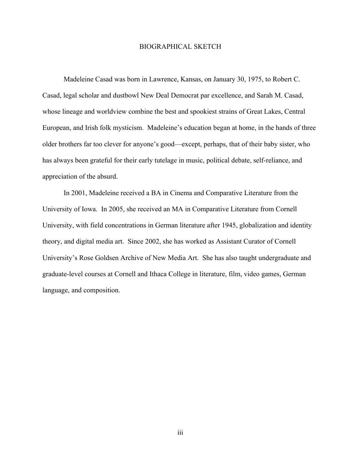### BIOGRAPHICAL SKETCH

Madeleine Casad was born in Lawrence, Kansas, on January 30, 1975, to Robert C. Casad, legal scholar and dustbowl New Deal Democrat par excellence, and Sarah M. Casad, whose lineage and worldview combine the best and spookiest strains of Great Lakes, Central European, and Irish folk mysticism. Madeleine's education began at home, in the hands of three older brothers far too clever for anyone's good—except, perhaps, that of their baby sister, who has always been grateful for their early tutelage in music, political debate, self-reliance, and appreciation of the absurd.

In 2001, Madeleine received a BA in Cinema and Comparative Literature from the University of Iowa. In 2005, she received an MA in Comparative Literature from Cornell University, with field concentrations in German literature after 1945, globalization and identity theory, and digital media art. Since 2002, she has worked as Assistant Curator of Cornell University's Rose Goldsen Archive of New Media Art. She has also taught undergraduate and graduate-level courses at Cornell and Ithaca College in literature, film, video games, German language, and composition.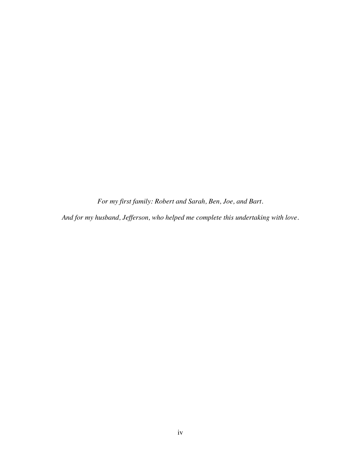*For my first family: Robert and Sarah, Ben, Joe, and Bart.*

*And for my husband, Jefferson, who helped me complete this undertaking with love.*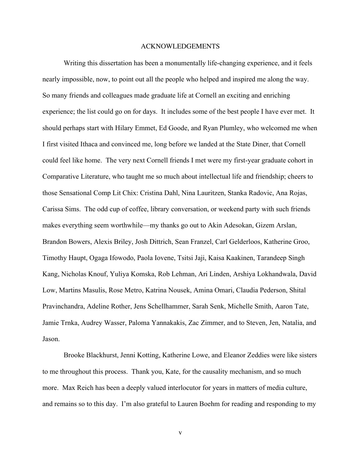### ACKNOWLEDGEMENTS

Writing this dissertation has been a monumentally life-changing experience, and it feels nearly impossible, now, to point out all the people who helped and inspired me along the way. So many friends and colleagues made graduate life at Cornell an exciting and enriching experience; the list could go on for days. It includes some of the best people I have ever met. It should perhaps start with Hilary Emmet, Ed Goode, and Ryan Plumley, who welcomed me when I first visited Ithaca and convinced me, long before we landed at the State Diner, that Cornell could feel like home. The very next Cornell friends I met were my first-year graduate cohort in Comparative Literature, who taught me so much about intellectual life and friendship; cheers to those Sensational Comp Lit Chix: Cristina Dahl, Nina Lauritzen, Stanka Radovic, Ana Rojas, Carissa Sims. The odd cup of coffee, library conversation, or weekend party with such friends makes everything seem worthwhile—my thanks go out to Akin Adesokan, Gizem Arslan, Brandon Bowers, Alexis Briley, Josh Dittrich, Sean Franzel, Carl Gelderloos, Katherine Groo, Timothy Haupt, Ogaga Ifowodo, Paola Iovene, Tsitsi Jaji, Kaisa Kaakinen, Tarandeep Singh Kang, Nicholas Knouf, Yuliya Komska, Rob Lehman, Ari Linden, Arshiya Lokhandwala, David Low, Martins Masulis, Rose Metro, Katrina Nousek, Amina Omari, Claudia Pederson, Shital Pravinchandra, Adeline Rother, Jens Schellhammer, Sarah Senk, Michelle Smith, Aaron Tate, Jamie Trnka, Audrey Wasser, Paloma Yannakakis, Zac Zimmer, and to Steven, Jen, Natalia, and Jason.

Brooke Blackhurst, Jenni Kotting, Katherine Lowe, and Eleanor Zeddies were like sisters to me throughout this process. Thank you, Kate, for the causality mechanism, and so much more. Max Reich has been a deeply valued interlocutor for years in matters of media culture, and remains so to this day. I'm also grateful to Lauren Boehm for reading and responding to my

v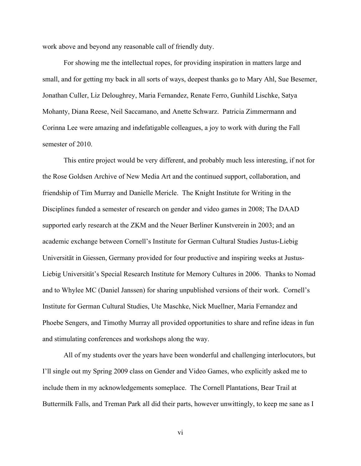work above and beyond any reasonable call of friendly duty.

For showing me the intellectual ropes, for providing inspiration in matters large and small, and for getting my back in all sorts of ways, deepest thanks go to Mary Ahl, Sue Besemer, Jonathan Culler, Liz Deloughrey, Maria Fernandez, Renate Ferro, Gunhild Lischke, Satya Mohanty, Diana Reese, Neil Saccamano, and Anette Schwarz. Patricia Zimmermann and Corinna Lee were amazing and indefatigable colleagues, a joy to work with during the Fall semester of 2010.

This entire project would be very different, and probably much less interesting, if not for the Rose Goldsen Archive of New Media Art and the continued support, collaboration, and friendship of Tim Murray and Danielle Mericle. The Knight Institute for Writing in the Disciplines funded a semester of research on gender and video games in 2008; The DAAD supported early research at the ZKM and the Neuer Berliner Kunstverein in 2003; and an academic exchange between Cornell's Institute for German Cultural Studies Justus-Liebig Universität in Giessen, Germany provided for four productive and inspiring weeks at Justus-Liebig Universität's Special Research Institute for Memory Cultures in 2006. Thanks to Nomad and to Whylee MC (Daniel Janssen) for sharing unpublished versions of their work. Cornell's Institute for German Cultural Studies, Ute Maschke, Nick Muellner, Maria Fernandez and Phoebe Sengers, and Timothy Murray all provided opportunities to share and refine ideas in fun and stimulating conferences and workshops along the way.

All of my students over the years have been wonderful and challenging interlocutors, but I'll single out my Spring 2009 class on Gender and Video Games, who explicitly asked me to include them in my acknowledgements someplace. The Cornell Plantations, Bear Trail at Buttermilk Falls, and Treman Park all did their parts, however unwittingly, to keep me sane as I

vi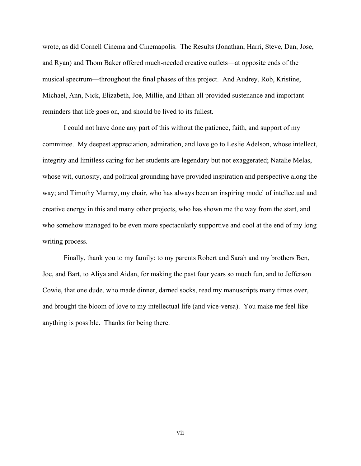wrote, as did Cornell Cinema and Cinemapolis. The Results (Jonathan, Harri, Steve, Dan, Jose, and Ryan) and Thom Baker offered much-needed creative outlets—at opposite ends of the musical spectrum—throughout the final phases of this project. And Audrey, Rob, Kristine, Michael, Ann, Nick, Elizabeth, Joe, Millie, and Ethan all provided sustenance and important reminders that life goes on, and should be lived to its fullest.

I could not have done any part of this without the patience, faith, and support of my committee. My deepest appreciation, admiration, and love go to Leslie Adelson, whose intellect, integrity and limitless caring for her students are legendary but not exaggerated; Natalie Melas, whose wit, curiosity, and political grounding have provided inspiration and perspective along the way; and Timothy Murray, my chair, who has always been an inspiring model of intellectual and creative energy in this and many other projects, who has shown me the way from the start, and who somehow managed to be even more spectacularly supportive and cool at the end of my long writing process.

Finally, thank you to my family: to my parents Robert and Sarah and my brothers Ben, Joe, and Bart, to Aliya and Aidan, for making the past four years so much fun, and to Jefferson Cowie, that one dude, who made dinner, darned socks, read my manuscripts many times over, and brought the bloom of love to my intellectual life (and vice-versa). You make me feel like anything is possible. Thanks for being there.

vii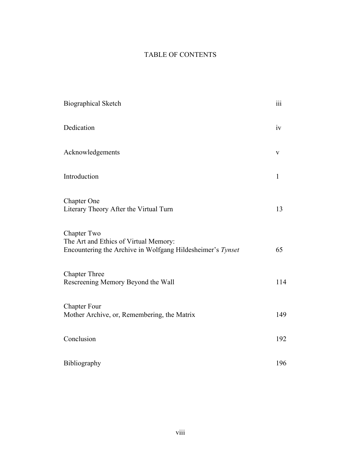## TABLE OF CONTENTS

| <b>Biographical Sketch</b>                                                                                         | iii          |
|--------------------------------------------------------------------------------------------------------------------|--------------|
| Dedication                                                                                                         | iv           |
| Acknowledgements                                                                                                   | $\mathbf V$  |
| Introduction                                                                                                       | $\mathbf{1}$ |
| <b>Chapter One</b><br>Literary Theory After the Virtual Turn                                                       | 13           |
| Chapter Two<br>The Art and Ethics of Virtual Memory:<br>Encountering the Archive in Wolfgang Hildesheimer's Tynset | 65           |
| <b>Chapter Three</b><br>Rescreening Memory Beyond the Wall                                                         | 114          |
| <b>Chapter Four</b><br>Mother Archive, or, Remembering, the Matrix                                                 | 149          |
| Conclusion                                                                                                         | 192          |
| Bibliography                                                                                                       | 196          |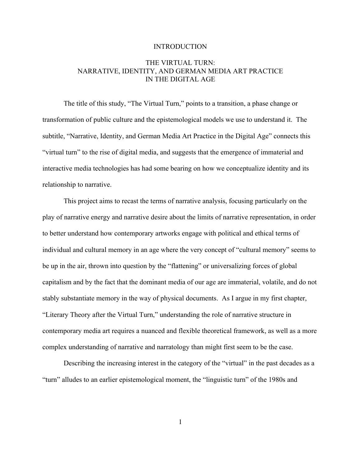### INTRODUCTION

## THE VIRTUAL TURN: NARRATIVE, IDENTITY, AND GERMAN MEDIA ART PRACTICE IN THE DIGITAL AGE

The title of this study, "The Virtual Turn," points to a transition, a phase change or transformation of public culture and the epistemological models we use to understand it. The subtitle, "Narrative, Identity, and German Media Art Practice in the Digital Age" connects this "virtual turn" to the rise of digital media, and suggests that the emergence of immaterial and interactive media technologies has had some bearing on how we conceptualize identity and its relationship to narrative.

This project aims to recast the terms of narrative analysis, focusing particularly on the play of narrative energy and narrative desire about the limits of narrative representation, in order to better understand how contemporary artworks engage with political and ethical terms of individual and cultural memory in an age where the very concept of "cultural memory" seems to be up in the air, thrown into question by the "flattening" or universalizing forces of global capitalism and by the fact that the dominant media of our age are immaterial, volatile, and do not stably substantiate memory in the way of physical documents. As I argue in my first chapter, "Literary Theory after the Virtual Turn," understanding the role of narrative structure in contemporary media art requires a nuanced and flexible theoretical framework, as well as a more complex understanding of narrative and narratology than might first seem to be the case.

Describing the increasing interest in the category of the "virtual" in the past decades as a "turn" alludes to an earlier epistemological moment, the "linguistic turn" of the 1980s and

1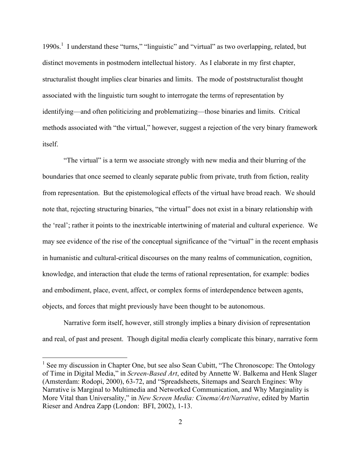1990s.<sup>1</sup> I understand these "turns," "linguistic" and "virtual" as two overlapping, related, but distinct movements in postmodern intellectual history. As I elaborate in my first chapter, structuralist thought implies clear binaries and limits. The mode of poststructuralist thought associated with the linguistic turn sought to interrogate the terms of representation by identifying—and often politicizing and problematizing—those binaries and limits. Critical methods associated with "the virtual," however, suggest a rejection of the very binary framework itself.

"The virtual" is a term we associate strongly with new media and their blurring of the boundaries that once seemed to cleanly separate public from private, truth from fiction, reality from representation. But the epistemological effects of the virtual have broad reach. We should note that, rejecting structuring binaries, "the virtual" does not exist in a binary relationship with the 'real'; rather it points to the inextricable intertwining of material and cultural experience. We may see evidence of the rise of the conceptual significance of the "virtual" in the recent emphasis in humanistic and cultural-critical discourses on the many realms of communication, cognition, knowledge, and interaction that elude the terms of rational representation, for example: bodies and embodiment, place, event, affect, or complex forms of interdependence between agents, objects, and forces that might previously have been thought to be autonomous.

Narrative form itself, however, still strongly implies a binary division of representation and real, of past and present. Though digital media clearly complicate this binary, narrative form

<sup>&</sup>lt;sup>1</sup> See my discussion in Chapter One, but see also Sean Cubitt, "The Chronoscope: The Ontology of Time in Digital Media," in *Screen-Based Art*, edited by Annette W. Balkema and Henk Slager (Amsterdam: Rodopi, 2000), 63-72, and "Spreadsheets, Sitemaps and Search Engines: Why Narrative is Marginal to Multimedia and Networked Communication, and Why Marginality is More Vital than Universality," in *New Screen Media: Cinema/Art/Narrative*, edited by Martin Rieser and Andrea Zapp (London: BFI, 2002), 1-13.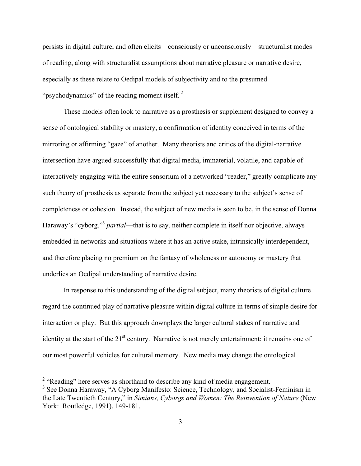persists in digital culture, and often elicits—consciously or unconsciously—structuralist modes of reading, along with structuralist assumptions about narrative pleasure or narrative desire, especially as these relate to Oedipal models of subjectivity and to the presumed "psychodynamics" of the reading moment itself. $2$ 

These models often look to narrative as a prosthesis or supplement designed to convey a sense of ontological stability or mastery, a confirmation of identity conceived in terms of the mirroring or affirming "gaze" of another. Many theorists and critics of the digital-narrative intersection have argued successfully that digital media, immaterial, volatile, and capable of interactively engaging with the entire sensorium of a networked "reader," greatly complicate any such theory of prosthesis as separate from the subject yet necessary to the subject's sense of completeness or cohesion. Instead, the subject of new media is seen to be, in the sense of Donna Haraway's "cyborg,"3 *partial*—that is to say, neither complete in itself nor objective, always embedded in networks and situations where it has an active stake, intrinsically interdependent, and therefore placing no premium on the fantasy of wholeness or autonomy or mastery that underlies an Oedipal understanding of narrative desire.

In response to this understanding of the digital subject, many theorists of digital culture regard the continued play of narrative pleasure within digital culture in terms of simple desire for interaction or play. But this approach downplays the larger cultural stakes of narrative and identity at the start of the 21<sup>st</sup> century. Narrative is not merely entertainment; it remains one of our most powerful vehicles for cultural memory. New media may change the ontological

<sup>&</sup>lt;sup>2</sup> "Reading" here serves as shorthand to describe any kind of media engagement. <sup>3</sup> See Donna Haraway, "A Cyborg Manifesto: Science, Technology, and Socialist-Feminism in the Late Twentieth Century," in *Simians, Cyborgs and Women: The Reinvention of Nature* (New York: Routledge, 1991), 149-181.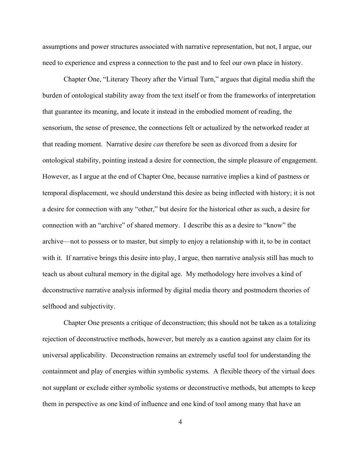assumptions and power structures associated with narrative representation, but not, I argue, our need to experience and express a connection to the past and to feel our own place in history.

Chapter One, "Literary Theory after the Virtual Turn," argues that digital media shift the burden of ontological stability away from the text itself or from the frameworks of interpretation that guarantee its meaning, and locate it instead in the embodied moment of reading, the sensorium, the sense of presence, the connections felt or actualized by the networked reader at that reading moment. Narrative desire *can* therefore be seen as divorced from a desire for ontological stability, pointing instead a desire for connection, the simple pleasure of engagement. However, as I argue at the end of Chapter One, because narrative implies a kind of pastness or temporal displacement, we should understand this desire as being inflected with history; it is not a desire for connection with any "other," but desire for the historical other as such, a desire for connection with an "archive" of shared memory. I describe this as a desire to "know" the archive—not to possess or to master, but simply to enjoy a relationship with it, to be in contact with it. If narrative brings this desire into play, I argue, then narrative analysis still has much to teach us about cultural memory in the digital age. My methodology here involves a kind of deconstructive narrative analysis informed by digital media theory and postmodern theories of selfhood and subjectivity.

Chapter One presents a critique of deconstruction; this should not be taken as a totalizing rejection of deconstructive methods, however, but merely as a caution against any claim for its universal applicability. Deconstruction remains an extremely useful tool for understanding the containment and play of energies within symbolic systems. A flexible theory of the virtual does not supplant or exclude either symbolic systems or deconstructive methods, but attempts to keep them in perspective as one kind of influence and one kind of tool among many that have an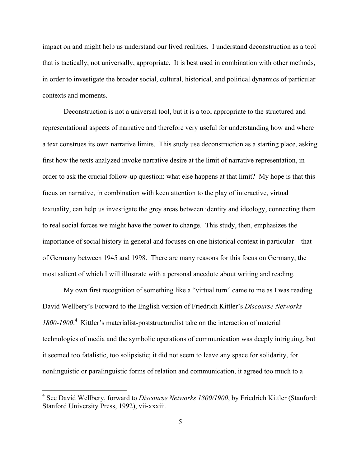impact on and might help us understand our lived realities. I understand deconstruction as a tool that is tactically, not universally, appropriate. It is best used in combination with other methods, in order to investigate the broader social, cultural, historical, and political dynamics of particular contexts and moments.

Deconstruction is not a universal tool, but it is a tool appropriate to the structured and representational aspects of narrative and therefore very useful for understanding how and where a text construes its own narrative limits. This study use deconstruction as a starting place, asking first how the texts analyzed invoke narrative desire at the limit of narrative representation, in order to ask the crucial follow-up question: what else happens at that limit? My hope is that this focus on narrative, in combination with keen attention to the play of interactive, virtual textuality, can help us investigate the grey areas between identity and ideology, connecting them to real social forces we might have the power to change. This study, then, emphasizes the importance of social history in general and focuses on one historical context in particular—that of Germany between 1945 and 1998. There are many reasons for this focus on Germany, the most salient of which I will illustrate with a personal anecdote about writing and reading.

My own first recognition of something like a "virtual turn" came to me as I was reading David Wellbery's Forward to the English version of Friedrich Kittler's *Discourse Networks 1800-1900*. 4 Kittler's materialist-poststructuralist take on the interaction of material technologies of media and the symbolic operations of communication was deeply intriguing, but it seemed too fatalistic, too solipsistic; it did not seem to leave any space for solidarity, for nonlinguistic or paralinguistic forms of relation and communication, it agreed too much to a

4 See David Wellbery, forward to *Discourse Networks 1800/1900*, by Friedrich Kittler (Stanford: Stanford University Press, 1992), vii-xxxiii.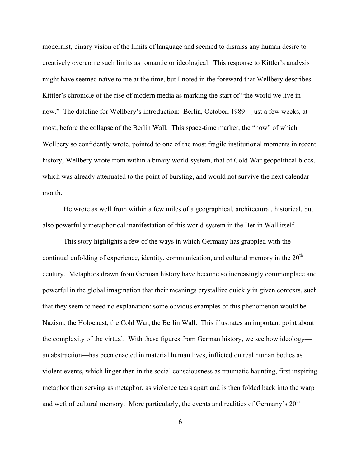modernist, binary vision of the limits of language and seemed to dismiss any human desire to creatively overcome such limits as romantic or ideological. This response to Kittler's analysis might have seemed naïve to me at the time, but I noted in the foreward that Wellbery describes Kittler's chronicle of the rise of modern media as marking the start of "the world we live in now." The dateline for Wellbery's introduction: Berlin, October, 1989—just a few weeks, at most, before the collapse of the Berlin Wall. This space-time marker, the "now" of which Wellbery so confidently wrote, pointed to one of the most fragile institutional moments in recent history; Wellbery wrote from within a binary world-system, that of Cold War geopolitical blocs, which was already attenuated to the point of bursting, and would not survive the next calendar month.

He wrote as well from within a few miles of a geographical, architectural, historical, but also powerfully metaphorical manifestation of this world-system in the Berlin Wall itself.

This story highlights a few of the ways in which Germany has grappled with the continual enfolding of experience, identity, communication, and cultural memory in the  $20<sup>th</sup>$ century. Metaphors drawn from German history have become so increasingly commonplace and powerful in the global imagination that their meanings crystallize quickly in given contexts, such that they seem to need no explanation: some obvious examples of this phenomenon would be Nazism, the Holocaust, the Cold War, the Berlin Wall. This illustrates an important point about the complexity of the virtual. With these figures from German history, we see how ideology an abstraction—has been enacted in material human lives, inflicted on real human bodies as violent events, which linger then in the social consciousness as traumatic haunting, first inspiring metaphor then serving as metaphor, as violence tears apart and is then folded back into the warp and weft of cultural memory. More particularly, the events and realities of Germany's  $20<sup>th</sup>$ 

6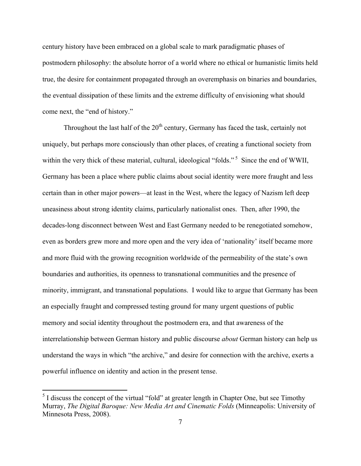century history have been embraced on a global scale to mark paradigmatic phases of postmodern philosophy: the absolute horror of a world where no ethical or humanistic limits held true, the desire for containment propagated through an overemphasis on binaries and boundaries, the eventual dissipation of these limits and the extreme difficulty of envisioning what should come next, the "end of history."

Throughout the last half of the  $20<sup>th</sup>$  century, Germany has faced the task, certainly not uniquely, but perhaps more consciously than other places, of creating a functional society from within the very thick of these material, cultural, ideological "folds."<sup>5</sup> Since the end of WWII, Germany has been a place where public claims about social identity were more fraught and less certain than in other major powers—at least in the West, where the legacy of Nazism left deep uneasiness about strong identity claims, particularly nationalist ones. Then, after 1990, the decades-long disconnect between West and East Germany needed to be renegotiated somehow, even as borders grew more and more open and the very idea of 'nationality' itself became more and more fluid with the growing recognition worldwide of the permeability of the state's own boundaries and authorities, its openness to transnational communities and the presence of minority, immigrant, and transnational populations. I would like to argue that Germany has been an especially fraught and compressed testing ground for many urgent questions of public memory and social identity throughout the postmodern era, and that awareness of the interrelationship between German history and public discourse *about* German history can help us understand the ways in which "the archive," and desire for connection with the archive, exerts a powerful influence on identity and action in the present tense.

<sup>&</sup>lt;sup>5</sup> I discuss the concept of the virtual "fold" at greater length in Chapter One, but see Timothy Murray, *The Digital Baroque: New Media Art and Cinematic Folds* (Minneapolis: University of Minnesota Press, 2008).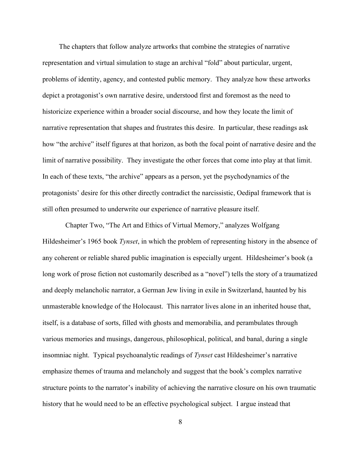The chapters that follow analyze artworks that combine the strategies of narrative representation and virtual simulation to stage an archival "fold" about particular, urgent, problems of identity, agency, and contested public memory. They analyze how these artworks depict a protagonist's own narrative desire, understood first and foremost as the need to historicize experience within a broader social discourse, and how they locate the limit of narrative representation that shapes and frustrates this desire. In particular, these readings ask how "the archive" itself figures at that horizon, as both the focal point of narrative desire and the limit of narrative possibility. They investigate the other forces that come into play at that limit. In each of these texts, "the archive" appears as a person, yet the psychodynamics of the protagonists' desire for this other directly contradict the narcissistic, Oedipal framework that is still often presumed to underwrite our experience of narrative pleasure itself.

 Chapter Two, "The Art and Ethics of Virtual Memory," analyzes Wolfgang Hildesheimer's 1965 book *Tynset*, in which the problem of representing history in the absence of any coherent or reliable shared public imagination is especially urgent. Hildesheimer's book (a long work of prose fiction not customarily described as a "novel") tells the story of a traumatized and deeply melancholic narrator, a German Jew living in exile in Switzerland, haunted by his unmasterable knowledge of the Holocaust. This narrator lives alone in an inherited house that, itself, is a database of sorts, filled with ghosts and memorabilia, and perambulates through various memories and musings, dangerous, philosophical, political, and banal, during a single insomniac night. Typical psychoanalytic readings of *Tynset* cast Hildesheimer's narrative emphasize themes of trauma and melancholy and suggest that the book's complex narrative structure points to the narrator's inability of achieving the narrative closure on his own traumatic history that he would need to be an effective psychological subject. I argue instead that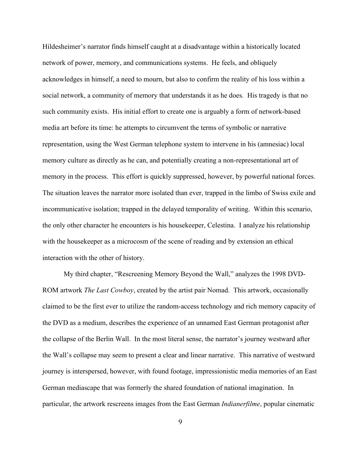Hildesheimer's narrator finds himself caught at a disadvantage within a historically located network of power, memory, and communications systems. He feels, and obliquely acknowledges in himself, a need to mourn, but also to confirm the reality of his loss within a social network, a community of memory that understands it as he does. His tragedy is that no such community exists. His initial effort to create one is arguably a form of network-based media art before its time: he attempts to circumvent the terms of symbolic or narrative representation, using the West German telephone system to intervene in his (amnesiac) local memory culture as directly as he can, and potentially creating a non-representational art of memory in the process. This effort is quickly suppressed, however, by powerful national forces. The situation leaves the narrator more isolated than ever, trapped in the limbo of Swiss exile and incommunicative isolation; trapped in the delayed temporality of writing. Within this scenario, the only other character he encounters is his housekeeper, Celestina. I analyze his relationship with the housekeeper as a microcosm of the scene of reading and by extension an ethical interaction with the other of history.

My third chapter, "Rescreening Memory Beyond the Wall," analyzes the 1998 DVD-ROM artwork *The Last Cowboy*, created by the artist pair Nomad. This artwork, occasionally claimed to be the first ever to utilize the random-access technology and rich memory capacity of the DVD as a medium, describes the experience of an unnamed East German protagonist after the collapse of the Berlin Wall. In the most literal sense, the narrator's journey westward after the Wall's collapse may seem to present a clear and linear narrative. This narrative of westward journey is interspersed, however, with found footage, impressionistic media memories of an East German mediascape that was formerly the shared foundation of national imagination. In particular, the artwork rescreens images from the East German *Indianerfilme*, popular cinematic

9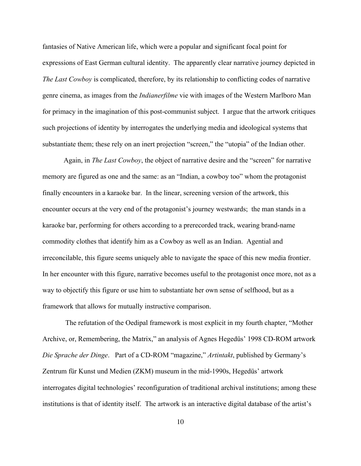fantasies of Native American life, which were a popular and significant focal point for expressions of East German cultural identity. The apparently clear narrative journey depicted in *The Last Cowboy* is complicated, therefore, by its relationship to conflicting codes of narrative genre cinema, as images from the *Indianerfilme* vie with images of the Western Marlboro Man for primacy in the imagination of this post-communist subject. I argue that the artwork critiques such projections of identity by interrogates the underlying media and ideological systems that substantiate them; these rely on an inert projection "screen," the "utopia" of the Indian other.

Again, in *The Last Cowboy*, the object of narrative desire and the "screen" for narrative memory are figured as one and the same: as an "Indian, a cowboy too" whom the protagonist finally encounters in a karaoke bar. In the linear, screening version of the artwork, this encounter occurs at the very end of the protagonist's journey westwards; the man stands in a karaoke bar, performing for others according to a prerecorded track, wearing brand-name commodity clothes that identify him as a Cowboy as well as an Indian. Agential and irreconcilable, this figure seems uniquely able to navigate the space of this new media frontier. In her encounter with this figure, narrative becomes useful to the protagonist once more, not as a way to objectify this figure or use him to substantiate her own sense of selfhood, but as a framework that allows for mutually instructive comparison.

 The refutation of the Oedipal framework is most explicit in my fourth chapter, "Mother Archive, or, Remembering, the Matrix," an analysis of Agnes Hegedüs' 1998 CD-ROM artwork *Die Sprache der Dinge*. Part of a CD-ROM "magazine," *Artintakt*, published by Germany's Zentrum für Kunst und Medien (ZKM) museum in the mid-1990s, Hegedüs' artwork interrogates digital technologies' reconfiguration of traditional archival institutions; among these institutions is that of identity itself. The artwork is an interactive digital database of the artist's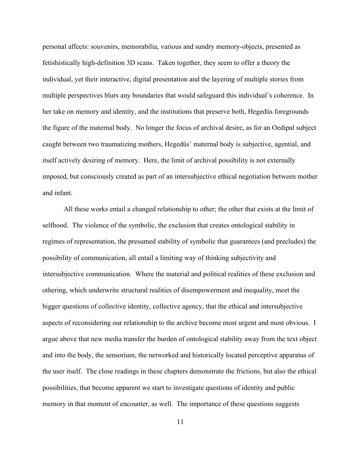personal affects: souvenirs, memorabilia, various and sundry memory-objects, presented as fetishistically high-definition 3D scans. Taken together, they seem to offer a theory the individual, yet their interactive, digital presentation and the layering of multiple stories from multiple perspectives blurs any boundaries that would safeguard this individual's coherence. In her take on memory and identity, and the institutions that preserve both, Hegedüs foregrounds the figure of the maternal body. No longer the focus of archival desire, as for an Oedipal subject caught between two traumatizing mothers, Hegedüs' maternal body is subjective, agential, and itself actively desiring of memory. Here, the limit of archival possibility is not externally imposed, but consciously created as part of an intersubjective ethical negotiation between mother and infant.

All these works entail a changed relationship to other; the other that exists at the limit of selfhood. The violence of the symbolic, the exclusion that creates ontological stability in regimes of representation, the presumed stability of symbolic that guarantees (and precludes) the possibility of communication, all entail a limiting way of thinking subjectivity and intersubjective communication. Where the material and political realities of these exclusion and othering, which underwrite structural realities of disempowerment and inequality, meet the bigger questions of collective identity, collective agency, that the ethical and intersubjective aspects of reconsidering our relationship to the archive become most urgent and most obvious. I argue above that new media transfer the burden of ontological stability away from the text object and into the body, the sensorium, the networked and historically located perceptive apparatus of the user itself. The close readings in these chapters demonstrate the frictions, but also the ethical possibilities, that become apparent we start to investigate questions of identity and public memory in that moment of encounter, as well. The importance of these questions suggests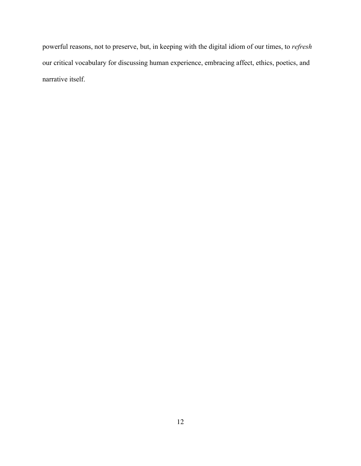powerful reasons, not to preserve, but, in keeping with the digital idiom of our times, to *refresh* our critical vocabulary for discussing human experience, embracing affect, ethics, poetics, and narrative itself.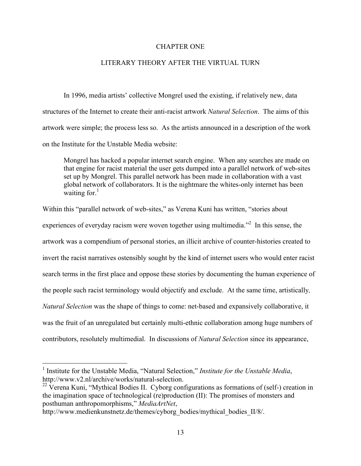### CHAPTER ONE

## LITERARY THEORY AFTER THE VIRTUAL TURN

In 1996, media artists' collective Mongrel used the existing, if relatively new, data structures of the Internet to create their anti-racist artwork *Natural Selection*. The aims of this artwork were simple; the process less so. As the artists announced in a description of the work on the Institute for the Unstable Media website:

Mongrel has hacked a popular internet search engine. When any searches are made on that engine for racist material the user gets dumped into a parallel network of web-sites set up by Mongrel. This parallel network has been made in collaboration with a vast global network of collaborators. It is the nightmare the whites-only internet has been waiting for. $<sup>1</sup>$ </sup>

Within this "parallel network of web-sites," as Verena Kuni has written, "stories about experiences of everyday racism were woven together using multimedia."<sup>2</sup> In this sense, the artwork was a compendium of personal stories, an illicit archive of counter-histories created to invert the racist narratives ostensibly sought by the kind of internet users who would enter racist search terms in the first place and oppose these stories by documenting the human experience of the people such racist terminology would objectify and exclude. At the same time, artistically*, Natural Selection* was the shape of things to come: net-based and expansively collaborative, it was the fruit of an unregulated but certainly multi-ethnic collaboration among huge numbers of contributors, resolutely multimedial. In discussions of *Natural Selection* since its appearance,

<sup>1</sup> Institute for the Unstable Media, "Natural Selection," *Institute for the Unstable Media*, http://www.v2.nl/archive/works/natural-selection.

<sup>&</sup>lt;sup>22</sup> Verena Kuni, "Mythical Bodies II. Cyborg configurations as formations of (self-) creation in the imagination space of technological (re)production (II): The promises of monsters and posthuman anthropomorphisms," *MediaArtNet*,

http://www.medienkunstnetz.de/themes/cyborg\_bodies/mythical\_bodies\_II/8/.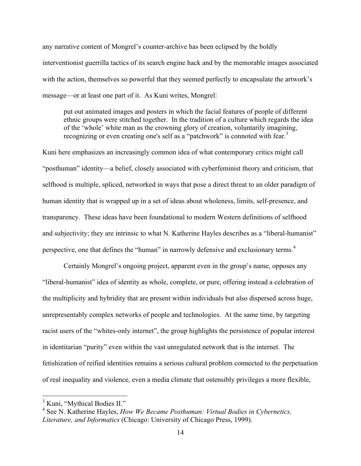any narrative content of Mongrel's counter-archive has been eclipsed by the boldly interventionist guerrilla tactics of its search engine hack and by the memorable images associated with the action, themselves so powerful that they seemed perfectly to encapsulate the artwork's message—or at least one part of it. As Kuni writes, Mongrel:

put out animated images and posters in which the facial features of people of different ethnic groups were stitched together. In the tradition of a culture which regards the idea of the 'whole' white man as the crowning glory of creation, voluntarily imagining, recognizing or even creating one's self as a "patchwork" is connoted with fear.<sup>3</sup>

Kuni here emphasizes an increasingly common idea of what contemporary critics might call "posthuman" identity—a belief, closely associated with cyberfeminist theory and criticism, that selfhood is multiple, spliced, networked in ways that pose a direct threat to an older paradigm of human identity that is wrapped up in a set of ideas about wholeness, limits, self-presence, and transparency. These ideas have been foundational to modern Western definitions of selfhood and subjectivity; they are intrinsic to what N. Katherine Hayles describes as a "liberal-humanist" perspective, one that defines the "human" in narrowly defensive and exclusionary terms.<sup>4</sup>

Certainly Mongrel's ongoing project, apparent even in the group's name, opposes any "liberal-humanist" idea of identity as whole, complete, or pure, offering instead a celebration of the multiplicity and hybridity that are present within individuals but also dispersed across huge, unrepresentably complex networks of people and technologies. At the same time, by targeting racist users of the "whites-only internet", the group highlights the persistence of popular interest in identitarian "purity" even within the vast unregulated network that is the internet. The fetishization of reified identities remains a serious cultural problem connected to the perpetuation of real inequality and violence, even a media climate that ostensibly privileges a more flexible,

<sup>&</sup>lt;sup>3</sup> Kuni, "Mythical Bodies II."

<sup>4</sup> See N. Katherine Hayles, *How We Became Posthuman: Virtual Bodies in Cybernetics, Literature, and Informatics* (Chicago: University of Chicago Press, 1999).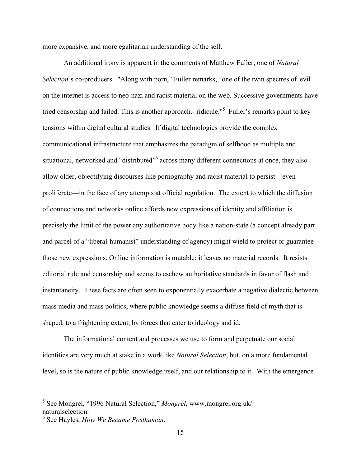more expansive, and more egalitarian understanding of the self.

An additional irony is apparent in the comments of Matthew Fuller, one of *Natural Selection*'s co-producers. "Along with porn," Fuller remarks, "one of the twin spectres of 'evil' on the internet is access to neo-nazi and racist material on the web. Successive governments have tried censorship and failed. This is another approach.- ridicule."<sup>5</sup> Fuller's remarks point to key tensions within digital cultural studies. If digital technologies provide the complex communicational infrastructure that emphasizes the paradigm of selfhood as multiple and situational, networked and "distributed"<sup>6</sup> across many different connections at once, they also allow older, objectifying discourses like pornography and racist material to persist—even proliferate—in the face of any attempts at official regulation. The extent to which the diffusion of connections and networks online affords new expressions of identity and affiliation is precisely the limit of the power any authoritative body like a nation-state (a concept already part and parcel of a "liberal-humanist" understanding of agency) might wield to protect or guarantee those new expressions. Online information is mutable; it leaves no material records. It resists editorial rule and censorship and seems to eschew authoritative standards in favor of flash and instantaneity. These facts are often seen to exponentially exacerbate a negative dialectic between mass media and mass politics, where public knowledge seems a diffuse field of myth that is shaped, to a frightening extent, by forces that cater to ideology and id.

The informational content and processes we use to form and perpetuate our social identities are very much at stake in a work like *Natural Selection*, but, on a more fundamental level, so is the nature of public knowledge itself, and our relationship to it. With the emergence

5 See Mongrel, "1996 Natural Selection," *Mongrel*, www.mongrel.org.uk/ naturalselection.

<sup>6</sup> See Hayles, *How We Became Posthuman*.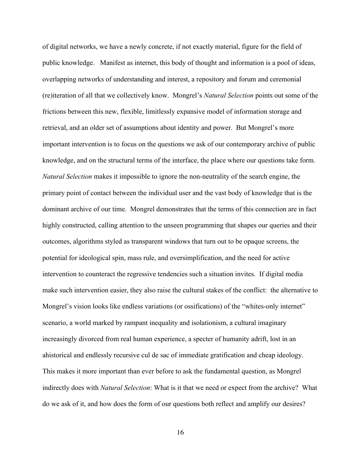of digital networks, we have a newly concrete, if not exactly material, figure for the field of public knowledge. Manifest as internet, this body of thought and information is a pool of ideas, overlapping networks of understanding and interest, a repository and forum and ceremonial (re)iteration of all that we collectively know. Mongrel's *Natural Selection* points out some of the frictions between this new, flexible, limitlessly expansive model of information storage and retrieval, and an older set of assumptions about identity and power. But Mongrel's more important intervention is to focus on the questions we ask of our contemporary archive of public knowledge, and on the structural terms of the interface, the place where our questions take form. *Natural Selection* makes it impossible to ignore the non-neutrality of the search engine, the primary point of contact between the individual user and the vast body of knowledge that is the dominant archive of our time. Mongrel demonstrates that the terms of this connection are in fact highly constructed, calling attention to the unseen programming that shapes our queries and their outcomes, algorithms styled as transparent windows that turn out to be opaque screens, the potential for ideological spin, mass rule, and oversimplification, and the need for active intervention to counteract the regressive tendencies such a situation invites. If digital media make such intervention easier, they also raise the cultural stakes of the conflict: the alternative to Mongrel's vision looks like endless variations (or ossifications) of the "whites-only internet" scenario, a world marked by rampant inequality and isolationism, a cultural imaginary increasingly divorced from real human experience, a specter of humanity adrift, lost in an ahistorical and endlessly recursive cul de sac of immediate gratification and cheap ideology. This makes it more important than ever before to ask the fundamental question, as Mongrel indirectly does with *Natural Selection*: What is it that we need or expect from the archive? What do we ask of it, and how does the form of our questions both reflect and amplify our desires?

16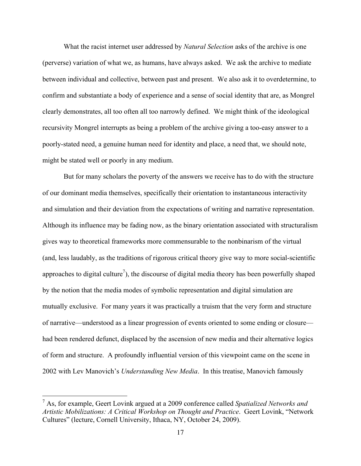What the racist internet user addressed by *Natural Selection* asks of the archive is one (perverse) variation of what we, as humans, have always asked. We ask the archive to mediate between individual and collective, between past and present. We also ask it to overdetermine, to confirm and substantiate a body of experience and a sense of social identity that are, as Mongrel clearly demonstrates, all too often all too narrowly defined. We might think of the ideological recursivity Mongrel interrupts as being a problem of the archive giving a too-easy answer to a poorly-stated need, a genuine human need for identity and place, a need that, we should note, might be stated well or poorly in any medium.

But for many scholars the poverty of the answers we receive has to do with the structure of our dominant media themselves, specifically their orientation to instantaneous interactivity and simulation and their deviation from the expectations of writing and narrative representation. Although its influence may be fading now, as the binary orientation associated with structuralism gives way to theoretical frameworks more commensurable to the nonbinarism of the virtual (and, less laudably, as the traditions of rigorous critical theory give way to more social-scientific approaches to digital culture<sup>7</sup>), the discourse of digital media theory has been powerfully shaped by the notion that the media modes of symbolic representation and digital simulation are mutually exclusive. For many years it was practically a truism that the very form and structure of narrative—understood as a linear progression of events oriented to some ending or closure had been rendered defunct, displaced by the ascension of new media and their alternative logics of form and structure. A profoundly influential version of this viewpoint came on the scene in 2002 with Lev Manovich's *Understanding New Media*. In this treatise, Manovich famously

7 As, for example, Geert Lovink argued at a 2009 conference called *Spatialized Networks and Artistic Mobilizations: A Critical Workshop on Thought and Practice*. Geert Lovink, "Network Cultures" (lecture, Cornell University, Ithaca, NY, October 24, 2009).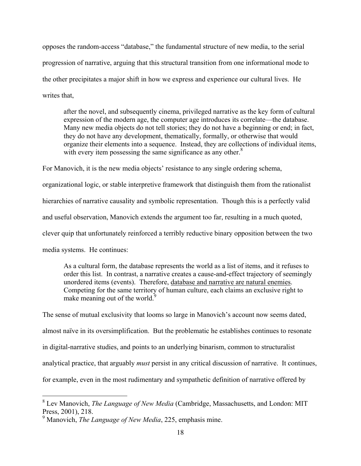opposes the random-access "database," the fundamental structure of new media, to the serial progression of narrative, arguing that this structural transition from one informational mode to the other precipitates a major shift in how we express and experience our cultural lives. He writes that,

after the novel, and subsequently cinema, privileged narrative as the key form of cultural expression of the modern age, the computer age introduces its correlate—the database. Many new media objects do not tell stories; they do not have a beginning or end; in fact, they do not have any development, thematically, formally, or otherwise that would organize their elements into a sequence. Instead, they are collections of individual items, with every item possessing the same significance as any other.<sup>8</sup>

For Manovich, it is the new media objects' resistance to any single ordering schema,

organizational logic, or stable interpretive framework that distinguish them from the rationalist hierarchies of narrative causality and symbolic representation. Though this is a perfectly valid and useful observation, Manovich extends the argument too far, resulting in a much quoted, clever quip that unfortunately reinforced a terribly reductive binary opposition between the two media systems. He continues:

As a cultural form, the database represents the world as a list of items, and it refuses to order this list. In contrast, a narrative creates a cause-and-effect trajectory of seemingly unordered items (events). Therefore, database and narrative are natural enemies. Competing for the same territory of human culture, each claims an exclusive right to make meaning out of the world.<sup>9</sup>

The sense of mutual exclusivity that looms so large in Manovich's account now seems dated, almost naïve in its oversimplification. But the problematic he establishes continues to resonate in digital-narrative studies, and points to an underlying binarism, common to structuralist analytical practice, that arguably *must* persist in any critical discussion of narrative. It continues, for example, even in the most rudimentary and sympathetic definition of narrative offered by

8 Lev Manovich, *The Language of New Media* (Cambridge, Massachusetts, and London: MIT Press, 2001), 218.

<sup>9</sup> Manovich, *The Language of New Media*, 225, emphasis mine.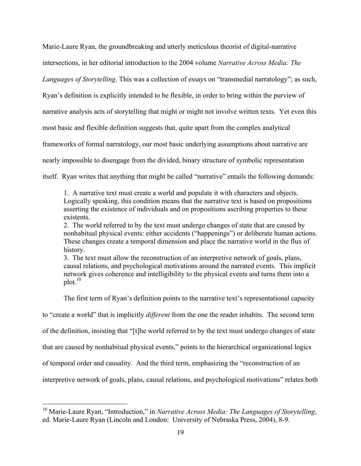Marie-Laure Ryan, the groundbreaking and utterly meticulous theorist of digital-narrative intersections, in her editorial introduction to the 2004 volume *Narrative Across Media: The Languages of Storytelling*. This was a collection of essays on "transmedial narratology"; as such, Ryan's definition is explicitly intended to be flexible, in order to bring within the purview of narrative analysis acts of storytelling that might or might not involve written texts. Yet even this most basic and flexible definition suggests that, quite apart from the complex analytical frameworks of formal narratology, our most basic underlying assumptions about narrative are nearly impossible to disengage from the divided, binary structure of symbolic representation itself. Ryan writes that anything that might be called "narrative" entails the following demands:

1. A narrative text must create a world and populate it with characters and objects. Logically speaking, this condition means that the narrative text is based on propositions asserting the existence of individuals and on propositions ascribing properties to these existents.

2. The world referred to by the text must undergo changes of state that are caused by nonhabitual physical events: either accidents ("happenings") or deliberate human actions. These changes create a temporal dimension and place the narrative world in the flux of history.

3. The text must allow the reconstruction of an interpretive network of goals, plans, causal relations, and psychological motivations around the narrated events. This implicit network gives coherence and intelligibility to the physical events and turns them into a  $plot<sup>10</sup>$ 

The first term of Ryan's definition points to the narrative text's representational capacity

to "create a world" that is implicitly *different* from the one the reader inhabits. The second term

of the definition, insisting that "[t]he world referred to by the text must undergo changes of state

that are caused by nonhabitual physical events," points to the hierarchical organizational logics

of temporal order and causality. And the third term, emphasizing the "reconstruction of an

interpretive network of goals, plans, causal relations, and psychological motivations" relates both

10 Marie-Laure Ryan, "Introduction," in *Narrative Across Media: The Languages of Storytelling*, ed. Marie-Laure Ryan (Lincoln and London: University of Nebraska Press, 2004), 8-9.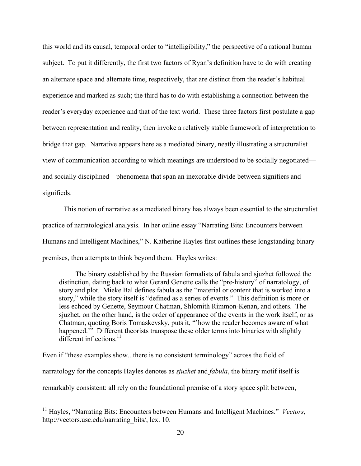this world and its causal, temporal order to "intelligibility," the perspective of a rational human subject. To put it differently, the first two factors of Ryan's definition have to do with creating an alternate space and alternate time, respectively, that are distinct from the reader's habitual experience and marked as such; the third has to do with establishing a connection between the reader's everyday experience and that of the text world. These three factors first postulate a gap between representation and reality, then invoke a relatively stable framework of interpretation to bridge that gap. Narrative appears here as a mediated binary, neatly illustrating a structuralist view of communication according to which meanings are understood to be socially negotiated and socially disciplined—phenomena that span an inexorable divide between signifiers and signifieds.

This notion of narrative as a mediated binary has always been essential to the structuralist practice of narratological analysis. In her online essay "Narrating Bits: Encounters between Humans and Intelligent Machines," N. Katherine Hayles first outlines these longstanding binary premises, then attempts to think beyond them. Hayles writes:

The binary established by the Russian formalists of fabula and sjuzhet followed the distinction, dating back to what Gerard Genette calls the "pre-history" of narratology, of story and plot. Mieke Bal defines fabula as the "material or content that is worked into a story," while the story itself is "defined as a series of events." This definition is more or less echoed by Genette, Seymour Chatman, Shlomith Rimmon-Kenan, and others. The sjuzhet, on the other hand, is the order of appearance of the events in the work itself, or as Chatman, quoting Boris Tomaskevsky, puts it, "'how the reader becomes aware of what happened." Different theorists transpose these older terms into binaries with slightly  $differential$  different inflections<sup>11</sup>

Even if "these examples show...there is no consistent terminology" across the field of narratology for the concepts Hayles denotes as *sjuzhet* and *fabula*, the binary motif itself is remarkably consistent: all rely on the foundational premise of a story space split between,

11 Hayles, "Narrating Bits: Encounters between Humans and Intelligent Machines." *Vectors*, http://vectors.usc.edu/narrating\_bits/, lex. 10.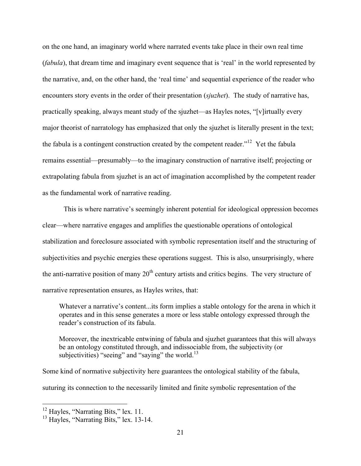on the one hand, an imaginary world where narrated events take place in their own real time (*fabula*), that dream time and imaginary event sequence that is 'real' in the world represented by the narrative, and, on the other hand, the 'real time' and sequential experience of the reader who encounters story events in the order of their presentation (*sjuzhet*). The study of narrative has, practically speaking, always meant study of the sjuzhet—as Hayles notes, "[v]irtually every major theorist of narratology has emphasized that only the sjuzhet is literally present in the text; the fabula is a contingent construction created by the competent reader."<sup>12</sup> Yet the fabula remains essential—presumably—to the imaginary construction of narrative itself; projecting or extrapolating fabula from sjuzhet is an act of imagination accomplished by the competent reader as the fundamental work of narrative reading.

This is where narrative's seemingly inherent potential for ideological oppression becomes clear—where narrative engages and amplifies the questionable operations of ontological stabilization and foreclosure associated with symbolic representation itself and the structuring of subjectivities and psychic energies these operations suggest. This is also, unsurprisingly, where the anti-narrative position of many  $20<sup>th</sup>$  century artists and critics begins. The very structure of narrative representation ensures, as Hayles writes, that:

Whatever a narrative's content...its form implies a stable ontology for the arena in which it operates and in this sense generates a more or less stable ontology expressed through the reader's construction of its fabula.

Moreover, the inextricable entwining of fabula and sjuzhet guarantees that this will always be an ontology constituted through, and indissociable from, the subjectivity (or subjectivities) "seeing" and "saying" the world. $^{13}$ 

Some kind of normative subjectivity here guarantees the ontological stability of the fabula, suturing its connection to the necessarily limited and finite symbolic representation of the

<sup>&</sup>lt;sup>12</sup> Hayles, "Narrating Bits," lex. 11.

<sup>&</sup>lt;sup>13</sup> Hayles, "Narrating Bits," lex. 13-14.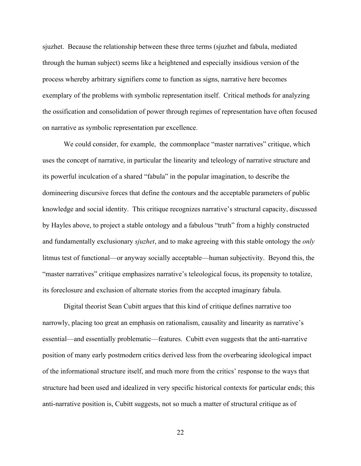sjuzhet. Because the relationship between these three terms (sjuzhet and fabula, mediated through the human subject) seems like a heightened and especially insidious version of the process whereby arbitrary signifiers come to function as signs, narrative here becomes exemplary of the problems with symbolic representation itself. Critical methods for analyzing the ossification and consolidation of power through regimes of representation have often focused on narrative as symbolic representation par excellence.

We could consider, for example, the commonplace "master narratives" critique, which uses the concept of narrative, in particular the linearity and teleology of narrative structure and its powerful inculcation of a shared "fabula" in the popular imagination, to describe the domineering discursive forces that define the contours and the acceptable parameters of public knowledge and social identity. This critique recognizes narrative's structural capacity, discussed by Hayles above, to project a stable ontology and a fabulous "truth" from a highly constructed and fundamentally exclusionary *sjuzhet*, and to make agreeing with this stable ontology the *only* litmus test of functional—or anyway socially acceptable—human subjectivity. Beyond this, the "master narratives" critique emphasizes narrative's teleological focus, its propensity to totalize, its foreclosure and exclusion of alternate stories from the accepted imaginary fabula.

Digital theorist Sean Cubitt argues that this kind of critique defines narrative too narrowly, placing too great an emphasis on rationalism, causality and linearity as narrative's essential—and essentially problematic—features. Cubitt even suggests that the anti-narrative position of many early postmodern critics derived less from the overbearing ideological impact of the informational structure itself, and much more from the critics' response to the ways that structure had been used and idealized in very specific historical contexts for particular ends; this anti-narrative position is, Cubitt suggests, not so much a matter of structural critique as of

22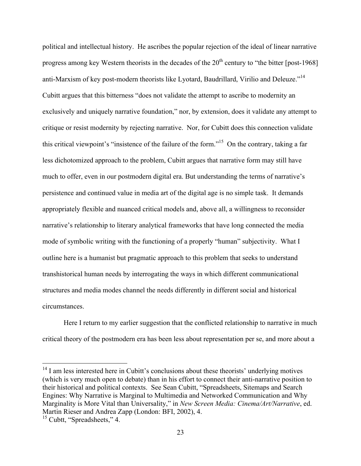political and intellectual history. He ascribes the popular rejection of the ideal of linear narrative progress among key Western theorists in the decades of the  $20<sup>th</sup>$  century to "the bitter [post-1968] anti-Marxism of key post-modern theorists like Lyotard, Baudrillard, Virilio and Deleuze."14 Cubitt argues that this bitterness "does not validate the attempt to ascribe to modernity an exclusively and uniquely narrative foundation," nor, by extension, does it validate any attempt to critique or resist modernity by rejecting narrative. Nor, for Cubitt does this connection validate this critical viewpoint's "insistence of the failure of the form."15 On the contrary, taking a far less dichotomized approach to the problem, Cubitt argues that narrative form may still have much to offer, even in our postmodern digital era. But understanding the terms of narrative's persistence and continued value in media art of the digital age is no simple task. It demands appropriately flexible and nuanced critical models and, above all, a willingness to reconsider narrative's relationship to literary analytical frameworks that have long connected the media mode of symbolic writing with the functioning of a properly "human" subjectivity. What I outline here is a humanist but pragmatic approach to this problem that seeks to understand transhistorical human needs by interrogating the ways in which different communicational structures and media modes channel the needs differently in different social and historical circumstances.

Here I return to my earlier suggestion that the conflicted relationship to narrative in much critical theory of the postmodern era has been less about representation per se, and more about a

 $<sup>14</sup>$  I am less interested here in Cubitt's conclusions about these theorists' underlying motives</sup> (which is very much open to debate) than in his effort to connect their anti-narrative position to their historical and political contexts. See Sean Cubitt, "Spreadsheets, Sitemaps and Search Engines: Why Narrative is Marginal to Multimedia and Networked Communication and Why Marginality is More Vital than Universality," in *New Screen Media: Cinema/Art/Narrative*, ed. Martin Rieser and Andrea Zapp (London: BFI, 2002), 4.

<sup>&</sup>lt;sup>15</sup> Cubtt, "Spreadsheets," 4.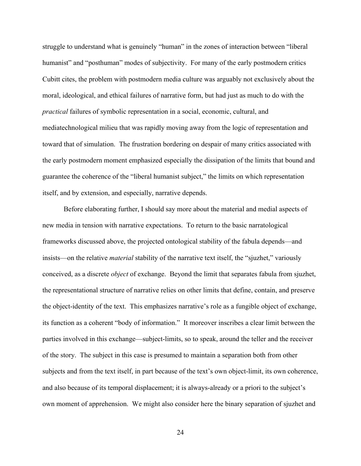struggle to understand what is genuinely "human" in the zones of interaction between "liberal humanist" and "posthuman" modes of subjectivity. For many of the early postmodern critics Cubitt cites, the problem with postmodern media culture was arguably not exclusively about the moral, ideological, and ethical failures of narrative form, but had just as much to do with the *practical* failures of symbolic representation in a social, economic, cultural, and mediatechnological milieu that was rapidly moving away from the logic of representation and toward that of simulation. The frustration bordering on despair of many critics associated with the early postmodern moment emphasized especially the dissipation of the limits that bound and guarantee the coherence of the "liberal humanist subject," the limits on which representation itself, and by extension, and especially, narrative depends.

Before elaborating further, I should say more about the material and medial aspects of new media in tension with narrative expectations. To return to the basic narratological frameworks discussed above, the projected ontological stability of the fabula depends—and insists—on the relative *material* stability of the narrative text itself, the "sjuzhet," variously conceived, as a discrete *object* of exchange. Beyond the limit that separates fabula from sjuzhet, the representational structure of narrative relies on other limits that define, contain, and preserve the object-identity of the text. This emphasizes narrative's role as a fungible object of exchange, its function as a coherent "body of information." It moreover inscribes a clear limit between the parties involved in this exchange—subject-limits, so to speak, around the teller and the receiver of the story. The subject in this case is presumed to maintain a separation both from other subjects and from the text itself, in part because of the text's own object-limit, its own coherence, and also because of its temporal displacement; it is always-already or a priori to the subject's own moment of apprehension. We might also consider here the binary separation of sjuzhet and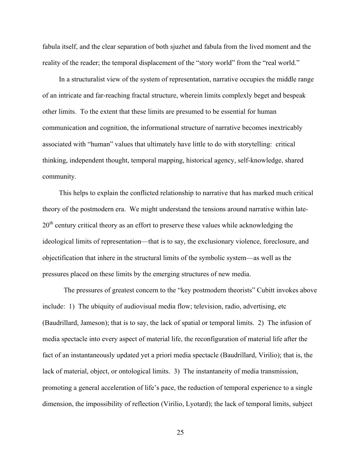fabula itself, and the clear separation of both sjuzhet and fabula from the lived moment and the reality of the reader; the temporal displacement of the "story world" from the "real world."

In a structuralist view of the system of representation, narrative occupies the middle range of an intricate and far-reaching fractal structure, wherein limits complexly beget and bespeak other limits. To the extent that these limits are presumed to be essential for human communication and cognition, the informational structure of narrative becomes inextricably associated with "human" values that ultimately have little to do with storytelling: critical thinking, independent thought, temporal mapping, historical agency, self-knowledge, shared community.

This helps to explain the conflicted relationship to narrative that has marked much critical theory of the postmodern era. We might understand the tensions around narrative within late- $20<sup>th</sup>$  century critical theory as an effort to preserve these values while acknowledging the ideological limits of representation—that is to say, the exclusionary violence, foreclosure, and objectification that inhere in the structural limits of the symbolic system—as well as the pressures placed on these limits by the emerging structures of new media.

The pressures of greatest concern to the "key postmodern theorists" Cubitt invokes above include: 1) The ubiquity of audiovisual media flow; television, radio, advertising, etc (Baudrillard, Jameson); that is to say, the lack of spatial or temporal limits. 2) The infusion of media spectacle into every aspect of material life, the reconfiguration of material life after the fact of an instantaneously updated yet a priori media spectacle (Baudrillard, Virilio); that is, the lack of material, object, or ontological limits. 3) The instantaneity of media transmission, promoting a general acceleration of life's pace, the reduction of temporal experience to a single dimension, the impossibility of reflection (Virilio, Lyotard); the lack of temporal limits, subject

25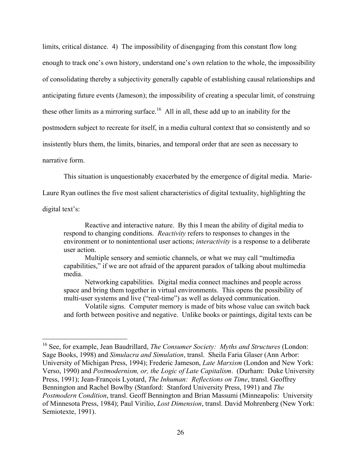limits, critical distance. 4) The impossibility of disengaging from this constant flow long enough to track one's own history, understand one's own relation to the whole, the impossibility of consolidating thereby a subjectivity generally capable of establishing causal relationships and anticipating future events (Jameson); the impossibility of creating a specular limit, of construing these other limits as a mirroring surface.<sup>16</sup> All in all, these add up to an inability for the postmodern subject to recreate for itself, in a media cultural context that so consistently and so insistently blurs them, the limits, binaries, and temporal order that are seen as necessary to narrative form.

This situation is unquestionably exacerbated by the emergence of digital media. Marie-

Laure Ryan outlines the five most salient characteristics of digital textuality, highlighting the

digital text's:

Reactive and interactive nature. By this I mean the ability of digital media to respond to changing conditions. *Reactivity* refers to responses to changes in the environment or to nonintentional user actions; *interactivity* is a response to a deliberate user action.

Multiple sensory and semiotic channels, or what we may call "multimedia capabilities," if we are not afraid of the apparent paradox of talking about multimedia media.

Networking capabilities. Digital media connect machines and people across space and bring them together in virtual environments. This opens the possibility of multi-user systems and live ("real-time") as well as delayed communication.

Volatile signs. Computer memory is made of bits whose value can switch back and forth between positive and negative. Unlike books or paintings, digital texts can be

<sup>16</sup> See, for example, Jean Baudrillard, *The Consumer Society: Myths and Structures* (London: Sage Books, 1998) and *Simulacra and Simulation*, transl. Sheila Faria Glaser (Ann Arbor: University of Michigan Press, 1994); Frederic Jameson, *Late Marxism* (London and New York: Verso, 1990) and *Postmodernism, or, the Logic of Late Capitalism*. (Durham: Duke University Press, 1991); Jean-François Lyotard, *The Inhuman: Reflections on Time*, transl. Geoffrey Bennington and Rachel Bowlby (Stanford: Stanford University Press, 1991) and *The Postmodern Condition*, transl. Geoff Bennington and Brian Massumi (Minneapolis: University of Minnesota Press, 1984); Paul Virilio, *Lost Dimension*, transl. David Mohrenberg (New York: Semiotexte, 1991).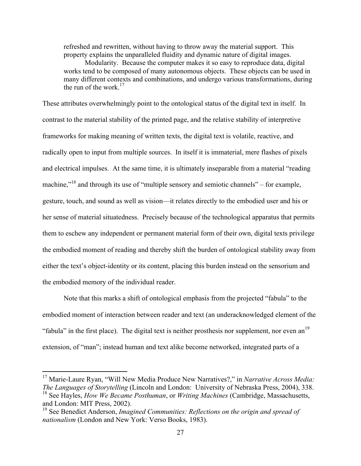refreshed and rewritten, without having to throw away the material support. This property explains the unparalleled fluidity and dynamic nature of digital images.

Modularity. Because the computer makes it so easy to reproduce data, digital works tend to be composed of many autonomous objects. These objects can be used in many different contexts and combinations, and undergo various transformations, during the run of the work  $17$ 

These attributes overwhelmingly point to the ontological status of the digital text in itself. In contrast to the material stability of the printed page, and the relative stability of interpretive frameworks for making meaning of written texts, the digital text is volatile, reactive, and radically open to input from multiple sources. In itself it is immaterial, mere flashes of pixels and electrical impulses. At the same time, it is ultimately inseparable from a material "reading machine,"<sup>18</sup> and through its use of "multiple sensory and semiotic channels" – for example, gesture, touch, and sound as well as vision—it relates directly to the embodied user and his or her sense of material situatedness. Precisely because of the technological apparatus that permits them to eschew any independent or permanent material form of their own, digital texts privilege the embodied moment of reading and thereby shift the burden of ontological stability away from either the text's object-identity or its content, placing this burden instead on the sensorium and the embodied memory of the individual reader.

Note that this marks a shift of ontological emphasis from the projected "fabula" to the embodied moment of interaction between reader and text (an underacknowledged element of the "fabula" in the first place). The digital text is neither prosthesis nor supplement, nor even an<sup>19</sup> extension, of "man"; instead human and text alike become networked, integrated parts of a

<sup>17</sup> Marie-Laure Ryan, "Will New Media Produce New Narratives?," in *Narrative Across Media: The Languages of Storytelling* (Lincoln and London: University of Nebraska Press, 2004), 338. 18 See Hayles, *How We Became Posthuman*, or *Writing Machines* (Cambridge, Massachusetts, and London: MIT Press, 2002).

<sup>19</sup> See Benedict Anderson, *Imagined Communities: Reflections on the origin and spread of nationalism* (London and New York: Verso Books, 1983).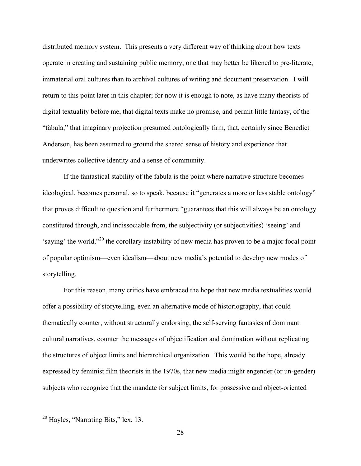distributed memory system. This presents a very different way of thinking about how texts operate in creating and sustaining public memory, one that may better be likened to pre-literate, immaterial oral cultures than to archival cultures of writing and document preservation. I will return to this point later in this chapter; for now it is enough to note, as have many theorists of digital textuality before me, that digital texts make no promise, and permit little fantasy, of the "fabula," that imaginary projection presumed ontologically firm, that, certainly since Benedict Anderson, has been assumed to ground the shared sense of history and experience that underwrites collective identity and a sense of community.

If the fantastical stability of the fabula is the point where narrative structure becomes ideological, becomes personal, so to speak, because it "generates a more or less stable ontology" that proves difficult to question and furthermore "guarantees that this will always be an ontology constituted through, and indissociable from, the subjectivity (or subjectivities) 'seeing' and 'saying' the world,"20 the corollary instability of new media has proven to be a major focal point of popular optimism—even idealism—about new media's potential to develop new modes of storytelling.

For this reason, many critics have embraced the hope that new media textualities would offer a possibility of storytelling, even an alternative mode of historiography, that could thematically counter, without structurally endorsing, the self-serving fantasies of dominant cultural narratives, counter the messages of objectification and domination without replicating the structures of object limits and hierarchical organization. This would be the hope, already expressed by feminist film theorists in the 1970s, that new media might engender (or un-gender) subjects who recognize that the mandate for subject limits, for possessive and object-oriented

20 Hayles, "Narrating Bits," lex. 13.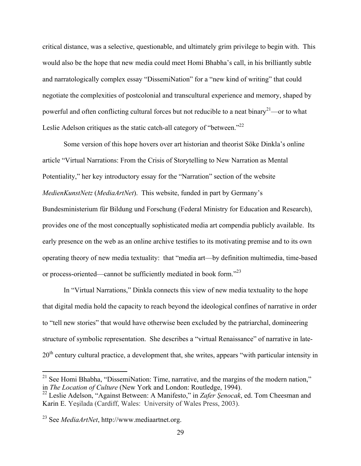critical distance, was a selective, questionable, and ultimately grim privilege to begin with. This would also be the hope that new media could meet Homi Bhabha's call, in his brilliantly subtle and narratologically complex essay "DissemiNation" for a "new kind of writing" that could negotiate the complexities of postcolonial and transcultural experience and memory, shaped by powerful and often conflicting cultural forces but not reducible to a neat binary<sup>21</sup>—or to what Leslie Adelson critiques as the static catch-all category of "between."<sup>22</sup>

Some version of this hope hovers over art historian and theorist Söke Dinkla's online article "Virtual Narrations: From the Crisis of Storytelling to New Narration as Mental Potentiality," her key introductory essay for the "Narration" section of the website *MedienKunstNetz* (*MediaArtNet*). This website, funded in part by Germany's Bundesministerium für Bildung und Forschung (Federal Ministry for Education and Research), provides one of the most conceptually sophisticated media art compendia publicly available. Its early presence on the web as an online archive testifies to its motivating premise and to its own operating theory of new media textuality: that "media art—by definition multimedia, time-based or process-oriented—cannot be sufficiently mediated in book form."23

In "Virtual Narrations," Dinkla connects this view of new media textuality to the hope that digital media hold the capacity to reach beyond the ideological confines of narrative in order to "tell new stories" that would have otherwise been excluded by the patriarchal, domineering structure of symbolic representation. She describes a "virtual Renaissance" of narrative in late-20<sup>th</sup> century cultural practice, a development that, she writes, appears "with particular intensity in

<sup>&</sup>lt;sup>21</sup> See Homi Bhabha, "DissemiNation: Time, narrative, and the margins of the modern nation," in *The Location of Culture* (New York and London: Routledge, 1994).

<sup>22</sup> Leslie Adelson, "Against Between: A Manifesto," in *Zafer Şenocak*, ed. Tom Cheesman and Karin E. Yeşilada (Cardiff, Wales: University of Wales Press, 2003).

<sup>23</sup> See *MediaArtNet*, http://www.mediaartnet.org.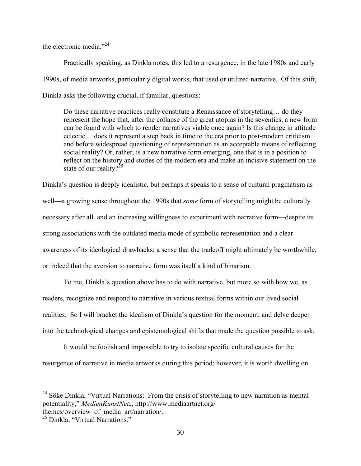the electronic media."<sup>24</sup>

Practically speaking, as Dinkla notes, this led to a resurgence, in the late 1980s and early 1990s, of media artworks, particularly digital works, that used or utilized narrative. Of this shift, Dinkla asks the following crucial, if familiar, questions:

Do these narrative practices really constitute a Renaissance of storytelling… do they represent the hope that, after the collapse of the great utopias in the seventies, a new form can be found with which to render narratives viable once again? Is this change in attitude eclectic… does it represent a step back in time to the era prior to post-modern criticism and before widespread questioning of representation as an acceptable means of reflecting social reality? Or, rather, is a new narrative form emerging, one that is in a position to reflect on the history and stories of the modern era and make an incisive statement on the state of our reality?<sup>25</sup>

Dinkla's question is deeply idealistic, but perhaps it speaks to a sense of cultural pragmatism as well—a growing sense throughout the 1990s that *some* form of storytelling might be culturally necessary after all, and an increasing willingness to experiment with narrative form—despite its strong associations with the outdated media mode of symbolic representation and a clear awareness of its ideological drawbacks; a sense that the tradeoff might ultimately be worthwhile, or indeed that the aversion to narrative form was itself a kind of binarism.

To me, Dinkla's question above has to do with narrative, but more so with how we, as readers, recognize and respond to narrative in various textual forms within our lived social realities. So I will bracket the idealism of Dinkla's question for the moment, and delve deeper into the technological changes and epistemological shifts that made the question possible to ask.

It would be foolish and impossible to try to isolate specific cultural causes for the resurgence of narrative in media artworks during this period; however, it is worth dwelling on

<sup>&</sup>lt;sup>24</sup> Söke Dinkla, "Virtual Narrations: From the crisis of storytelling to new narration as mental potentiality," *MedienKunstNetz*, http://www.mediaartnet.org/ themes/overview\_of\_media\_art/narration/.

<sup>&</sup>lt;sup>25</sup> Dinkla, "Virtual Narrations."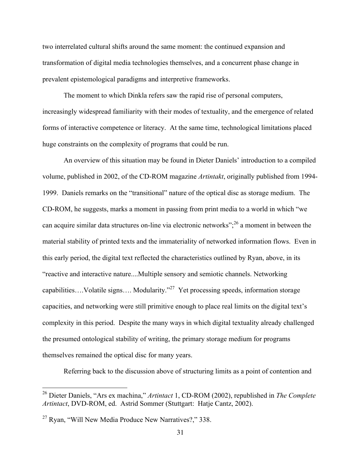two interrelated cultural shifts around the same moment: the continued expansion and transformation of digital media technologies themselves, and a concurrent phase change in prevalent epistemological paradigms and interpretive frameworks.

The moment to which Dinkla refers saw the rapid rise of personal computers, increasingly widespread familiarity with their modes of textuality, and the emergence of related forms of interactive competence or literacy. At the same time, technological limitations placed huge constraints on the complexity of programs that could be run.

An overview of this situation may be found in Dieter Daniels' introduction to a compiled volume, published in 2002, of the CD-ROM magazine *Artintakt*, originally published from 1994- 1999. Daniels remarks on the "transitional" nature of the optical disc as storage medium. The CD-ROM, he suggests, marks a moment in passing from print media to a world in which "we can acquire similar data structures on-line via electronic networks";26 a moment in between the material stability of printed texts and the immateriality of networked information flows. Even in this early period, the digital text reflected the characteristics outlined by Ryan, above, in its "reactive and interactive nature....Multiple sensory and semiotic channels. Networking capabilities....Volatile signs.... Modularity.<sup> $27$ </sup> Yet processing speeds, information storage capacities, and networking were still primitive enough to place real limits on the digital text's complexity in this period. Despite the many ways in which digital textuality already challenged the presumed ontological stability of writing, the primary storage medium for programs themselves remained the optical disc for many years.

Referring back to the discussion above of structuring limits as a point of contention and

26 Dieter Daniels, "Ars ex machina," *Artintact* 1, CD-ROM (2002), republished in *The Complete Artintact*, DVD-ROM, ed. Astrid Sommer (Stuttgart: Hatje Cantz, 2002).

<sup>&</sup>lt;sup>27</sup> Ryan, "Will New Media Produce New Narratives?," 338.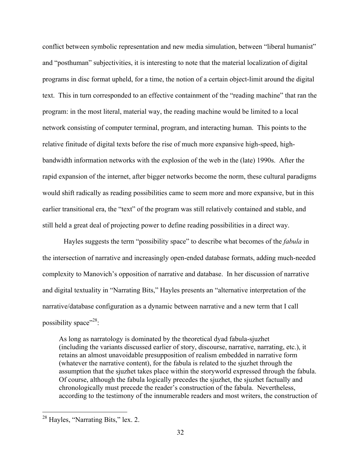conflict between symbolic representation and new media simulation, between "liberal humanist" and "posthuman" subjectivities, it is interesting to note that the material localization of digital programs in disc format upheld, for a time, the notion of a certain object-limit around the digital text. This in turn corresponded to an effective containment of the "reading machine" that ran the program: in the most literal, material way, the reading machine would be limited to a local network consisting of computer terminal, program, and interacting human. This points to the relative finitude of digital texts before the rise of much more expansive high-speed, highbandwidth information networks with the explosion of the web in the (late) 1990s. After the rapid expansion of the internet, after bigger networks become the norm, these cultural paradigms would shift radically as reading possibilities came to seem more and more expansive, but in this earlier transitional era, the "text" of the program was still relatively contained and stable, and still held a great deal of projecting power to define reading possibilities in a direct way.

Hayles suggests the term "possibility space" to describe what becomes of the *fabula* in the intersection of narrative and increasingly open-ended database formats, adding much-needed complexity to Manovich's opposition of narrative and database. In her discussion of narrative and digital textuality in "Narrating Bits," Hayles presents an "alternative interpretation of the narrative/database configuration as a dynamic between narrative and a new term that I call possibility space"<sup>28</sup>:

As long as narratology is dominated by the theoretical dyad fabula-sjuzhet (including the variants discussed earlier of story, discourse, narrative, narrating, etc.), it retains an almost unavoidable presupposition of realism embedded in narrative form (whatever the narrative content), for the fabula is related to the sjuzhet through the assumption that the sjuzhet takes place within the storyworld expressed through the fabula. Of course, although the fabula logically precedes the sjuzhet, the sjuzhet factually and chronologically must precede the reader's construction of the fabula. Nevertheless, according to the testimony of the innumerable readers and most writers, the construction of

<sup>&</sup>lt;sup>28</sup> Hayles, "Narrating Bits," lex. 2.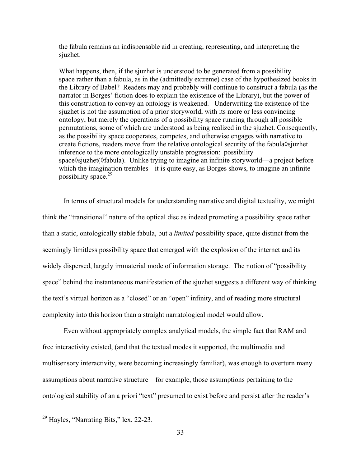the fabula remains an indispensable aid in creating, representing, and interpreting the sjuzhet.

What happens, then, if the sjuzhet is understood to be generated from a possibility space rather than a fabula, as in the (admittedly extreme) case of the hypothesized books in the Library of Babel? Readers may and probably will continue to construct a fabula (as the narrator in Borges' fiction does to explain the existence of the Library), but the power of this construction to convey an ontology is weakened. Underwriting the existence of the sjuzhet is not the assumption of a prior storyworld, with its more or less convincing ontology, but merely the operations of a possibility space running through all possible permutations, some of which are understood as being realized in the sjuzhet. Consequently, as the possibility space cooperates, competes, and otherwise engages with narrative to create fictions, readers move from the relative ontological security of the fabula◊sjuzhet inference to the more ontologically unstable progression: possibility space◊sjuzhet(◊fabula). Unlike trying to imagine an infinite storyworld—a project before which the imagination trembles-- it is quite easy, as Borges shows, to imagine an infinite possibility space.<sup>29</sup>

In terms of structural models for understanding narrative and digital textuality, we might think the "transitional" nature of the optical disc as indeed promoting a possibility space rather than a static, ontologically stable fabula, but a *limited* possibility space, quite distinct from the seemingly limitless possibility space that emerged with the explosion of the internet and its widely dispersed, largely immaterial mode of information storage. The notion of "possibility space" behind the instantaneous manifestation of the sjuzhet suggests a different way of thinking the text's virtual horizon as a "closed" or an "open" infinity, and of reading more structural complexity into this horizon than a straight narratological model would allow.

Even without appropriately complex analytical models, the simple fact that RAM and free interactivity existed, (and that the textual modes it supported, the multimedia and multisensory interactivity, were becoming increasingly familiar), was enough to overturn many assumptions about narrative structure—for example, those assumptions pertaining to the ontological stability of an a priori "text" presumed to exist before and persist after the reader's

29 Hayles, "Narrating Bits," lex. 22-23.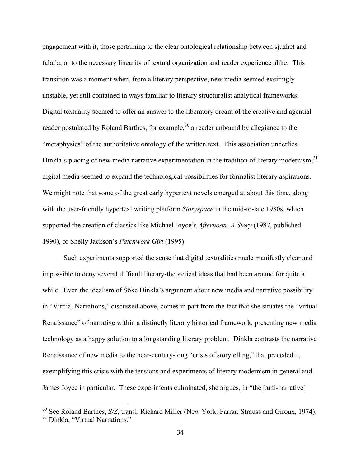engagement with it, those pertaining to the clear ontological relationship between sjuzhet and fabula, or to the necessary linearity of textual organization and reader experience alike. This transition was a moment when, from a literary perspective, new media seemed excitingly unstable, yet still contained in ways familiar to literary structuralist analytical frameworks. Digital textuality seemed to offer an answer to the liberatory dream of the creative and agential reader postulated by Roland Barthes, for example,  $30$  a reader unbound by allegiance to the "metaphysics" of the authoritative ontology of the written text. This association underlies Dinkla's placing of new media narrative experimentation in the tradition of literary modernism;<sup>31</sup> digital media seemed to expand the technological possibilities for formalist literary aspirations. We might note that some of the great early hypertext novels emerged at about this time, along with the user-friendly hypertext writing platform *Storyspace* in the mid-to-late 1980s, which supported the creation of classics like Michael Joyce's *Afternoon: A Story* (1987, published 1990), or Shelly Jackson's *Patchwork Girl* (1995).

Such experiments supported the sense that digital textualities made manifestly clear and impossible to deny several difficult literary-theoretical ideas that had been around for quite a while. Even the idealism of Söke Dinkla's argument about new media and narrative possibility in "Virtual Narrations," discussed above, comes in part from the fact that she situates the "virtual Renaissance" of narrative within a distinctly literary historical framework, presenting new media technology as a happy solution to a longstanding literary problem. Dinkla contrasts the narrative Renaissance of new media to the near-century-long "crisis of storytelling," that preceded it, exemplifying this crisis with the tensions and experiments of literary modernism in general and James Joyce in particular. These experiments culminated, she argues, in "the [anti-narrative]

30 See Roland Barthes, *S/Z*, transl. Richard Miller (New York: Farrar, Strauss and Giroux, 1974).

<sup>&</sup>lt;sup>31</sup> Dinkla, "Virtual Narrations."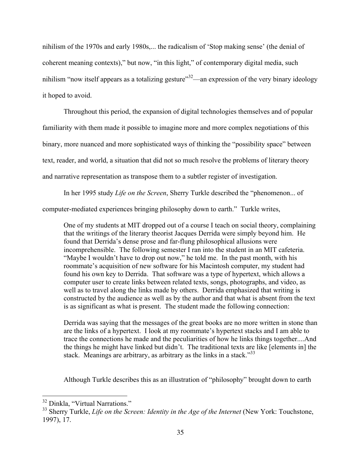nihilism of the 1970s and early 1980s,... the radicalism of 'Stop making sense' (the denial of coherent meaning contexts)," but now, "in this light," of contemporary digital media, such nihilism "now itself appears as a totalizing gesture"<sup>32</sup>—an expression of the very binary ideology it hoped to avoid.

Throughout this period, the expansion of digital technologies themselves and of popular familiarity with them made it possible to imagine more and more complex negotiations of this binary, more nuanced and more sophisticated ways of thinking the "possibility space" between text, reader, and world, a situation that did not so much resolve the problems of literary theory and narrative representation as transpose them to a subtler register of investigation.

In her 1995 study *Life on the Screen*, Sherry Turkle described the "phenomenon... of computer-mediated experiences bringing philosophy down to earth." Turkle writes,

One of my students at MIT dropped out of a course I teach on social theory, complaining that the writings of the literary theorist Jacques Derrida were simply beyond him. He found that Derrida's dense prose and far-flung philosophical allusions were incomprehensible. The following semester I ran into the student in an MIT cafeteria. "Maybe I wouldn't have to drop out now," he told me. In the past month, with his roommate's acquisition of new software for his Macintosh computer, my student had found his own key to Derrida. That software was a type of hypertext, which allows a computer user to create links between related texts, songs, photographs, and video, as well as to travel along the links made by others. Derrida emphasized that writing is constructed by the audience as well as by the author and that what is absent from the text is as significant as what is present. The student made the following connection:

Derrida was saying that the messages of the great books are no more written in stone than are the links of a hypertext. I look at my roommate's hypertext stacks and I am able to trace the connections he made and the peculiarities of how he links things together....And the things he might have linked but didn't. The traditional texts are like [elements in] the stack. Meanings are arbitrary, as arbitrary as the links in a stack.<sup>33</sup>

Although Turkle describes this as an illustration of "philosophy" brought down to earth

<sup>&</sup>lt;sup>32</sup> Dinkla, "Virtual Narrations."

<sup>33</sup> Sherry Turkle, *Life on the Screen: Identity in the Age of the Internet* (New York: Touchstone, 1997), 17.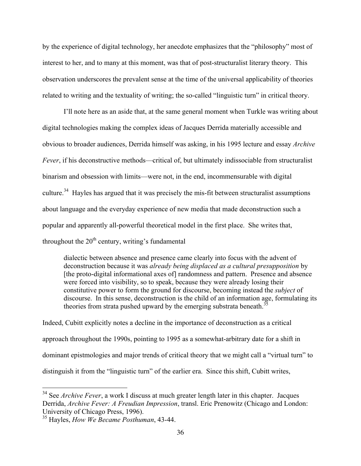by the experience of digital technology, her anecdote emphasizes that the "philosophy" most of interest to her, and to many at this moment, was that of post-structuralist literary theory. This observation underscores the prevalent sense at the time of the universal applicability of theories related to writing and the textuality of writing; the so-called "linguistic turn" in critical theory.

I'll note here as an aside that, at the same general moment when Turkle was writing about digital technologies making the complex ideas of Jacques Derrida materially accessible and obvious to broader audiences, Derrida himself was asking, in his 1995 lecture and essay *Archive Fever*, if his deconstructive methods—critical of, but ultimately indissociable from structuralist binarism and obsession with limits—were not, in the end, incommensurable with digital culture.<sup>34</sup> Hayles has argued that it was precisely the mis-fit between structuralist assumptions about language and the everyday experience of new media that made deconstruction such a popular and apparently all-powerful theoretical model in the first place. She writes that, throughout the  $20<sup>th</sup>$  century, writing's fundamental

dialectic between absence and presence came clearly into focus with the advent of deconstruction because it was *already being displaced as a cultural presupposition* by [the proto-digital informational axes of] randomness and pattern. Presence and absence were forced into visibility, so to speak, because they were already losing their constitutive power to form the ground for discourse, becoming instead the *subject* of discourse. In this sense, deconstruction is the child of an information age, formulating its theories from strata pushed upward by the emerging substrata beneath.<sup>35</sup>

Indeed, Cubitt explicitly notes a decline in the importance of deconstruction as a critical approach throughout the 1990s, pointing to 1995 as a somewhat-arbitrary date for a shift in dominant epistmologies and major trends of critical theory that we might call a "virtual turn" to distinguish it from the "linguistic turn" of the earlier era. Since this shift, Cubitt writes,

34 See *Archive Fever*, a work I discuss at much greater length later in this chapter. Jacques Derrida, *Archive Fever: A Freudian Impression*, transl. Eric Prenowitz (Chicago and London: University of Chicago Press, 1996).

<sup>35</sup> Hayles, *How We Became Posthuman*, 43-44.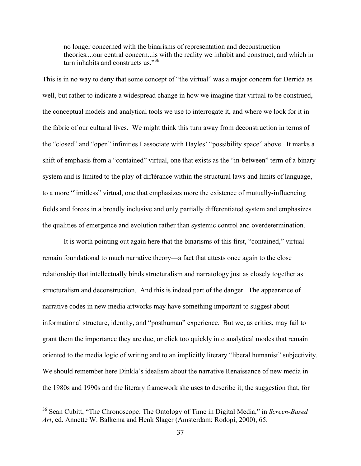no longer concerned with the binarisms of representation and deconstruction theories....our central concern...is with the reality we inhabit and construct, and which in turn inhabits and constructs us."36

This is in no way to deny that some concept of "the virtual" was a major concern for Derrida as well, but rather to indicate a widespread change in how we imagine that virtual to be construed, the conceptual models and analytical tools we use to interrogate it, and where we look for it in the fabric of our cultural lives. We might think this turn away from deconstruction in terms of the "closed" and "open" infinities I associate with Hayles' "possibility space" above. It marks a shift of emphasis from a "contained" virtual, one that exists as the "in-between" term of a binary system and is limited to the play of différance within the structural laws and limits of language, to a more "limitless" virtual, one that emphasizes more the existence of mutually-influencing fields and forces in a broadly inclusive and only partially differentiated system and emphasizes the qualities of emergence and evolution rather than systemic control and overdetermination.

It is worth pointing out again here that the binarisms of this first, "contained," virtual remain foundational to much narrative theory—a fact that attests once again to the close relationship that intellectually binds structuralism and narratology just as closely together as structuralism and deconstruction. And this is indeed part of the danger. The appearance of narrative codes in new media artworks may have something important to suggest about informational structure, identity, and "posthuman" experience. But we, as critics, may fail to grant them the importance they are due, or click too quickly into analytical modes that remain oriented to the media logic of writing and to an implicitly literary "liberal humanist" subjectivity. We should remember here Dinkla's idealism about the narrative Renaissance of new media in the 1980s and 1990s and the literary framework she uses to describe it; the suggestion that, for

36 Sean Cubitt, "The Chronoscope: The Ontology of Time in Digital Media," in *Screen-Based Art*, ed. Annette W. Balkema and Henk Slager (Amsterdam: Rodopi, 2000), 65.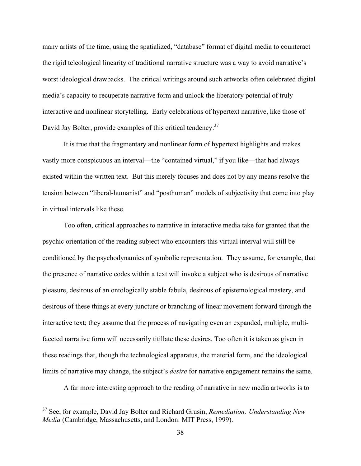many artists of the time, using the spatialized, "database" format of digital media to counteract the rigid teleological linearity of traditional narrative structure was a way to avoid narrative's worst ideological drawbacks. The critical writings around such artworks often celebrated digital media's capacity to recuperate narrative form and unlock the liberatory potential of truly interactive and nonlinear storytelling. Early celebrations of hypertext narrative, like those of David Jay Bolter, provide examples of this critical tendency.<sup>37</sup>

It is true that the fragmentary and nonlinear form of hypertext highlights and makes vastly more conspicuous an interval—the "contained virtual," if you like—that had always existed within the written text. But this merely focuses and does not by any means resolve the tension between "liberal-humanist" and "posthuman" models of subjectivity that come into play in virtual intervals like these.

Too often, critical approaches to narrative in interactive media take for granted that the psychic orientation of the reading subject who encounters this virtual interval will still be conditioned by the psychodynamics of symbolic representation. They assume, for example, that the presence of narrative codes within a text will invoke a subject who is desirous of narrative pleasure, desirous of an ontologically stable fabula, desirous of epistemological mastery, and desirous of these things at every juncture or branching of linear movement forward through the interactive text; they assume that the process of navigating even an expanded, multiple, multifaceted narrative form will necessarily titillate these desires. Too often it is taken as given in these readings that, though the technological apparatus, the material form, and the ideological limits of narrative may change, the subject's *desire* for narrative engagement remains the same.

A far more interesting approach to the reading of narrative in new media artworks is to

37 See, for example, David Jay Bolter and Richard Grusin, *Remediation: Understanding New Media* (Cambridge, Massachusetts, and London: MIT Press, 1999).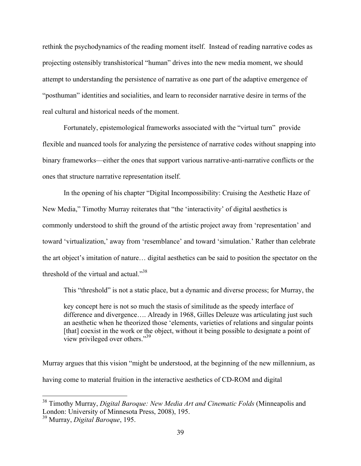rethink the psychodynamics of the reading moment itself. Instead of reading narrative codes as projecting ostensibly transhistorical "human" drives into the new media moment, we should attempt to understanding the persistence of narrative as one part of the adaptive emergence of "posthuman" identities and socialities, and learn to reconsider narrative desire in terms of the real cultural and historical needs of the moment.

Fortunately, epistemological frameworks associated with the "virtual turn" provide flexible and nuanced tools for analyzing the persistence of narrative codes without snapping into binary frameworks—either the ones that support various narrative-anti-narrative conflicts or the ones that structure narrative representation itself.

In the opening of his chapter "Digital Incompossibility: Cruising the Aesthetic Haze of New Media," Timothy Murray reiterates that "the 'interactivity' of digital aesthetics is commonly understood to shift the ground of the artistic project away from 'representation' and toward 'virtualization,' away from 'resemblance' and toward 'simulation.' Rather than celebrate the art object's imitation of nature… digital aesthetics can be said to position the spectator on the threshold of the virtual and actual."<sup>38</sup>

This "threshold" is not a static place, but a dynamic and diverse process; for Murray, the

key concept here is not so much the stasis of similitude as the speedy interface of difference and divergence…. Already in 1968, Gilles Deleuze was articulating just such an aesthetic when he theorized those 'elements, varieties of relations and singular points [that] coexist in the work or the object, without it being possible to designate a point of view privileged over others."<sup>39</sup>

Murray argues that this vision "might be understood, at the beginning of the new millennium, as having come to material fruition in the interactive aesthetics of CD-ROM and digital

38 Timothy Murray, *Digital Baroque: New Media Art and Cinematic Folds* (Minneapolis and London: University of Minnesota Press, 2008), 195.

<sup>39</sup> Murray, *Digital Baroque*, 195.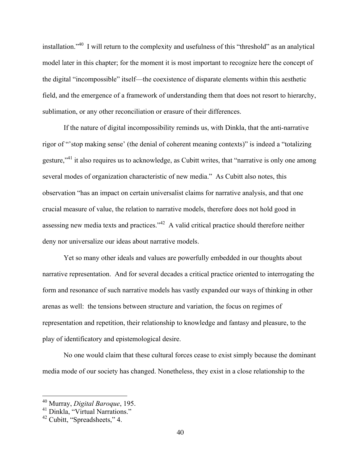installation."40 I will return to the complexity and usefulness of this "threshold" as an analytical model later in this chapter; for the moment it is most important to recognize here the concept of the digital "incompossible" itself—the coexistence of disparate elements within this aesthetic field, and the emergence of a framework of understanding them that does not resort to hierarchy, sublimation, or any other reconciliation or erasure of their differences.

If the nature of digital incompossibility reminds us, with Dinkla, that the anti-narrative rigor of "'stop making sense' (the denial of coherent meaning contexts)" is indeed a "totalizing gesture,<sup>"41</sup> it also requires us to acknowledge, as Cubitt writes, that "narrative is only one among several modes of organization characteristic of new media." As Cubitt also notes, this observation "has an impact on certain universalist claims for narrative analysis, and that one crucial measure of value, the relation to narrative models, therefore does not hold good in assessing new media texts and practices."<sup>42</sup> A valid critical practice should therefore neither deny nor universalize our ideas about narrative models.

Yet so many other ideals and values are powerfully embedded in our thoughts about narrative representation. And for several decades a critical practice oriented to interrogating the form and resonance of such narrative models has vastly expanded our ways of thinking in other arenas as well: the tensions between structure and variation, the focus on regimes of representation and repetition, their relationship to knowledge and fantasy and pleasure, to the play of identificatory and epistemological desire.

No one would claim that these cultural forces cease to exist simply because the dominant media mode of our society has changed. Nonetheless, they exist in a close relationship to the

40 Murray, *Digital Baroque*, 195.

<sup>41</sup> Dinkla, "Virtual Narrations."

<sup>&</sup>lt;sup>42</sup> Cubitt, "Spreadsheets," 4.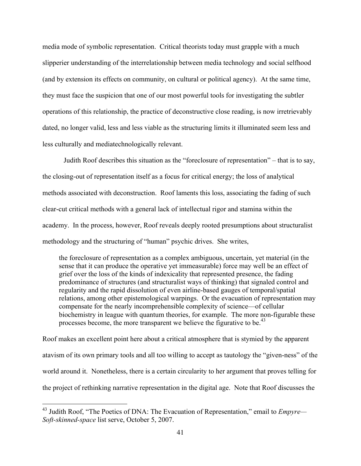media mode of symbolic representation. Critical theorists today must grapple with a much slipperier understanding of the interrelationship between media technology and social selfhood (and by extension its effects on community, on cultural or political agency). At the same time, they must face the suspicion that one of our most powerful tools for investigating the subtler operations of this relationship, the practice of deconstructive close reading, is now irretrievably dated, no longer valid, less and less viable as the structuring limits it illuminated seem less and less culturally and mediatechnologically relevant.

Judith Roof describes this situation as the "foreclosure of representation" – that is to say, the closing-out of representation itself as a focus for critical energy; the loss of analytical methods associated with deconstruction. Roof laments this loss, associating the fading of such clear-cut critical methods with a general lack of intellectual rigor and stamina within the academy. In the process, however, Roof reveals deeply rooted presumptions about structuralist methodology and the structuring of "human" psychic drives. She writes,

the foreclosure of representation as a complex ambiguous, uncertain, yet material (in the sense that it can produce the operative yet immeasurable) force may well be an effect of grief over the loss of the kinds of indexicality that represented presence, the fading predominance of structures (and structuralist ways of thinking) that signaled control and regularity and the rapid dissolution of even airline-based gauges of temporal/spatial relations, among other epistemological warpings. Or the evacuation of representation may compensate for the nearly incomprehensible complexity of science—of cellular biochemistry in league with quantum theories, for example. The more non-figurable these processes become, the more transparent we believe the figurative to be.<sup>43</sup>

Roof makes an excellent point here about a critical atmosphere that is stymied by the apparent atavism of its own primary tools and all too willing to accept as tautology the "given-ness" of the world around it. Nonetheless, there is a certain circularity to her argument that proves telling for the project of rethinking narrative representation in the digital age. Note that Roof discusses the

43 Judith Roof, "The Poetics of DNA: The Evacuation of Representation," email to *Empyre— Soft-skinned-space* list serve, October 5, 2007.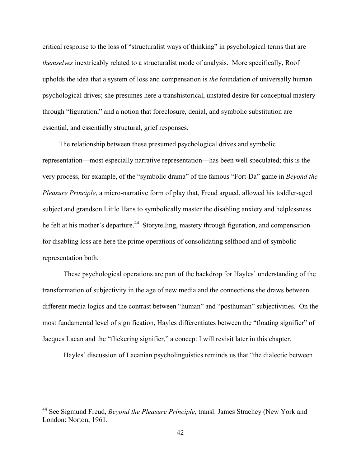critical response to the loss of "structuralist ways of thinking" in psychological terms that are *themselves* inextricably related to a structuralist mode of analysis. More specifically, Roof upholds the idea that a system of loss and compensation is *the* foundation of universally human psychological drives; she presumes here a transhistorical, unstated desire for conceptual mastery through "figuration," and a notion that foreclosure, denial, and symbolic substitution are essential, and essentially structural, grief responses.

The relationship between these presumed psychological drives and symbolic representation—most especially narrative representation—has been well speculated; this is the very process, for example, of the "symbolic drama" of the famous "Fort-Da" game in *Beyond the Pleasure Principle*, a micro-narrative form of play that, Freud argued, allowed his toddler-aged subject and grandson Little Hans to symbolically master the disabling anxiety and helplessness he felt at his mother's departure.<sup>44</sup> Storytelling, mastery through figuration, and compensation for disabling loss are here the prime operations of consolidating selfhood and of symbolic representation both.

These psychological operations are part of the backdrop for Hayles' understanding of the transformation of subjectivity in the age of new media and the connections she draws between different media logics and the contrast between "human" and "posthuman" subjectivities. On the most fundamental level of signification, Hayles differentiates between the "floating signifier" of Jacques Lacan and the "flickering signifier," a concept I will revisit later in this chapter.

Hayles' discussion of Lacanian psycholinguistics reminds us that "the dialectic between

44 See Sigmund Freud, *Beyond the Pleasure Principle*, transl. James Strachey (New York and London: Norton, 1961.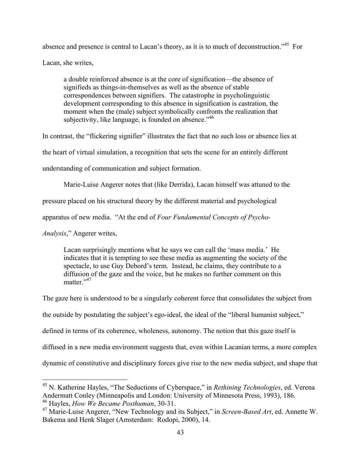absence and presence is central to Lacan's theory, as it is to much of deconstruction."45 For

Lacan, she writes,

a double reinforced absence is at the core of signification—the absence of signifieds as things-in-themselves as well as the absence of stable correspondences between signifiers. The catastrophe in psycholinguistic development corresponding to this absence in signification is castration, the moment when the (male) subject symbolically confronts the realization that subjectivity, like language, is founded on absence. $146$ 

In contrast, the "flickering signifier" illustrates the fact that no such loss or absence lies at

the heart of virtual simulation, a recognition that sets the scene for an entirely different

understanding of communication and subject formation.

Marie-Luise Angerer notes that (like Derrida), Lacan himself was attuned to the

pressure placed on his structural theory by the different material and psychological

apparatus of new media. "At the end of *Four Fundamental Concepts of Psycho-*

*Analysis*," Angerer writes,

Lacan surprisingly mentions what he says we can call the 'mass media.' He indicates that it is tempting to see these media as augmenting the society of the spectacle, to use Guy Debord's term. Instead, he claims, they contribute to a diffusion of the gaze and the voice, but he makes no further comment on this matter."<sup>47</sup>

The gaze here is understood to be a singularly coherent force that consolidates the subject from the outside by postulating the subject's ego-ideal, the ideal of the "liberal humanist subject," defined in terms of its coherence, wholeness, autonomy. The notion that this gaze itself is diffused in a new media environment suggests that, even within Lacanian terms, a more complex dynamic of constitutive and disciplinary forces give rise to the new media subject, and shape that

45 N. Katherine Hayles, "The Seductions of Cyberspace," in *Rethining Technologies*, ed. Verena Andermatt Conley (Minneapolis and London: University of Minnesota Press, 1993), 186.

<sup>46</sup> Hayles, *How We Became Posthuman*, 30-31.

<sup>47</sup> Marie-Luise Angerer, "New Technology and its Subject," in *Screen-Based Art*, ed. Annette W. Bakema and Henk Slager (Amsterdam: Rodopi, 2000), 14.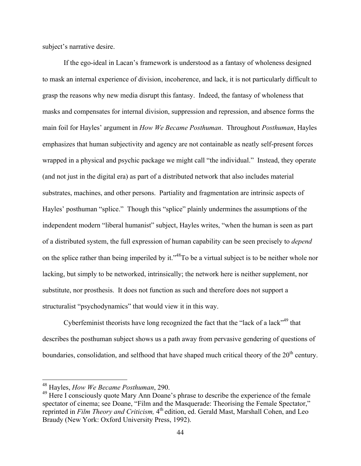subject's narrative desire.

If the ego-ideal in Lacan's framework is understood as a fantasy of wholeness designed to mask an internal experience of division, incoherence, and lack, it is not particularly difficult to grasp the reasons why new media disrupt this fantasy. Indeed, the fantasy of wholeness that masks and compensates for internal division, suppression and repression, and absence forms the main foil for Hayles' argument in *How We Became Posthuman*. Throughout *Posthuman*, Hayles emphasizes that human subjectivity and agency are not containable as neatly self-present forces wrapped in a physical and psychic package we might call "the individual." Instead, they operate (and not just in the digital era) as part of a distributed network that also includes material substrates, machines, and other persons. Partiality and fragmentation are intrinsic aspects of Hayles' posthuman "splice." Though this "splice" plainly undermines the assumptions of the independent modern "liberal humanist" subject, Hayles writes, "when the human is seen as part of a distributed system, the full expression of human capability can be seen precisely to *depend* on the splice rather than being imperiled by it."<sup>48</sup>To be a virtual subject is to be neither whole nor lacking, but simply to be networked, intrinsically; the network here is neither supplement, nor substitute, nor prosthesis. It does not function as such and therefore does not support a structuralist "psychodynamics" that would view it in this way.

Cyberfeminist theorists have long recognized the fact that the "lack of a lack"<sup>49</sup> that describes the posthuman subject shows us a path away from pervasive gendering of questions of boundaries, consolidation, and selfhood that have shaped much critical theory of the  $20<sup>th</sup>$  century.

48 Hayles, *How We Became Posthuman*, 290.

<sup>&</sup>lt;sup>49</sup> Here I consciously quote Mary Ann Doane's phrase to describe the experience of the female spectator of cinema; see Doane, "Film and the Masquerade: Theorising the Female Spectator," reprinted in *Film Theory and Criticism*, 4<sup>th</sup> edition, ed. Gerald Mast, Marshall Cohen, and Leo Braudy (New York: Oxford University Press, 1992).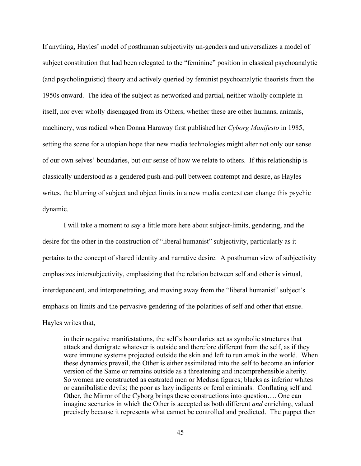If anything, Hayles' model of posthuman subjectivity un-genders and universalizes a model of subject constitution that had been relegated to the "feminine" position in classical psychoanalytic (and psycholinguistic) theory and actively queried by feminist psychoanalytic theorists from the 1950s onward. The idea of the subject as networked and partial, neither wholly complete in itself, nor ever wholly disengaged from its Others, whether these are other humans, animals, machinery, was radical when Donna Haraway first published her *Cyborg Manifesto* in 1985, setting the scene for a utopian hope that new media technologies might alter not only our sense of our own selves' boundaries, but our sense of how we relate to others. If this relationship is classically understood as a gendered push-and-pull between contempt and desire, as Hayles writes, the blurring of subject and object limits in a new media context can change this psychic dynamic.

I will take a moment to say a little more here about subject-limits, gendering, and the desire for the other in the construction of "liberal humanist" subjectivity, particularly as it pertains to the concept of shared identity and narrative desire. A posthuman view of subjectivity emphasizes intersubjectivity, emphasizing that the relation between self and other is virtual, interdependent, and interpenetrating, and moving away from the "liberal humanist" subject's emphasis on limits and the pervasive gendering of the polarities of self and other that ensue. Hayles writes that,

in their negative manifestations, the self's boundaries act as symbolic structures that attack and denigrate whatever is outside and therefore different from the self, as if they were immune systems projected outside the skin and left to run amok in the world. When these dynamics prevail, the Other is either assimilated into the self to become an inferior version of the Same or remains outside as a threatening and incomprehensible alterity. So women are constructed as castrated men or Medusa figures; blacks as inferior whites or cannibalistic devils; the poor as lazy indigents or feral criminals. Conflating self and Other, the Mirror of the Cyborg brings these constructions into question…. One can imagine scenarios in which the Other is accepted as both different *and* enriching, valued precisely because it represents what cannot be controlled and predicted. The puppet then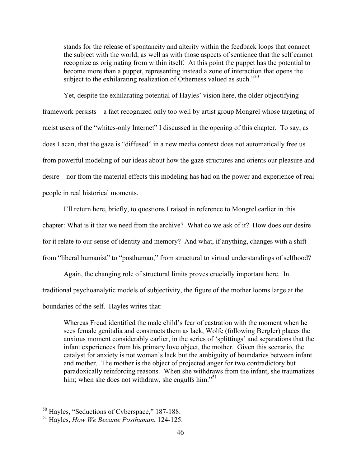stands for the release of spontaneity and alterity within the feedback loops that connect the subject with the world, as well as with those aspects of sentience that the self cannot recognize as originating from within itself. At this point the puppet has the potential to become more than a puppet, representing instead a zone of interaction that opens the subject to the exhilarating realization of Otherness valued as such. $150$ 

Yet, despite the exhilarating potential of Hayles' vision here, the older objectifying framework persists—a fact recognized only too well by artist group Mongrel whose targeting of racist users of the "whites-only Internet" I discussed in the opening of this chapter. To say, as does Lacan, that the gaze is "diffused" in a new media context does not automatically free us from powerful modeling of our ideas about how the gaze structures and orients our pleasure and desire—nor from the material effects this modeling has had on the power and experience of real people in real historical moments.

I'll return here, briefly, to questions I raised in reference to Mongrel earlier in this chapter: What is it that we need from the archive? What do we ask of it? How does our desire for it relate to our sense of identity and memory? And what, if anything, changes with a shift from "liberal humanist" to "posthuman," from structural to virtual understandings of selfhood?

Again, the changing role of structural limits proves crucially important here. In traditional psychoanalytic models of subjectivity, the figure of the mother looms large at the boundaries of the self. Hayles writes that:

Whereas Freud identified the male child's fear of castration with the moment when he sees female genitalia and constructs them as lack, Wolfe (following Bergler) places the anxious moment considerably earlier, in the series of 'splittings' and separations that the infant experiences from his primary love object, the mother. Given this scenario, the catalyst for anxiety is not woman's lack but the ambiguity of boundaries between infant and mother. The mother is the object of projected anger for two contradictory but paradoxically reinforcing reasons. When she withdraws from the infant, she traumatizes him; when she does not withdraw, she engulfs him."<sup>51</sup>

50 Hayles, "Seductions of Cyberspace," 187-188.

<sup>51</sup> Hayles, *How We Became Posthuman*, 124-125.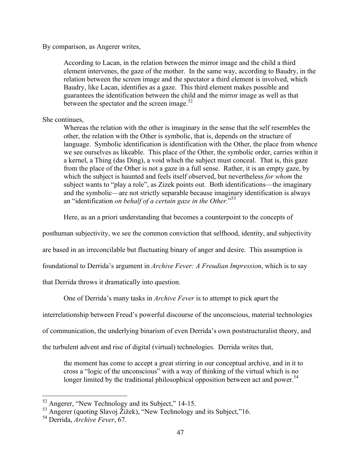By comparison, as Angerer writes,

According to Lacan, in the relation between the mirror image and the child a third element intervenes, the gaze of the mother. In the same way, according to Baudry, in the relation between the screen image and the spectator a third element is involved, which Baudry, like Lacan, identifies as a gaze. This third element makes possible and guarantees the identification between the child and the mirror image as well as that between the spectator and the screen image. $52$ 

## She continues,

Whereas the relation with the other is imaginary in the sense that the self resembles the other, the relation with the Other is symbolic, that is, depends on the structure of language. Symbolic identification is identification with the Other, the place from whence we see ourselves as likeable. This place of the Other, the symbolic order, carries within it a kernel, a Thing (das Ding), a void which the subject must conceal. That is, this gaze from the place of the Other is not a gaze in a full sense. Rather, it is an empty gaze, by which the subject is haunted and feels itself observed, but nevertheless *for whom* the subject wants to "play a role", as Zizek points out. Both identifications—the imaginary and the symbolic—are not strictly separable because imaginary identification is always an "identification *on behalf of a certain gaze in the Other.*" 53

Here, as an a priori understanding that becomes a counterpoint to the concepts of

posthuman subjectivity, we see the common conviction that selfhood, identity, and subjectivity

are based in an irreconcilable but fluctuating binary of anger and desire. This assumption is

foundational to Derrida's argument in *Archive Fever: A Freudian Impression*, which is to say

that Derrida throws it dramatically into question.

One of Derrida's many tasks in *Archive Fever* is to attempt to pick apart the

interrelationship between Freud's powerful discourse of the unconscious, material technologies

of communication, the underlying binarism of even Derrida's own poststructuralist theory, and

the turbulent advent and rise of digital (virtual) technologies. Derrida writes that,

the moment has come to accept a great stirring in our conceptual archive, and in it to cross a "logic of the unconscious" with a way of thinking of the virtual which is no longer limited by the traditional philosophical opposition between act and power.<sup>54</sup>

52 Angerer, "New Technology and its Subject," 14-15.

<sup>53</sup> Angerer (quoting Slavoj Žižek), "New Technology and its Subject,"16. 54 Derrida, *Archive Fever*, 67.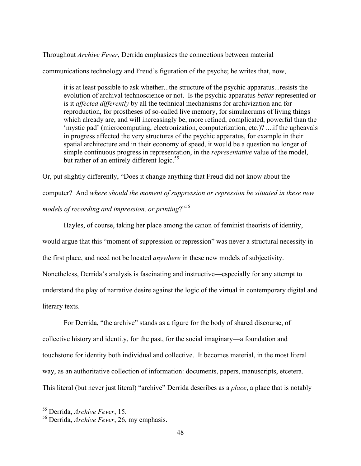Throughout *Archive Fever*, Derrida emphasizes the connections between material

communications technology and Freud's figuration of the psyche; he writes that, now,

it is at least possible to ask whether...the structure of the psychic apparatus...resists the evolution of archival technoscience or not. Is the psychic apparatus *better* represented or is it *affected differently* by all the technical mechanisms for archivization and for reproduction, for prostheses of so-called live memory, for simulacrums of living things which already are, and will increasingly be, more refined, complicated, powerful than the 'mystic pad' (microcomputing, electronization, computerization, etc.)? ....if the upheavals in progress affected the very structures of the psychic apparatus, for example in their spatial architecture and in their economy of speed, it would be a question no longer of simple continuous progress in representation, in the *representative* value of the model, but rather of an entirely different  $logic$ <sup>55</sup>

Or, put slightly differently, "Does it change anything that Freud did not know about the

computer? And *where should the moment of suppression or repression be situated in these new models of recording and impression, or printing*?"<sup>56</sup>

Hayles, of course, taking her place among the canon of feminist theorists of identity,

would argue that this "moment of suppression or repression" was never a structural necessity in

the first place, and need not be located *anywhere* in these new models of subjectivity.

Nonetheless, Derrida's analysis is fascinating and instructive—especially for any attempt to

understand the play of narrative desire against the logic of the virtual in contemporary digital and

literary texts.

For Derrida, "the archive" stands as a figure for the body of shared discourse, of collective history and identity, for the past, for the social imaginary—a foundation and touchstone for identity both individual and collective. It becomes material, in the most literal way, as an authoritative collection of information: documents, papers, manuscripts, etcetera. This literal (but never just literal) "archive" Derrida describes as a *place*, a place that is notably

55 Derrida, *Archive Fever*, 15.

<sup>56</sup> Derrida, *Archive Fever*, 26, my emphasis.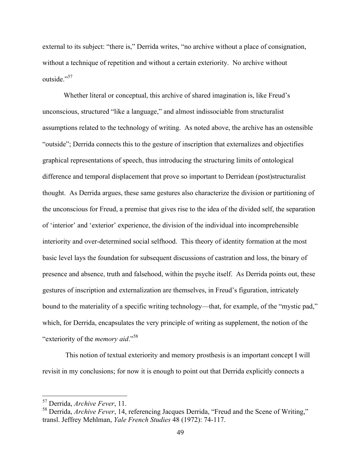external to its subject: "there is," Derrida writes, "no archive without a place of consignation, without a technique of repetition and without a certain exteriority. No archive without outside."<sup>57</sup>

Whether literal or conceptual, this archive of shared imagination is, like Freud's unconscious, structured "like a language," and almost indissociable from structuralist assumptions related to the technology of writing. As noted above, the archive has an ostensible "outside"; Derrida connects this to the gesture of inscription that externalizes and objectifies graphical representations of speech, thus introducing the structuring limits of ontological difference and temporal displacement that prove so important to Derridean (post)structuralist thought. As Derrida argues, these same gestures also characterize the division or partitioning of the unconscious for Freud, a premise that gives rise to the idea of the divided self, the separation of 'interior' and 'exterior' experience, the division of the individual into incomprehensible interiority and over-determined social selfhood. This theory of identity formation at the most basic level lays the foundation for subsequent discussions of castration and loss, the binary of presence and absence, truth and falsehood, within the psyche itself. As Derrida points out, these gestures of inscription and externalization are themselves, in Freud's figuration, intricately bound to the materiality of a specific writing technology—that, for example, of the "mystic pad," which, for Derrida, encapsulates the very principle of writing as supplement, the notion of the "exteriority of the *memory aid*."58

 This notion of textual exteriority and memory prosthesis is an important concept I will revisit in my conclusions; for now it is enough to point out that Derrida explicitly connects a

57 Derrida, *Archive Fever*, 11.

<sup>58</sup> Derrida, *Archive Fever*, 14, referencing Jacques Derrida, "Freud and the Scene of Writing," transl. Jeffrey Mehlman, *Yale French Studies* 48 (1972): 74-117.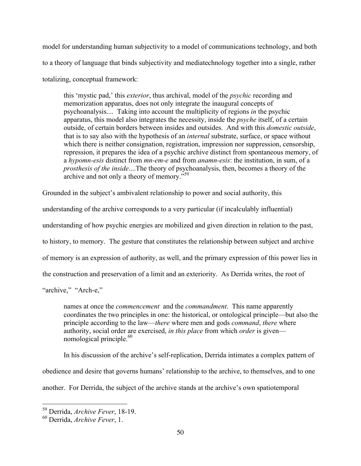model for understanding human subjectivity to a model of communications technology, and both to a theory of language that binds subjectivity and mediatechnology together into a single, rather totalizing, conceptual framework:

this 'mystic pad,' this *exterior*, thus archival, model of the *psychic* recording and memorization apparatus, does not only integrate the inaugural concepts of psychoanalysis.... Taking into account the multiplicity of regions *in* the psychic apparatus, this model also integrates the necessity, inside the *psyche* itself, of a certain outside, of certain borders between insides and outsides. And with this *domestic outside*, that is to say also with the hypothesis of an *internal* substrate, surface, or space without which there is neither consignation, registration, impression nor suppression, censorship, repression, it prepares the idea of a psychic archive distinct from spontaneous memory, of a *hypomn-esis* distinct from *mn-em-e* and from *anamn-esis*: the institution, in sum, of a *prosthesis of the inside*....The theory of psychoanalysis, then, becomes a theory of the archive and not only a theory of memory."<sup>59</sup>

Grounded in the subject's ambivalent relationship to power and social authority, this

understanding of the archive corresponds to a very particular (if incalculably influential) understanding of how psychic energies are mobilized and given direction in relation to the past,

to history, to memory. The gesture that constitutes the relationship between subject and archive

of memory is an expression of authority, as well, and the primary expression of this power lies in

the construction and preservation of a limit and an exteriority. As Derrida writes, the root of

"archive," "Arch-e,"

names at once the *commencement* and the *commandment*. This name apparently coordinates the two principles in one: the historical, or ontological principle—but also the principle according to the law—*there* where men and gods *command*, *there* where authority, social order are exercised, *in this place* from which *order* is given nomological principle. $60$ 

In his discussion of the archive's self-replication, Derrida intimates a complex pattern of obedience and desire that governs humans' relationship to the archive, to themselves, and to one another. For Derrida, the subject of the archive stands at the archive's own spatiotemporal

59 Derrida, *Archive Fever*, 18-19.

<sup>60</sup> Derrida, *Archive Fever*, 1.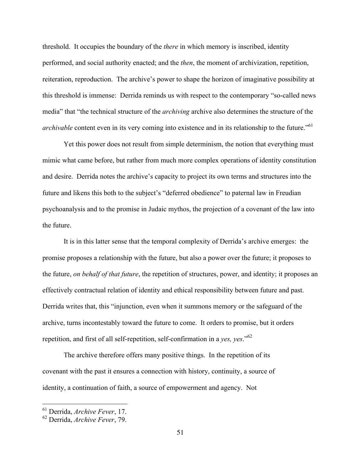threshold. It occupies the boundary of the *there* in which memory is inscribed, identity performed, and social authority enacted; and the *then*, the moment of archivization, repetition, reiteration, reproduction. The archive's power to shape the horizon of imaginative possibility at this threshold is immense: Derrida reminds us with respect to the contemporary "so-called news media" that "the technical structure of the *archiving* archive also determines the structure of the *archivable* content even in its very coming into existence and in its relationship to the future.<sup>"61</sup>

Yet this power does not result from simple determinism, the notion that everything must mimic what came before, but rather from much more complex operations of identity constitution and desire. Derrida notes the archive's capacity to project its own terms and structures into the future and likens this both to the subject's "deferred obedience" to paternal law in Freudian psychoanalysis and to the promise in Judaic mythos, the projection of a covenant of the law into the future.

It is in this latter sense that the temporal complexity of Derrida's archive emerges: the promise proposes a relationship with the future, but also a power over the future; it proposes to the future, *on behalf of that future*, the repetition of structures, power, and identity; it proposes an effectively contractual relation of identity and ethical responsibility between future and past. Derrida writes that, this "injunction, even when it summons memory or the safeguard of the archive, turns incontestably toward the future to come. It orders to promise, but it orders repetition, and first of all self-repetition, self-confirmation in a *yes, yes*."62

The archive therefore offers many positive things. In the repetition of its covenant with the past it ensures a connection with history, continuity, a source of identity, a continuation of faith, a source of empowerment and agency. Not

61 Derrida, *Archive Fever*, 17.

<sup>62</sup> Derrida, *Archive Fever*, 79.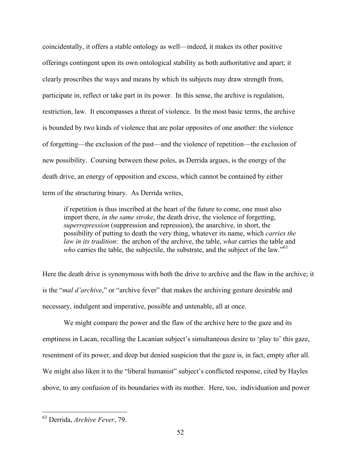coincidentally, it offers a stable ontology as well—indeed, it makes its other positive offerings contingent upon its own ontological stability as both authoritative and apart; it clearly proscribes the ways and means by which its subjects may draw strength from, participate in, reflect or take part in its power. In this sense, the archive is regulation, restriction, law. It encompasses a threat of violence. In the most basic terms, the archive is bounded by two kinds of violence that are polar opposites of one another: the violence of forgetting—the exclusion of the past—and the violence of repetition—the exclusion of new possibility. Coursing between these poles, as Derrida argues, is the energy of the death drive, an energy of opposition and excess, which cannot be contained by either term of the structuring binary. As Derrida writes,

if repetition is thus inscribed at the heart of the future to come, one must also import there, *in the same stroke*, the death drive, the violence of forgetting, *superrepression* (suppression and repression), the anarchive, in short, the possibility of putting to death the very thing, whatever its name, which *carries the law in its tradition*: the archon of the archive, the table, *what* carries the table and *who* carries the table, the subjectile, the substrate, and the subject of the law.<sup>563</sup>

Here the death drive is synonymous with both the drive to archive and the flaw in the archive; it is the "*mal d'archive*," or "archive fever" that makes the archiving gesture desirable and necessary, indulgent and imperative, possible and untenable, all at once.

We might compare the power and the flaw of the archive here to the gaze and its emptiness in Lacan, recalling the Lacanian subject's simultaneous desire to 'play to' this gaze, resentment of its power, and deep but denied suspicion that the gaze is, in fact, empty after all. We might also liken it to the "liberal humanist" subject's conflicted response, cited by Hayles above, to any confusion of its boundaries with its mother. Here, too, individuation and power

63 Derrida, *Archive Fever*, 79.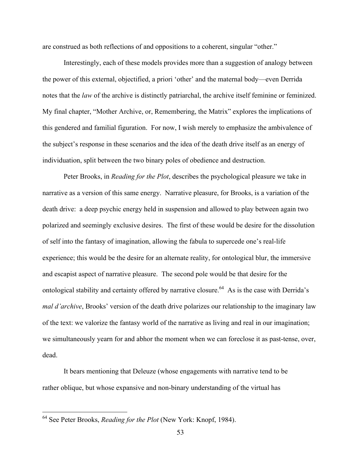are construed as both reflections of and oppositions to a coherent, singular "other."

Interestingly, each of these models provides more than a suggestion of analogy between the power of this external, objectified, a priori 'other' and the maternal body—even Derrida notes that the *law* of the archive is distinctly patriarchal, the archive itself feminine or feminized. My final chapter, "Mother Archive, or, Remembering, the Matrix" explores the implications of this gendered and familial figuration. For now, I wish merely to emphasize the ambivalence of the subject's response in these scenarios and the idea of the death drive itself as an energy of individuation, split between the two binary poles of obedience and destruction.

Peter Brooks, in *Reading for the Plot*, describes the psychological pleasure we take in narrative as a version of this same energy. Narrative pleasure, for Brooks, is a variation of the death drive: a deep psychic energy held in suspension and allowed to play between again two polarized and seemingly exclusive desires. The first of these would be desire for the dissolution of self into the fantasy of imagination, allowing the fabula to supercede one's real-life experience; this would be the desire for an alternate reality, for ontological blur, the immersive and escapist aspect of narrative pleasure. The second pole would be that desire for the ontological stability and certainty offered by narrative closure.<sup>64</sup> As is the case with Derrida's *mal d'archive*, Brooks' version of the death drive polarizes our relationship to the imaginary law of the text: we valorize the fantasy world of the narrative as living and real in our imagination; we simultaneously yearn for and abhor the moment when we can foreclose it as past-tense, over, dead.

It bears mentioning that Deleuze (whose engagements with narrative tend to be rather oblique, but whose expansive and non-binary understanding of the virtual has

64 See Peter Brooks, *Reading for the Plot* (New York: Knopf, 1984).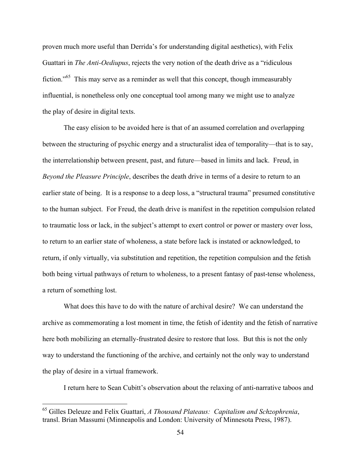proven much more useful than Derrida's for understanding digital aesthetics), with Felix Guattari in *The Anti-Oediupus*, rejects the very notion of the death drive as a "ridiculous fiction."<sup>65</sup> This may serve as a reminder as well that this concept, though immeasurably influential, is nonetheless only one conceptual tool among many we might use to analyze the play of desire in digital texts.

The easy elision to be avoided here is that of an assumed correlation and overlapping between the structuring of psychic energy and a structuralist idea of temporality—that is to say, the interrelationship between present, past, and future—based in limits and lack. Freud, in *Beyond the Pleasure Principle*, describes the death drive in terms of a desire to return to an earlier state of being. It is a response to a deep loss, a "structural trauma" presumed constitutive to the human subject. For Freud, the death drive is manifest in the repetition compulsion related to traumatic loss or lack, in the subject's attempt to exert control or power or mastery over loss, to return to an earlier state of wholeness, a state before lack is instated or acknowledged, to return, if only virtually, via substitution and repetition, the repetition compulsion and the fetish both being virtual pathways of return to wholeness, to a present fantasy of past-tense wholeness, a return of something lost.

What does this have to do with the nature of archival desire? We can understand the archive as commemorating a lost moment in time, the fetish of identity and the fetish of narrative here both mobilizing an eternally-frustrated desire to restore that loss. But this is not the only way to understand the functioning of the archive, and certainly not the only way to understand the play of desire in a virtual framework.

I return here to Sean Cubitt's observation about the relaxing of anti-narrative taboos and

65 Gilles Deleuze and Felix Guattari, *<sup>A</sup> Thousand Plateaus: Capitalism and Schzophrenia*, transl. Brian Massumi (Minneapolis and London: University of Minnesota Press, 1987).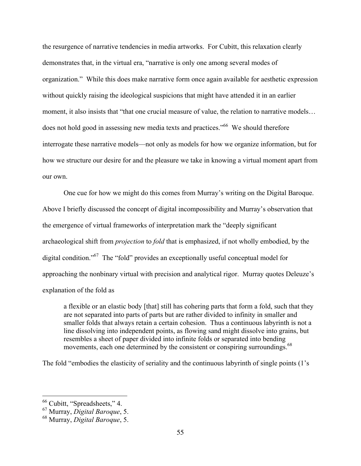the resurgence of narrative tendencies in media artworks. For Cubitt, this relaxation clearly demonstrates that, in the virtual era, "narrative is only one among several modes of organization." While this does make narrative form once again available for aesthetic expression without quickly raising the ideological suspicions that might have attended it in an earlier moment, it also insists that "that one crucial measure of value, the relation to narrative models... does not hold good in assessing new media texts and practices."<sup>66</sup> We should therefore interrogate these narrative models—not only as models for how we organize information, but for how we structure our desire for and the pleasure we take in knowing a virtual moment apart from our own.

One cue for how we might do this comes from Murray's writing on the Digital Baroque. Above I briefly discussed the concept of digital incompossibility and Murray's observation that the emergence of virtual frameworks of interpretation mark the "deeply significant archaeological shift from *projection* to *fold* that is emphasized, if not wholly embodied, by the digital condition."<sup>67</sup> The "fold" provides an exceptionally useful conceptual model for approaching the nonbinary virtual with precision and analytical rigor. Murray quotes Deleuze's explanation of the fold as

a flexible or an elastic body [that] still has cohering parts that form a fold, such that they are not separated into parts of parts but are rather divided to infinity in smaller and smaller folds that always retain a certain cohesion. Thus a continuous labyrinth is not a line dissolving into independent points, as flowing sand might dissolve into grains, but resembles a sheet of paper divided into infinite folds or separated into bending movements, each one determined by the consistent or conspiring surroundings.<sup>68</sup>

The fold "embodies the elasticity of seriality and the continuous labyrinth of single points (1's

66 Cubitt, "Spreadsheets," 4.

<sup>67</sup> Murray, *Digital Baroque*, 5.

<sup>68</sup> Murray, *Digital Baroque*, 5.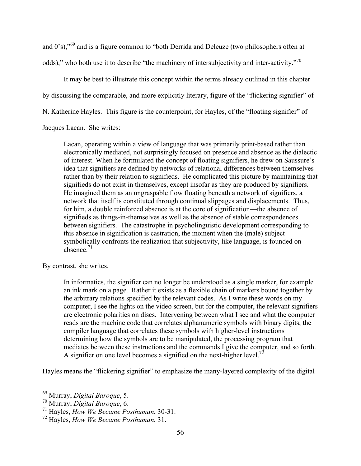and 0's),<sup> $10^{69}$ </sup> and is a figure common to "both Derrida and Deleuze (two philosophers often at odds)," who both use it to describe "the machinery of intersubjectivity and inter-activity."<sup>70</sup>

It may be best to illustrate this concept within the terms already outlined in this chapter by discussing the comparable, and more explicitly literary, figure of the "flickering signifier" of N. Katherine Hayles. This figure is the counterpoint, for Hayles, of the "floating signifier" of

Jacques Lacan. She writes:

Lacan, operating within a view of language that was primarily print-based rather than electronically mediated, not surprisingly focused on presence and absence as the dialectic of interest. When he formulated the concept of floating signifiers, he drew on Saussure's idea that signifiers are defined by networks of relational differences between themselves rather than by their relation to signifieds. He complicated this picture by maintaining that signifieds do not exist in themselves, except insofar as they are produced by signifiers. He imagined them as an ungraspable flow floating beneath a network of signifiers, a network that itself is constituted through continual slippages and displacements. Thus, for him, a double reinforced absence is at the core of signification—the absence of signifieds as things-in-themselves as well as the absence of stable correspondences between signifiers. The catastrophe in psycholinguistic development corresponding to this absence in signification is castration, the moment when the (male) subject symbolically confronts the realization that subjectivity, like language, is founded on absence. 71

By contrast, she writes,

In informatics, the signifier can no longer be understood as a single marker, for example an ink mark on a page. Rather it exists as a flexible chain of markers bound together by the arbitrary relations specified by the relevant codes. As I write these words on my computer, I see the lights on the video screen, but for the computer, the relevant signifiers are electronic polarities on discs. Intervening between what I see and what the computer reads are the machine code that correlates alphanumeric symbols with binary digits, the compiler language that correlates these symbols with higher-level instructions determining how the symbols are to be manipulated, the processing program that mediates between these instructions and the commands I give the computer, and so forth. A signifier on one level becomes a signified on the next-higher level.<sup>72</sup>

Hayles means the "flickering signifier" to emphasize the many-layered complexity of the digital

69 Murray, *Digital Baroque*, 5.

<sup>70</sup> Murray, *Digital Baroque*, 6.

<sup>71</sup> Hayles, *How We Became Posthuman*, 30-31.

<sup>72</sup> Hayles, *How We Became Posthuman*, 31.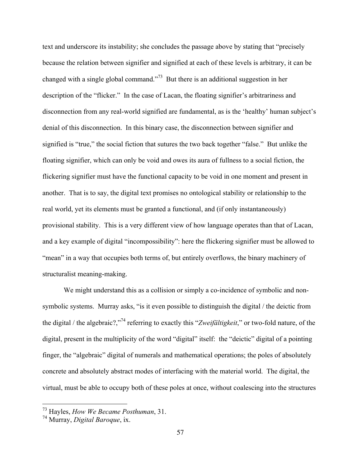text and underscore its instability; she concludes the passage above by stating that "precisely because the relation between signifier and signified at each of these levels is arbitrary, it can be changed with a single global command."<sup>73</sup> But there is an additional suggestion in her description of the "flicker." In the case of Lacan, the floating signifier's arbitrariness and disconnection from any real-world signified are fundamental, as is the 'healthy' human subject's denial of this disconnection. In this binary case, the disconnection between signifier and signified is "true," the social fiction that sutures the two back together "false." But unlike the floating signifier, which can only be void and owes its aura of fullness to a social fiction, the flickering signifier must have the functional capacity to be void in one moment and present in another. That is to say, the digital text promises no ontological stability or relationship to the real world, yet its elements must be granted a functional, and (if only instantaneously) provisional stability. This is a very different view of how language operates than that of Lacan, and a key example of digital "incompossibility": here the flickering signifier must be allowed to "mean" in a way that occupies both terms of, but entirely overflows, the binary machinery of structuralist meaning-making.

We might understand this as a collision or simply a co-incidence of symbolic and nonsymbolic systems. Murray asks, "is it even possible to distinguish the digital / the deictic from the digital / the algebraic?,"74 referring to exactly this "*Zweifältigkeit*," or two-fold nature, of the digital, present in the multiplicity of the word "digital" itself: the "deictic" digital of a pointing finger, the "algebraic" digital of numerals and mathematical operations; the poles of absolutely concrete and absolutely abstract modes of interfacing with the material world. The digital, the virtual, must be able to occupy both of these poles at once, without coalescing into the structures

73 Hayles, *How We Became Posthuman*, 31.

<sup>74</sup> Murray, *Digital Baroque*, ix.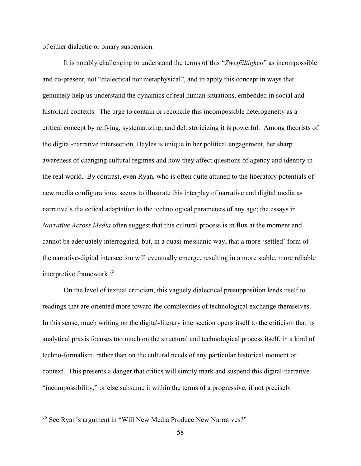of either dialectic or binary suspension.

It is notably challenging to understand the terms of this "*Zweifältigkeit*" as incompossible and co-present, not "dialectical nor metaphysical", and to apply this concept in ways that genuinely help us understand the dynamics of real human situations, embedded in social and historical contexts. The urge to contain or reconcile this incompossible heterogeneity as a critical concept by reifying, systematizing, and dehistoricizing it is powerful. Among theorists of the digital-narrative intersection, Hayles is unique in her political engagement, her sharp awareness of changing cultural regimes and how they affect questions of agency and identity in the real world. By contrast, even Ryan, who is often quite attuned to the liberatory potentials of new media configurations, seems to illustrate this interplay of narrative and digital media as narrative's dialectical adaptation to the technological parameters of any age; the essays in *Narrative Across Media* often suggest that this cultural process is in flux at the moment and cannot be adequately interrogated, but, in a quasi-messianic way, that a more 'settled' form of the narrative-digital intersection will eventually emerge, resulting in a more stable, more reliable interpretive framework. 75

On the level of textual criticism, this vaguely dialectical presupposition lends itself to readings that are oriented more toward the complexities of technological exchange themselves. In this sense, much writing on the digital-literary intersection opens itself to the criticism that its analytical praxis focuses too much on the structural and technological process itself, in a kind of techno-formalism, rather than on the cultural needs of any particular historical moment or context. This presents a danger that critics will simply mark and suspend this digital-narrative "incompossibility," or else subsume it within the terms of a progressive, if not precisely

75 See Ryan's argument in "Will New Media Produce New Narratives?"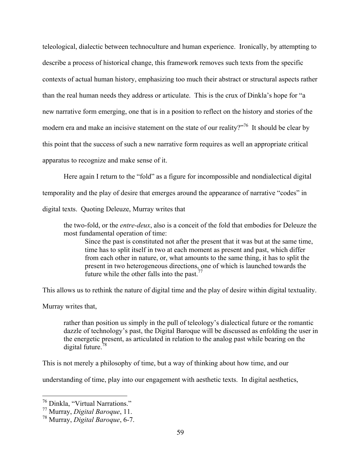teleological, dialectic between technoculture and human experience. Ironically, by attempting to describe a process of historical change, this framework removes such texts from the specific contexts of actual human history, emphasizing too much their abstract or structural aspects rather than the real human needs they address or articulate. This is the crux of Dinkla's hope for "a new narrative form emerging, one that is in a position to reflect on the history and stories of the modern era and make an incisive statement on the state of our reality?"<sup>76</sup> It should be clear by this point that the success of such a new narrative form requires as well an appropriate critical apparatus to recognize and make sense of it.

Here again I return to the "fold" as a figure for incompossible and nondialectical digital

temporality and the play of desire that emerges around the appearance of narrative "codes" in

digital texts. Quoting Deleuze, Murray writes that

the two-fold, or the *entre-deux*, also is a conceit of the fold that embodies for Deleuze the most fundamental operation of time:

Since the past is constituted not after the present that it was but at the same time, time has to split itself in two at each moment as present and past, which differ from each other in nature, or, what amounts to the same thing, it has to split the present in two heterogeneous directions, one of which is launched towards the future while the other falls into the past. $77$ 

This allows us to rethink the nature of digital time and the play of desire within digital textuality.

Murray writes that,

rather than position us simply in the pull of teleology's dialectical future or the romantic dazzle of technology's past, the Digital Baroque will be discussed as enfolding the user in the energetic present, as articulated in relation to the analog past while bearing on the digital future. 78

This is not merely a philosophy of time, but a way of thinking about how time, and our

understanding of time, play into our engagement with aesthetic texts. In digital aesthetics,

76 Dinkla, "Virtual Narrations." <sup>77</sup> Murray, *Digital Baroque*, 11.

<sup>78</sup> Murray, *Digital Baroque*, 6-7.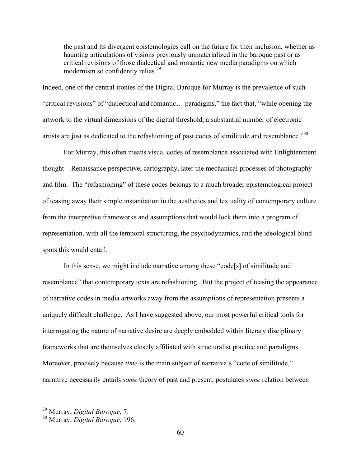the past and its divergent epistemologies call on the future for their inclusion, whether as haunting articulations of visions previously unmaterialized in the baroque past or as critical revisions of those dialectical and romantic new media paradigms on which modernism so confidently relies.<sup>79</sup>

Indeed, one of the central ironies of the Digital Baroque for Murray is the prevalence of such "critical revisions" of "dialectical and romantic… paradigms," the fact that, "while opening the artwork to the virtual dimensions of the digital threshold, a substantial number of electronic artists are just as dedicated to the refashioning of past codes of similitude and resemblance.<sup> $80$ </sup>

For Murray, this often means visual codes of resemblance associated with Enlightenment thought—Renaissance perspective, cartography, later the mechanical processes of photography and film. The "refashioning" of these codes belongs to a much broader epistemological project of teasing away their simple instantiation in the aesthetics and textuality of contemporary culture from the interpretive frameworks and assumptions that would lock them into a program of representation, with all the temporal structuring, the psychodynamics, and the ideological blind spots this would entail.

In this sense, we might include narrative among these "code[s] of similitude and resemblance" that contemporary texts are refashioning. But the project of teasing the appearance of narrative codes in media artworks away from the assumptions of representation presents a uniquely difficult challenge. As I have suggested above, our most powerful critical tools for interrogating the nature of narrative desire are deeply embedded within literary disciplinary frameworks that are themselves closely affiliated with structuralist practice and paradigms. Moreover, precisely because *time* is the main subject of narrative's "code of similitude," narrative necessarily entails *some* theory of past and present, postulates *some* relation between

79 Murray, *Digital Baroque*, 7.

<sup>80</sup> Murray, *Digital Baroque*, 196.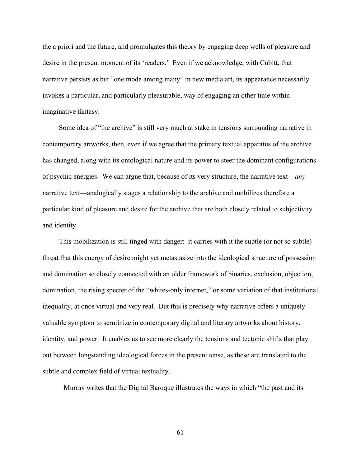the a priori and the future, and promulgates this theory by engaging deep wells of pleasure and desire in the present moment of its 'readers.' Even if we acknowledge, with Cubitt, that narrative persists as but "one mode among many" in new media art, its appearance necessarily invokes a particular, and particularly pleasurable, way of engaging an other time within imaginative fantasy.

Some idea of "the archive" is still very much at stake in tensions surrounding narrative in contemporary artworks, then, even if we agree that the primary textual apparatus of the archive has changed, along with its ontological nature and its power to steer the dominant configurations of psychic energies. We can argue that, because of its very structure, the narrative text—*any* narrative text—analogically stages a relationship to the archive and mobilizes therefore a particular kind of pleasure and desire for the archive that are both closely related to subjectivity and identity.

This mobilization is still tinged with danger: it carries with it the subtle (or not so subtle) threat that this energy of desire might yet metastasize into the ideological structure of possession and domination so closely connected with an older framework of binaries, exclusion, objection, domination, the rising specter of the "whites-only internet," or some variation of that institutional inequality, at once virtual and very real. But this is precisely why narrative offers a uniquely valuable symptom to scrutinize in contemporary digital and literary artworks about history, identity, and power. It enables us to see more clearly the tensions and tectonic shifts that play out between longstanding ideological forces in the present tense, as these are translated to the subtle and complex field of virtual textuality.

Murray writes that the Digital Baroque illustrates the ways in which "the past and its

61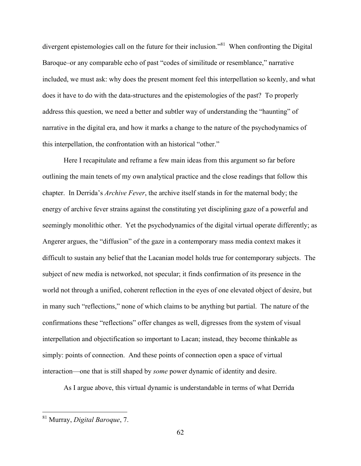divergent epistemologies call on the future for their inclusion."<sup>81</sup> When confronting the Digital Baroque–or any comparable echo of past "codes of similitude or resemblance," narrative included, we must ask: why does the present moment feel this interpellation so keenly, and what does it have to do with the data-structures and the epistemologies of the past? To properly address this question, we need a better and subtler way of understanding the "haunting" of narrative in the digital era, and how it marks a change to the nature of the psychodynamics of this interpellation, the confrontation with an historical "other."

Here I recapitulate and reframe a few main ideas from this argument so far before outlining the main tenets of my own analytical practice and the close readings that follow this chapter. In Derrida's *Archive Fever*, the archive itself stands in for the maternal body; the energy of archive fever strains against the constituting yet disciplining gaze of a powerful and seemingly monolithic other. Yet the psychodynamics of the digital virtual operate differently; as Angerer argues, the "diffusion" of the gaze in a contemporary mass media context makes it difficult to sustain any belief that the Lacanian model holds true for contemporary subjects. The subject of new media is networked, not specular; it finds confirmation of its presence in the world not through a unified, coherent reflection in the eyes of one elevated object of desire, but in many such "reflections," none of which claims to be anything but partial. The nature of the confirmations these "reflections" offer changes as well, digresses from the system of visual interpellation and objectification so important to Lacan; instead, they become thinkable as simply: points of connection. And these points of connection open a space of virtual interaction—one that is still shaped by *some* power dynamic of identity and desire.

As I argue above, this virtual dynamic is understandable in terms of what Derrida

81 Murray, *Digital Baroque*, 7.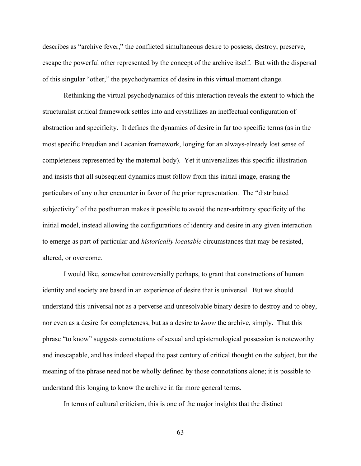describes as "archive fever," the conflicted simultaneous desire to possess, destroy, preserve, escape the powerful other represented by the concept of the archive itself. But with the dispersal of this singular "other," the psychodynamics of desire in this virtual moment change.

Rethinking the virtual psychodynamics of this interaction reveals the extent to which the structuralist critical framework settles into and crystallizes an ineffectual configuration of abstraction and specificity. It defines the dynamics of desire in far too specific terms (as in the most specific Freudian and Lacanian framework, longing for an always-already lost sense of completeness represented by the maternal body). Yet it universalizes this specific illustration and insists that all subsequent dynamics must follow from this initial image, erasing the particulars of any other encounter in favor of the prior representation. The "distributed subjectivity" of the posthuman makes it possible to avoid the near-arbitrary specificity of the initial model, instead allowing the configurations of identity and desire in any given interaction to emerge as part of particular and *historically locatable* circumstances that may be resisted, altered, or overcome.

I would like, somewhat controversially perhaps, to grant that constructions of human identity and society are based in an experience of desire that is universal. But we should understand this universal not as a perverse and unresolvable binary desire to destroy and to obey, nor even as a desire for completeness, but as a desire to *know* the archive, simply. That this phrase "to know" suggests connotations of sexual and epistemological possession is noteworthy and inescapable, and has indeed shaped the past century of critical thought on the subject, but the meaning of the phrase need not be wholly defined by those connotations alone; it is possible to understand this longing to know the archive in far more general terms.

In terms of cultural criticism, this is one of the major insights that the distinct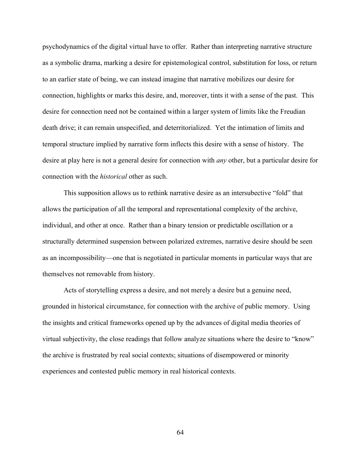psychodynamics of the digital virtual have to offer. Rather than interpreting narrative structure as a symbolic drama, marking a desire for epistemological control, substitution for loss, or return to an earlier state of being, we can instead imagine that narrative mobilizes our desire for connection, highlights or marks this desire, and, moreover, tints it with a sense of the past. This desire for connection need not be contained within a larger system of limits like the Freudian death drive; it can remain unspecified, and deterritorialized. Yet the intimation of limits and temporal structure implied by narrative form inflects this desire with a sense of history. The desire at play here is not a general desire for connection with *any* other, but a particular desire for connection with the *historical* other as such.

This supposition allows us to rethink narrative desire as an intersubective "fold" that allows the participation of all the temporal and representational complexity of the archive, individual, and other at once. Rather than a binary tension or predictable oscillation or a structurally determined suspension between polarized extremes, narrative desire should be seen as an incompossibility—one that is negotiated in particular moments in particular ways that are themselves not removable from history.

Acts of storytelling express a desire, and not merely a desire but a genuine need, grounded in historical circumstance, for connection with the archive of public memory. Using the insights and critical frameworks opened up by the advances of digital media theories of virtual subjectivity, the close readings that follow analyze situations where the desire to "know" the archive is frustrated by real social contexts; situations of disempowered or minority experiences and contested public memory in real historical contexts.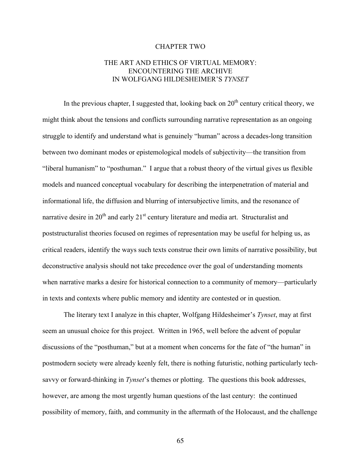## CHAPTER TWO

## THE ART AND ETHICS OF VIRTUAL MEMORY: ENCOUNTERING THE ARCHIVE IN WOLFGANG HILDESHEIMER'S *TYNSET*

In the previous chapter, I suggested that, looking back on  $20<sup>th</sup>$  century critical theory, we might think about the tensions and conflicts surrounding narrative representation as an ongoing struggle to identify and understand what is genuinely "human" across a decades-long transition between two dominant modes or epistemological models of subjectivity—the transition from "liberal humanism" to "posthuman." I argue that a robust theory of the virtual gives us flexible models and nuanced conceptual vocabulary for describing the interpenetration of material and informational life, the diffusion and blurring of intersubjective limits, and the resonance of narrative desire in  $20<sup>th</sup>$  and early  $21<sup>st</sup>$  century literature and media art. Structuralist and poststructuralist theories focused on regimes of representation may be useful for helping us, as critical readers, identify the ways such texts construe their own limits of narrative possibility, but deconstructive analysis should not take precedence over the goal of understanding moments when narrative marks a desire for historical connection to a community of memory—particularly in texts and contexts where public memory and identity are contested or in question.

The literary text I analyze in this chapter, Wolfgang Hildesheimer's *Tynset*, may at first seem an unusual choice for this project. Written in 1965, well before the advent of popular discussions of the "posthuman," but at a moment when concerns for the fate of "the human" in postmodern society were already keenly felt, there is nothing futuristic, nothing particularly techsavvy or forward-thinking in *Tynset*'s themes or plotting. The questions this book addresses, however, are among the most urgently human questions of the last century: the continued possibility of memory, faith, and community in the aftermath of the Holocaust, and the challenge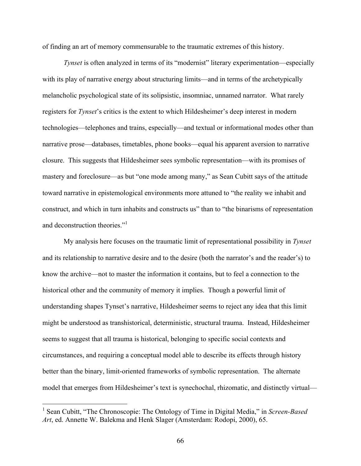of finding an art of memory commensurable to the traumatic extremes of this history.

*Tynset* is often analyzed in terms of its "modernist" literary experimentation—especially with its play of narrative energy about structuring limits—and in terms of the archetypically melancholic psychological state of its solipsistic, insomniac, unnamed narrator. What rarely registers for *Tynset*'s critics is the extent to which Hildesheimer's deep interest in modern technologies—telephones and trains, especially—and textual or informational modes other than narrative prose—databases, timetables, phone books—equal his apparent aversion to narrative closure. This suggests that Hildesheimer sees symbolic representation—with its promises of mastery and foreclosure—as but "one mode among many," as Sean Cubitt says of the attitude toward narrative in epistemological environments more attuned to "the reality we inhabit and construct, and which in turn inhabits and constructs us" than to "the binarisms of representation and deconstruction theories." 1

My analysis here focuses on the traumatic limit of representational possibility in *Tynset* and its relationship to narrative desire and to the desire (both the narrator's and the reader's) to know the archive—not to master the information it contains, but to feel a connection to the historical other and the community of memory it implies. Though a powerful limit of understanding shapes Tynset's narrative, Hildesheimer seems to reject any idea that this limit might be understood as transhistorical, deterministic, structural trauma. Instead, Hildesheimer seems to suggest that all trauma is historical, belonging to specific social contexts and circumstances, and requiring a conceptual model able to describe its effects through history better than the binary, limit-oriented frameworks of symbolic representation. The alternate model that emerges from Hildesheimer's text is synechochal, rhizomatic, and distinctly virtual—

1 Sean Cubitt, "The Chronoscopie: The Ontology of Time in Digital Media," in *Screen-Based Art*, ed. Annette W. Balekma and Henk Slager (Amsterdam: Rodopi, 2000), 65.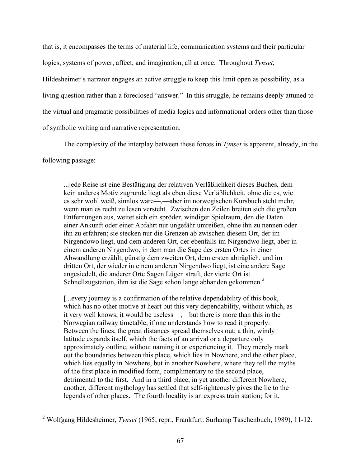that is, it encompasses the terms of material life, communication systems and their particular logics, systems of power, affect, and imagination, all at once. Throughout *Tynset*, Hildesheimer's narrator engages an active struggle to keep this limit open as possibility, as a living question rather than a foreclosed "answer." In this struggle, he remains deeply attuned to the virtual and pragmatic possibilities of media logics and informational orders other than those of symbolic writing and narrative representation.

The complexity of the interplay between these forces in *Tynset* is apparent, already, in the following passage:

...jede Reise ist eine Bestätigung der relativen Verläßlichkeit dieses Buches, dem kein anderes Motiv zugrunde liegt als eben diese Verläßlichkeit, ohne die es, wie es sehr wohl weiß, sinnlos wäre—,—aber im norwegischen Kursbuch steht mehr, wenn man es recht zu lesen versteht. Zwischen den Zeilen breiten sich die großen Entfernungen aus, weitet sich ein spröder, windiger Spielraum, den die Daten einer Ankunft oder einer Abfahrt nur ungefähr umreißen, ohne ihn zu nennen oder ihn zu erfahren; sie stecken nur die Grenzen ab zwischen diesem Ort, der im Nirgendowo liegt, und dem anderen Ort, der ebenfalls im Nirgendwo liegt, aber in einem anderen Nirgendwo, in dem man die Sage des ersten Ortes in einer Abwandlung erzählt, günstig dem zweiten Ort, dem ersten abträglich, und im dritten Ort, der wieder in einem anderen Nirgendwo liegt, ist eine andere Sage angesiedelt, die anderer Orte Sagen Lügen straft, der vierte Ort ist Schnellzugstation, ihm ist die Sage schon lange abhanden gekommen.<sup>2</sup>

[...every journey is a confirmation of the relative dependability of this book, which has no other motive at heart but this very dependability, without which, as it very well knows, it would be useless—,—but there is more than this in the Norwegian railway timetable, if one understands how to read it properly. Between the lines, the great distances spread themselves out; a thin, windy latitude expands itself, which the facts of an arrival or a departure only approximately outline, without naming it or experiencing it. They merely mark out the boundaries between this place, which lies in Nowhere, and the other place, which lies equally in Nowhere, but in another Nowhere, where they tell the myths of the first place in modified form, complimentary to the second place, detrimental to the first. And in a third place, in yet another different Nowhere, another, different mythology has settled that self-righteously gives the lie to the legends of other places. The fourth locality is an express train station; for it,

2 Wolfgang Hildesheimer, *Tynset* (1965; repr., Frankfurt: Surhamp Taschenbuch, 1989), 11-12.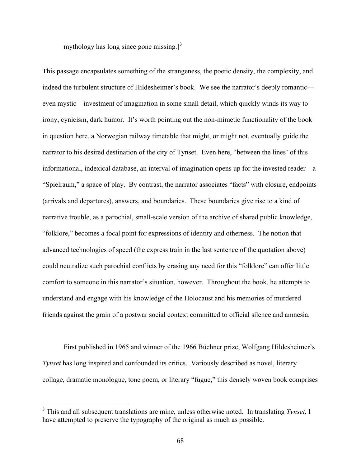mythology has long since gone missing.] $^3$ 

This passage encapsulates something of the strangeness, the poetic density, the complexity, and indeed the turbulent structure of Hildesheimer's book. We see the narrator's deeply romantic even mystic—investment of imagination in some small detail, which quickly winds its way to irony, cynicism, dark humor. It's worth pointing out the non-mimetic functionality of the book in question here, a Norwegian railway timetable that might, or might not, eventually guide the narrator to his desired destination of the city of Tynset. Even here, "between the lines' of this informational, indexical database, an interval of imagination opens up for the invested reader—a "Spielraum," a space of play. By contrast, the narrator associates "facts" with closure, endpoints (arrivals and departures), answers, and boundaries. These boundaries give rise to a kind of narrative trouble, as a parochial, small-scale version of the archive of shared public knowledge, "folklore," becomes a focal point for expressions of identity and otherness. The notion that advanced technologies of speed (the express train in the last sentence of the quotation above) could neutralize such parochial conflicts by erasing any need for this "folklore" can offer little comfort to someone in this narrator's situation, however. Throughout the book, he attempts to understand and engage with his knowledge of the Holocaust and his memories of murdered friends against the grain of a postwar social context committed to official silence and amnesia.

First published in 1965 and winner of the 1966 Büchner prize, Wolfgang Hildesheimer's *Tynset* has long inspired and confounded its critics. Variously described as novel, literary collage, dramatic monologue, tone poem, or literary "fugue," this densely woven book comprises

3 This and all subsequent translations are mine, unless otherwise noted. In translating *Tynset*, I have attempted to preserve the typography of the original as much as possible.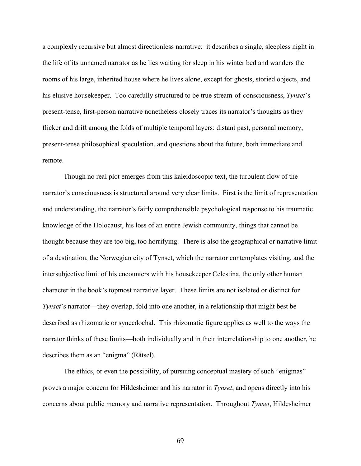a complexly recursive but almost directionless narrative: it describes a single, sleepless night in the life of its unnamed narrator as he lies waiting for sleep in his winter bed and wanders the rooms of his large, inherited house where he lives alone, except for ghosts, storied objects, and his elusive housekeeper. Too carefully structured to be true stream-of-consciousness, *Tynset*'s present-tense, first-person narrative nonetheless closely traces its narrator's thoughts as they flicker and drift among the folds of multiple temporal layers: distant past, personal memory, present-tense philosophical speculation, and questions about the future, both immediate and remote.

Though no real plot emerges from this kaleidoscopic text, the turbulent flow of the narrator's consciousness is structured around very clear limits. First is the limit of representation and understanding, the narrator's fairly comprehensible psychological response to his traumatic knowledge of the Holocaust, his loss of an entire Jewish community, things that cannot be thought because they are too big, too horrifying. There is also the geographical or narrative limit of a destination, the Norwegian city of Tynset, which the narrator contemplates visiting, and the intersubjective limit of his encounters with his housekeeper Celestina, the only other human character in the book's topmost narrative layer. These limits are not isolated or distinct for *Tynset*'s narrator—they overlap, fold into one another, in a relationship that might best be described as rhizomatic or synecdochal. This rhizomatic figure applies as well to the ways the narrator thinks of these limits—both individually and in their interrelationship to one another, he describes them as an "enigma" (Rätsel).

The ethics, or even the possibility, of pursuing conceptual mastery of such "enigmas" proves a major concern for Hildesheimer and his narrator in *Tynset*, and opens directly into his concerns about public memory and narrative representation. Throughout *Tynset*, Hildesheimer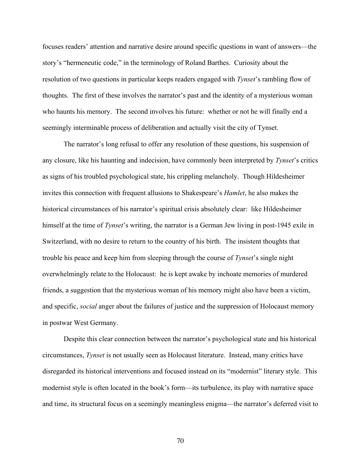focuses readers' attention and narrative desire around specific questions in want of answers—the story's "hermeneutic code," in the terminology of Roland Barthes. Curiosity about the resolution of two questions in particular keeps readers engaged with *Tynset*'s rambling flow of thoughts. The first of these involves the narrator's past and the identity of a mysterious woman who haunts his memory. The second involves his future: whether or not he will finally end a seemingly interminable process of deliberation and actually visit the city of Tynset.

The narrator's long refusal to offer any resolution of these questions, his suspension of any closure, like his haunting and indecision, have commonly been interpreted by *Tynset*'s critics as signs of his troubled psychological state, his crippling melancholy. Though Hildesheimer invites this connection with frequent allusions to Shakespeare's *Hamlet*, he also makes the historical circumstances of his narrator's spiritual crisis absolutely clear: like Hildesheimer himself at the time of *Tynset*'s writing, the narrator is a German Jew living in post-1945 exile in Switzerland, with no desire to return to the country of his birth. The insistent thoughts that trouble his peace and keep him from sleeping through the course of *Tynset*'s single night overwhelmingly relate to the Holocaust: he is kept awake by inchoate memories of murdered friends, a suggestion that the mysterious woman of his memory might also have been a victim, and specific, *social* anger about the failures of justice and the suppression of Holocaust memory in postwar West Germany.

Despite this clear connection between the narrator's psychological state and his historical circumstances, *Tynset* is not usually seen as Holocaust literature. Instead, many critics have disregarded its historical interventions and focused instead on its "modernist" literary style. This modernist style is often located in the book's form—its turbulence, its play with narrative space and time, its structural focus on a seemingly meaningless enigma—the narrator's deferred visit to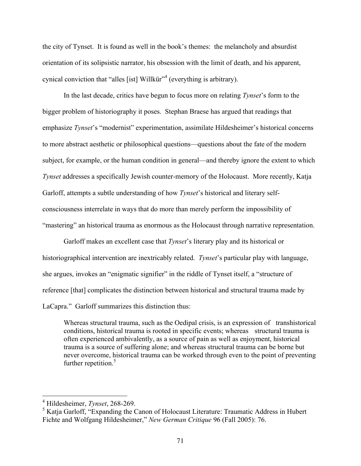the city of Tynset. It is found as well in the book's themes: the melancholy and absurdist orientation of its solipsistic narrator, his obsession with the limit of death, and his apparent, cynical conviction that "alles [ist] Willkür"<sup>4</sup> (everything is arbitrary).

In the last decade, critics have begun to focus more on relating *Tynset*'s form to the bigger problem of historiography it poses. Stephan Braese has argued that readings that emphasize *Tynset*'s "modernist" experimentation, assimilate Hildesheimer's historical concerns to more abstract aesthetic or philosophical questions—questions about the fate of the modern subject, for example, or the human condition in general—and thereby ignore the extent to which *Tynset* addresses a specifically Jewish counter-memory of the Holocaust. More recently, Katja Garloff, attempts a subtle understanding of how *Tynset*'s historical and literary selfconsciousness interrelate in ways that do more than merely perform the impossibility of "mastering" an historical trauma as enormous as the Holocaust through narrative representation.

Garloff makes an excellent case that *Tynset*'s literary play and its historical or historiographical intervention are inextricably related. *Tynset*'s particular play with language, she argues, invokes an "enigmatic signifier" in the riddle of Tynset itself, a "structure of reference [that] complicates the distinction between historical and structural trauma made by LaCapra." Garloff summarizes this distinction thus:

Whereas structural trauma, such as the Oedipal crisis, is an expression of transhistorical conditions, historical trauma is rooted in specific events; whereas structural trauma is often experienced ambivalently, as a source of pain as well as enjoyment, historical trauma is a source of suffering alone; and whereas structural trauma can be borne but never overcome, historical trauma can be worked through even to the point of preventing further repetition.<sup>5</sup>

4 Hildesheimer, *Tynset*, 268-269.

<sup>&</sup>lt;sup>5</sup> Katja Garloff, "Expanding the Canon of Holocaust Literature: Traumatic Address in Hubert Fichte and Wolfgang Hildesheimer," *New German Critique* 96 (Fall 2005): 76.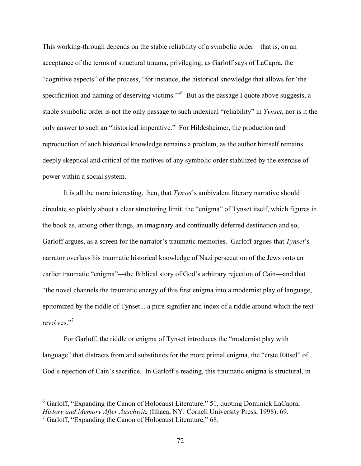This working-through depends on the stable reliability of a symbolic order—that is, on an acceptance of the terms of structural trauma, privileging, as Garloff says of LaCapra, the "cognitive aspects" of the process, "for instance, the historical knowledge that allows for 'the specification and naming of deserving victims."<sup>6</sup> But as the passage I quote above suggests, a stable symbolic order is not the only passage to such indexical "reliability" in *Tynset*, nor is it the only answer to such an "historical imperative." For Hildesheimer, the production and reproduction of such historical knowledge remains a problem, as the author himself remains deeply skeptical and critical of the motives of any symbolic order stabilized by the exercise of power within a social system.

It is all the more interesting, then, that *Tynset*'s ambivalent literary narrative should circulate so plainly about a clear structuring limit, the "enigma" of Tynset itself, which figures in the book as, among other things, an imaginary and continually deferred destination and so, Garloff argues, as a screen for the narrator's traumatic memories. Garloff argues that *Tynset*'s narrator overlays his traumatic historical knowledge of Nazi persecution of the Jews onto an earlier traumatic "enigma"—the Biblical story of God's arbitrary rejection of Cain—and that "the novel channels the traumatic energy of this first enigma into a modernist play of language, epitomized by the riddle of Tynset... a pure signifier and index of a riddle around which the text revolves."<sup>7</sup>

For Garloff, the riddle or enigma of Tynset introduces the "modernist play with language" that distracts from and substitutes for the more primal enigma, the "erste Rätsel" of God's rejection of Cain's sacrifice. In Garloff's reading, this traumatic enigma is structural, in

6 Garloff, "Expanding the Canon of Holocaust Literature," 51, quoting Dominick LaCapra, *History and Memory After Auschwitz* (Ithaca, NY: Cornell University Press, 1998), 69.

 $7$  Garloff, "Expanding the Canon of Holocaust Literature," 68.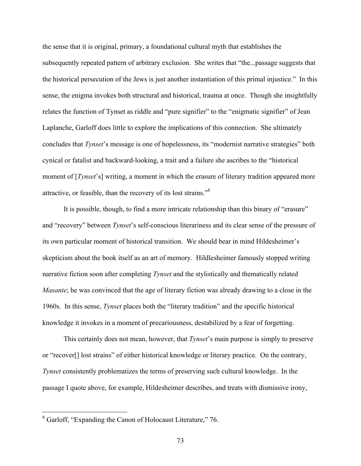the sense that it is original, primary, a foundational cultural myth that establishes the subsequently repeated pattern of arbitrary exclusion. She writes that "the...passage suggests that the historical persecution of the Jews is just another instantiation of this primal injustice." In this sense, the enigma invokes both structural and historical, trauma at once. Though she insightfully relates the function of Tynset as riddle and "pure signifier" to the "enigmatic signifier" of Jean Laplanche, Garloff does little to explore the implications of this connection. She ultimately concludes that *Tynset*'s message is one of hopelessness, its "modernist narrative strategies" both cynical or fatalist and backward-looking, a trait and a failure she ascribes to the "historical moment of [*Tynset*'s] writing, a moment in which the erasure of literary tradition appeared more attractive, or feasible, than the recovery of its lost strains."<sup>8</sup>

It is possible, though, to find a more intricate relationship than this binary of "erasure" and "recovery" between *Tynset*'s self-conscious literariness and its clear sense of the pressure of its own particular moment of historical transition. We should bear in mind Hildesheimer's skepticism about the book itself as an art of memory. Hildlesheimer famously stopped writing narrative fiction soon after completing *Tynset* and the stylistically and thematically related *Masante*; he was convinced that the age of literary fiction was already drawing to a close in the 1960s. In this sense, *Tynset* places both the "literary tradition" and the specific historical knowledge it invokes in a moment of precariousness, destabilized by a fear of forgetting.

This certainly does not mean, however, that *Tynset*'s main purpose is simply to preserve or "recover[] lost strains" of either historical knowledge or literary practice. On the contrary, *Tynset* consistently problematizes the terms of preserving such cultural knowledge. In the passage I quote above, for example, Hildesheimer describes, and treats with dismissive irony,

<sup>&</sup>lt;sup>8</sup> Garloff, "Expanding the Canon of Holocaust Literature," 76.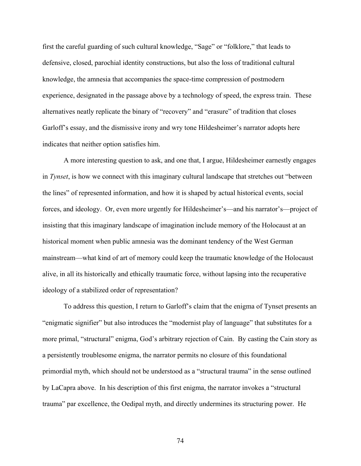first the careful guarding of such cultural knowledge, "Sage" or "folklore," that leads to defensive, closed, parochial identity constructions, but also the loss of traditional cultural knowledge, the amnesia that accompanies the space-time compression of postmodern experience, designated in the passage above by a technology of speed, the express train. These alternatives neatly replicate the binary of "recovery" and "erasure" of tradition that closes Garloff's essay, and the dismissive irony and wry tone Hildesheimer's narrator adopts here indicates that neither option satisfies him.

A more interesting question to ask, and one that, I argue, Hildesheimer earnestly engages in *Tynset*, is how we connect with this imaginary cultural landscape that stretches out "between the lines" of represented information, and how it is shaped by actual historical events, social forces, and ideology. Or, even more urgently for Hildesheimer's—and his narrator's—project of insisting that this imaginary landscape of imagination include memory of the Holocaust at an historical moment when public amnesia was the dominant tendency of the West German mainstream—what kind of art of memory could keep the traumatic knowledge of the Holocaust alive, in all its historically and ethically traumatic force, without lapsing into the recuperative ideology of a stabilized order of representation?

To address this question, I return to Garloff's claim that the enigma of Tynset presents an "enigmatic signifier" but also introduces the "modernist play of language" that substitutes for a more primal, "structural" enigma, God's arbitrary rejection of Cain. By casting the Cain story as a persistently troublesome enigma, the narrator permits no closure of this foundational primordial myth, which should not be understood as a "structural trauma" in the sense outlined by LaCapra above. In his description of this first enigma, the narrator invokes a "structural trauma" par excellence, the Oedipal myth, and directly undermines its structuring power. He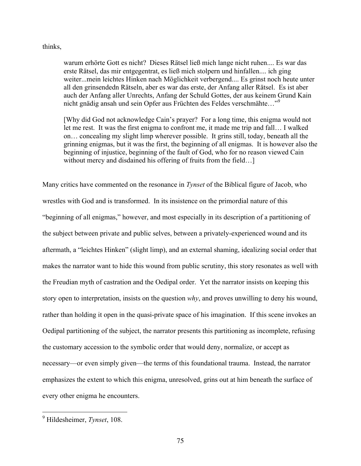## thinks,

warum erhörte Gott es nicht? Dieses Rätsel ließ mich lange nicht ruhen.... Es war das erste Rätsel, das mir entgegentrat, es ließ mich stolpern und hinfallen.... ich ging weiter...mein leichtes Hinken nach Möglichkeit verbergend.... Es grinst noch heute unter all den grinsendedn Rätseln, aber es war das erste, der Anfang aller Rätsel. Es ist aber auch der Anfang aller Unrechts, Anfang der Schuld Gottes, der aus keinem Grund Kain nicht gnädig ansah und sein Opfer aus Früchten des Feldes verschmähte…" 9

[Why did God not acknowledge Cain's prayer? For a long time, this enigma would not let me rest. It was the first enigma to confront me, it made me trip and fall… I walked on… concealing my slight limp wherever possible. It grins still, today, beneath all the grinning enigmas, but it was the first, the beginning of all enigmas. It is however also the beginning of injustice, beginning of the fault of God, who for no reason viewed Cain without mercy and disdained his offering of fruits from the field...]

Many critics have commented on the resonance in *Tynset* of the Biblical figure of Jacob, who wrestles with God and is transformed. In its insistence on the primordial nature of this "beginning of all enigmas," however, and most especially in its description of a partitioning of the subject between private and public selves, between a privately-experienced wound and its aftermath, a "leichtes Hinken" (slight limp), and an external shaming, idealizing social order that makes the narrator want to hide this wound from public scrutiny, this story resonates as well with the Freudian myth of castration and the Oedipal order. Yet the narrator insists on keeping this story open to interpretation, insists on the question *why*, and proves unwilling to deny his wound, rather than holding it open in the quasi-private space of his imagination. If this scene invokes an Oedipal partitioning of the subject, the narrator presents this partitioning as incomplete, refusing the customary accession to the symbolic order that would deny, normalize, or accept as necessary—or even simply given—the terms of this foundational trauma. Instead, the narrator emphasizes the extent to which this enigma, unresolved, grins out at him beneath the surface of every other enigma he encounters.

9 Hildesheimer, *Tynset*, 108.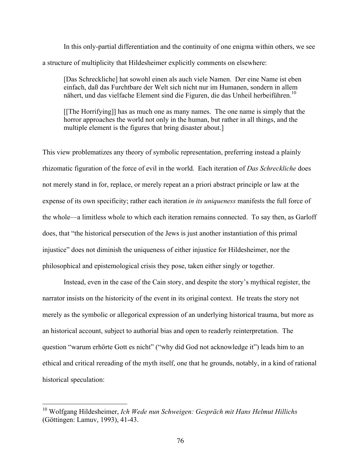In this only-partial differentiation and the continuity of one enigma within others, we see a structure of multiplicity that Hildesheimer explicitly comments on elsewhere:

[Das Schreckliche] hat sowohl einen als auch viele Namen. Der eine Name ist eben einfach, daß das Furchtbare der Welt sich nicht nur im Humanen, sondern in allem nähert, und das vielfache Element sind die Figuren, die das Unheil herbeiführen. 10

[[The Horrifying]] has as much one as many names. The one name is simply that the horror approaches the world not only in the human, but rather in all things, and the multiple element is the figures that bring disaster about.]

This view problematizes any theory of symbolic representation, preferring instead a plainly rhizomatic figuration of the force of evil in the world. Each iteration of *Das Schreckliche* does not merely stand in for, replace, or merely repeat an a priori abstract principle or law at the expense of its own specificity; rather each iteration *in its uniqueness* manifests the full force of the whole—a limitless whole to which each iteration remains connected. To say then, as Garloff does, that "the historical persecution of the Jews is just another instantiation of this primal injustice" does not diminish the uniqueness of either injustice for Hildesheimer, nor the philosophical and epistemological crisis they pose, taken either singly or together.

Instead, even in the case of the Cain story, and despite the story's mythical register, the narrator insists on the historicity of the event in its original context. He treats the story not merely as the symbolic or allegorical expression of an underlying historical trauma, but more as an historical account, subject to authorial bias and open to readerly reinterpretation. The question "warum erhörte Gott es nicht" ("why did God not acknowledge it") leads him to an ethical and critical rereading of the myth itself, one that he grounds, notably, in a kind of rational historical speculation:

10 Wolfgang Hildesheimer, *Ich Wede nun Schweigen: Gespräch mit Hans Helmut Hillichs* (Göttingen: Lamuv, 1993), 41-43.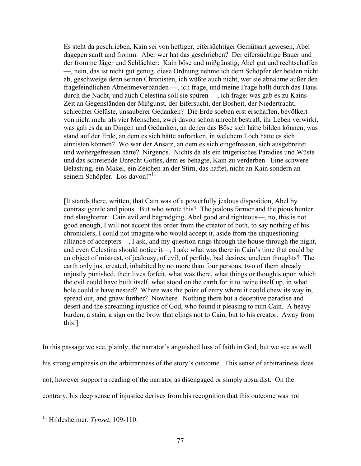Es steht da geschrieben, Kain sei von heftiger, eifersüchtiger Gemütsart gewesen, Abel dagegen sanft und fromm. Aber wer hat das geschrieben? Der eifersüchtige Bauer und der fromme Jäger und Schlächter: Kain böse und mißgünstig, Abel gut und rechtschaffen —, nein, das ist nicht gut genug, diese Ordnung nehme ich dem Schöpfer der beiden nicht ab, geschweige denn seinen Chronisten, ich wüßte auch nicht, wer sie abnähme außer den fragefeindlichen Abnehmeverbänden —, ich frage, und meine Frage hallt durch das Haus durch die Nacht, und auch Celestina soll sie spüren —, ich frage: was gab es zu Kains Zeit an Gegenständen der Mißgunst, der Eifersucht, der Bosheit, der Niedertracht, schlechter Gelüste, unsauberer Gedanken? Die Erde soeben erst erschaffen, bevölkert von nicht mehr als vier Menschen, zwei davon schon unrecht bestraft, ihr Leben verwirkt, was gab es da an Dingen und Gedanken, an denen das Böse sich hätte bilden können, was stand auf der Erde, an dem es sich hätte aufranken, in welchem Loch hätte es sich einnisten können? Wo war der Ansatz, an dem es sich eingefressen, sich ausgebreitet und weitergefressen hätte? Nirgends. Nichts da als ein trügerisches Paradies und Wüste und das schreiende Unrecht Gottes, dem es behagte, Kain zu verderben. Eine schwere Belastung, ein Makel, ein Zeichen an der Stirn, das haftet, nicht an Kain sondern an seinem Schöpfer. Los davon!"<sup>11</sup>

[It stands there, written, that Cain was of a powerfully jealous disposition, Abel by contrast gentle and pious. But who wrote this? The jealous farmer and the pious hunter and slaughterer: Cain evil and begrudging, Abel good and righteous—, no, this is not good enough, I will not accept this order from the creator of both, to say nothing of his chroniclers, I could not imagine who would accept it, aside from the unquestioning alliance of accepters—, I ask, and my question rings through the house through the night, and even Celestina should notice it—, I ask: what was there in Cain's time that could be an object of mistrust, of jealousy, of evil, of perfidy, bad desires, unclean thoughts? The earth only just created, inhabited by no more than four persons, two of them already unjustly punished, their lives forfeit, what was there, what things or thoughts upon which the evil could have built itself, what stood on the earth for it to twine itself up, in what hole could it have nested? Where was the point of entry where it could chew its way in, spread out, and gnaw further? Nowhere. Nothing there but a deceptive paradise and desert and the screaming injustice of God, who found it pleasing to ruin Cain. A heavy burden, a stain, a sign on the brow that clings not to Cain, but to his creator. Away from this!]

In this passage we see, plainly, the narrator's anguished loss of faith in God, but we see as well his strong emphasis on the arbitrariness of the story's outcome. This sense of arbitrariness does not, however support a reading of the narrator as disengaged or simply absurdist. On the contrary, his deep sense of injustice derives from his recognition that this outcome was not

11 Hildesheimer, *Tynset*, 109-110.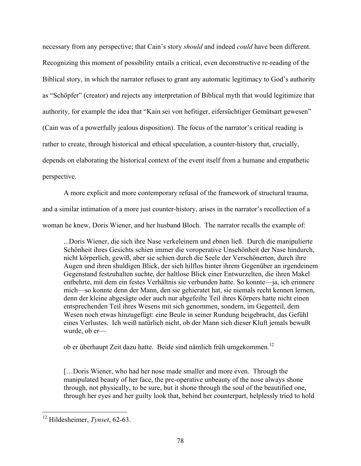necessary from any perspective; that Cain's story *should* and indeed *could* have been different. Recognizing this moment of possibility entails a critical, even deconstructive re-reading of the Biblical story, in which the narrator refuses to grant any automatic legitimacy to God's authority as "Schöpfer" (creator) and rejects any interpretation of Biblical myth that would legitimize that authority, for example the idea that "Kain sei von hefitiger, eifersüchtiger Gemütsart gewesen" (Cain was of a powerfully jealous disposition). The focus of the narrator's critical reading is rather to create, through historical and ethical speculation, a counter-history that, crucially, depends on elaborating the historical context of the event itself from a humane and empathetic perspective.

A more explicit and more contemporary refusal of the framework of structural trauma, and a similar intimation of a more just counter-history, arises in the narrator's recollection of a woman he knew, Doris Wiener, and her husband Bloch. The narrator recalls the example of:

...Doris Wiener, die sich ihre Nase verkeleinern und ebnen ließ. Durch die manipulierte Schönheit ihres Gesichts schien immer die voroperative Unschönheit der Nase hindurch, nicht körperlich, gewiß, aber sie schien durch die Seele der Verschönerten, durch ihre Augen und ihren shuldigen Blick, der sich hilflos hinter ihrem Gegenüber an irgendeinem Gegenstand festzuhalten suchte, der haltlose Blick einer Entwurzelten, die ihren Makel entbehrte, mit dem ein festes Verhältnis sie verbunden hatte. So konnte—ja, ich erinnere mich—so konnte denn der Mann, den sie gehieratet hat, sie niemals recht kennen lernen, denn der kleine abgesägte oder auch nur abgefeilte Teil ihres Körpers hatte nicht einen entsprechenden Teil ihres Wesens mit sich genommen, sondern, im Gegenteil, dem Wesen noch etwas hinzugefügt: eine Beule in seiner Rundung beigebracht, das Gefühl eines Verlustes. Ich weiß natürlich nicht, ob der Mann sich dieser Kluft jemals bewußt wurde, ob er—

ob er überhaupt Zeit dazu hatte. Beide sind nämlich früh umgekommen. 12

[…Doris Wiener, who had her nose made smaller and more even. Through the manipulated beauty of her face, the pre-operative unbeauty of the nose always shone through, not physically, to be sure, but it shone through the soul of the beautified one, through her eyes and her guilty look that, behind her counterpart, helplessly tried to hold

12 Hildesheimer, *Tynset*, 62-63.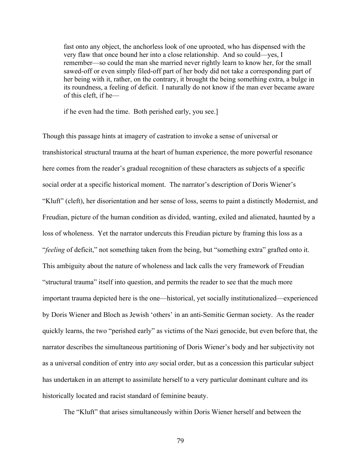fast onto any object, the anchorless look of one uprooted, who has dispensed with the very flaw that once bound her into a close relationship. And so could—yes, I remember—so could the man she married never rightly learn to know her, for the small sawed-off or even simply filed-off part of her body did not take a corresponding part of her being with it, rather, on the contrary, it brought the being something extra, a bulge in its roundness, a feeling of deficit. I naturally do not know if the man ever became aware of this cleft, if he—

if he even had the time. Both perished early, you see.]

Though this passage hints at imagery of castration to invoke a sense of universal or transhistorical structural trauma at the heart of human experience, the more powerful resonance here comes from the reader's gradual recognition of these characters as subjects of a specific social order at a specific historical moment. The narrator's description of Doris Wiener's "Kluft" (cleft), her disorientation and her sense of loss, seems to paint a distinctly Modernist, and Freudian, picture of the human condition as divided, wanting, exiled and alienated, haunted by a loss of wholeness. Yet the narrator undercuts this Freudian picture by framing this loss as a "*feeling* of deficit," not something taken from the being, but "something extra" grafted onto it. This ambiguity about the nature of wholeness and lack calls the very framework of Freudian "structural trauma" itself into question, and permits the reader to see that the much more important trauma depicted here is the one—historical, yet socially institutionalized—experienced by Doris Wiener and Bloch as Jewish 'others' in an anti-Semitic German society. As the reader quickly learns, the two "perished early" as victims of the Nazi genocide, but even before that, the narrator describes the simultaneous partitioning of Doris Wiener's body and her subjectivity not as a universal condition of entry into *any* social order, but as a concession this particular subject has undertaken in an attempt to assimilate herself to a very particular dominant culture and its historically located and racist standard of feminine beauty.

The "Kluft" that arises simultaneously within Doris Wiener herself and between the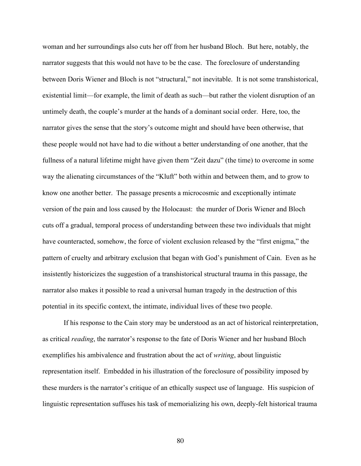woman and her surroundings also cuts her off from her husband Bloch. But here, notably, the narrator suggests that this would not have to be the case. The foreclosure of understanding between Doris Wiener and Bloch is not "structural," not inevitable. It is not some transhistorical, existential limit—for example, the limit of death as such—but rather the violent disruption of an untimely death, the couple's murder at the hands of a dominant social order. Here, too, the narrator gives the sense that the story's outcome might and should have been otherwise, that these people would not have had to die without a better understanding of one another, that the fullness of a natural lifetime might have given them "Zeit dazu" (the time) to overcome in some way the alienating circumstances of the "Kluft" both within and between them, and to grow to know one another better. The passage presents a microcosmic and exceptionally intimate version of the pain and loss caused by the Holocaust: the murder of Doris Wiener and Bloch cuts off a gradual, temporal process of understanding between these two individuals that might have counteracted, somehow, the force of violent exclusion released by the "first enigma," the pattern of cruelty and arbitrary exclusion that began with God's punishment of Cain. Even as he insistently historicizes the suggestion of a transhistorical structural trauma in this passage, the narrator also makes it possible to read a universal human tragedy in the destruction of this potential in its specific context, the intimate, individual lives of these two people.

If his response to the Cain story may be understood as an act of historical reinterpretation, as critical *reading*, the narrator's response to the fate of Doris Wiener and her husband Bloch exemplifies his ambivalence and frustration about the act of *writing*, about linguistic representation itself. Embedded in his illustration of the foreclosure of possibility imposed by these murders is the narrator's critique of an ethically suspect use of language. His suspicion of linguistic representation suffuses his task of memorializing his own, deeply-felt historical trauma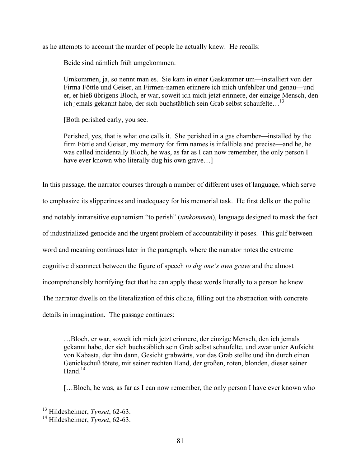as he attempts to account the murder of people he actually knew. He recalls:

Beide sind nämlich früh umgekommen.

Umkommen, ja, so nennt man es. Sie kam in einer Gaskammer um—installiert von der Firma Föttle und Geiser, an Firmen-namen erinnere ich mich unfehlbar und genau—und er, er hieß übrigens Bloch, er war, soweit ich mich jetzt erinnere, der einzige Mensch, den ich jemals gekannt habe, der sich buchstäblich sein Grab selbst schaufelte…<sup>13</sup>

[Both perished early, you see.

Perished, yes, that is what one calls it. She perished in a gas chamber—installed by the firm Föttle and Geiser, my memory for firm names is infallible and precise—and he, he was called incidentally Bloch, he was, as far as I can now remember, the only person I have ever known who literally dug his own grave...

In this passage, the narrator courses through a number of different uses of language, which serve to emphasize its slipperiness and inadequacy for his memorial task. He first dells on the polite and notably intransitive euphemism "to perish" (*umkommen*), language designed to mask the fact of industrialized genocide and the urgent problem of accountability it poses. This gulf between word and meaning continues later in the paragraph, where the narrator notes the extreme cognitive disconnect between the figure of speech *to dig one's own grave* and the almost incomprehensibly horrifying fact that he can apply these words literally to a person he knew. The narrator dwells on the literalization of this cliche, filling out the abstraction with concrete details in imagination. The passage continues:

…Bloch, er war, soweit ich mich jetzt erinnere, der einzige Mensch, den ich jemals gekannt habe, der sich buchstäblich sein Grab selbst schaufelte, und zwar unter Aufsicht von Kabasta, der ihn dann, Gesicht grabwärts, vor das Grab stellte und ihn durch einen Genickschuß tötete, mit seiner rechten Hand, der großen, roten, blonden, dieser seiner Hand.<sup>14</sup>

[…Bloch, he was, as far as I can now remember, the only person I have ever known who

13 Hildesheimer, *Tynset*, 62-63.

<sup>14</sup> Hildesheimer, *Tynset*, 62-63.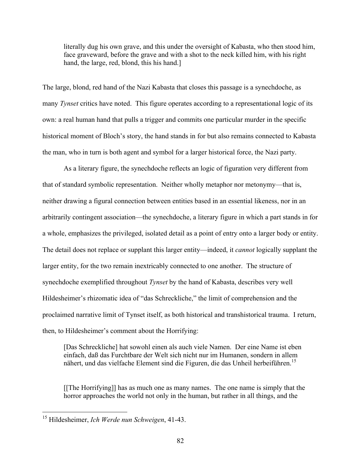literally dug his own grave, and this under the oversight of Kabasta, who then stood him, face graveward, before the grave and with a shot to the neck killed him, with his right hand, the large, red, blond, this his hand.]

The large, blond, red hand of the Nazi Kabasta that closes this passage is a synechdoche, as many *Tynset* critics have noted. This figure operates according to a representational logic of its own: a real human hand that pulls a trigger and commits one particular murder in the specific historical moment of Bloch's story, the hand stands in for but also remains connected to Kabasta the man, who in turn is both agent and symbol for a larger historical force, the Nazi party.

As a literary figure, the synechdoche reflects an logic of figuration very different from that of standard symbolic representation. Neither wholly metaphor nor metonymy—that is, neither drawing a figural connection between entities based in an essential likeness, nor in an arbitrarily contingent association—the synechdoche, a literary figure in which a part stands in for a whole, emphasizes the privileged, isolated detail as a point of entry onto a larger body or entity. The detail does not replace or supplant this larger entity—indeed, it *cannot* logically supplant the larger entity, for the two remain inextricably connected to one another. The structure of synechdoche exemplified throughout *Tynset* by the hand of Kabasta, describes very well Hildesheimer's rhizomatic idea of "das Schreckliche," the limit of comprehension and the proclaimed narrative limit of Tynset itself, as both historical and transhistorical trauma. I return, then, to Hildesheimer's comment about the Horrifying:

[Das Schreckliche] hat sowohl einen als auch viele Namen. Der eine Name ist eben einfach, daß das Furchtbare der Welt sich nicht nur im Humanen, sondern in allem nähert, und das vielfache Element sind die Figuren, die das Unheil herbeiführen. 15

[[The Horrifying]] has as much one as many names. The one name is simply that the horror approaches the world not only in the human, but rather in all things, and the

15 Hildesheimer, *Ich Werde nun Schweigen*, 41-43.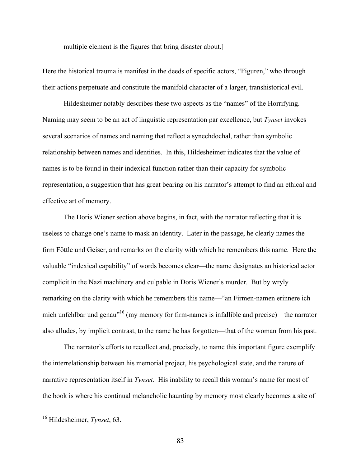multiple element is the figures that bring disaster about.]

Here the historical trauma is manifest in the deeds of specific actors, "Figuren," who through their actions perpetuate and constitute the manifold character of a larger, transhistorical evil.

Hildesheimer notably describes these two aspects as the "names" of the Horrifying. Naming may seem to be an act of linguistic representation par excellence, but *Tynset* invokes several scenarios of names and naming that reflect a synechdochal, rather than symbolic relationship between names and identities. In this, Hildesheimer indicates that the value of names is to be found in their indexical function rather than their capacity for symbolic representation, a suggestion that has great bearing on his narrator's attempt to find an ethical and effective art of memory.

The Doris Wiener section above begins, in fact, with the narrator reflecting that it is useless to change one's name to mask an identity. Later in the passage, he clearly names the firm Föttle und Geiser, and remarks on the clarity with which he remembers this name. Here the valuable "indexical capability" of words becomes clear—the name designates an historical actor complicit in the Nazi machinery and culpable in Doris Wiener's murder. But by wryly remarking on the clarity with which he remembers this name—"an Firmen-namen erinnere ich mich unfehlbar und genau"<sup>16</sup> (my memory for firm-names is infallible and precise)—the narrator also alludes, by implicit contrast, to the name he has forgotten—that of the woman from his past.

The narrator's efforts to recollect and, precisely, to name this important figure exemplify the interrelationship between his memorial project, his psychological state, and the nature of narrative representation itself in *Tynset*. His inability to recall this woman's name for most of the book is where his continual melancholic haunting by memory most clearly becomes a site of

16 Hildesheimer, *Tynset*, 63.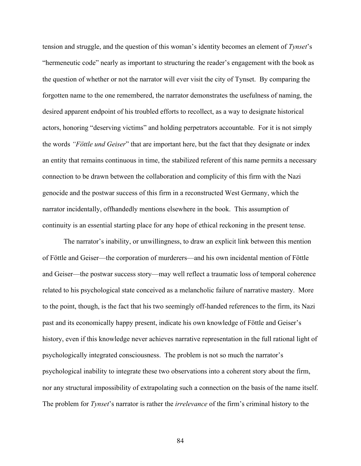tension and struggle, and the question of this woman's identity becomes an element of *Tynset*'s "hermeneutic code" nearly as important to structuring the reader's engagement with the book as the question of whether or not the narrator will ever visit the city of Tynset. By comparing the forgotten name to the one remembered, the narrator demonstrates the usefulness of naming, the desired apparent endpoint of his troubled efforts to recollect, as a way to designate historical actors, honoring "deserving victims" and holding perpetrators accountable. For it is not simply the words *"Föttle und Geiser*" that are important here, but the fact that they designate or index an entity that remains continuous in time, the stabilized referent of this name permits a necessary connection to be drawn between the collaboration and complicity of this firm with the Nazi genocide and the postwar success of this firm in a reconstructed West Germany, which the narrator incidentally, offhandedly mentions elsewhere in the book. This assumption of continuity is an essential starting place for any hope of ethical reckoning in the present tense.

The narrator's inability, or unwillingness, to draw an explicit link between this mention of Föttle and Geiser—the corporation of murderers—and his own incidental mention of Föttle and Geiser—the postwar success story—may well reflect a traumatic loss of temporal coherence related to his psychological state conceived as a melancholic failure of narrative mastery. More to the point, though, is the fact that his two seemingly off-handed references to the firm, its Nazi past and its economically happy present, indicate his own knowledge of Föttle and Geiser's history, even if this knowledge never achieves narrative representation in the full rational light of psychologically integrated consciousness. The problem is not so much the narrator's psychological inability to integrate these two observations into a coherent story about the firm, nor any structural impossibility of extrapolating such a connection on the basis of the name itself. The problem for *Tynset*'s narrator is rather the *irrelevance* of the firm's criminal history to the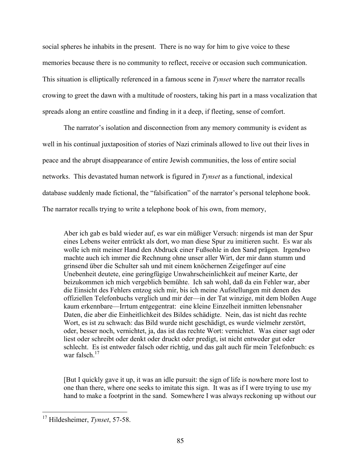social spheres he inhabits in the present. There is no way for him to give voice to these memories because there is no community to reflect, receive or occasion such communication. This situation is elliptically referenced in a famous scene in *Tynset* where the narrator recalls crowing to greet the dawn with a multitude of roosters, taking his part in a mass vocalization that spreads along an entire coastline and finding in it a deep, if fleeting, sense of comfort.

The narrator's isolation and disconnection from any memory community is evident as well in his continual juxtaposition of stories of Nazi criminals allowed to live out their lives in peace and the abrupt disappearance of entire Jewish communities, the loss of entire social networks. This devastated human network is figured in *Tynset* as a functional, indexical database suddenly made fictional, the "falsification" of the narrator's personal telephone book. The narrator recalls trying to write a telephone book of his own, from memory,

Aber ich gab es bald wieder auf, es war ein müßiger Versuch: nirgends ist man der Spur eines Lebens weiter entrückt als dort, wo man diese Spur zu imitieren sucht. Es war als wolle ich mit meiner Hand den Abdruck einer Fußsohle in den Sand prägen. Irgendwo machte auch ich immer die Rechnung ohne unser aller Wirt, der mir dann stumm und grinsend über die Schulter sah und mit einem knöchernen Zeigefinger auf eine Unebenheit deutete, eine geringfügige Unwahrscheinlichkeit auf meiner Karte, der beizukommen ich mich vergeblich bemühte. Ich sah wohl, daß da ein Fehler war, aber die Einsicht des Fehlers entzog sich mir, bis ich meine Aufstellungen mit denen des offiziellen Telefonbuchs verglich und mir der—in der Tat winzige, mit dem bloßen Auge kaum erkennbare—Irrtum entgegentrat: eine kleine Einzelheit inmitten lebensnaher Daten, die aber die Einheitlichkeit des Bildes schädigte. Nein, das ist nicht das rechte Wort, es ist zu schwach: das Bild wurde nicht geschädigt, es wurde vielmehr zerstört, oder, besser noch, vernichtet, ja, das ist das rechte Wort: vernichtet. Was einer sagt oder liest oder schreibt oder denkt oder druckt oder predigt, ist nicht entweder gut oder schlecht. Es ist entweder falsch oder richtig, und das galt auch für mein Telefonbuch: es war falsch. 17

[But I quickly gave it up, it was an idle pursuit: the sign of life is nowhere more lost to one than there, where one seeks to imitate this sign. It was as if I were trying to use my hand to make a footprint in the sand. Somewhere I was always reckoning up without our

17 Hildesheimer, *Tynset*, 57-58.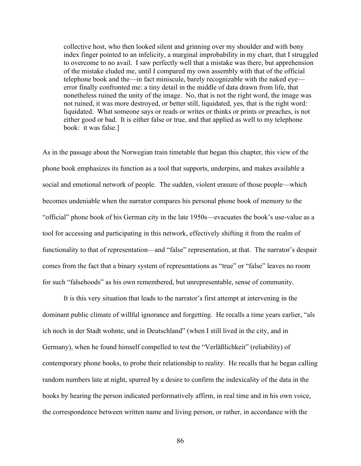collective host, who then looked silent and grinning over my shoulder and with bony index finger pointed to an infelicity, a marginal improbability in my chart, that I struggled to overcome to no avail. I saw perfectly well that a mistake was there, but apprehension of the mistake eluded me, until I compared my own assembly with that of the official telephone book and the—in fact miniscule, barely recognizable with the naked eye error finally confronted me: a tiny detail in the middle of data drawn from life, that nonetheless ruined the unity of the image. No, that is not the right word, the image was not ruined, it was more destroyed, or better still, liquidated, yes, that is the right word: liquidated. What someone says or reads or writes or thinks or prints or preaches, is not either good or bad. It is either false or true, and that applied as well to my telephone book: it was false.]

As in the passage about the Norwegian train timetable that began this chapter, this view of the phone book emphasizes its function as a tool that supports, underpins, and makes available a social and emotional network of people. The sudden, violent erasure of those people—which becomes undeniable when the narrator compares his personal phone book of memory to the "official" phone book of his German city in the late 1950s—evacuates the book's use-value as a tool for accessing and participating in this network, effectively shifting it from the realm of functionality to that of representation—and "false" representation, at that. The narrator's despair comes from the fact that a binary system of representations as "true" or "false" leaves no room for such "falsehoods" as his own remembered, but unrepresentable, sense of community.

It is this very situation that leads to the narrator's first attempt at intervening in the dominant public climate of willful ignorance and forgetting. He recalls a time years earlier, "als ich noch in der Stadt wohnte, und in Deutschland" (when I still lived in the city, and in Germany), when he found himself compelled to test the "Verläßlichkeit" (reliability) of contemporary phone books, to probe their relationship to reality. He recalls that he began calling random numbers late at night, spurred by a desire to confirm the indexicality of the data in the books by hearing the person indicated performatively affirm, in real time and in his own voice, the correspondence between written name and living person, or rather, in accordance with the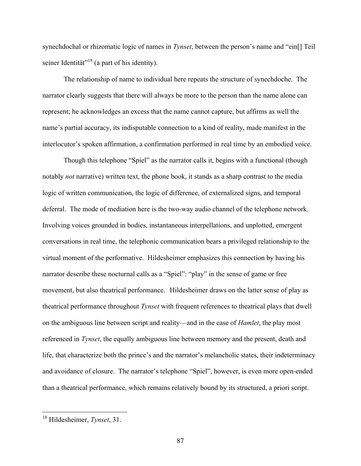synechdochal or rhizomatic logic of names in *Tynset*, between the person's name and "ein[] Teil seiner Identität"<sup>18</sup> (a part of his identity).

The relationship of name to individual here repeats the structure of synechdoche. The narrator clearly suggests that there will always be more to the person than the name alone can represent; he acknowledges an excess that the name cannot capture, but affirms as well the name's partial accuracy, its indisputable connection to a kind of reality, made manifest in the interlocutor's spoken affirmation, a confirmation performed in real time by an embodied voice.

Though this telephone "Spiel" as the narrator calls it, begins with a functional (though notably *not* narrative) written text, the phone book, it stands as a sharp contrast to the media logic of written communication, the logic of difference, of externalized signs, and temporal deferral. The mode of mediation here is the two-way audio channel of the telephone network. Involving voices grounded in bodies, instantaneous interpellations, and unplotted, emergent conversations in real time, the telephonic communication bears a privileged relationship to the virtual moment of the performative. Hildesheimer emphasizes this connection by having his narrator describe these nocturnal calls as a "Spiel": "play" in the sense of game or free movement, but also theatrical performance. Hildesheimer draws on the latter sense of play as theatrical performance throughout *Tynset* with frequent references to theatrical plays that dwell on the ambiguous line between script and reality—and in the case of *Hamlet*, the play most referenced in *Tynset*, the equally ambiguous line between memory and the present, death and life, that characterize both the prince's and the narrator's melancholic states, their indeterminacy and avoidance of closure. The narrator's telephone "Spiel", however, is even more open-ended than a theatrical performance, which remains relatively bound by its structured, a priori script.

18 Hildesheimer, *Tynset*, 31.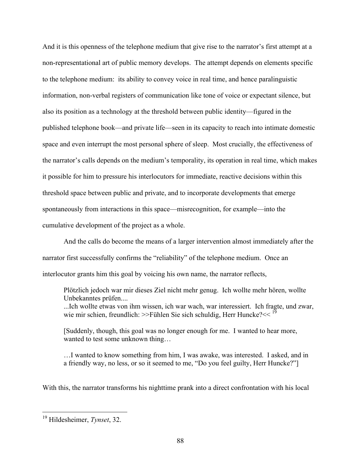And it is this openness of the telephone medium that give rise to the narrator's first attempt at a non-representational art of public memory develops. The attempt depends on elements specific to the telephone medium: its ability to convey voice in real time, and hence paralinguistic information, non-verbal registers of communication like tone of voice or expectant silence, but also its position as a technology at the threshold between public identity—figured in the published telephone book—and private life—seen in its capacity to reach into intimate domestic space and even interrupt the most personal sphere of sleep. Most crucially, the effectiveness of the narrator's calls depends on the medium's temporality, its operation in real time, which makes it possible for him to pressure his interlocutors for immediate, reactive decisions within this threshold space between public and private, and to incorporate developments that emerge spontaneously from interactions in this space—misrecognition, for example—into the cumulative development of the project as a whole.

And the calls do become the means of a larger intervention almost immediately after the narrator first successfully confirms the "reliability" of the telephone medium. Once an interlocutor grants him this goal by voicing his own name, the narrator reflects,

Plötzlich jedoch war mir dieses Ziel nicht mehr genug. Ich wollte mehr hören, wollte Unbekanntes prüfen....

...Ich wollte etwas von ihm wissen, ich war wach, war interessiert. Ich fragte, und zwar, wie mir schien, freundlich: >>Fühlen Sie sich schuldig, Herr Huncke? <<  $19$ 

[Suddenly, though, this goal was no longer enough for me. I wanted to hear more, wanted to test some unknown thing...

…I wanted to know something from him, I was awake, was interested. I asked, and in a friendly way, no less, or so it seemed to me, "Do you feel guilty, Herr Huncke?"]

With this, the narrator transforms his nighttime prank into a direct confrontation with his local

19 Hildesheimer, *Tynset*, 32.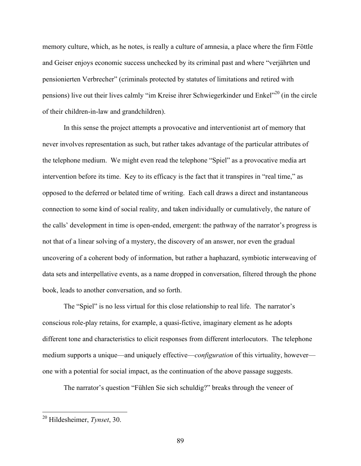memory culture, which, as he notes, is really a culture of amnesia, a place where the firm Föttle and Geiser enjoys economic success unchecked by its criminal past and where "verjährten und pensionierten Verbrecher" (criminals protected by statutes of limitations and retired with pensions) live out their lives calmly "im Kreise ihrer Schwiegerkinder und Enkel"<sup>20</sup> (in the circle of their children-in-law and grandchildren).

In this sense the project attempts a provocative and interventionist art of memory that never involves representation as such, but rather takes advantage of the particular attributes of the telephone medium. We might even read the telephone "Spiel" as a provocative media art intervention before its time. Key to its efficacy is the fact that it transpires in "real time," as opposed to the deferred or belated time of writing. Each call draws a direct and instantaneous connection to some kind of social reality, and taken individually or cumulatively, the nature of the calls' development in time is open-ended, emergent: the pathway of the narrator's progress is not that of a linear solving of a mystery, the discovery of an answer, nor even the gradual uncovering of a coherent body of information, but rather a haphazard, symbiotic interweaving of data sets and interpellative events, as a name dropped in conversation, filtered through the phone book, leads to another conversation, and so forth.

The "Spiel" is no less virtual for this close relationship to real life. The narrator's conscious role-play retains, for example, a quasi-fictive, imaginary element as he adopts different tone and characteristics to elicit responses from different interlocutors. The telephone medium supports a unique—and uniquely effective—*configuration* of this virtuality, however one with a potential for social impact, as the continuation of the above passage suggests.

The narrator's question "Fühlen Sie sich schuldig?" breaks through the veneer of

20 Hildesheimer, *Tynset*, 30.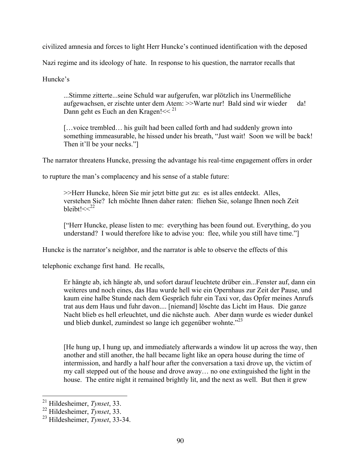civilized amnesia and forces to light Herr Huncke's continued identification with the deposed

Nazi regime and its ideology of hate. In response to his question, the narrator recalls that

Huncke's

...Stimme zitterte...seine Schuld war aufgerufen, war plötzlich ins Unermeßliche aufgewachsen, er zischte unter dem Atem: >>Warte nur! Bald sind wir wieder da! Dann geht es Euch an den Kragen! $<<$ <sup>21</sup>

[...voice trembled... his guilt had been called forth and had suddenly grown into something immeasurable, he hissed under his breath, "Just wait! Soon we will be back! Then it'll be your necks."]

The narrator threatens Huncke, pressing the advantage his real-time engagement offers in order

to rupture the man's complacency and his sense of a stable future:

>>Herr Huncke, hören Sie mir jetzt bitte gut zu: es ist alles entdeckt. Alles, verstehen Sie? Ich möchte Ihnen daher raten: fliehen Sie, solange Ihnen noch Zeit  $h$ leibt $1 < <sup>22</sup>$ 

["Herr Huncke, please listen to me: everything has been found out. Everything, do you understand? I would therefore like to advise you: flee, while you still have time."

Huncke is the narrator's neighbor, and the narrator is able to observe the effects of this

telephonic exchange first hand. He recalls,

Er hängte ab, ich hängte ab, und sofort darauf leuchtete drüber ein...Fenster auf, dann ein weiteres und noch eines, das Hau wurde hell wie ein Opernhaus zur Zeit der Pause, und kaum eine halbe Stunde nach dem Gespräch fuhr ein Taxi vor, das Opfer meines Anrufs trat aus dem Haus und fuhr davon.... [niemand] löschte das Licht im Haus. Die ganze Nacht blieb es hell erleuchtet, und die nächste auch. Aber dann wurde es wieder dunkel und blieb dunkel, zumindest so lange ich gegenüber wohnte."<sup>23</sup>

[He hung up, I hung up, and immediately afterwards a window lit up across the way, then another and still another, the hall became light like an opera house during the time of intermission, and hardly a half hour after the conversation a taxi drove up, the victim of my call stepped out of the house and drove away… no one extinguished the light in the house. The entire night it remained brightly lit, and the next as well. But then it grew

21 Hildesheimer, *Tynset*, 33.

<sup>22</sup> Hildesheimer, *Tynset*, 33.

<sup>23</sup> Hildesheimer, *Tynset*, 33-34.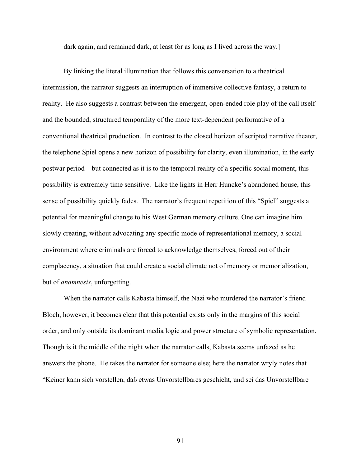dark again, and remained dark, at least for as long as I lived across the way.]

By linking the literal illumination that follows this conversation to a theatrical intermission, the narrator suggests an interruption of immersive collective fantasy, a return to reality. He also suggests a contrast between the emergent, open-ended role play of the call itself and the bounded, structured temporality of the more text-dependent performative of a conventional theatrical production. In contrast to the closed horizon of scripted narrative theater, the telephone Spiel opens a new horizon of possibility for clarity, even illumination, in the early postwar period—but connected as it is to the temporal reality of a specific social moment, this possibility is extremely time sensitive. Like the lights in Herr Huncke's abandoned house, this sense of possibility quickly fades. The narrator's frequent repetition of this "Spiel" suggests a potential for meaningful change to his West German memory culture. One can imagine him slowly creating, without advocating any specific mode of representational memory, a social environment where criminals are forced to acknowledge themselves, forced out of their complacency, a situation that could create a social climate not of memory or memorialization, but of *anamnesis*, unforgetting.

When the narrator calls Kabasta himself, the Nazi who murdered the narrator's friend Bloch, however, it becomes clear that this potential exists only in the margins of this social order, and only outside its dominant media logic and power structure of symbolic representation. Though is it the middle of the night when the narrator calls, Kabasta seems unfazed as he answers the phone. He takes the narrator for someone else; here the narrator wryly notes that "Keiner kann sich vorstellen, daß etwas Unvorstellbares geschieht, und sei das Unvorstellbare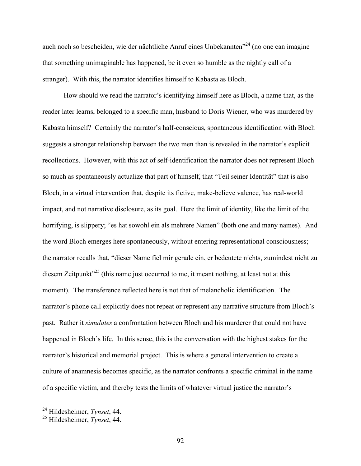auch noch so bescheiden, wie der nächtliche Anruf eines Unbekannten" 24 (no one can imagine that something unimaginable has happened, be it even so humble as the nightly call of a stranger). With this, the narrator identifies himself to Kabasta as Bloch.

How should we read the narrator's identifying himself here as Bloch, a name that, as the reader later learns, belonged to a specific man, husband to Doris Wiener, who was murdered by Kabasta himself? Certainly the narrator's half-conscious, spontaneous identification with Bloch suggests a stronger relationship between the two men than is revealed in the narrator's explicit recollections. However, with this act of self-identification the narrator does not represent Bloch so much as spontaneously actualize that part of himself, that "Teil seiner Identität" that is also Bloch, in a virtual intervention that, despite its fictive, make-believe valence, has real-world impact, and not narrative disclosure, as its goal. Here the limit of identity, like the limit of the horrifying, is slippery; "es hat sowohl ein als mehrere Namen" (both one and many names). And the word Bloch emerges here spontaneously, without entering representational consciousness; the narrator recalls that, "dieser Name fiel mir gerade ein, er bedeutete nichts, zumindest nicht zu diesem Zeitpunkt<sup> $25$ </sup> (this name just occurred to me, it meant nothing, at least not at this moment). The transference reflected here is not that of melancholic identification. The narrator's phone call explicitly does not repeat or represent any narrative structure from Bloch's past. Rather it *simulates* a confrontation between Bloch and his murderer that could not have happened in Bloch's life. In this sense, this is the conversation with the highest stakes for the narrator's historical and memorial project. This is where a general intervention to create a culture of anamnesis becomes specific, as the narrator confronts a specific criminal in the name of a specific victim, and thereby tests the limits of whatever virtual justice the narrator's

24 Hildesheimer, *Tynset*, 44.

<sup>25</sup> Hildesheimer, *Tynset*, 44.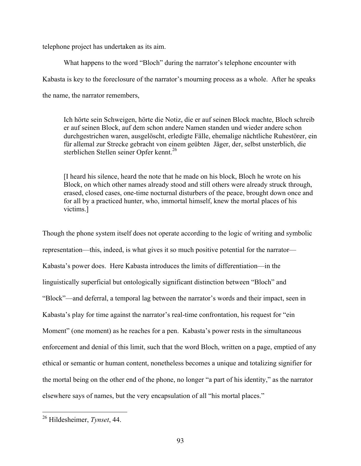telephone project has undertaken as its aim.

What happens to the word "Bloch" during the narrator's telephone encounter with Kabasta is key to the foreclosure of the narrator's mourning process as a whole. After he speaks the name, the narrator remembers,

Ich hörte sein Schweigen, hörte die Notiz, die er auf seinen Block machte, Bloch schreib er auf seinen Block, auf dem schon andere Namen standen und wieder andere schon durchgestrichen waren, ausgelöscht, erledigte Fälle, ehemalige nächtliche Ruhestörer, ein für allemal zur Strecke gebracht von einem geübten Jäger, der, selbst unsterblich, die sterblichen Stellen seiner Opfer kennt.<sup>26</sup>

[I heard his silence, heard the note that he made on his block, Bloch he wrote on his Block, on which other names already stood and still others were already struck through, erased, closed cases, one-time nocturnal disturbers of the peace, brought down once and for all by a practiced hunter, who, immortal himself, knew the mortal places of his victims.]

Though the phone system itself does not operate according to the logic of writing and symbolic representation—this, indeed, is what gives it so much positive potential for the narrator— Kabasta's power does. Here Kabasta introduces the limits of differentiation—in the linguistically superficial but ontologically significant distinction between "Bloch" and "Block"—and deferral, a temporal lag between the narrator's words and their impact, seen in Kabasta's play for time against the narrator's real-time confrontation, his request for "ein Moment" (one moment) as he reaches for a pen. Kabasta's power rests in the simultaneous enforcement and denial of this limit, such that the word Bloch, written on a page, emptied of any ethical or semantic or human content, nonetheless becomes a unique and totalizing signifier for the mortal being on the other end of the phone, no longer "a part of his identity," as the narrator elsewhere says of names, but the very encapsulation of all "his mortal places."

26 Hildesheimer, *Tynset*, 44.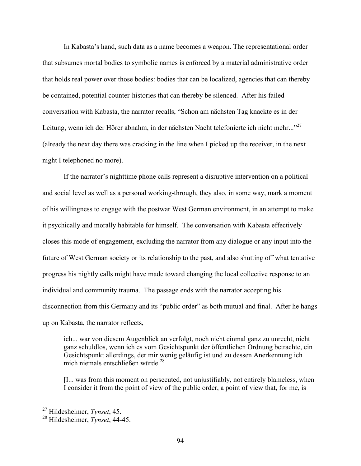In Kabasta's hand, such data as a name becomes a weapon. The representational order that subsumes mortal bodies to symbolic names is enforced by a material administrative order that holds real power over those bodies: bodies that can be localized, agencies that can thereby be contained, potential counter-histories that can thereby be silenced. After his failed conversation with Kabasta, the narrator recalls, "Schon am nächsten Tag knackte es in der Leitung, wenn ich der Hörer abnahm, in der nächsten Nacht telefonierte ich nicht mehr..."<sup>27</sup> (already the next day there was cracking in the line when I picked up the receiver, in the next night I telephoned no more).

If the narrator's nighttime phone calls represent a disruptive intervention on a political and social level as well as a personal working-through, they also, in some way, mark a moment of his willingness to engage with the postwar West German environment, in an attempt to make it psychically and morally habitable for himself. The conversation with Kabasta effectively closes this mode of engagement, excluding the narrator from any dialogue or any input into the future of West German society or its relationship to the past, and also shutting off what tentative progress his nightly calls might have made toward changing the local collective response to an individual and community trauma. The passage ends with the narrator accepting his disconnection from this Germany and its "public order" as both mutual and final. After he hangs up on Kabasta, the narrator reflects,

ich... war von diesem Augenblick an verfolgt, noch nicht einmal ganz zu unrecht, nicht ganz schuldlos, wenn ich es vom Gesichtspunkt der öffentlichen Ordnung betrachte, ein Gesichtspunkt allerdings, der mir wenig geläufig ist und zu dessen Anerkennung ich mich niemals entschließen würde. 28

[I... was from this moment on persecuted, not unjustifiably, not entirely blameless, when I consider it from the point of view of the public order, a point of view that, for me, is

27 Hildesheimer, *Tynset*, 45.

<sup>28</sup> Hildesheimer, *Tynset*, 44-45.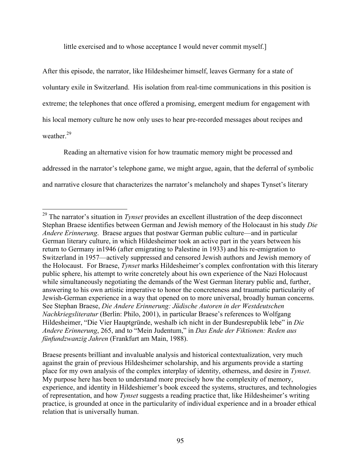little exercised and to whose acceptance I would never commit myself.]

After this episode, the narrator, like Hildesheimer himself, leaves Germany for a state of voluntary exile in Switzerland. His isolation from real-time communications in this position is extreme; the telephones that once offered a promising, emergent medium for engagement with his local memory culture he now only uses to hear pre-recorded messages about recipes and weather. 29

Reading an alternative vision for how traumatic memory might be processed and addressed in the narrator's telephone game, we might argue, again, that the deferral of symbolic and narrative closure that characterizes the narrator's melancholy and shapes Tynset's literary

29 The narrator's situation in *Tynset* provides an excellent illustration of the deep disconnect Stephan Braese identifies between German and Jewish memory of the Holocaust in his study *Die Andere Erinnerung*. Braese argues that postwar German public culture—and in particular German literary culture, in which Hildesheimer took an active part in the years between his return to Germany in1946 (after emigrating to Palestine in 1933) and his re-emigration to Switzerland in 1957—actively suppressed and censored Jewish authors and Jewish memory of the Holocaust. For Braese, *Tynset* marks Hildesheimer's complex confrontation with this literary public sphere, his attempt to write concretely about his own experience of the Nazi Holocaust while simultaneously negotiating the demands of the West German literary public and, further, answering to his own artistic imperative to honor the concreteness and traumatic particularity of Jewish-German experience in a way that opened on to more universal, broadly human concerns. See Stephan Braese, *Die Andere Erinnerung: Jüdische Autoren in der Westdeutschen Nachkriegsliteratur* (Berlin: Philo, 2001), in particular Braese's references to Wolfgang Hildesheimer, "Die Vier Hauptgründe, weshalb ich nicht in der Bundesrepublik lebe" in *Die Andere Erinnerung*, 265, and to "Mein Judentum," in *Das Ende der Fiktionen: Reden aus fünfundzwanzig Jahren* (Frankfurt am Main, 1988).

Braese presents brilliant and invaluable analysis and historical contextualization, very much against the grain of previous Hildesheimer scholarship, and his arguments provide a starting place for my own analysis of the complex interplay of identity, otherness, and desire in *Tynset*. My purpose here has been to understand more precisely how the complexity of memory, experience, and identity in Hildeshiemer's book exceed the systems, structures, and technologies of representation, and how *Tynset* suggests a reading practice that, like Hildesheimer's writing practice, is grounded at once in the particularity of individual experience and in a broader ethical relation that is universally human.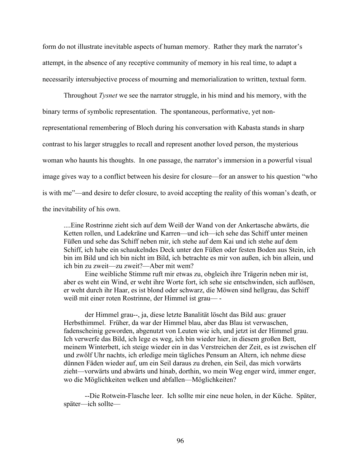form do not illustrate inevitable aspects of human memory. Rather they mark the narrator's attempt, in the absence of any receptive community of memory in his real time, to adapt a necessarily intersubjective process of mourning and memorialization to written, textual form.

Throughout *Tysnet* we see the narrator struggle, in his mind and his memory, with the binary terms of symbolic representation. The spontaneous, performative, yet nonrepresentational remembering of Bloch during his conversation with Kabasta stands in sharp contrast to his larger struggles to recall and represent another loved person, the mysterious woman who haunts his thoughts. In one passage, the narrator's immersion in a powerful visual image gives way to a conflict between his desire for closure—for an answer to his question "who is with me"—and desire to defer closure, to avoid accepting the reality of this woman's death, or the inevitability of his own.

....Eine Rostrinne zieht sich auf dem Weiß der Wand von der Ankertasche abwärts, die Ketten rollen, und Ladekräne und Karren—und ich—ich sehe das Schiff unter meinen Füßen und sehe das Schiff neben mir, ich stehe auf dem Kai und ich stehe auf dem Schiff, ich habe ein schaukelndes Deck unter den Füßen oder festen Boden aus Stein, ich bin im Bild und ich bin nicht im Bild, ich betrachte es mir von außen, ich bin allein, und ich bin zu zweit—zu zweit?—Aber mit wem?

Eine weibliche Stimme ruft mir etwas zu, obgleich ihre Trägerin neben mir ist, aber es weht ein Wind, er weht ihre Worte fort, ich sehe sie entschwinden, sich auflösen, er weht durch ihr Haar, es ist blond oder schwarz, die Möwen sind hellgrau, das Schiff weiß mit einer roten Rostrinne, der Himmel ist grau— -

der Himmel grau--, ja, diese letzte Banalität löscht das Bild aus: grauer Herbsthimmel. Früher, da war der Himmel blau, aber das Blau ist verwaschen, fadenscheinig geworden, abgenutzt von Leuten wie ich, und jetzt ist der Himmel grau. Ich verwerfe das Bild, ich lege es weg, ich bin wieder hier, in diesem großen Bett, meinem Winterbett, ich steige wieder ein in das Verstreichen der Zeit, es ist zwischen elf und zwölf Uhr nachts, ich erledige mein tägliches Pensum an Altern, ich nehme diese dünnen Fäden wieder auf, um ein Seil daraus zu drehen, ein Seil, das mich vorwärts zieht—vorwärts und abwärts und hinab, dorthin, wo mein Weg enger wird, immer enger, wo die Möglichkeiten welken und abfallen—Möglichkeiten?

--Die Rotwein-Flasche leer. Ich sollte mir eine neue holen, in der Küche. Später, später—ich sollte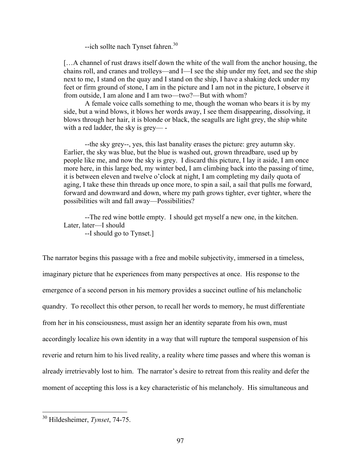--ich sollte nach Tynset fahren.<sup>30</sup>

[...A channel of rust draws itself down the white of the wall from the anchor housing, the chains roll, and cranes and trolleys—and I—I see the ship under my feet, and see the ship next to me, I stand on the quay and I stand on the ship, I have a shaking deck under my feet or firm ground of stone, I am in the picture and I am not in the picture, I observe it from outside, I am alone and I am two—two?—But with whom?

A female voice calls something to me, though the woman who bears it is by my side, but a wind blows, it blows her words away, I see them disappearing, dissolving, it blows through her hair, it is blonde or black, the seagulls are light grey, the ship white with a red ladder, the sky is grey—-

--the sky grey--, yes, this last banality erases the picture: grey autumn sky. Earlier, the sky was blue, but the blue is washed out, grown threadbare, used up by people like me, and now the sky is grey. I discard this picture, I lay it aside, I am once more here, in this large bed, my winter bed, I am climbing back into the passing of time, it is between eleven and twelve o'clock at night, I am completing my daily quota of aging, I take these thin threads up once more, to spin a sail, a sail that pulls me forward, forward and downward and down, where my path grows tighter, ever tighter, where the possibilities wilt and fall away—Possibilities?

--The red wine bottle empty. I should get myself a new one, in the kitchen. Later, later—I should --I should go to Tynset.]

The narrator begins this passage with a free and mobile subjectivity, immersed in a timeless, imaginary picture that he experiences from many perspectives at once. His response to the emergence of a second person in his memory provides a succinct outline of his melancholic quandry. To recollect this other person, to recall her words to memory, he must differentiate from her in his consciousness, must assign her an identity separate from his own, must accordingly localize his own identity in a way that will rupture the temporal suspension of his reverie and return him to his lived reality, a reality where time passes and where this woman is already irretrievably lost to him. The narrator's desire to retreat from this reality and defer the moment of accepting this loss is a key characteristic of his melancholy. His simultaneous and

30 Hildesheimer, *Tynset*, 74-75.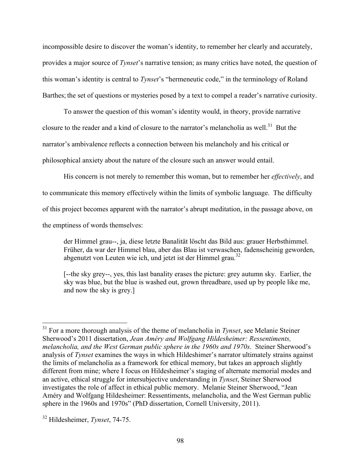incompossible desire to discover the woman's identity, to remember her clearly and accurately, provides a major source of *Tynset*'s narrative tension; as many critics have noted, the question of this woman's identity is central to *Tynset*'s "hermeneutic code," in the terminology of Roland Barthes; the set of questions or mysteries posed by a text to compel a reader's narrative curiosity.

To answer the question of this woman's identity would, in theory, provide narrative closure to the reader and a kind of closure to the narrator's melancholia as well.<sup>31</sup> But the narrator's ambivalence reflects a connection between his melancholy and his critical or philosophical anxiety about the nature of the closure such an answer would entail.

His concern is not merely to remember this woman, but to remember her *effectively*, and to communicate this memory effectively within the limits of symbolic language. The difficulty of this project becomes apparent with the narrator's abrupt meditation, in the passage above, on the emptiness of words themselves:

der Himmel grau--, ja, diese letzte Banalität löscht das Bild aus: grauer Herbsthimmel. Früher, da war der Himmel blau, aber das Blau ist verwaschen, fadenscheinig geworden, abgenutzt von Leuten wie ich, und jetzt ist der Himmel grau.<sup>32</sup>

[--the sky grey--, yes, this last banality erases the picture: grey autumn sky. Earlier, the sky was blue, but the blue is washed out, grown threadbare, used up by people like me, and now the sky is grey.]

31 For a more thorough analysis of the theme of melancholia in *Tynset*, see Melanie Steiner Sherwood's 2011 dissertation, *Jean Améry and Wolfgang Hildesheimer: Ressentiments, melancholia, and the West German public sphere in the 1960s and 1970s*. Steiner Sherwood's analysis of *Tynset* examines the ways in which Hildeshimer's narrator ultimately strains against the limits of melancholia as a framework for ethical memory, but takes an approach slightly different from mine; where I focus on Hildesheimer's staging of alternate memorial modes and an active, ethical struggle for intersubjective understanding in *Tynset*, Steiner Sherwood investigates the role of affect in ethical public memory. Melanie Steiner Sherwood, "Jean Améry and Wolfgang Hildesheimer: Ressentiments, melancholia, and the West German public sphere in the 1960s and 1970s" (PhD dissertation, Cornell University, 2011).

<sup>32</sup> Hildesheimer, *Tynset*, 74-75.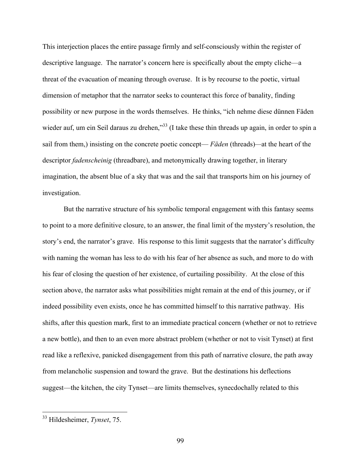This interjection places the entire passage firmly and self-consciously within the register of descriptive language. The narrator's concern here is specifically about the empty cliche—a threat of the evacuation of meaning through overuse. It is by recourse to the poetic, virtual dimension of metaphor that the narrator seeks to counteract this force of banality, finding possibility or new purpose in the words themselves. He thinks, "ich nehme diese dünnen Fäden wieder auf, um ein Seil daraus zu drehen,"<sup>33</sup> (I take these thin threads up again, in order to spin a sail from them,) insisting on the concrete poetic concept— *Fäden* (threads)*—*at the heart of the descriptor *fadenscheinig* (threadbare), and metonymically drawing together, in literary imagination, the absent blue of a sky that was and the sail that transports him on his journey of investigation.

But the narrative structure of his symbolic temporal engagement with this fantasy seems to point to a more definitive closure, to an answer, the final limit of the mystery's resolution, the story's end, the narrator's grave. His response to this limit suggests that the narrator's difficulty with naming the woman has less to do with his fear of her absence as such, and more to do with his fear of closing the question of her existence, of curtailing possibility. At the close of this section above, the narrator asks what possibilities might remain at the end of this journey, or if indeed possibility even exists, once he has committed himself to this narrative pathway. His shifts, after this question mark, first to an immediate practical concern (whether or not to retrieve a new bottle), and then to an even more abstract problem (whether or not to visit Tynset) at first read like a reflexive, panicked disengagement from this path of narrative closure, the path away from melancholic suspension and toward the grave. But the destinations his deflections suggest—the kitchen, the city Tynset—are limits themselves, synecdochally related to this

33 Hildesheimer, *Tynset*, 75.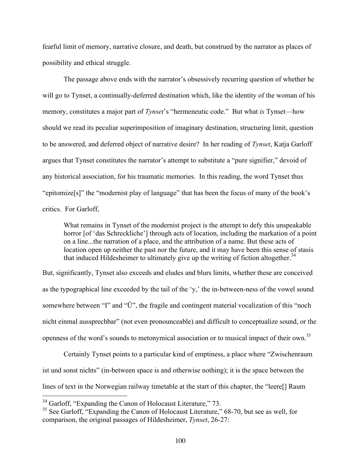fearful limit of memory, narrative closure, and death, but construed by the narrator as places of possibility and ethical struggle.

The passage above ends with the narrator's obsessively recurring question of whether he will go to Tynset, a continually-deferred destination which, like the identity of the woman of his memory, constitutes a major part of *Tynset*'s "hermeneutic code." But what *is* Tynset—how should we read its peculiar superimposition of imaginary destination, structuring limit, question to be answered, and deferred object of narrative desire? In her reading of *Tynset*, Katja Garloff argues that Tynset constitutes the narrator's attempt to substitute a "pure signifier," devoid of any historical association, for his traumatic memories. In this reading, the word Tynset thus "epitomize[s]" the "modernist play of language" that has been the focus of many of the book's critics. For Garloff,

What remains in Tynset of the modernist project is the attempt to defy this unspeakable horror [of 'das Schreckliche'] through acts of location, including the markation of a point on a line...the narration of a place, and the attribution of a name. But these acts of location open up neither the past nor the future, and it may have been this sense of stasis that induced Hildesheimer to ultimately give up the writing of fiction altogether.<sup>34</sup>

But, significantly, Tynset also exceeds and eludes and blurs limits, whether these are conceived as the typographical line exceeded by the tail of the 'y,' the in-between-ness of the vowel sound somewhere between "I" and "Ü", the fragile and contingent material vocalization of this "noch nicht einmal aussprechbar" (not even pronounceable) and difficult to conceptualize sound, or the openness of the word's sounds to metonymical association or to musical impact of their own.<sup>35</sup>

Certainly Tynset points to a particular kind of emptiness, a place where "Zwischenraum ist und sonst nichts" (in-between space is and otherwise nothing); it is the space between the lines of text in the Norwegian railway timetable at the start of this chapter, the "leere[] Raum

<sup>&</sup>lt;sup>34</sup> Garloff, "Expanding the Canon of Holocaust Literature," 73.

<sup>&</sup>lt;sup>35</sup> See Garloff, "Expanding the Canon of Holocaust Literature," 68-70, but see as well, for comparison, the original passages of Hildesheimer, *Tynset*, 26-27: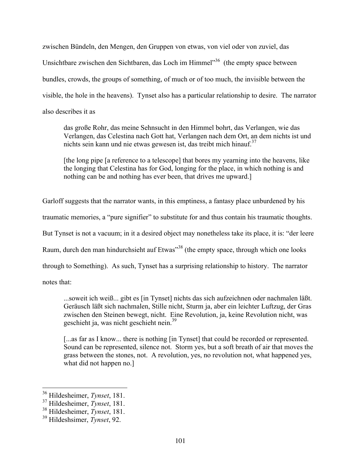zwischen Bündeln, den Mengen, den Gruppen von etwas, von viel oder von zuviel, das Unsichtbare zwischen den Sichtbaren, das Loch im Himmel<sup>356</sup> (the empty space between bundles, crowds, the groups of something, of much or of too much, the invisible between the visible, the hole in the heavens). Tynset also has a particular relationship to desire. The narrator also describes it as

das große Rohr, das meine Sehnsucht in den Himmel bohrt, das Verlangen, wie das Verlangen, das Celestina nach Gott hat, Verlangen nach dem Ort, an dem nichts ist und nichts sein kann und nie etwas gewesen ist, das treibt mich hinauf. 37

[the long pipe [a reference to a telescope] that bores my yearning into the heavens, like the longing that Celestina has for God, longing for the place, in which nothing is and nothing can be and nothing has ever been, that drives me upward.]

Garloff suggests that the narrator wants, in this emptiness, a fantasy place unburdened by his

traumatic memories, a "pure signifier" to substitute for and thus contain his traumatic thoughts.

But Tynset is not a vacuum; in it a desired object may nonetheless take its place, it is: "der leere

Raum, durch den man hindurchsieht auf Etwas<sup>38</sup> (the empty space, through which one looks

through to Something). As such, Tynset has a surprising relationship to history. The narrator

notes that:

...soweit ich weiß... gibt es [in Tynset] nichts das sich aufzeichnen oder nachmalen läßt. Geräusch läßt sich nachmalen, Stille nicht, Sturm ja, aber ein leichter Luftzug, der Gras zwischen den Steinen bewegt, nicht. Eine Revolution, ja, keine Revolution nicht, was geschieht ja, was nicht geschieht nein. 39

[...as far as I know... there is nothing [in Tynset] that could be recorded or represented. Sound can be represented, silence not. Storm yes, but a soft breath of air that moves the grass between the stones, not. A revolution, yes, no revolution not, what happened yes, what did not happen no.]

36 Hildesheimer, *Tynset*, 181.

<sup>37</sup> Hildesheimer, *Tynset*, 181.

<sup>38</sup> Hildesheimer, *Tynset*, 181.

<sup>39</sup> Hildeshsimer, *Tynset*, 92.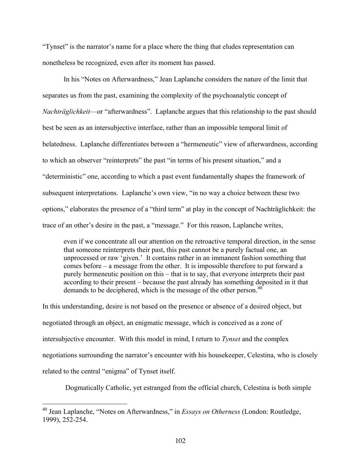"Tynset" is the narrator's name for a place where the thing that eludes representation can nonetheless be recognized, even after its moment has passed.

In his "Notes on Afterwardness," Jean Laplanche considers the nature of the limit that separates us from the past, examining the complexity of the psychoanalytic concept of *Nachträglichkeit*—or "afterwardness". Laplanche argues that this relationship to the past should best be seen as an intersubjective interface, rather than an impossible temporal limit of belatedness. Laplanche differentiates between a "hermeneutic" view of afterwardness, according to which an observer "reinterprets" the past "in terms of his present situation," and a "deterministic" one, according to which a past event fundamentally shapes the framework of subsequent interpretations. Laplanche's own view, "in no way a choice between these two options," elaborates the presence of a "third term" at play in the concept of Nachträglichkeit: the trace of an other's desire in the past, a "message." For this reason, Laplanche writes,

even if we concentrate all our attention on the retroactive temporal direction, in the sense that someone reinterprets their past, this past cannot be a purely factual one, an unprocessed or raw 'given.' It contains rather in an immanent fashion something that comes before – a message from the other. It is impossible therefore to put forward a purely hermeneutic position on this – that is to say, that everyone interprets their past according to their present – because the past already has something deposited in it that demands to be deciphered, which is the message of the other person.<sup>40</sup>

In this understanding, desire is not based on the presence or absence of a desired object, but negotiated through an object, an enigmatic message, which is conceived as a zone of intersubjective encounter. With this model in mind, I return to *Tynset* and the complex negotiations surrounding the narrator's encounter with his housekeeper, Celestina, who is closely related to the central "enigma" of Tynset itself.

Dogmatically Catholic, yet estranged from the official church, Celestina is both simple

40 Jean Laplanche, "Notes on Afterwardness," in *Essays on Otherness* (London: Routledge, 1999), 252-254.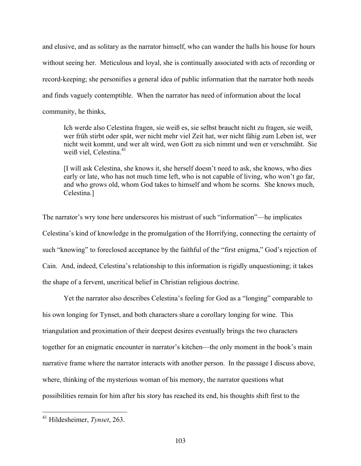and elusive, and as solitary as the narrator himself, who can wander the halls his house for hours without seeing her. Meticulous and loyal, she is continually associated with acts of recording or record-keeping; she personifies a general idea of public information that the narrator both needs and finds vaguely contemptible. When the narrator has need of information about the local community, he thinks,

Ich werde also Celestina fragen, sie weiß es, sie selbst braucht nicht zu fragen, sie weiß, wer früh stirbt oder spät, wer nicht mehr viel Zeit hat, wer nicht fähig zum Leben ist, wer nicht weit kommt, und wer alt wird, wen Gott zu sich nimmt und wen er verschmäht. Sie weiß viel, Celestina. 41

[I will ask Celestina, she knows it, she herself doesn't need to ask, she knows, who dies early or late, who has not much time left, who is not capable of living, who won't go far, and who grows old, whom God takes to himself and whom he scorns. She knows much, Celestina.]

The narrator's wry tone here underscores his mistrust of such "information"—he implicates Celestina's kind of knowledge in the promulgation of the Horrifying, connecting the certainty of such "knowing" to foreclosed acceptance by the faithful of the "first enigma," God's rejection of Cain. And, indeed, Celestina's relationship to this information is rigidly unquestioning; it takes the shape of a fervent, uncritical belief in Christian religious doctrine.

Yet the narrator also describes Celestina's feeling for God as a "longing" comparable to his own longing for Tynset, and both characters share a corollary longing for wine. This triangulation and proximation of their deepest desires eventually brings the two characters together for an enigmatic encounter in narrator's kitchen—the only moment in the book's main narrative frame where the narrator interacts with another person. In the passage I discuss above, where, thinking of the mysterious woman of his memory, the narrator questions what possibilities remain for him after his story has reached its end, his thoughts shift first to the

41 Hildesheimer, *Tynset*, 263.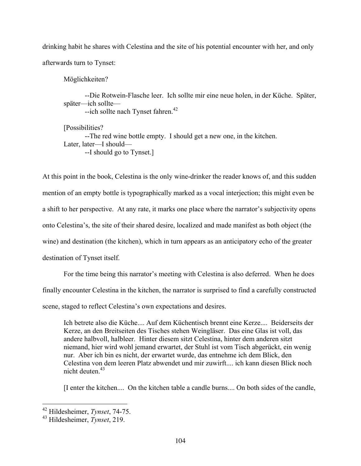drinking habit he shares with Celestina and the site of his potential encounter with her, and only afterwards turn to Tynset:

Möglichkeiten?

--Die Rotwein-Flasche leer. Ich sollte mir eine neue holen, in der Küche. Später, später—ich sollte— --ich sollte nach Tynset fahren.<sup>42</sup>

[Possibilities? --The red wine bottle empty. I should get a new one, in the kitchen. Later, later—I should— --I should go to Tynset.]

At this point in the book, Celestina is the only wine-drinker the reader knows of, and this sudden mention of an empty bottle is typographically marked as a vocal interjection; this might even be a shift to her perspective. At any rate, it marks one place where the narrator's subjectivity opens onto Celestina's, the site of their shared desire, localized and made manifest as both object (the wine) and destination (the kitchen), which in turn appears as an anticipatory echo of the greater destination of Tynset itself.

For the time being this narrator's meeting with Celestina is also deferred. When he does finally encounter Celestina in the kitchen, the narrator is surprised to find a carefully constructed scene, staged to reflect Celestina's own expectations and desires.

Ich betrete also die Küche.... Auf dem Küchentisch brennt eine Kerze.... Beiderseits der Kerze, an den Breitseiten des Tisches stehen Weingläser. Das eine Glas ist voll, das andere halbvoll, halbleer. Hinter diesem sitzt Celestina, hinter dem anderen sitzt niemand, hier wird wohl jemand erwartet, der Stuhl ist vom Tisch abgerückt, ein wenig nur. Aber ich bin es nicht, der erwartet wurde, das entnehme ich dem Blick, den Celestina von dem leeren Platz abwendet und mir zuwirft.... ich kann diesen Blick noch nicht deuten. 43

[I enter the kitchen.... On the kitchen table a candle burns.... On both sides of the candle,

42 Hildesheimer, *Tynset*, 74-75.

<sup>43</sup> Hildesheimer, *Tynset*, 219.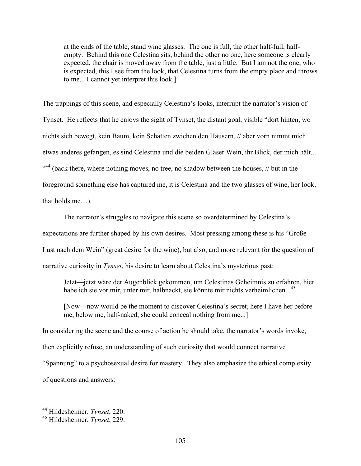at the ends of the table, stand wine glasses. The one is full, the other half-full, halfempty. Behind this one Celestina sits, behind the other no one, here someone is clearly expected, the chair is moved away from the table, just a little. But I am not the one, who is expected, this I see from the look, that Celestina turns from the empty place and throws to me... I cannot yet interpret this look.]

The trappings of this scene, and especially Celestina's looks, interrupt the narrator's vision of Tynset. He reflects that he enjoys the sight of Tynset, the distant goal, visible "dort hinten, wo nichts sich bewegt, kein Baum, kein Schatten zwichen den Häusern, // aber vorn nimmt mich etwas anderes gefangen, es sind Celestina und die beiden Gläser Wein, ihr Blick, der mich hält...  $444$  (back there, where nothing moves, no tree, no shadow between the houses,  $\frac{1}{10}$  but in the foreground something else has captured me, it is Celestina and the two glasses of wine, her look, that holds me…).

The narrator's struggles to navigate this scene so overdetermined by Celestina's expectations are further shaped by his own desires. Most pressing among these is his "Große Lust nach dem Wein" (great desire for the wine), but also, and more relevant for the question of narrative curiosity in *Tynset*, his desire to learn about Celestina's mysterious past:

Jetzt—jetzt wäre der Augenblick gekommen, um Celestinas Geheimnis zu erfahren, hier habe ich sie vor mir, unter mir, halbnackt, sie könnte mir nichts verheimlichen... 45

[Now—now would be the moment to discover Celestina's secret, here I have her before me, below me, half-naked, she could conceal nothing from me...]

In considering the scene and the course of action he should take, the narrator's words invoke, then explicitly refuse, an understanding of such curiosity that would connect narrative "Spannung" to a psychosexual desire for mastery. They also emphasize the ethical complexity of questions and answers:

44 Hildesheimer, *Tynset*, 220.

<sup>45</sup> Hildesheimer, *Tynset*, 229.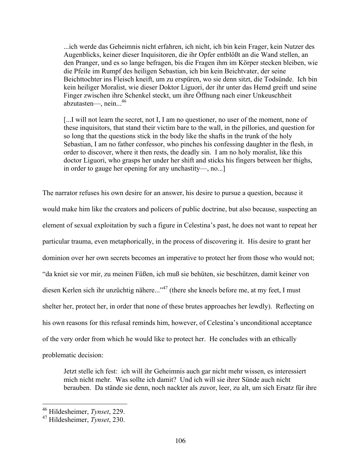...ich werde das Geheimnis nicht erfahren, ich nicht, ich bin kein Frager, kein Nutzer des Augenblicks, keiner dieser Inquisitoren, die ihr Opfer entblößt an die Wand stellen, an den Pranger, und es so lange befragen, bis die Fragen ihm im Körper stecken bleiben, wie die Pfeile im Rumpf des heiligen Sebastian, ich bin kein Beichtvater, der seine Beichttochter ins Fleisch kneift, um zu erspüren, wo sie denn sitzt, die Todsünde. Ich bin kein heiliger Moralist, wie dieser Doktor Liguori, der ihr unter das Hemd greift und seine Finger zwischen ihre Schenkel steckt, um ihre Öffnung nach einer Unkeuschheit abzutasten—, nein... 46

[...I will not learn the secret, not I, I am no questioner, no user of the moment, none of these inquisitors, that stand their victim bare to the wall, in the pillories, and question for so long that the questions stick in the body like the shafts in the trunk of the holy Sebastian, I am no father confessor, who pinches his confessing daughter in the flesh, in order to discover, where it then rests, the deadly sin. I am no holy moralist, like this doctor Liguori, who grasps her under her shift and sticks his fingers between her thighs, in order to gauge her opening for any unchastity—, no...]

The narrator refuses his own desire for an answer, his desire to pursue a question, because it would make him like the creators and policers of public doctrine, but also because, suspecting an element of sexual exploitation by such a figure in Celestina's past, he does not want to repeat her particular trauma, even metaphorically, in the process of discovering it. His desire to grant her dominion over her own secrets becomes an imperative to protect her from those who would not; "da kniet sie vor mir, zu meinen Füßen, ich muß sie behüten, sie beschützen, damit keiner von diesen Kerlen sich ihr unzüchtig nähere..."<sup>47</sup> (there she kneels before me, at my feet, I must shelter her, protect her, in order that none of these brutes approaches her lewdly). Reflecting on his own reasons for this refusal reminds him, however, of Celestina's unconditional acceptance of the very order from which he would like to protect her. He concludes with an ethically problematic decision:

Jetzt stelle ich fest: ich will ihr Geheimnis auch gar nicht mehr wissen, es interessiert mich nicht mehr. Was sollte ich damit? Und ich will sie ihrer Sünde auch nicht berauben. Da stände sie denn, noch nackter als zuvor, leer, zu alt, um sich Ersatz für ihre

46 Hildesheimer, *Tynset*, 229.

<sup>47</sup> Hildesheimer, *Tynset*, 230.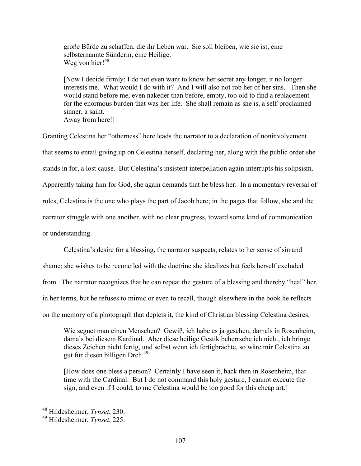große Bürde zu schaffen, die ihr Leben war. Sie soll bleiben, wie sie ist, eine selbsternannte Sünderin, eine Heilige. Weg von hier!<sup>48</sup>

[Now I decide firmly: I do not even want to know her secret any longer, it no longer interests me. What would I do with it? And I will also not rob her of her sins. Then she would stand before me, even nakeder than before, empty, too old to find a replacement for the enormous burden that was her life. She shall remain as she is, a self-proclaimed sinner, a saint.

Away from here!]

Granting Celestina her "otherness" here leads the narrator to a declaration of noninvolvement that seems to entail giving up on Celestina herself, declaring her, along with the public order she stands in for, a lost cause. But Celestina's insistent interpellation again interrupts his solipsism. Apparently taking him for God, she again demands that he bless her. In a momentary reversal of roles, Celestina is the one who plays the part of Jacob here; in the pages that follow, she and the narrator struggle with one another, with no clear progress, toward some kind of communication or understanding.

Celestina's desire for a blessing, the narrator suspects, relates to her sense of sin and

shame; she wishes to be reconciled with the doctrine she idealizes but feels herself excluded

from. The narrator recognizes that he can repeat the gesture of a blessing and thereby "heal" her,

in her terms, but he refuses to mimic or even to recall, though elsewhere in the book he reflects

on the memory of a photograph that depicts it, the kind of Christian blessing Celestina desires.

Wie segnet man einen Menschen? Gewiß, ich habe es ja gesehen, damals in Rosenheim, damals bei diesem Kardinal. Aber diese heilige Gestik beherrsche ich nicht, ich bringe dieses Zeichen nicht fertig, und selbst wenn ich fertigbrächte, so wäre mir Celestina zu gut für diesen billigen Dreh. 49

[How does one bless a person? Certainly I have seen it, back then in Rosenheim, that time with the Cardinal. But I do not command this holy gesture, I cannot execute the sign, and even if I could, to me Celestina would be too good for this cheap art.]

48 Hildesheimer, *Tynset*, 230.

<sup>49</sup> Hildesheimer, *Tynset*, 225.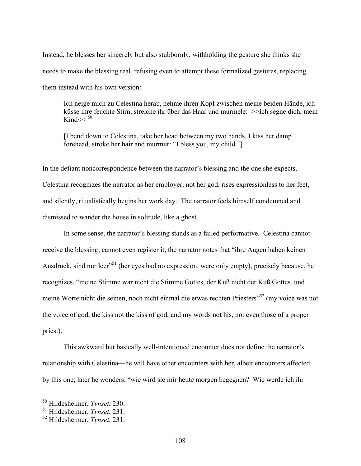Instead, he blesses her sincerely but also stubbornly, withholding the gesture she thinks she needs to make the blessing real, refusing even to attempt these formalized gestures, replacing them instead with his own version:

Ich neige mich zu Celestina herab, nehme ihren Kopf zwischen meine beiden Hände, ich küsse ihre feuchte Stirn, streiche ihr über das Haar und murmele: >>Ich segne dich, mein Kind $<<$ <sup>50</sup>

[I bend down to Celestina, take her head between my two hands, I kiss her damp forehead, stroke her hair and murmur: "I bless you, my child."]

In the defiant noncorrespondence between the narrator's blessing and the one she expects, Celestina recognizes the narrator as her employer, not her god, rises expressionless to her feet, and silently, ritualistically begins her work day. The narrator feels himself condemned and dismissed to wander the house in solitude, like a ghost.

In some sense, the narrator's blessing stands as a failed performative. Celestina cannot receive the blessing, cannot even register it, the narrator notes that "ihre Augen haben keinen Ausdruck, sind nur leer<sup>351</sup> (her eyes had no expression, were only empty), precisely because, he recognizes, "meine Stimme war nicht die Stimme Gottes, der Kuß nicht der Kuß Gottes, und meine Worte nicht die seinen, noch nicht einmal die etwas rechten Priesters<sup>"52</sup> (my voice was not the voice of god, the kiss not the kiss of god, and my words not his, not even those of a proper priest).

This awkward but basically well-intentioned encounter does not define the narrator's relationship with Celestina—he will have other encounters with her, albeit encounters affected by this one; later he wonders, "wie wird sie mir heute morgen begegnen? Wie werde ich ihr

50 Hildesheimer, *Tynset*, 230.

<sup>51</sup> Hildesheimer, *Tynset*, 231.

<sup>52</sup> Hildesheimer, *Tynset*, 231.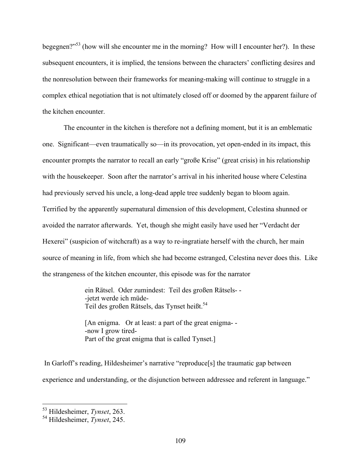begegnen?"<sup>53</sup> (how will she encounter me in the morning? How will I encounter her?). In these subsequent encounters, it is implied, the tensions between the characters' conflicting desires and the nonresolution between their frameworks for meaning-making will continue to struggle in a complex ethical negotiation that is not ultimately closed off or doomed by the apparent failure of the kitchen encounter.

The encounter in the kitchen is therefore not a defining moment, but it is an emblematic one. Significant—even traumatically so—in its provocation, yet open-ended in its impact, this encounter prompts the narrator to recall an early "große Krise" (great crisis) in his relationship with the housekeeper. Soon after the narrator's arrival in his inherited house where Celestina had previously served his uncle, a long-dead apple tree suddenly began to bloom again. Terrified by the apparently supernatural dimension of this development, Celestina shunned or avoided the narrator afterwards. Yet, though she might easily have used her "Verdacht der Hexerei" (suspicion of witchcraft) as a way to re-ingratiate herself with the church, her main source of meaning in life, from which she had become estranged, Celestina never does this. Like the strangeness of the kitchen encounter, this episode was for the narrator

> ein Rätsel. Oder zumindest: Teil des großen Rätsels- - -jetzt werde ich müde-Teil des großen Rätsels, das Tynset heißt. 54

[An enigma. Or at least: a part of the great enigma- - -now I grow tired-Part of the great enigma that is called Tynset.]

 In Garloff's reading, Hildesheimer's narrative "reproduce[s] the traumatic gap between experience and understanding, or the disjunction between addressee and referent in language."

53 Hildesheimer, *Tynset*, 263.

<sup>54</sup> Hildesheimer, *Tynset*, 245.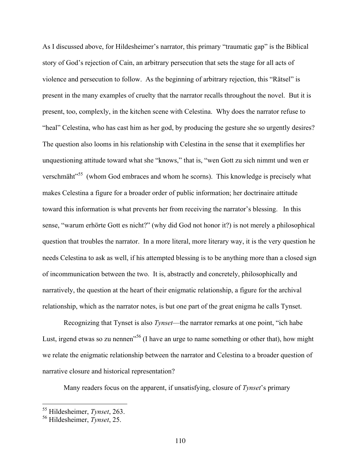As I discussed above, for Hildesheimer's narrator, this primary "traumatic gap" is the Biblical story of God's rejection of Cain, an arbitrary persecution that sets the stage for all acts of violence and persecution to follow. As the beginning of arbitrary rejection, this "Rätsel" is present in the many examples of cruelty that the narrator recalls throughout the novel. But it is present, too, complexly, in the kitchen scene with Celestina. Why does the narrator refuse to "heal" Celestina, who has cast him as her god, by producing the gesture she so urgently desires? The question also looms in his relationship with Celestina in the sense that it exemplifies her unquestioning attitude toward what she "knows," that is, "wen Gott zu sich nimmt und wen er verschmäht<sup>555</sup> (whom God embraces and whom he scorns). This knowledge is precisely what makes Celestina a figure for a broader order of public information; her doctrinaire attitude toward this information is what prevents her from receiving the narrator's blessing. In this sense, "warum erhörte Gott es nicht?" (why did God not honor it?) is not merely a philosophical question that troubles the narrator. In a more literal, more literary way, it is the very question he needs Celestina to ask as well, if his attempted blessing is to be anything more than a closed sign of incommunication between the two. It is, abstractly and concretely, philosophically and narratively, the question at the heart of their enigmatic relationship, a figure for the archival relationship, which as the narrator notes, is but one part of the great enigma he calls Tynset.

Recognizing that Tynset is also *Tynset*—the narrator remarks at one point, "ich habe Lust, irgend etwas so zu nennen<sup> $56$ </sup> (I have an urge to name something or other that), how might we relate the enigmatic relationship between the narrator and Celestina to a broader question of narrative closure and historical representation?

Many readers focus on the apparent, if unsatisfying, closure of *Tynset*'s primary

55 Hildesheimer, *Tynset*, 263.

<sup>56</sup> Hildesheimer, *Tynset*, 25.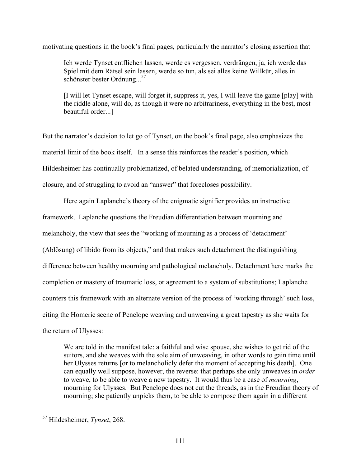motivating questions in the book's final pages, particularly the narrator's closing assertion that

Ich werde Tynset entfliehen lassen, werde es vergessen, verdrängen, ja, ich werde das Spiel mit dem Rätsel sein lassen, werde so tun, als sei alles keine Willkür, alles in schönster bester Ordnung... 57

[I will let Tynset escape, will forget it, suppress it, yes, I will leave the game [play] with the riddle alone, will do, as though it were no arbitrariness, everything in the best, most beautiful order...]

But the narrator's decision to let go of Tynset, on the book's final page, also emphasizes the material limit of the book itself. In a sense this reinforces the reader's position, which Hildesheimer has continually problematized, of belated understanding, of memorialization, of closure, and of struggling to avoid an "answer" that forecloses possibility.

Here again Laplanche's theory of the enigmatic signifier provides an instructive framework. Laplanche questions the Freudian differentiation between mourning and melancholy, the view that sees the "working of mourning as a process of 'detachment' (Ablösung) of libido from its objects," and that makes such detachment the distinguishing difference between healthy mourning and pathological melancholy. Detachment here marks the completion or mastery of traumatic loss, or agreement to a system of substitutions; Laplanche counters this framework with an alternate version of the process of 'working through' such loss, citing the Homeric scene of Penelope weaving and unweaving a great tapestry as she waits for the return of Ulysses:

We are told in the manifest tale: a faithful and wise spouse, she wishes to get rid of the suitors, and she weaves with the sole aim of unweaving, in other words to gain time until her Ulysses returns [or to melancholicly defer the moment of accepting his death]. One can equally well suppose, however, the reverse: that perhaps she only unweaves in *order* to weave, to be able to weave a new tapestry. It would thus be a case of *mourning*, mourning for Ulysses. But Penelope does not cut the threads, as in the Freudian theory of mourning; she patiently unpicks them, to be able to compose them again in a different

57 Hildesheimer, *Tynset*, 268.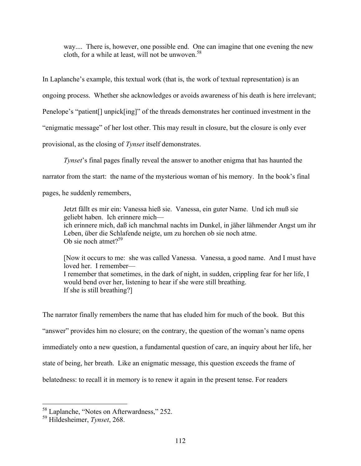way.... There is, however, one possible end. One can imagine that one evening the new cloth, for a while at least, will not be unwoven. 58

In Laplanche's example, this textual work (that is, the work of textual representation) is an ongoing process. Whether she acknowledges or avoids awareness of his death is here irrelevant; Penelope's "patient[] unpick[ing]" of the threads demonstrates her continued investment in the "enigmatic message" of her lost other. This may result in closure, but the closure is only ever provisional, as the closing of *Tynset* itself demonstrates.

*Tynset*'s final pages finally reveal the answer to another enigma that has haunted the narrator from the start: the name of the mysterious woman of his memory. In the book's final pages, he suddenly remembers,

Jetzt fällt es mir ein: Vanessa hieß sie. Vanessa, ein guter Name. Und ich muß sie geliebt haben. Ich erinnere mich ich erinnere mich, daß ich manchmal nachts im Dunkel, in jäher lähmender Angst um ihr Leben, über die Schlafende neigte, um zu horchen ob sie noch atme. Ob sie noch atmet? 59

[Now it occurs to me: she was called Vanessa. Vanessa, a good name. And I must have loved her. I remember— I remember that sometimes, in the dark of night, in sudden, crippling fear for her life, I would bend over her, listening to hear if she were still breathing. If she is still breathing?]

The narrator finally remembers the name that has eluded him for much of the book. But this "answer" provides him no closure; on the contrary, the question of the woman's name opens immediately onto a new question, a fundamental question of care, an inquiry about her life, her state of being, her breath. Like an enigmatic message, this question exceeds the frame of belatedness: to recall it in memory is to renew it again in the present tense. For readers

58 Laplanche, "Notes on Afterwardness," 252.

<sup>59</sup> Hildesheimer, *Tynset*, 268.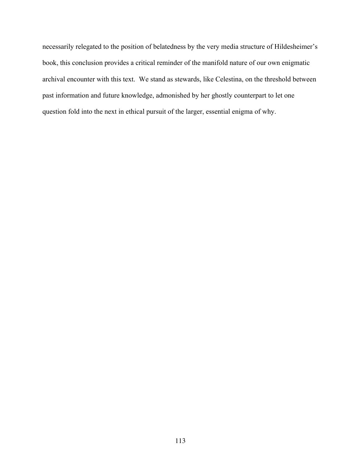necessarily relegated to the position of belatedness by the very media structure of Hildesheimer's book, this conclusion provides a critical reminder of the manifold nature of our own enigmatic archival encounter with this text. We stand as stewards, like Celestina, on the threshold between past information and future knowledge, admonished by her ghostly counterpart to let one question fold into the next in ethical pursuit of the larger, essential enigma of why.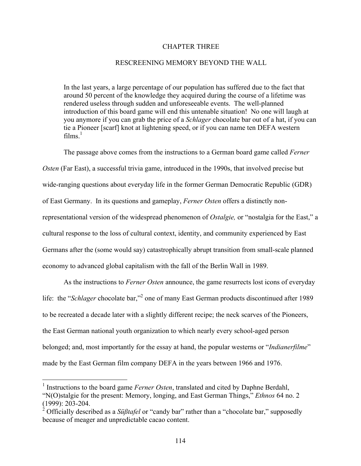## CHAPTER THREE

## RESCREENING MEMORY BEYOND THE WALL

In the last years, a large percentage of our population has suffered due to the fact that around 50 percent of the knowledge they acquired during the course of a lifetime was rendered useless through sudden and unforeseeable events. The well-planned introduction of this board game will end this untenable situation! No one will laugh at you anymore if you can grab the price of a *Schlager* chocolate bar out of a hat, if you can tie a Pioneer [scarf] knot at lightening speed, or if you can name ten DEFA western films. 1

The passage above comes from the instructions to a German board game called *Ferner Osten* (Far East), a successful trivia game, introduced in the 1990s, that involved precise but wide-ranging questions about everyday life in the former German Democratic Republic (GDR) of East Germany. In its questions and gameplay, *Ferner Osten* offers a distinctly nonrepresentational version of the widespread phenomenon of *Ostalgie,* or "nostalgia for the East," a cultural response to the loss of cultural context, identity, and community experienced by East Germans after the (some would say) catastrophically abrupt transition from small-scale planned economy to advanced global capitalism with the fall of the Berlin Wall in 1989.

As the instructions to *Ferner Osten* announce, the game resurrects lost icons of everyday life: the "*Schlager* chocolate bar,"<sup>2</sup> one of many East German products discontinued after 1989 to be recreated a decade later with a slightly different recipe; the neck scarves of the Pioneers, the East German national youth organization to which nearly every school-aged person belonged; and, most importantly for the essay at hand, the popular westerns or "*Indianerfilme*" made by the East German film company DEFA in the years between 1966 and 1976.

<sup>&</sup>lt;sup>1</sup> Instructions to the board game *Ferner Osten*, translated and cited by Daphne Berdahl, "N(O)stalgie for the present: Memory, longing, and East German Things," *Ethnos* 64 no. 2 (1999): 203-204.

<sup>&</sup>lt;sup>2</sup> Officially described as a *Süßtafel* or "candy bar" rather than a "chocolate bar," supposedly because of meager and unpredictable cacao content.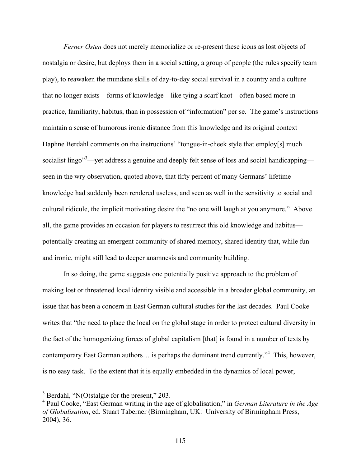*Ferner Osten* does not merely memorialize or re-present these icons as lost objects of nostalgia or desire, but deploys them in a social setting, a group of people (the rules specify team play), to reawaken the mundane skills of day-to-day social survival in a country and a culture that no longer exists—forms of knowledge—like tying a scarf knot—often based more in practice, familiarity, habitus, than in possession of "information" per se. The game's instructions maintain a sense of humorous ironic distance from this knowledge and its original context— Daphne Berdahl comments on the instructions' "tongue-in-cheek style that employ[s] much socialist lingo<sup>33</sup>—yet address a genuine and deeply felt sense of loss and social handicapping seen in the wry observation, quoted above, that fifty percent of many Germans' lifetime knowledge had suddenly been rendered useless, and seen as well in the sensitivity to social and cultural ridicule, the implicit motivating desire the "no one will laugh at you anymore." Above all, the game provides an occasion for players to resurrect this old knowledge and habitus potentially creating an emergent community of shared memory, shared identity that, while fun and ironic, might still lead to deeper anamnesis and community building.

In so doing, the game suggests one potentially positive approach to the problem of making lost or threatened local identity visible and accessible in a broader global community, an issue that has been a concern in East German cultural studies for the last decades. Paul Cooke writes that "the need to place the local on the global stage in order to protect cultural diversity in the fact of the homogenizing forces of global capitalism [that] is found in a number of texts by contemporary East German authors... is perhaps the dominant trend currently."<sup>4</sup> This, however, is no easy task. To the extent that it is equally embedded in the dynamics of local power,

<sup>&</sup>lt;sup>3</sup> Berdahl, "N(O)stalgie for the present," 203.

<sup>4</sup> Paul Cooke, "East German writing in the age of globalisation," in *German Literature in the Age of Globalisation*, ed. Stuart Taberner (Birmingham, UK: University of Birmingham Press, 2004), 36.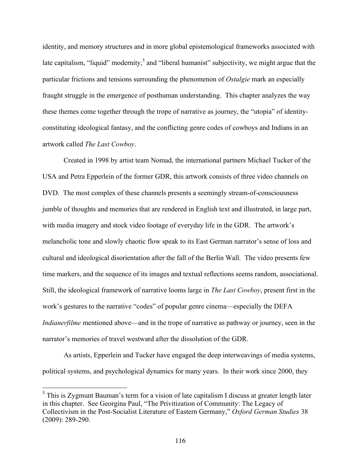identity, and memory structures and in more global epistemological frameworks associated with late capitalism, "liquid" modernity,  $\delta$  and "liberal humanist" subjectivity, we might argue that the particular frictions and tensions surrounding the phenomenon of *Ostalgie* mark an especially fraught struggle in the emergence of posthuman understanding. This chapter analyzes the way these themes come together through the trope of narrative as journey, the "utopia" of identityconstituting ideological fantasy, and the conflicting genre codes of cowboys and Indians in an artwork called *The Last Cowboy*.

Created in 1998 by artist team Nomad, the international partners Michael Tucker of the USA and Petra Epperlein of the former GDR, this artwork consists of three video channels on DVD. The most complex of these channels presents a seemingly stream-of-consciousness jumble of thoughts and memories that are rendered in English text and illustrated, in large part, with media imagery and stock video footage of everyday life in the GDR. The artwork's melancholic tone and slowly chaotic flow speak to its East German narrator's sense of loss and cultural and ideological disorientation after the fall of the Berlin Wall. The video presents few time markers, and the sequence of its images and textual reflections seems random, associational. Still, the ideological framework of narrative looms large in *The Last Cowboy*, present first in the work's gestures to the narrative "codes" of popular genre cinema—especially the DEFA *Indianerfilme* mentioned above—and in the trope of narrative as pathway or journey, seen in the narrator's memories of travel westward after the dissolution of the GDR.

As artists, Epperlein and Tucker have engaged the deep interweavings of media systems, political systems, and psychological dynamics for many years. In their work since 2000, they

<sup>&</sup>lt;sup>5</sup> This is Zygmunt Bauman's term for a vision of late capitalism I discuss at greater length later in this chapter. See Georgina Paul, "The Privitization of Community: The Legacy of Collectivism in the Post-Socialist Literature of Eastern Germany," *Oxford German Studies* 38 (2009): 289-290.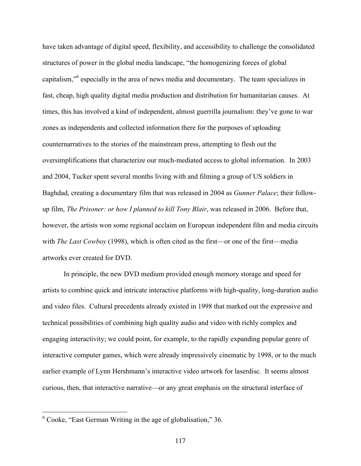have taken advantage of digital speed, flexibility, and accessibility to challenge the consolidated structures of power in the global media landscape, "the homogenizing forces of global capitalism,"<sup>6</sup> especially in the area of news media and documentary. The team specializes in fast, cheap, high quality digital media production and distribution for humanitarian causes. At times, this has involved a kind of independent, almost guerrilla journalism: they've gone to war zones as independents and collected information there for the purposes of uploading counternarratives to the stories of the mainstream press, attempting to flesh out the oversimplifications that characterize our much-mediated access to global information. In 2003 and 2004, Tucker spent several months living with and filming a group of US soldiers in Baghdad, creating a documentary film that was released in 2004 as *Gunner Palace*; their followup film, *The Prisoner: or how I planned to kill Tony Blair*, was released in 2006. Before that, however, the artists won some regional acclaim on European independent film and media circuits with *The Last Cowboy* (1998), which is often cited as the first—or one of the first—media artworks ever created for DVD.

In principle, the new DVD medium provided enough memory storage and speed for artists to combine quick and intricate interactive platforms with high-quality, long-duration audio and video files. Cultural precedents already existed in 1998 that marked out the expressive and technical possibilities of combining high quality audio and video with richly complex and engaging interactivity; we could point, for example, to the rapidly expanding popular genre of interactive computer games, which were already impressively cinematic by 1998, or to the much earlier example of Lynn Hershmann's interactive video artwork for laserdisc. It seems almost curious, then, that interactive narrative—or any great emphasis on the structural interface of

6 Cooke, "East German Writing in the age of globalisation," 36.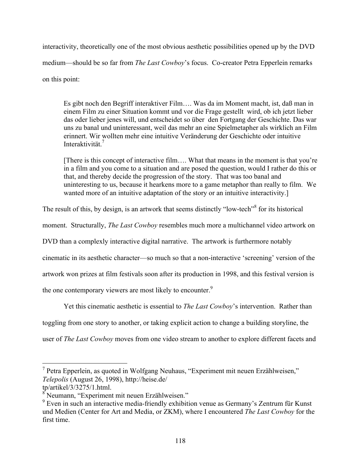interactivity, theoretically one of the most obvious aesthetic possibilities opened up by the DVD medium—should be so far from *The Last Cowboy*'s focus. Co-creator Petra Epperlein remarks on this point:

Es gibt noch den Begriff interaktiver Film…. Was da im Moment macht, ist, daß man in einem Film zu einer Situation kommt und vor die Frage gestellt wird, ob ich jetzt lieber das oder lieber jenes will, und entscheidet so über den Fortgang der Geschichte. Das war uns zu banal und uninteressant, weil das mehr an eine Spielmetapher als wirklich an Film erinnert. Wir wollten mehr eine intuitive Veränderung der Geschichte oder intuitive Interaktivität. 7

[There is this concept of interactive film…. What that means in the moment is that you're in a film and you come to a situation and are posed the question, would I rather do this or that, and thereby decide the progression of the story. That was too banal and uninteresting to us, because it hearkens more to a game metaphor than really to film. We wanted more of an intuitive adaptation of the story or an intuitive interactivity.

The result of this, by design, is an artwork that seems distinctly "low-tech"<sup>8</sup> for its historical

moment. Structurally, *The Last Cowboy* resembles much more a multichannel video artwork on

DVD than a complexly interactive digital narrative. The artwork is furthermore notably

cinematic in its aesthetic character—so much so that a non-interactive 'screening' version of the

artwork won prizes at film festivals soon after its production in 1998, and this festival version is

the one contemporary viewers are most likely to encounter.<sup>9</sup>

Yet this cinematic aesthetic is essential to *The Last Cowboy*'s intervention. Rather than

toggling from one story to another, or taking explicit action to change a building storyline, the

user of *The Last Cowboy* moves from one video stream to another to explore different facets and

7 Petra Epperlein, as quoted in Wolfgang Neuhaus, "Experiment mit neuen Erzählweisen," *Telepolis* (August 26, 1998), http://heise.de/

tp/artikel/3/3275/1.html.

<sup>&</sup>lt;sup>8</sup> Neumann, "Experiment mit neuen Erzählweisen."

 $9^9$  Even in such an interactive media-friendly exhibition venue as Germany's Zentrum für Kunst und Medien (Center for Art and Media, or ZKM), where I encountered *The Last Cowboy* for the first time.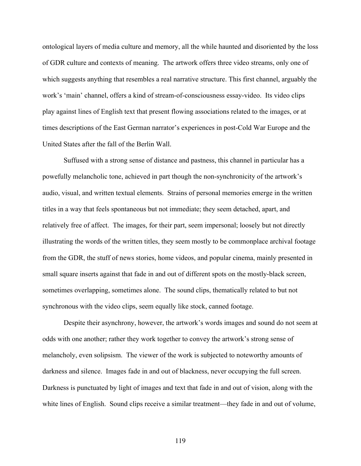ontological layers of media culture and memory, all the while haunted and disoriented by the loss of GDR culture and contexts of meaning. The artwork offers three video streams, only one of which suggests anything that resembles a real narrative structure. This first channel, arguably the work's 'main' channel, offers a kind of stream-of-consciousness essay-video. Its video clips play against lines of English text that present flowing associations related to the images, or at times descriptions of the East German narrator's experiences in post-Cold War Europe and the United States after the fall of the Berlin Wall.

Suffused with a strong sense of distance and pastness, this channel in particular has a powefully melancholic tone, achieved in part though the non-synchronicity of the artwork's audio, visual, and written textual elements. Strains of personal memories emerge in the written titles in a way that feels spontaneous but not immediate; they seem detached, apart, and relatively free of affect. The images, for their part, seem impersonal; loosely but not directly illustrating the words of the written titles, they seem mostly to be commonplace archival footage from the GDR, the stuff of news stories, home videos, and popular cinema, mainly presented in small square inserts against that fade in and out of different spots on the mostly-black screen, sometimes overlapping, sometimes alone. The sound clips, thematically related to but not synchronous with the video clips, seem equally like stock, canned footage.

Despite their asynchrony, however, the artwork's words images and sound do not seem at odds with one another; rather they work together to convey the artwork's strong sense of melancholy, even solipsism. The viewer of the work is subjected to noteworthy amounts of darkness and silence. Images fade in and out of blackness, never occupying the full screen. Darkness is punctuated by light of images and text that fade in and out of vision, along with the white lines of English. Sound clips receive a similar treatment—they fade in and out of volume,

119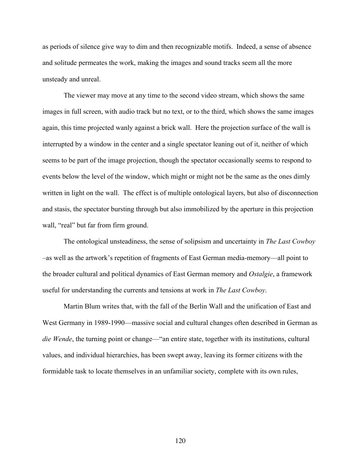as periods of silence give way to dim and then recognizable motifs. Indeed, a sense of absence and solitude permeates the work, making the images and sound tracks seem all the more unsteady and unreal.

The viewer may move at any time to the second video stream, which shows the same images in full screen, with audio track but no text, or to the third, which shows the same images again, this time projected wanly against a brick wall. Here the projection surface of the wall is interrupted by a window in the center and a single spectator leaning out of it, neither of which seems to be part of the image projection, though the spectator occasionally seems to respond to events below the level of the window, which might or might not be the same as the ones dimly written in light on the wall. The effect is of multiple ontological layers, but also of disconnection and stasis, the spectator bursting through but also immobilized by the aperture in this projection wall, "real" but far from firm ground.

The ontological unsteadiness, the sense of solipsism and uncertainty in *The Last Cowboy* –as well as the artwork's repetition of fragments of East German media-memory—all point to the broader cultural and political dynamics of East German memory and *Ostalgie*, a framework useful for understanding the currents and tensions at work in *The Last Cowboy*.

Martin Blum writes that, with the fall of the Berlin Wall and the unification of East and West Germany in 1989-1990—massive social and cultural changes often described in German as *die Wende*, the turning point or change—"an entire state, together with its institutions, cultural values, and individual hierarchies, has been swept away, leaving its former citizens with the formidable task to locate themselves in an unfamiliar society, complete with its own rules,

120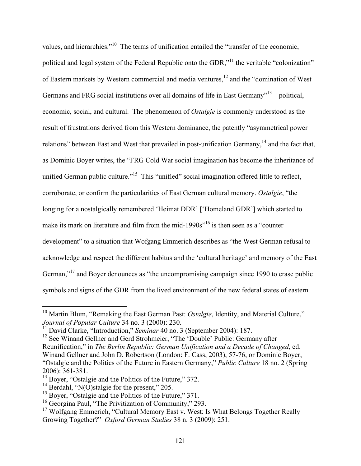values, and hierarchies."<sup>10</sup> The terms of unification entailed the "transfer of the economic, political and legal system of the Federal Republic onto the GDR,"<sup>11</sup> the veritable "colonization" of Eastern markets by Western commercial and media ventures,<sup>12</sup> and the "domination of West" Germans and FRG social institutions over all domains of life in East Germany<sup>"13</sup>—political, economic, social, and cultural. The phenomenon of *Ostalgie* is commonly understood as the result of frustrations derived from this Western dominance, the patently "asymmetrical power relations" between East and West that prevailed in post-unification Germany,  $14$  and the fact that, as Dominic Boyer writes, the "FRG Cold War social imagination has become the inheritance of unified German public culture."<sup>15</sup> This "unified" social imagination offered little to reflect, corroborate, or confirm the particularities of East German cultural memory. *Ostalgie*, "the longing for a nostalgically remembered 'Heimat DDR' ['Homeland GDR'] which started to make its mark on literature and film from the mid-1990s<sup>"16</sup> is then seen as a "counter" development" to a situation that Wofgang Emmerich describes as "the West German refusal to acknowledge and respect the different habitus and the 'cultural heritage' and memory of the East German,"<sup>17</sup> and Boyer denounces as "the uncompromising campaign since 1990 to erase public symbols and signs of the GDR from the lived environment of the new federal states of eastern

<sup>&</sup>lt;sup>10</sup> Martin Blum, "Remaking the East German Past: *Ostalgie*, Identity, and Material Culture," *Journal of Popular Culture* 34 no. 3 (2000): 230.

<sup>11</sup> David Clarke, "Introduction," *Seminar* 40 no. 3 (September 2004): 187.

<sup>&</sup>lt;sup>12</sup> See Winand Gellner and Gerd Strohmeier, "The 'Double' Public: Germany after Reunification," in *The Berlin Republic: German Unification and a Decade of Changed*, ed. Winand Gellner and John D. Robertson (London: F. Cass, 2003), 57-76, or Dominic Boyer, "Ostalgie and the Politics of the Future in Eastern Germany," *Public Culture* 18 no. 2 (Spring 2006): 361-381.

<sup>&</sup>lt;sup>13</sup> Boyer, "Ostalgie and the Politics of the Future," 372.

<sup>&</sup>lt;sup>14</sup> Berdahl, "N(O)stalgie for the present," 205.

<sup>&</sup>lt;sup>15</sup> Boyer, "Ostalgie and the Politics of the Future," 371.

<sup>&</sup>lt;sup>16</sup> Georgina Paul, "The Privitization of Community," 293.

<sup>&</sup>lt;sup>17</sup> Wolfgang Emmerich, "Cultural Memory East v. West: Is What Belongs Together Really Growing Together?" *Oxford German Studies* 38 n. 3 (2009): 251.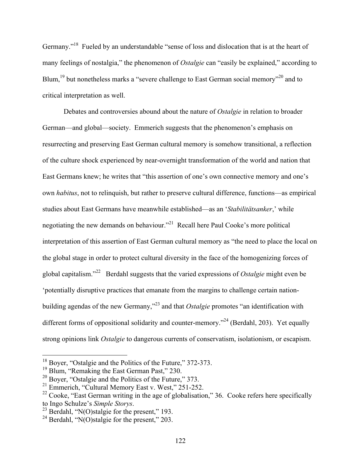Germany."<sup>18</sup> Fueled by an understandable "sense of loss and dislocation that is at the heart of many feelings of nostalgia," the phenomenon of *Ostalgie* can "easily be explained," according to Blum, <sup>19</sup> but nonetheless marks a "severe challenge to East German social memory"<sup>20</sup> and to critical interpretation as well.

Debates and controversies abound about the nature of *Ostalgie* in relation to broader German—and global—society. Emmerich suggests that the phenomenon's emphasis on resurrecting and preserving East German cultural memory is somehow transitional, a reflection of the culture shock experienced by near-overnight transformation of the world and nation that East Germans knew; he writes that "this assertion of one's own connective memory and one's own *habitus*, not to relinquish, but rather to preserve cultural difference, functions—as empirical studies about East Germans have meanwhile established—as an '*Stabilitätsanker*,' while negotiating the new demands on behaviour.<sup>221</sup> Recall here Paul Cooke's more political interpretation of this assertion of East German cultural memory as "the need to place the local on the global stage in order to protect cultural diversity in the face of the homogenizing forces of global capitalism." 22 Berdahl suggests that the varied expressions of *Ostalgie* might even be 'potentially disruptive practices that emanate from the margins to challenge certain nationbuilding agendas of the new Germany," 23 and that *Ostalgie* promotes "an identification with different forms of oppositional solidarity and counter-memory."<sup>24</sup> (Berdahl, 203). Yet equally strong opinions link *Ostalgie* to dangerous currents of conservatism, isolationism, or escapism.

<sup>&</sup>lt;sup>18</sup> Boyer, "Ostalgie and the Politics of the Future," 372-373.

<sup>&</sup>lt;sup>19</sup> Blum, "Remaking the East German Past," 230.

<sup>&</sup>lt;sup>20</sup> Boyer, "Ostalgie and the Politics of the Future," 373.

 $21$  Emmerich, "Cultural Memory East v. West," 251-252.

<sup>&</sup>lt;sup>22</sup> Cooke, "East German writing in the age of globalisation," 36. Cooke refers here specifically to Ingo Schulze's *Simple Storys*.

<sup>&</sup>lt;sup>23</sup> Berdahl, "N(O)stalgie for the present," 193.

<sup>&</sup>lt;sup>24</sup> Berdahl, "N(O)stalgie for the present," 203.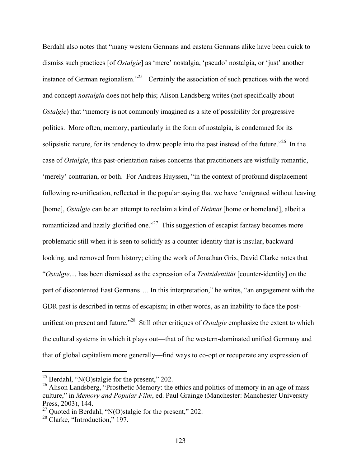Berdahl also notes that "many western Germans and eastern Germans alike have been quick to dismiss such practices [of *Ostalgie*] as 'mere' nostalgia, 'pseudo' nostalgia, or 'just' another instance of German regionalism."<sup>25</sup> Certainly the association of such practices with the word and concept *nostalgia* does not help this; Alison Landsberg writes (not specifically about *Ostalgie*) that "memory is not commonly imagined as a site of possibility for progressive politics. More often, memory, particularly in the form of nostalgia, is condemned for its solipsistic nature, for its tendency to draw people into the past instead of the future.<sup> $26$ </sup> In the case of *Ostalgie*, this past-orientation raises concerns that practitioners are wistfully romantic, 'merely' contrarian, or both. For Andreas Huyssen, "in the context of profound displacement following re-unification, reflected in the popular saying that we have 'emigrated without leaving [home], *Ostalgie* can be an attempt to reclaim a kind of *Heimat* [home or homeland], albeit a romanticized and hazily glorified one.<sup> $27$ </sup> This suggestion of escapist fantasy becomes more problematic still when it is seen to solidify as a counter-identity that is insular, backwardlooking, and removed from history; citing the work of Jonathan Grix, David Clarke notes that "*Ostalgie*… has been dismissed as the expression of a *Trotzidentität* [counter-identity] on the part of discontented East Germans…. In this interpretation," he writes, "an engagement with the GDR past is described in terms of escapism; in other words, as an inability to face the postunification present and future."<sup>28</sup> Still other critiques of *Ostalgie* emphasize the extent to which the cultural systems in which it plays out—that of the western-dominated unified Germany and that of global capitalism more generally—find ways to co-opt or recuperate any expression of

<sup>&</sup>lt;sup>25</sup> Berdahl, "N(O)stalgie for the present," 202.

<sup>&</sup>lt;sup>26</sup> Alison Landsberg, "Prosthetic Memory: the ethics and politics of memory in an age of mass culture," in *Memory and Popular Film*, ed. Paul Grainge (Manchester: Manchester University Press, 2003), 144.

<sup>&</sup>lt;sup>27</sup> Quoted in Berdahl, "N(O)stalgie for the present," 202.

<sup>&</sup>lt;sup>28</sup> Clarke, "Introduction," 197.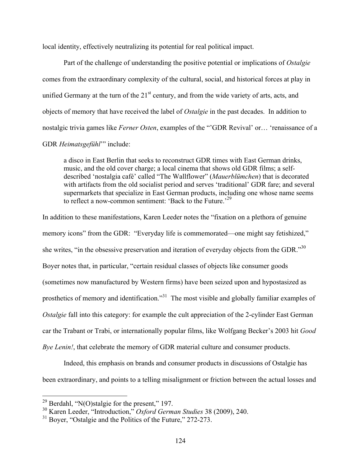local identity, effectively neutralizing its potential for real political impact.

Part of the challenge of understanding the positive potential or implications of *Ostalgie* comes from the extraordinary complexity of the cultural, social, and historical forces at play in unified Germany at the turn of the  $21<sup>st</sup>$  century, and from the wide variety of arts, acts, and objects of memory that have received the label of *Ostalgie* in the past decades. In addition to nostalgic trivia games like *Ferner Osten*, examples of the "'GDR Revival' or… 'renaissance of a GDR *Heimatsgefühl*'" include:

a disco in East Berlin that seeks to reconstruct GDR times with East German drinks, music, and the old cover charge; a local cinema that shows old GDR films; a selfdescribed 'nostalgia café' called "The Wallflower" (*Mauerblümchen*) that is decorated with artifacts from the old socialist period and serves 'traditional' GDR fare; and several supermarkets that specialize in East German products, including one whose name seems to reflect a now-common sentiment: 'Back to the Future.'<sup>29</sup>

In addition to these manifestations, Karen Leeder notes the "fixation on a plethora of genuine memory icons" from the GDR: "Everyday life is commemorated—one might say fetishized," she writes, "in the obsessive preservation and iteration of everyday objects from the GDR."  $30$ Boyer notes that, in particular, "certain residual classes of objects like consumer goods (sometimes now manufactured by Western firms) have been seized upon and hypostasized as prosthetics of memory and identification.<sup>331</sup> The most visible and globally familiar examples of *Ostalgie* fall into this category: for example the cult appreciation of the 2-cylinder East German car the Trabant or Trabi, or internationally popular films, like Wolfgang Becker's 2003 hit *Good Bye Lenin!*, that celebrate the memory of GDR material culture and consumer products.

Indeed, this emphasis on brands and consumer products in discussions of Ostalgie has been extraordinary, and points to a telling misalignment or friction between the actual losses and

<sup>&</sup>lt;sup>29</sup> Berdahl, "N(O)stalgie for the present," 197.

<sup>30</sup> Karen Leeder, "Introduction," *Oxford German Studies* 38 (2009), 240.

<sup>&</sup>lt;sup>31</sup> Boyer, "Ostalgie and the Politics of the Future," 272-273.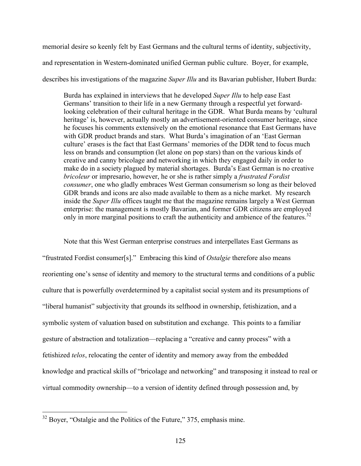memorial desire so keenly felt by East Germans and the cultural terms of identity, subjectivity,

and representation in Western-dominated unified German public culture. Boyer, for example,

describes his investigations of the magazine *Super Illu* and its Bavarian publisher, Hubert Burda:

Burda has explained in interviews that he developed *Super Illu* to help ease East Germans' transition to their life in a new Germany through a respectful yet forwardlooking celebration of their cultural heritage in the GDR. What Burda means by 'cultural heritage' is, however, actually mostly an advertisement-oriented consumer heritage, since he focuses his comments extensively on the emotional resonance that East Germans have with GDR product brands and stars. What Burda's imagination of an 'East German culture' erases is the fact that East Germans' memories of the DDR tend to focus much less on brands and consumption (let alone on pop stars) than on the various kinds of creative and canny bricolage and networking in which they engaged daily in order to make do in a society plagued by material shortages. Burda's East German is no creative *bricoleur* or impresario, however, he or she is rather simply a *frustrated Fordist consumer*, one who gladly embraces West German consumerism so long as their beloved GDR brands and icons are also made available to them as a niche market. My research inside the *Super Illu* offices taught me that the magazine remains largely a West German enterprise: the management is mostly Bavarian, and former GDR citizens are employed only in more marginal positions to craft the authenticity and ambience of the features.<sup>32</sup>

Note that this West German enterprise construes and interpellates East Germans as "frustrated Fordist consumer[s]." Embracing this kind of *Ostalgie* therefore also means reorienting one's sense of identity and memory to the structural terms and conditions of a public culture that is powerfully overdetermined by a capitalist social system and its presumptions of "liberal humanist" subjectivity that grounds its selfhood in ownership, fetishization, and a symbolic system of valuation based on substitution and exchange. This points to a familiar gesture of abstraction and totalization—replacing a "creative and canny process" with a fetishized *telos*, relocating the center of identity and memory away from the embedded knowledge and practical skills of "bricolage and networking" and transposing it instead to real or virtual commodity ownership—to a version of identity defined through possession and, by

<sup>&</sup>lt;sup>32</sup> Boyer, "Ostalgie and the Politics of the Future," 375, emphasis mine.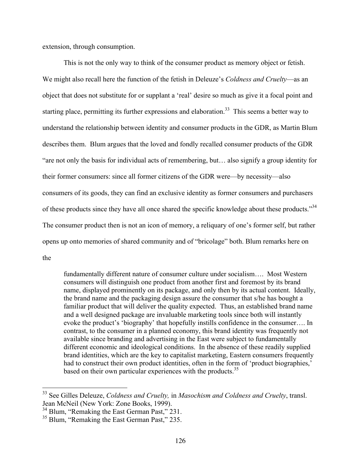extension, through consumption.

This is not the only way to think of the consumer product as memory object or fetish. We might also recall here the function of the fetish in Deleuze's *Coldness and Cruelty*—as an object that does not substitute for or supplant a 'real' desire so much as give it a focal point and starting place, permitting its further expressions and elaboration.<sup>33</sup> This seems a better way to understand the relationship between identity and consumer products in the GDR, as Martin Blum describes them. Blum argues that the loved and fondly recalled consumer products of the GDR "are not only the basis for individual acts of remembering, but… also signify a group identity for their former consumers: since all former citizens of the GDR were—by necessity—also consumers of its goods, they can find an exclusive identity as former consumers and purchasers of these products since they have all once shared the specific knowledge about these products."<sup>34</sup> The consumer product then is not an icon of memory, a reliquary of one's former self, but rather opens up onto memories of shared community and of "bricolage" both. Blum remarks here on the

fundamentally different nature of consumer culture under socialism…. Most Western consumers will distinguish one product from another first and foremost by its brand name, displayed prominently on its package, and only then by its actual content. Ideally, the brand name and the packaging design assure the consumer that s/he has bought a familiar product that will deliver the quality expected. Thus, an established brand name and a well designed package are invaluable marketing tools since both will instantly evoke the product's 'biography' that hopefully instills confidence in the consumer…. In contrast, to the consumer in a planned economy, this brand identity was frequently not available since branding and advertising in the East were subject to fundamentally different economic and ideological conditions. In the absence of these readily supplied brand identities, which are the key to capitalist marketing, Eastern consumers frequently had to construct their own product identities, often in the form of 'product biographies,' based on their own particular experiences with the products.<sup>35</sup>

33 See Gilles Deleuze, *Coldness and Cruelty,* in *Masochism and Coldness and Cruelty*, transl. Jean McNeil (New York: Zone Books, 1999).

<sup>&</sup>lt;sup>34</sup> Blum, "Remaking the East German Past," 231.

<sup>&</sup>lt;sup>35</sup> Blum, "Remaking the East German Past," 235.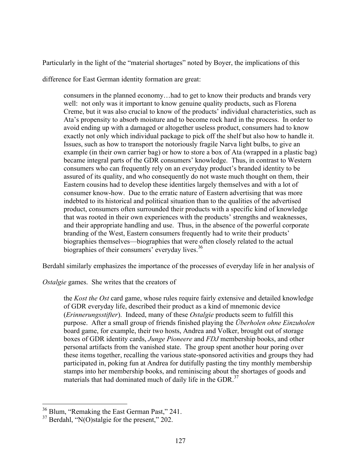Particularly in the light of the "material shortages" noted by Boyer, the implications of this

difference for East German identity formation are great:

consumers in the planned economy…had to get to know their products and brands very well: not only was it important to know genuine quality products, such as Florena Creme, but it was also crucial to know of the products' individual characteristics, such as Ata's propensity to absorb moisture and to become rock hard in the process. In order to avoid ending up with a damaged or altogether useless product, consumers had to know exactly not only which individual package to pick off the shelf but also how to handle it. Issues, such as how to transport the notoriously fragile Narva light bulbs, to give an example (in their own carrier bag) or how to store a box of Ata (wrapped in a plastic bag) became integral parts of the GDR consumers' knowledge. Thus, in contrast to Western consumers who can frequently rely on an everyday product's branded identity to be assured of its quality, and who consequently do not waste much thought on them, their Eastern cousins had to develop these identities largely themselves and with a lot of consumer know-how. Due to the erratic nature of Eastern advertising that was more indebted to its historical and political situation than to the qualities of the advertised product, consumers often surrounded their products with a specific kind of knowledge that was rooted in their own experiences with the products' strengths and weaknesses, and their appropriate handling and use. Thus, in the absence of the powerful corporate branding of the West, Eastern consumers frequently had to write their products' biographies themselves—biographies that were often closely related to the actual biographies of their consumers' everyday lives.<sup>36</sup>

Berdahl similarly emphasizes the importance of the processes of everyday life in her analysis of

*Ostalgie* games. She writes that the creators of

the *Kost the Ost* card game, whose rules require fairly extensive and detailed knowledge of GDR everyday life, described their product as a kind of mnemonic device (*Erinnerungsstifter*). Indeed, many of these *Ostalgie* products seem to fulfill this purpose. After a small group of friends finished playing the *Überholen ohne Einzuholen* board game, for example, their two hosts, Andrea and Volker, brought out of storage boxes of GDR identity cards, *Junge Pioneere* and *FDJ* membership books, and other personal artifacts from the vanished state. The group spent another hour poring over these items together, recalling the various state-sponsored activities and groups they had participated in, poking fun at Andrea for dutifully pasting the tiny monthly membership stamps into her membership books, and reminiscing about the shortages of goods and materials that had dominated much of daily life in the GDR.<sup>37</sup>

<sup>&</sup>lt;sup>36</sup> Blum, "Remaking the East German Past," 241.

<sup>&</sup>lt;sup>37</sup> Berdahl, "N(O)stalgie for the present," 202.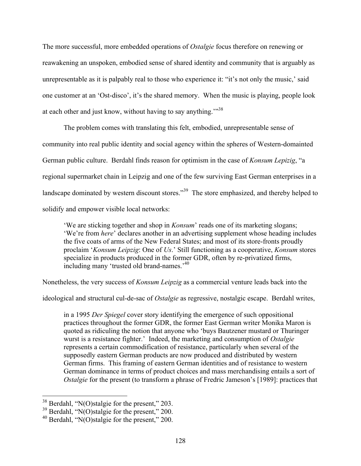The more successful, more embedded operations of *Ostalgie* focus therefore on renewing or reawakening an unspoken, embodied sense of shared identity and community that is arguably as unrepresentable as it is palpably real to those who experience it: "it's not only the music,' said one customer at an 'Ost-disco', it's the shared memory. When the music is playing, people look at each other and just know, without having to say anything."<sup>38</sup>

The problem comes with translating this felt, embodied, unrepresentable sense of community into real public identity and social agency within the spheres of Western-domainted German public culture. Berdahl finds reason for optimism in the case of *Konsum Lepizig*, "a regional supermarket chain in Leipzig and one of the few surviving East German enterprises in a landscape dominated by western discount stores."<sup>39</sup> The store emphasized, and thereby helped to solidify and empower visible local networks:

'We are sticking together and shop in *Konsum*' reads one of its marketing slogans; 'We're from *here*' declares another in an advertising supplement whose heading includes the five coats of arms of the New Federal States; and most of its store-fronts proudly proclaim '*Konsum Leipzig*: One of *Us*.' Still functioning as a cooperative, *Konsum* stores specialize in products produced in the former GDR, often by re-privatized firms, including many 'trusted old brand-names.' 40

Nonetheless, the very success of *Konsum Leipzig* as a commercial venture leads back into the

ideological and structural cul-de-sac of *Ostalgie* as regressive, nostalgic escape. Berdahl writes,

in a 1995 *Der Spiegel* cover story identifying the emergence of such oppositional practices throughout the former GDR, the former East German writer Monika Maron is quoted as ridiculing the notion that anyone who 'buys Bautzener mustard or Thuringer wurst is a resistance fighter.' Indeed, the marketing and consumption of *Ostalgie* represents a certain commodification of resistance, particularly when several of the supposedly eastern German products are now produced and distributed by western German firms. This framing of eastern German identities and of resistance to western German dominance in terms of product choices and mass merchandising entails a sort of *Ostalgie* for the present (to transform a phrase of Fredric Jameson's [1989]: practices that

38 Berdahl, "N(O)stalgie for the present," 203.

<sup>&</sup>lt;sup>39</sup> Berdahl, "N(O)stalgie for the present," 200.

<sup>40</sup> Berdahl, "N(O)stalgie for the present," 200.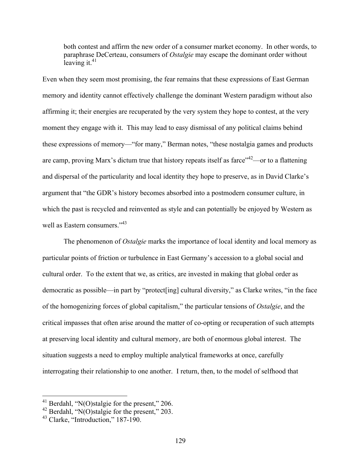both contest and affirm the new order of a consumer market economy. In other words, to paraphrase DeCerteau, consumers of *Ostalgie* may escape the dominant order without leaving it.<sup>41</sup>

Even when they seem most promising, the fear remains that these expressions of East German memory and identity cannot effectively challenge the dominant Western paradigm without also affirming it; their energies are recuperated by the very system they hope to contest, at the very moment they engage with it. This may lead to easy dismissal of any political claims behind these expressions of memory—"for many," Berman notes, "these nostalgia games and products are camp, proving Marx's dictum true that history repeats itself as farce" $42$ —or to a flattening and dispersal of the particularity and local identity they hope to preserve, as in David Clarke's argument that "the GDR's history becomes absorbed into a postmodern consumer culture, in which the past is recycled and reinvented as style and can potentially be enjoyed by Western as well as Eastern consumers."<sup>43</sup>

The phenomenon of *Ostalgie* marks the importance of local identity and local memory as particular points of friction or turbulence in East Germany's accession to a global social and cultural order. To the extent that we, as critics, are invested in making that global order as democratic as possible—in part by "protect[ing] cultural diversity," as Clarke writes, "in the face of the homogenizing forces of global capitalism," the particular tensions of *Ostalgie*, and the critical impasses that often arise around the matter of co-opting or recuperation of such attempts at preserving local identity and cultural memory, are both of enormous global interest. The situation suggests a need to employ multiple analytical frameworks at once, carefully interrogating their relationship to one another. I return, then, to the model of selfhood that

<sup>&</sup>lt;sup>41</sup> Berdahl, "N(O)stalgie for the present," 206.

 $42$  Berdahl, "N(O)stalgie for the present," 203.

<sup>&</sup>lt;sup>43</sup> Clarke, "Introduction," 187-190.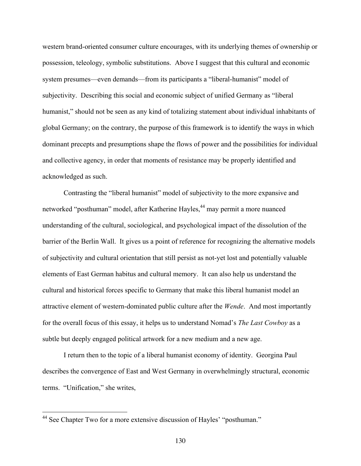western brand-oriented consumer culture encourages, with its underlying themes of ownership or possession, teleology, symbolic substitutions. Above I suggest that this cultural and economic system presumes—even demands—from its participants a "liberal-humanist" model of subjectivity. Describing this social and economic subject of unified Germany as "liberal humanist," should not be seen as any kind of totalizing statement about individual inhabitants of global Germany; on the contrary, the purpose of this framework is to identify the ways in which dominant precepts and presumptions shape the flows of power and the possibilities for individual and collective agency, in order that moments of resistance may be properly identified and acknowledged as such.

Contrasting the "liberal humanist" model of subjectivity to the more expansive and networked "posthuman" model, after Katherine Hayles, 44 may permit a more nuanced understanding of the cultural, sociological, and psychological impact of the dissolution of the barrier of the Berlin Wall. It gives us a point of reference for recognizing the alternative models of subjectivity and cultural orientation that still persist as not-yet lost and potentially valuable elements of East German habitus and cultural memory. It can also help us understand the cultural and historical forces specific to Germany that make this liberal humanist model an attractive element of western-dominated public culture after the *Wende*. And most importantly for the overall focus of this essay, it helps us to understand Nomad's *The Last Cowboy* as a subtle but deeply engaged political artwork for a new medium and a new age.

I return then to the topic of a liberal humanist economy of identity. Georgina Paul describes the convergence of East and West Germany in overwhelmingly structural, economic terms. "Unification," she writes,

<sup>&</sup>lt;sup>44</sup> See Chapter Two for a more extensive discussion of Hayles' "posthuman."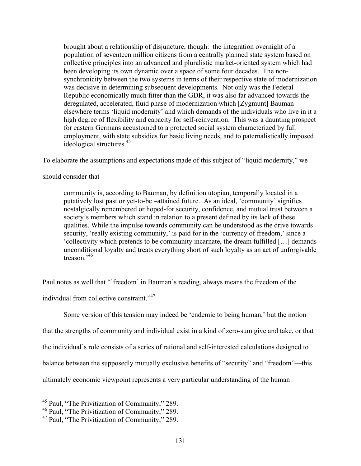brought about a relationship of disjuncture, though: the integration overnight of a population of seventeen million citizens from a centrally planned state system based on collective principles into an advanced and pluralistic market-oriented system which had been developing its own dynamic over a space of some four decades. The nonsynchronicity between the two systems in terms of their respective state of modernization was decisive in determining subsequent developments. Not only was the Federal Republic economically much fitter than the GDR, it was also far advanced towards the deregulated, accelerated, fluid phase of modernization which [Zygmunt] Bauman elsewhere terms 'liquid modernity' and which demands of the individuals who live in it a high degree of flexibility and capacity for self-reinvention. This was a daunting prospect for eastern Germans accustomed to a protected social system characterized by full employment, with state subsidies for basic living needs, and to paternalistically imposed ideological structures. 45

To elaborate the assumptions and expectations made of this subject of "liquid modernity," we

## should consider that

community is, according to Bauman, by definition utopian, temporally located in a putatively lost past or yet-to-be –attained future. As an ideal, 'community' signifies nostalgically remembered or hoped-for security, confidence, and mutual trust between a society's members which stand in relation to a present defined by its lack of these qualities. While the impulse towards community can be understood as the drive towards security, 'really existing community,' is paid for in the 'currency of freedom,' since a 'collectivity which pretends to be community incarnate, the dream fulfilled […] demands unconditional loyalty and treats everything short of such loyalty as an act of unforgivable treason.' 46

Paul notes as well that "'freedom' in Bauman's reading, always means the freedom of the

individual from collective constraint."<sup>47</sup>

Some version of this tension may indeed be 'endemic to being human,' but the notion that the strengths of community and individual exist in a kind of zero-sum give and take, or that the individual's role consists of a series of rational and self-interested calculations designed to balance between the supposedly mutually exclusive benefits of "security" and "freedom"—this ultimately economic viewpoint represents a very particular understanding of the human

45 Paul, "The Privitization of Community," 289.

<sup>46</sup> Paul, "The Privitization of Community," 289.

<sup>47</sup> Paul, "The Privitization of Community," 289.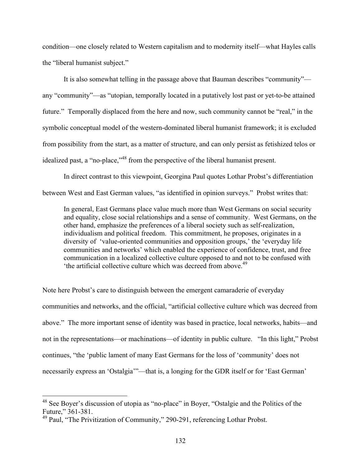condition—one closely related to Western capitalism and to modernity itself—what Hayles calls the "liberal humanist subject."

It is also somewhat telling in the passage above that Bauman describes "community" any "community"—as "utopian, temporally located in a putatively lost past or yet-to-be attained future." Temporally displaced from the here and now, such community cannot be "real," in the symbolic conceptual model of the western-dominated liberal humanist framework; it is excluded from possibility from the start, as a matter of structure, and can only persist as fetishized telos or idealized past, a "no-place,"<sup>48</sup> from the perspective of the liberal humanist present.

In direct contrast to this viewpoint, Georgina Paul quotes Lothar Probst's differentiation between West and East German values, "as identified in opinion surveys." Probst writes that:

In general, East Germans place value much more than West Germans on social security and equality, close social relationships and a sense of community. West Germans, on the other hand, emphasize the preferences of a liberal society such as self-realization, individualism and political freedom. This commitment, he proposes, originates in a diversity of 'value-oriented communities and opposition groups,' the 'everyday life communities and networks' which enabled the experience of confidence, trust, and free communication in a localized collective culture opposed to and not to be confused with 'the artificial collective culture which was decreed from above.<sup>49</sup>

Note here Probst's care to distinguish between the emergent camaraderie of everyday communities and networks, and the official, "artificial collective culture which was decreed from above." The more important sense of identity was based in practice, local networks, habits—and not in the representations—or machinations—of identity in public culture. "In this light," Probst continues, "the 'public lament of many East Germans for the loss of 'community' does not necessarily express an 'Ostalgia'"—that is, a longing for the GDR itself or for 'East German'

48 See Boyer's discussion of utopia as "no-place" in Boyer, "Ostalgie and the Politics of the Future," 361-381.

<sup>49</sup> Paul, "The Privitization of Community," 290-291, referencing Lothar Probst.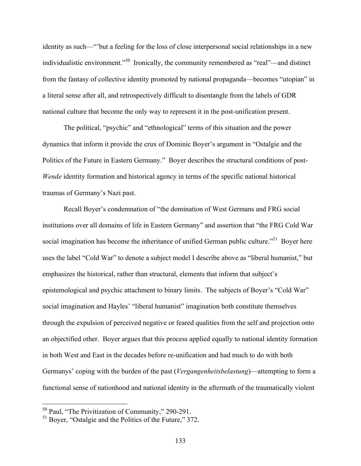identity as such—"'but a feeling for the loss of close interpersonal social relationships in a new individualistic environment."<sup>50</sup> Ironically, the community remembered as "real"—and distinct from the fantasy of collective identity promoted by national propaganda—becomes "utopian" in a literal sense after all, and retrospectively difficult to disentangle from the labels of GDR national culture that become the only way to represent it in the post-unification present.

The political, "psychic" and "ethnological" terms of this situation and the power dynamics that inform it provide the crux of Dominic Boyer's argument in "Ostalgie and the Politics of the Future in Eastern Germany." Boyer describes the structural conditions of post-*Wende* identity formation and historical agency in terms of the specific national historical traumas of Germany's Nazi past.

Recall Boyer's condemnation of "the domination of West Germans and FRG social institutions over all domains of life in Eastern Germany" and assertion that "the FRG Cold War social imagination has become the inheritance of unified German public culture."<sup>51</sup> Boyer here uses the label "Cold War" to denote a subject model I describe above as "liberal humanist," but emphasizes the historical, rather than structural, elements that inform that subject's epistemological and psychic attachment to binary limits. The subjects of Boyer's "Cold War" social imagination and Hayles' "liberal humanist" imagination both constitute themselves through the expulsion of perceived negative or feared qualities from the self and projection onto an objectified other. Boyer argues that this process applied equally to national identity formation in both West and East in the decades before re-unification and had much to do with both Germanys' coping with the burden of the past (*Vergangenheitsbelastung*)—attempting to form a functional sense of nationhood and national identity in the aftermath of the traumatically violent

50 Paul, "The Privitization of Community," 290-291.

<sup>51</sup> Boyer, "Ostalgie and the Politics of the Future," 372.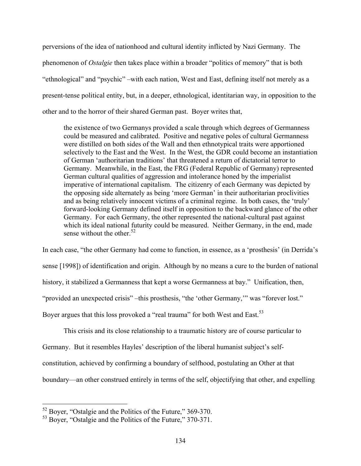perversions of the idea of nationhood and cultural identity inflicted by Nazi Germany. The phenomenon of *Ostalgie* then takes place within a broader "politics of memory" that is both "ethnological" and "psychic" –with each nation, West and East, defining itself not merely as a present-tense political entity, but, in a deeper, ethnological, identitarian way, in opposition to the other and to the horror of their shared German past. Boyer writes that,

the existence of two Germanys provided a scale through which degrees of Germanness could be measured and calibrated. Positive and negative poles of cultural Germanness were distilled on both sides of the Wall and then ethnotypical traits were apportioned selectively to the East and the West. In the West, the GDR could become an instantiation of German 'authoritarian traditions' that threatened a return of dictatorial terror to Germany. Meanwhile, in the East, the FRG (Federal Republic of Germany) represented German cultural qualities of aggression and intolerance honed by the imperialist imperative of international capitalism. The citizenry of each Germany was depicted by the opposing side alternately as being 'more German' in their authoritarian proclivities and as being relatively innocent victims of a criminal regime. In both cases, the 'truly' forward-looking Germany defined itself in opposition to the backward glance of the other Germany. For each Germany, the other represented the national-cultural past against which its ideal national futurity could be measured. Neither Germany, in the end, made sense without the other. 52

In each case, "the other Germany had come to function, in essence, as a 'prosthesis' (in Derrida's sense [1998]) of identification and origin. Although by no means a cure to the burden of national history, it stabilized a Germanness that kept a worse Germanness at bay." Unification, then, "provided an unexpected crisis" –this prosthesis, "the 'other Germany,'" was "forever lost." Boyer argues that this loss provoked a "real trauma" for both West and East.<sup>53</sup>

This crisis and its close relationship to a traumatic history are of course particular to

Germany. But it resembles Hayles' description of the liberal humanist subject's self-

constitution, achieved by confirming a boundary of selfhood, postulating an Other at that

boundary—an other construed entirely in terms of the self, objectifying that other, and expelling

<sup>&</sup>lt;sup>52</sup> Boyer, "Ostalgie and the Politics of the Future," 369-370.

<sup>&</sup>lt;sup>53</sup> Boyer, "Ostalgie and the Politics of the Future," 370-371.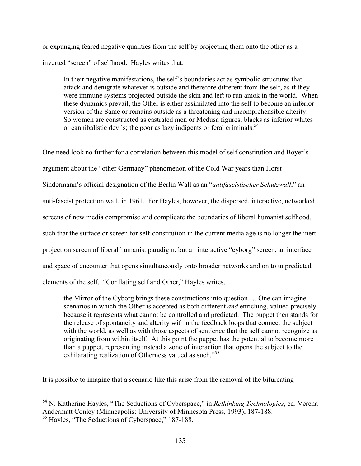or expunging feared negative qualities from the self by projecting them onto the other as a inverted "screen" of selfhood. Hayles writes that:

In their negative manifestations, the self's boundaries act as symbolic structures that attack and denigrate whatever is outside and therefore different from the self, as if they were immune systems projected outside the skin and left to run amok in the world. When these dynamics prevail, the Other is either assimilated into the self to become an inferior version of the Same or remains outside as a threatening and incomprehensible alterity. So women are constructed as castrated men or Medusa figures; blacks as inferior whites or cannibalistic devils; the poor as lazy indigents or feral criminals.<sup>54</sup>

One need look no further for a correlation between this model of self constitution and Boyer's argument about the "other Germany" phenomenon of the Cold War years than Horst Sindermann's official designation of the Berlin Wall as an "*antifascistischer Schutzwall*," an anti-fascist protection wall, in 1961. For Hayles, however, the dispersed, interactive, networked screens of new media compromise and complicate the boundaries of liberal humanist selfhood, such that the surface or screen for self-constitution in the current media age is no longer the inert projection screen of liberal humanist paradigm, but an interactive "cyborg" screen, an interface and space of encounter that opens simultaneously onto broader networks and on to unpredicted elements of the self. "Conflating self and Other," Hayles writes,

the Mirror of the Cyborg brings these constructions into question…. One can imagine scenarios in which the Other is accepted as both different *and* enriching, valued precisely because it represents what cannot be controlled and predicted. The puppet then stands for the release of spontaneity and alterity within the feedback loops that connect the subject with the world, as well as with those aspects of sentience that the self cannot recognize as originating from within itself. At this point the puppet has the potential to become more than a puppet, representing instead a zone of interaction that opens the subject to the exhilarating realization of Otherness valued as such."<sup>55</sup>

It is possible to imagine that a scenario like this arise from the removal of the bifurcating

54 N. Katherine Hayles, "The Seductions of Cyberspace," in *Rethinking Technologies*, ed. Verena Andermatt Conley (Minneapolis: University of Minnesota Press, 1993), 187-188.

<sup>&</sup>lt;sup>55</sup> Hayles, "The Seductions of Cyberspace," 187-188.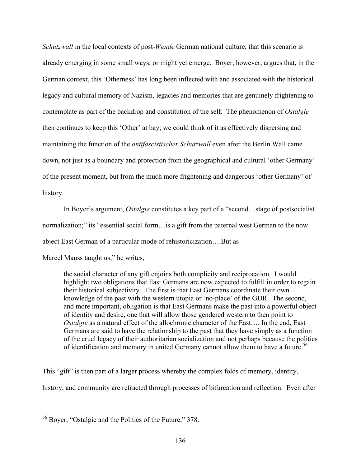*Schutzwall* in the local contexts of post-*Wende* German national culture, that this scenario is already emerging in some small ways, or might yet emerge. Boyer, however, argues that, in the German context, this 'Otherness' has long been inflected with and associated with the historical legacy and cultural memory of Nazism, legacies and memories that are genuinely frightening to contemplate as part of the backdrop and constitution of the self. The phenomenon of *Ostalgie* then continues to keep this 'Other' at bay; we could think of it as effectively dispersing and maintaining the function of the *antifascistischer Schutzwall* even after the Berlin Wall came down, not just as a boundary and protection from the geographical and cultural 'other Germany' of the present moment, but from the much more frightening and dangerous 'other Germany' of history.

In Boyer's argument, *Ostalgie* constitutes a key part of a "second…stage of postsocialist normalization;" its "essential social form…is a gift from the paternal west German to the now abject East German of a particular mode of rehistoricization….But as

Marcel Mauss taught us," he writes,

the social character of any gift enjoins both complicity and reciprocation. I would highlight two obligations that East Germans are now expected to fulfill in order to regain their historical subjectivity. The first is that East Germans coordinate their own knowledge of the past with the western utopia or 'no-place' of the GDR. The second, and more important, obligation is that East Germans make the past into a powerful object of identity and desire, one that will allow those gendered western to then point to *Ostalgie* as a natural effect of the allochronic character of the East…. In the end, East Germans are said to have the relationship to the past that they have simply as a function of the cruel legacy of their authoritarian socialization and not perhaps because the politics of identification and memory in united Germany cannot allow them to have a future.<sup>56</sup>

This "gift" is then part of a larger process whereby the complex folds of memory, identity, history, and community are refracted through processes of bifurcation and reflection. Even after

56 Boyer, "Ostalgie and the Politics of the Future," 378.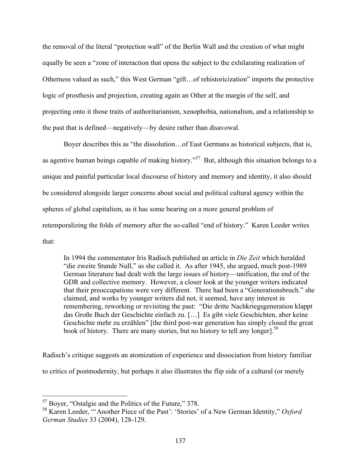the removal of the literal "protection wall" of the Berlin Wall and the creation of what might equally be seen a "zone of interaction that opens the subject to the exhilarating realization of Otherness valued as such," this West German "gift…of rehistoricization" imports the protective logic of prosthesis and projection, creating again an Other at the margin of the self, and projecting onto it those traits of authoritarianism, xenophobia, nationalism, and a relationship to the past that is defined—negatively—by desire rather than disavowal.

Boyer describes this as "the dissolution…of East Germans as historical subjects, that is, as agentive human beings capable of making history."<sup>57</sup> But, although this situation belongs to a unique and painful particular local discourse of history and memory and identity, it also should be considered alongside larger concerns about social and political cultural agency within the spheres of global capitalism, as it has some bearing on a more general problem of retemporalizing the folds of memory after the so-called "end of history." Karen Leeder writes that:

In 1994 the commentator Iris Radisch published an article in *Die Zeit* which heralded "die zweite Stunde Null," as she called it. As after 1945, she argued, much post-1989 German literature had dealt with the large issues of history—unification, the end of the GDR and collective memory. However, a closer look at the younger writers indicated that their preoccupations were very different. There had been a "Generationsbruch." she claimed, and works by younger writers did not, it seemed, have any interest in remembering, reworking or revisiting the past: "Die dritte Nachkriegsgeneration klappt das Große Buch der Geschichte einfach zu. […] Es gibt viele Geschichten, aber keine Geschichte mehr zu erzählen" [the third post-war generation has simply closed the great book of history. There are many stories, but no history to tell any longer].<sup>58</sup>

Radisch's critique suggests an atomization of experience and dissociation from history familiar to critics of postmodernity, but perhaps it also illustrates the flip side of a cultural (or merely

57 Boyer, "Ostalgie and the Politics of the Future," 378.

<sup>58</sup> Karen Leeder, "'Another Piece of the Past': 'Stories' of a New German Identity," *Oxford German Studies* 33 (2004), 128-129.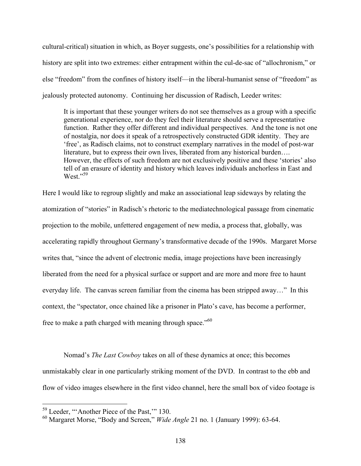cultural-critical) situation in which, as Boyer suggests, one's possibilities for a relationship with history are split into two extremes: either entrapment within the cul-de-sac of "allochronism," or else "freedom" from the confines of history itself—in the liberal-humanist sense of "freedom" as jealously protected autonomy. Continuing her discussion of Radisch, Leeder writes:

It is important that these younger writers do not see themselves as a group with a specific generational experience, nor do they feel their literature should serve a representative function. Rather they offer different and individual perspectives. And the tone is not one of nostalgia, nor does it speak of a retrospectively constructed GDR identity. They are 'free', as Radisch claims, not to construct exemplary narratives in the model of post-war literature, but to express their own lives, liberated from any historical burden…. However, the effects of such freedom are not exclusively positive and these 'stories' also tell of an erasure of identity and history which leaves individuals anchorless in East and West." 59

Here I would like to regroup slightly and make an associational leap sideways by relating the atomization of "stories" in Radisch's rhetoric to the mediatechnological passage from cinematic projection to the mobile, unfettered engagement of new media, a process that, globally, was accelerating rapidly throughout Germany's transformative decade of the 1990s. Margaret Morse writes that, "since the advent of electronic media, image projections have been increasingly liberated from the need for a physical surface or support and are more and more free to haunt everyday life. The canvas screen familiar from the cinema has been stripped away…" In this context, the "spectator, once chained like a prisoner in Plato's cave, has become a performer, free to make a path charged with meaning through space."<sup>60</sup>

Nomad's *The Last Cowboy* takes on all of these dynamics at once; this becomes unmistakably clear in one particularly striking moment of the DVD. In contrast to the ebb and flow of video images elsewhere in the first video channel, here the small box of video footage is

59 Leeder, "'Another Piece of the Past,'" 130.

<sup>60</sup> Margaret Morse, "Body and Screen," *Wide Angle* 21 no. 1 (January 1999): 63-64.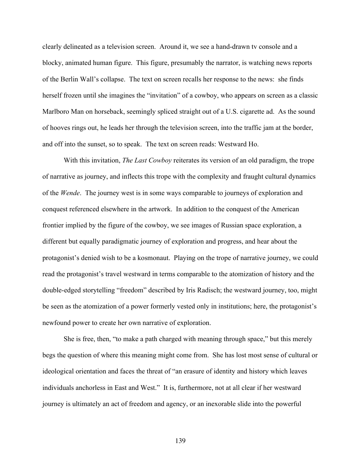clearly delineated as a television screen. Around it, we see a hand-drawn tv console and a blocky, animated human figure. This figure, presumably the narrator, is watching news reports of the Berlin Wall's collapse. The text on screen recalls her response to the news: she finds herself frozen until she imagines the "invitation" of a cowboy, who appears on screen as a classic Marlboro Man on horseback, seemingly spliced straight out of a U.S. cigarette ad. As the sound of hooves rings out, he leads her through the television screen, into the traffic jam at the border, and off into the sunset, so to speak. The text on screen reads: Westward Ho.

With this invitation, *The Last Cowboy* reiterates its version of an old paradigm, the trope of narrative as journey, and inflects this trope with the complexity and fraught cultural dynamics of the *Wende*. The journey west is in some ways comparable to journeys of exploration and conquest referenced elsewhere in the artwork. In addition to the conquest of the American frontier implied by the figure of the cowboy, we see images of Russian space exploration, a different but equally paradigmatic journey of exploration and progress, and hear about the protagonist's denied wish to be a kosmonaut. Playing on the trope of narrative journey, we could read the protagonist's travel westward in terms comparable to the atomization of history and the double-edged storytelling "freedom" described by Iris Radisch; the westward journey, too, might be seen as the atomization of a power formerly vested only in institutions; here, the protagonist's newfound power to create her own narrative of exploration.

She is free, then, "to make a path charged with meaning through space," but this merely begs the question of where this meaning might come from. She has lost most sense of cultural or ideological orientation and faces the threat of "an erasure of identity and history which leaves individuals anchorless in East and West." It is, furthermore, not at all clear if her westward journey is ultimately an act of freedom and agency, or an inexorable slide into the powerful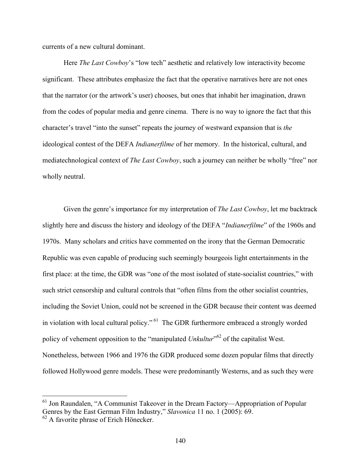currents of a new cultural dominant.

Here *The Last Cowboy*'s "low tech" aesthetic and relatively low interactivity become significant. These attributes emphasize the fact that the operative narratives here are not ones that the narrator (or the artwork's user) chooses, but ones that inhabit her imagination, drawn from the codes of popular media and genre cinema. There is no way to ignore the fact that this character's travel "into the sunset" repeats the journey of westward expansion that is *the* ideological contest of the DEFA *Indianerfilme* of her memory. In the historical, cultural, and mediatechnological context of *The Last Cowboy*, such a journey can neither be wholly "free" nor wholly neutral.

Given the genre's importance for my interpretation of *The Last Cowboy*, let me backtrack slightly here and discuss the history and ideology of the DEFA "*Indianerfilme*" of the 1960s and 1970s. Many scholars and critics have commented on the irony that the German Democratic Republic was even capable of producing such seemingly bourgeois light entertainments in the first place: at the time, the GDR was "one of the most isolated of state-socialist countries," with such strict censorship and cultural controls that "often films from the other socialist countries, including the Soviet Union, could not be screened in the GDR because their content was deemed in violation with local cultural policy." 61 The GDR furthermore embraced a strongly worded policy of vehement opposition to the "manipulated *Unkultur*"<sup>62</sup> of the capitalist West. Nonetheless, between 1966 and 1976 the GDR produced some dozen popular films that directly followed Hollywood genre models. These were predominantly Westerns, and as such they were

61 Jon Raundalen, "A Communist Takeover in the Dream Factory—Appropriation of Popular Genres by the East German Film Industry," *Slavonica* 11 no. 1 (2005): 69.

<sup>&</sup>lt;sup>62</sup> A favorite phrase of Erich Hönecker.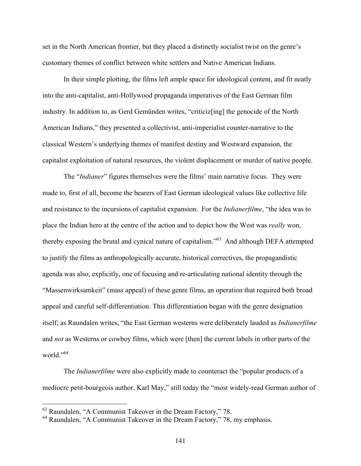set in the North American frontier, but they placed a distinctly socialist twist on the genre's customary themes of conflict between white settlers and Native American Indians.

In their simple plotting, the films left ample space for ideological content, and fit neatly into the anti-capitalist, anti-Hollywood propaganda imperatives of the East German film industry. In addition to, as Gerd Gemünden writes, "criticiz[ing] the genocide of the North American Indians," they presented a collectivist, anti-imperialist counter-narrative to the classical Western's underlying themes of manifest destiny and Westward expansion, the capitalist exploitation of natural resources, the violent displacement or murder of native people.

The "*Indianer*" figures themselves were the films' main narrative focus. They were made to, first of all, become the bearers of East German ideological values like collective life and resistance to the incursions of capitalist expansion. For the *Indianerfilme*, "the idea was to place the Indian hero at the centre of the action and to depict how the West was *really* won, thereby exposing the brutal and cynical nature of capitalism."<sup>63</sup> And although DEFA attempted to justify the films as anthropologically accurate, historical correctives, the propagandistic agenda was also, explicitly, one of focusing and re-articulating national identity through the "Massenwirksamkeit" (mass appeal) of these genre films, an operation that required both broad appeal and careful self-differentiation. This differentiation began with the genre designation itself; as Raundalen writes, "the East German westerns were deliberately lauded as *Indianerfilme* and *not* as Westerns or cowboy films, which were [then] the current labels in other parts of the world." 64

The *Indianerfilme* were also explicitly made to counteract the "popular products of a mediocre petit-bourgeois author, Karl May," still today the "most widely-read German author of

63 Raundalen, "A Communist Takeover in the Dream Factory," 78.

<sup>&</sup>lt;sup>64</sup> Raundalen, "A Communist Takeover in the Dream Factory," 78, my emphasis.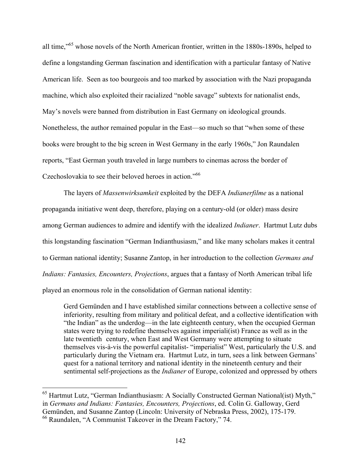all time,"<sup>65</sup> whose novels of the North American frontier, written in the 1880s-1890s, helped to define a longstanding German fascination and identification with a particular fantasy of Native American life. Seen as too bourgeois and too marked by association with the Nazi propaganda machine, which also exploited their racialized "noble savage" subtexts for nationalist ends, May's novels were banned from distribution in East Germany on ideological grounds. Nonetheless, the author remained popular in the East—so much so that "when some of these books were brought to the big screen in West Germany in the early 1960s," Jon Raundalen reports, "East German youth traveled in large numbers to cinemas across the border of Czechoslovakia to see their beloved heroes in action."<sup>66</sup>

The layers of *Massenwirksamkeit* exploited by the DEFA *Indianerfilme* as a national propaganda initiative went deep, therefore, playing on a century-old (or older) mass desire among German audiences to admire and identify with the idealized *Indianer*. Hartmut Lutz dubs this longstanding fascination "German Indianthusiasm," and like many scholars makes it central to German national identity; Susanne Zantop, in her introduction to the collection *Germans and Indians: Fantasies, Encounters, Projections*, argues that a fantasy of North American tribal life played an enormous role in the consolidation of German national identity:

Gerd Gemünden and I have established similar connections between a collective sense of inferiority, resulting from military and political defeat, and a collective identification with "the Indian" as the underdog—in the late eighteenth century, when the occupied German states were trying to redefine themselves against imperiali(ist) France as well as in the late twentieth century, when East and West Germany were attempting to situate themselves vis-à-vis the powerful capitalist- "imperialist" West, particularly the U.S. and particularly during the Vietnam era. Hartmut Lutz, in turn, sees a link between Germans' quest for a national territory and national identity in the nineteenth century and their sentimental self-projections as the *Indianer* of Europe, colonized and oppressed by others

<sup>&</sup>lt;sup>65</sup> Hartmut Lutz, "German Indianthusiasm: A Socially Constructed German National(ist) Myth," in *Germans and Indians: Fantasies, Encounters, Projections*, ed. Colin G. Galloway, Gerd Gemünden, and Susanne Zantop (Lincoln: University of Nebraska Press, 2002), 175-179.

<sup>66</sup> Raundalen, "A Communist Takeover in the Dream Factory," 74.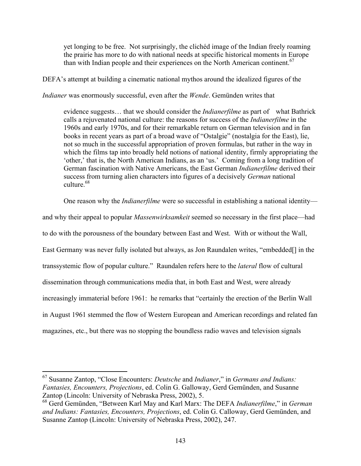yet longing to be free. Not surprisingly, the clichéd image of the Indian freely roaming the prairie has more to do with national needs at specific historical moments in Europe than with Indian people and their experiences on the North American continent.<sup>67</sup>

DEFA's attempt at building a cinematic national mythos around the idealized figures of the

*Indianer* was enormously successful, even after the *Wende*. Gemünden writes that

evidence suggests… that we should consider the *Indianerfilme* as part of what Bathrick calls a rejuvenated national culture: the reasons for success of the *Indianerfilme* in the 1960s and early 1970s, and for their remarkable return on German television and in fan books in recent years as part of a broad wave of "Ostalgie" (nostalgia for the East), lie, not so much in the successful appropriation of proven formulas, but rather in the way in which the films tap into broadly held notions of national identity, firmly appropriating the 'other,' that is, the North American Indians, as an 'us.' Coming from a long tradition of German fascination with Native Americans, the East German *Indianerfilme* derived their success from turning alien characters into figures of a decisively *German* national culture. 68

One reason why the *Indianerfilme* were so successful in establishing a national identity—

and why their appeal to popular *Massenwirksamkeit* seemed so necessary in the first place—had

to do with the porousness of the boundary between East and West. With or without the Wall,

East Germany was never fully isolated but always, as Jon Raundalen writes, "embedded[] in the

transsystemic flow of popular culture." Raundalen refers here to the *lateral* flow of cultural

dissemination through communications media that, in both East and West, were already

increasingly immaterial before 1961: he remarks that "certainly the erection of the Berlin Wall

in August 1961 stemmed the flow of Western European and American recordings and related fan

magazines, etc., but there was no stopping the boundless radio waves and television signals

67 Susanne Zantop, "Close Encounters: *Deutsche* and *Indianer*," in *Germans and Indians: Fantasies, Encounters, Projections*, ed. Colin G. Galloway, Gerd Gemünden, and Susanne Zantop (Lincoln: University of Nebraska Press, 2002), 5.

<sup>68</sup> Gerd Gemünden, "Between Karl May and Karl Marx: The DEFA *Indianerfilme*," in *German and Indians: Fantasies, Encounters, Projections*, ed. Colin G. Calloway, Gerd Gemünden, and Susanne Zantop (Lincoln: University of Nebraska Press, 2002), 247.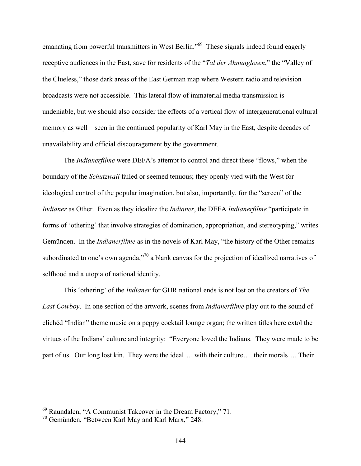emanating from powerful transmitters in West Berlin."<sup>69</sup> These signals indeed found eagerly receptive audiences in the East, save for residents of the "*Tal der Ahnunglosen*," the "Valley of the Clueless," those dark areas of the East German map where Western radio and television broadcasts were not accessible. This lateral flow of immaterial media transmission is undeniable, but we should also consider the effects of a vertical flow of intergenerational cultural memory as well—seen in the continued popularity of Karl May in the East, despite decades of unavailability and official discouragement by the government.

The *Indianerfilme* were DEFA's attempt to control and direct these "flows," when the boundary of the *Schutzwall* failed or seemed tenuous; they openly vied with the West for ideological control of the popular imagination, but also, importantly, for the "screen" of the *Indianer* as Other. Even as they idealize the *Indianer*, the DEFA *Indianerfilme* "participate in forms of 'othering' that involve strategies of domination, appropriation, and stereotyping," writes Gemünden. In the *Indianerfilme* as in the novels of Karl May, "the history of the Other remains subordinated to one's own agenda,"<sup>70</sup> a blank canvas for the projection of idealized narratives of selfhood and a utopia of national identity.

This 'othering' of the *Indianer* for GDR national ends is not lost on the creators of *The Last Cowboy*. In one section of the artwork, scenes from *Indianerfilme* play out to the sound of clichéd "Indian" theme music on a peppy cocktail lounge organ; the written titles here extol the virtues of the Indians' culture and integrity: "Everyone loved the Indians. They were made to be part of us. Our long lost kin. They were the ideal…. with their culture…. their morals…. Their

69 Raundalen, "A Communist Takeover in the Dream Factory," 71.

<sup>70</sup> Gemünden, "Between Karl May and Karl Marx," 248.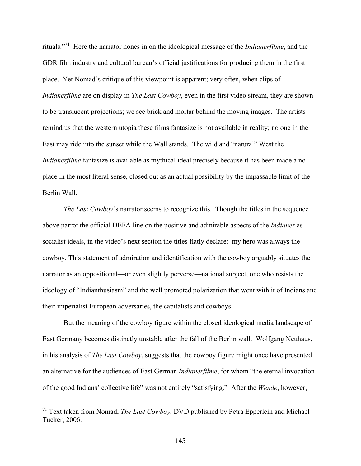rituals." 71 Here the narrator hones in on the ideological message of the *Indianerfilme*, and the GDR film industry and cultural bureau's official justifications for producing them in the first place. Yet Nomad's critique of this viewpoint is apparent; very often, when clips of *Indianerfilme* are on display in *The Last Cowboy*, even in the first video stream, they are shown to be translucent projections; we see brick and mortar behind the moving images. The artists remind us that the western utopia these films fantasize is not available in reality; no one in the East may ride into the sunset while the Wall stands. The wild and "natural" West the *Indianerfilme* fantasize is available as mythical ideal precisely because it has been made a noplace in the most literal sense, closed out as an actual possibility by the impassable limit of the Berlin Wall.

*The Last Cowboy's* narrator seems to recognize this. Though the titles in the sequence above parrot the official DEFA line on the positive and admirable aspects of the *Indianer* as socialist ideals, in the video's next section the titles flatly declare: my hero was always the cowboy. This statement of admiration and identification with the cowboy arguably situates the narrator as an oppositional—or even slightly perverse—national subject, one who resists the ideology of "Indianthusiasm" and the well promoted polarization that went with it of Indians and their imperialist European adversaries, the capitalists and cowboys.

But the meaning of the cowboy figure within the closed ideological media landscape of East Germany becomes distinctly unstable after the fall of the Berlin wall. Wolfgang Neuhaus, in his analysis of *The Last Cowboy*, suggests that the cowboy figure might once have presented an alternative for the audiences of East German *Indianerfilme*, for whom "the eternal invocation of the good Indians' collective life" was not entirely "satisfying." After the *Wende*, however,

71 Text taken from Nomad, *The Last Cowboy*, DVD published by Petra Epperlein and Michael Tucker, 2006.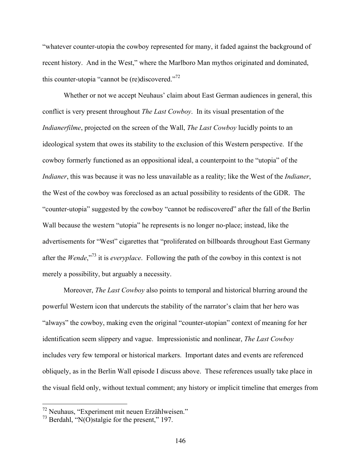"whatever counter-utopia the cowboy represented for many, it faded against the background of recent history. And in the West," where the Marlboro Man mythos originated and dominated, this counter-utopia "cannot be (re)discovered."<sup>72</sup>

Whether or not we accept Neuhaus' claim about East German audiences in general, this conflict is very present throughout *The Last Cowboy*. In its visual presentation of the *Indianerfilme*, projected on the screen of the Wall, *The Last Cowboy* lucidly points to an ideological system that owes its stability to the exclusion of this Western perspective. If the cowboy formerly functioned as an oppositional ideal, a counterpoint to the "utopia" of the *Indianer*, this was because it was no less unavailable as a reality; like the West of the *Indianer*, the West of the cowboy was foreclosed as an actual possibility to residents of the GDR. The "counter-utopia" suggested by the cowboy "cannot be rediscovered" after the fall of the Berlin Wall because the western "utopia" he represents is no longer no-place; instead, like the advertisements for "West" cigarettes that "proliferated on billboards throughout East Germany after the *Wende*," 73 it is *everyplace*. Following the path of the cowboy in this context is not merely a possibility, but arguably a necessity.

Moreover, *The Last Cowboy* also points to temporal and historical blurring around the powerful Western icon that undercuts the stability of the narrator's claim that her hero was "always" the cowboy, making even the original "counter-utopian" context of meaning for her identification seem slippery and vague. Impressionistic and nonlinear, *The Last Cowboy* includes very few temporal or historical markers. Important dates and events are referenced obliquely, as in the Berlin Wall episode I discuss above. These references usually take place in the visual field only, without textual comment; any history or implicit timeline that emerges from

72 Neuhaus, "Experiment mit neuen Erzählweisen."

 $^{73}$  Berdahl, "N(O)stalgie for the present," 197.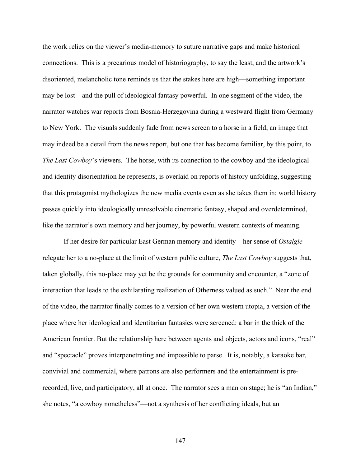the work relies on the viewer's media-memory to suture narrative gaps and make historical connections. This is a precarious model of historiography, to say the least, and the artwork's disoriented, melancholic tone reminds us that the stakes here are high—something important may be lost—and the pull of ideological fantasy powerful. In one segment of the video, the narrator watches war reports from Bosnia-Herzegovina during a westward flight from Germany to New York. The visuals suddenly fade from news screen to a horse in a field, an image that may indeed be a detail from the news report, but one that has become familiar, by this point, to *The Last Cowboy*'s viewers. The horse, with its connection to the cowboy and the ideological and identity disorientation he represents, is overlaid on reports of history unfolding, suggesting that this protagonist mythologizes the new media events even as she takes them in; world history passes quickly into ideologically unresolvable cinematic fantasy, shaped and overdetermined, like the narrator's own memory and her journey, by powerful western contexts of meaning.

If her desire for particular East German memory and identity—her sense of *Ostalgie* relegate her to a no-place at the limit of western public culture, *The Last Cowboy* suggests that, taken globally, this no-place may yet be the grounds for community and encounter, a "zone of interaction that leads to the exhilarating realization of Otherness valued as such." Near the end of the video, the narrator finally comes to a version of her own western utopia, a version of the place where her ideological and identitarian fantasies were screened: a bar in the thick of the American frontier. But the relationship here between agents and objects, actors and icons, "real" and "spectacle" proves interpenetrating and impossible to parse. It is, notably, a karaoke bar, convivial and commercial, where patrons are also performers and the entertainment is prerecorded, live, and participatory, all at once. The narrator sees a man on stage; he is "an Indian," she notes, "a cowboy nonetheless"—not a synthesis of her conflicting ideals, but an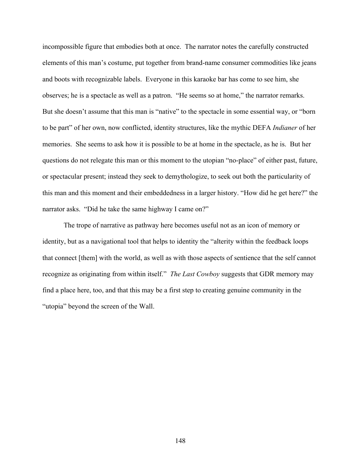incompossible figure that embodies both at once. The narrator notes the carefully constructed elements of this man's costume, put together from brand-name consumer commodities like jeans and boots with recognizable labels. Everyone in this karaoke bar has come to see him, she observes; he is a spectacle as well as a patron. "He seems so at home," the narrator remarks. But she doesn't assume that this man is "native" to the spectacle in some essential way, or "born to be part" of her own, now conflicted, identity structures, like the mythic DEFA *Indianer* of her memories. She seems to ask how it is possible to be at home in the spectacle, as he is. But her questions do not relegate this man or this moment to the utopian "no-place" of either past, future, or spectacular present; instead they seek to demythologize, to seek out both the particularity of this man and this moment and their embeddedness in a larger history. "How did he get here?" the narrator asks. "Did he take the same highway I came on?"

The trope of narrative as pathway here becomes useful not as an icon of memory or identity, but as a navigational tool that helps to identity the "alterity within the feedback loops that connect [them] with the world, as well as with those aspects of sentience that the self cannot recognize as originating from within itself." *The Last Cowboy* suggests that GDR memory may find a place here, too, and that this may be a first step to creating genuine community in the "utopia" beyond the screen of the Wall.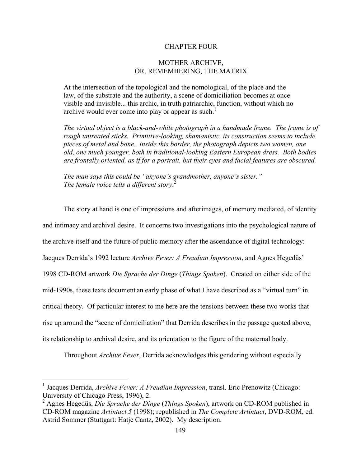## CHAPTER FOUR

## MOTHER ARCHIVE, OR, REMEMBERING, THE MATRIX

At the intersection of the topological and the nomological, of the place and the law, of the substrate and the authority, a scene of domiciliation becomes at once visible and invisible... this archic, in truth patriarchic, function, without which no archive would ever come into play or appear as such. $<sup>1</sup>$ </sup>

*The virtual object is a black-and-white photograph in a handmade frame. The frame is of rough untreated sticks. Primitive-looking, shamanistic, its construction seems to include pieces of metal and bone. Inside this border, the photograph depicts two women, one old, one much younger, both in traditional-looking Eastern European dress. Both bodies are frontally oriented, as if for a portrait, but their eyes and facial features are obscured.* 

*The man says this could be "anyone's grandmother, anyone's sister." The female voice tells a different story*. 2

The story at hand is one of impressions and afterimages, of memory mediated, of identity and intimacy and archival desire. It concerns two investigations into the psychological nature of the archive itself and the future of public memory after the ascendance of digital technology: Jacques Derrida's 1992 lecture *Archive Fever: A Freudian Impression*, and Agnes Hegedüs' 1998 CD-ROM artwork *Die Sprache der Dinge* (*Things Spoken*). Created on either side of the mid-1990s, these texts document an early phase of what I have described as a "virtual turn" in critical theory. Of particular interest to me here are the tensions between these two works that rise up around the "scene of domiciliation" that Derrida describes in the passage quoted above, its relationship to archival desire, and its orientation to the figure of the maternal body.

Throughout *Archive Fever*, Derrida acknowledges this gendering without especially

1 Jacques Derrida, *Archive Fever: A Freudian Impression*, transl. Eric Prenowitz (Chicago: University of Chicago Press, 1996), 2.

<sup>2</sup> Agnes Hegedüs, *Die Sprache der Dinge* (*Things Spoken*), artwork on CD-ROM published in CD-ROM magazine *Artintact 5* (1998); republished in *The Complete Artintact*, DVD-ROM, ed. Astrid Sommer (Stuttgart: Hatje Cantz, 2002). My description.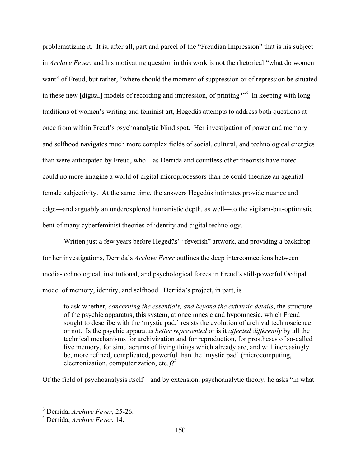problematizing it. It is, after all, part and parcel of the "Freudian Impression" that is his subject in *Archive Fever*, and his motivating question in this work is not the rhetorical "what do women want" of Freud, but rather, "where should the moment of suppression or of repression be situated in these new [digital] models of recording and impression, of printing?"<sup>3</sup> In keeping with long traditions of women's writing and feminist art, Hegedüs attempts to address both questions at once from within Freud's psychoanalytic blind spot. Her investigation of power and memory and selfhood navigates much more complex fields of social, cultural, and technological energies than were anticipated by Freud, who—as Derrida and countless other theorists have noted could no more imagine a world of digital microprocessors than he could theorize an agential female subjectivity. At the same time, the answers Hegedüs intimates provide nuance and edge—and arguably an underexplored humanistic depth, as well—to the vigilant-but-optimistic bent of many cyberfeminist theories of identity and digital technology.

Written just a few years before Hegedüs' "feverish" artwork, and providing a backdrop for her investigations, Derrida's *Archive Fever* outlines the deep interconnections between media-technological, institutional, and psychological forces in Freud's still-powerful Oedipal model of memory, identity, and selfhood. Derrida's project, in part, is

to ask whether, *concerning the essentials, and beyond the extrinsic details*, the structure of the psychic apparatus, this system, at once mnesic and hypomnesic, which Freud sought to describe with the 'mystic pad,' resists the evolution of archival technoscience or not. Is the psychic apparatus *better represented* or is it *affected differently* by all the technical mechanisms for archivization and for reproduction, for prostheses of so-called live memory, for simulacrums of living things which already are, and will increasingly be, more refined, complicated, powerful than the 'mystic pad' (microcomputing, electronization, computerization, etc.)? 4

Of the field of psychoanalysis itself—and by extension, psychoanalytic theory, he asks "in what

3 Derrida, *Archive Fever*, 25-26.

<sup>4</sup> Derrida, *Archive Fever*, 14.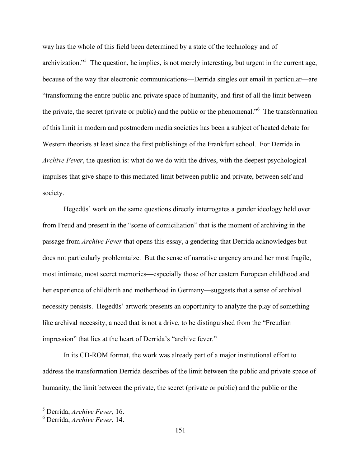way has the whole of this field been determined by a state of the technology and of archivization.<sup> $35$ </sup> The question, he implies, is not merely interesting, but urgent in the current age, because of the way that electronic communications—Derrida singles out email in particular—are "transforming the entire public and private space of humanity, and first of all the limit between the private, the secret (private or public) and the public or the phenomenal.<sup>56</sup> The transformation of this limit in modern and postmodern media societies has been a subject of heated debate for Western theorists at least since the first publishings of the Frankfurt school. For Derrida in *Archive Fever*, the question is: what do we do with the drives, with the deepest psychological impulses that give shape to this mediated limit between public and private, between self and society.

Hegedüs' work on the same questions directly interrogates a gender ideology held over from Freud and present in the "scene of domiciliation" that is the moment of archiving in the passage from *Archive Fever* that opens this essay, a gendering that Derrida acknowledges but does not particularly problemtaize. But the sense of narrative urgency around her most fragile, most intimate, most secret memories—especially those of her eastern European childhood and her experience of childbirth and motherhood in Germany—suggests that a sense of archival necessity persists. Hegedüs' artwork presents an opportunity to analyze the play of something like archival necessity, a need that is not a drive, to be distinguished from the "Freudian impression" that lies at the heart of Derrida's "archive fever."

In its CD-ROM format, the work was already part of a major institutional effort to address the transformation Derrida describes of the limit between the public and private space of humanity, the limit between the private, the secret (private or public) and the public or the

5 Derrida, *Archive Fever*, 16.

<sup>6</sup> Derrida, *Archive Fever*, 14.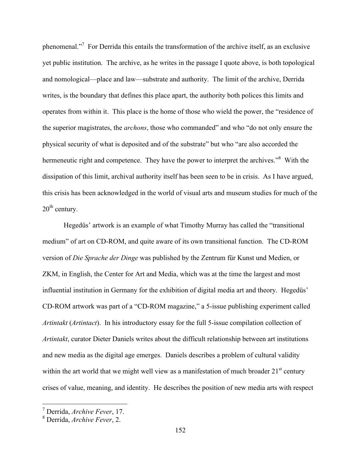phenomenal."<sup>7</sup> For Derrida this entails the transformation of the archive itself, as an exclusive yet public institution. The archive, as he writes in the passage I quote above, is both topological and nomological—place and law—substrate and authority. The limit of the archive, Derrida writes, is the boundary that defines this place apart, the authority both polices this limits and operates from within it. This place is the home of those who wield the power, the "residence of the superior magistrates, the *archons*, those who commanded" and who "do not only ensure the physical security of what is deposited and of the substrate" but who "are also accorded the hermeneutic right and competence. They have the power to interpret the archives."<sup>8</sup> With the dissipation of this limit, archival authority itself has been seen to be in crisis. As I have argued, this crisis has been acknowledged in the world of visual arts and museum studies for much of the  $20^{\text{th}}$  century.

Hegedüs' artwork is an example of what Timothy Murray has called the "transitional medium" of art on CD-ROM, and quite aware of its own transitional function. The CD-ROM version of *Die Sprache der Dinge* was published by the Zentrum für Kunst und Medien, or ZKM, in English, the Center for Art and Media, which was at the time the largest and most influential institution in Germany for the exhibition of digital media art and theory. Hegedüs' CD-ROM artwork was part of a "CD-ROM magazine," a 5-issue publishing experiment called *Artintakt* (*Artintact*). In his introductory essay for the full 5-issue compilation collection of *Artintakt*, curator Dieter Daniels writes about the difficult relationship between art institutions and new media as the digital age emerges. Daniels describes a problem of cultural validity within the art world that we might well view as a manifestation of much broader  $21<sup>st</sup>$  century crises of value, meaning, and identity. He describes the position of new media arts with respect

7 Derrida, *Archive Fever*, 17.

<sup>8</sup> Derrida, *Archive Fever*, 2.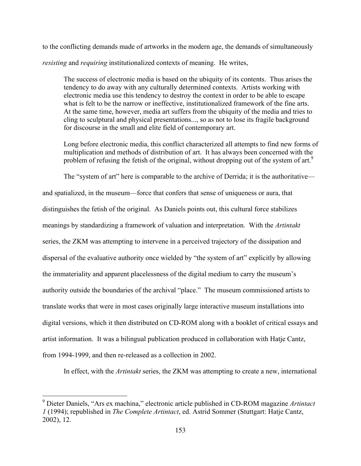to the conflicting demands made of artworks in the modern age, the demands of simultaneously *resisting* and *requiring* institutionalized contexts of meaning. He writes,

The success of electronic media is based on the ubiquity of its contents. Thus arises the tendency to do away with any culturally determined contexts. Artists working with electronic media use this tendency to destroy the context in order to be able to escape what is felt to be the narrow or ineffective, institutionalized framework of the fine arts. At the same time, however, media art suffers from the ubiquity of the media and tries to cling to sculptural and physical presentations..., so as not to lose its fragile background for discourse in the small and elite field of contemporary art.

Long before electronic media, this conflict characterized all attempts to find new forms of multiplication and methods of distribution of art. It has always been concerned with the problem of refusing the fetish of the original, without dropping out of the system of art.<sup>9</sup>

The "system of art" here is comparable to the archive of Derrida; it is the authoritative—

and spatialized, in the museum—force that confers that sense of uniqueness or aura, that distinguishes the fetish of the original. As Daniels points out, this cultural force stabilizes meanings by standardizing a framework of valuation and interpretation. With the *Artintakt* series, the ZKM was attempting to intervene in a perceived trajectory of the dissipation and dispersal of the evaluative authority once wielded by "the system of art" explicitly by allowing the immateriality and apparent placelessness of the digital medium to carry the museum's authority outside the boundaries of the archival "place." The museum commissioned artists to translate works that were in most cases originally large interactive museum installations into digital versions, which it then distributed on CD-ROM along with a booklet of critical essays and artist information. It was a bilingual publication produced in collaboration with Hatje Cantz, from 1994-1999, and then re-released as a collection in 2002.

In effect, with the *Artintakt* series, the ZKM was attempting to create a new, international

9 Dieter Daniels, "Ars ex machina," electronic article published in CD-ROM magazine *Artintact 1* (1994); republished in *The Complete Artintact*, ed. Astrid Sommer (Stuttgart: Hatje Cantz, 2002), 12.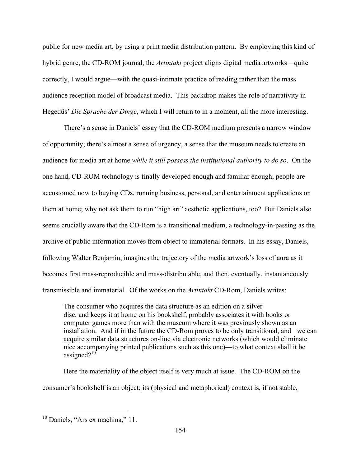public for new media art, by using a print media distribution pattern. By employing this kind of hybrid genre, the CD-ROM journal, the *Artintakt* project aligns digital media artworks—quite correctly, I would argue—with the quasi-intimate practice of reading rather than the mass audience reception model of broadcast media. This backdrop makes the role of narrativity in Hegedüs' *Die Sprache der Dinge*, which I will return to in a moment, all the more interesting.

There's a sense in Daniels' essay that the CD-ROM medium presents a narrow window of opportunity; there's almost a sense of urgency, a sense that the museum needs to create an audience for media art at home *while it still possess the institutional authority to do so*. On the one hand, CD-ROM technology is finally developed enough and familiar enough; people are accustomed now to buying CDs, running business, personal, and entertainment applications on them at home; why not ask them to run "high art" aesthetic applications, too? But Daniels also seems crucially aware that the CD-Rom is a transitional medium, a technology-in-passing as the archive of public information moves from object to immaterial formats. In his essay, Daniels, following Walter Benjamin, imagines the trajectory of the media artwork's loss of aura as it becomes first mass-reproducible and mass-distributable, and then, eventually, instantaneously transmissible and immaterial. Of the works on the *Artintakt* CD-Rom, Daniels writes:

The consumer who acquires the data structure as an edition on a silver disc, and keeps it at home on his bookshelf, probably associates it with books or computer games more than with the museum where it was previously shown as an installation. And if in the future the CD-Rom proves to be only transitional, and we can acquire similar data structures on-line via electronic networks (which would eliminate nice accompanying printed publications such as this one)—to what context shall it be assigned?<sup>10</sup>

Here the materiality of the object itself is very much at issue. The CD-ROM on the consumer's bookshelf is an object; its (physical and metaphorical) context is, if not stable,

<sup>&</sup>lt;sup>10</sup> Daniels, "Ars ex machina," 11.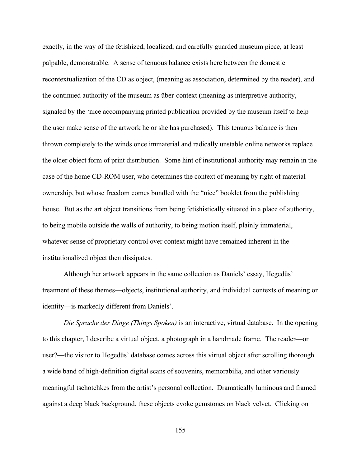exactly, in the way of the fetishized, localized, and carefully guarded museum piece, at least palpable, demonstrable. A sense of tenuous balance exists here between the domestic recontextualization of the CD as object, (meaning as association, determined by the reader), and the continued authority of the museum as über-context (meaning as interpretive authority, signaled by the 'nice accompanying printed publication provided by the museum itself to help the user make sense of the artwork he or she has purchased). This tenuous balance is then thrown completely to the winds once immaterial and radically unstable online networks replace the older object form of print distribution. Some hint of institutional authority may remain in the case of the home CD-ROM user, who determines the context of meaning by right of material ownership, but whose freedom comes bundled with the "nice" booklet from the publishing house. But as the art object transitions from being fetishistically situated in a place of authority, to being mobile outside the walls of authority, to being motion itself, plainly immaterial, whatever sense of proprietary control over context might have remained inherent in the institutionalized object then dissipates.

Although her artwork appears in the same collection as Daniels' essay, Hegedüs' treatment of these themes—objects, institutional authority, and individual contexts of meaning or identity—is markedly different from Daniels'.

*Die Sprache der Dinge (Things Spoken)* is an interactive, virtual database. In the opening to this chapter, I describe a virtual object, a photograph in a handmade frame. The reader—or user?—the visitor to Hegedüs' database comes across this virtual object after scrolling thorough a wide band of high-definition digital scans of souvenirs, memorabilia, and other variously meaningful tschotchkes from the artist's personal collection. Dramatically luminous and framed against a deep black background, these objects evoke gemstones on black velvet. Clicking on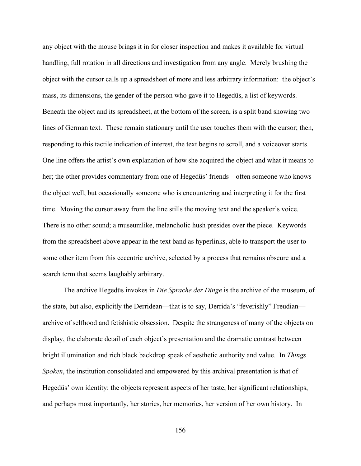any object with the mouse brings it in for closer inspection and makes it available for virtual handling, full rotation in all directions and investigation from any angle. Merely brushing the object with the cursor calls up a spreadsheet of more and less arbitrary information: the object's mass, its dimensions, the gender of the person who gave it to Hegedüs, a list of keywords. Beneath the object and its spreadsheet, at the bottom of the screen, is a split band showing two lines of German text. These remain stationary until the user touches them with the cursor; then, responding to this tactile indication of interest, the text begins to scroll, and a voiceover starts. One line offers the artist's own explanation of how she acquired the object and what it means to her; the other provides commentary from one of Hegedüs' friends—often someone who knows the object well, but occasionally someone who is encountering and interpreting it for the first time. Moving the cursor away from the line stills the moving text and the speaker's voice. There is no other sound; a museumlike, melancholic hush presides over the piece. Keywords from the spreadsheet above appear in the text band as hyperlinks, able to transport the user to some other item from this eccentric archive, selected by a process that remains obscure and a search term that seems laughably arbitrary.

The archive Hegedüs invokes in *Die Sprache der Dinge* is the archive of the museum, of the state, but also, explicitly the Derridean—that is to say, Derrida's "feverishly" Freudian archive of selfhood and fetishistic obsession. Despite the strangeness of many of the objects on display, the elaborate detail of each object's presentation and the dramatic contrast between bright illumination and rich black backdrop speak of aesthetic authority and value. In *Things Spoken*, the institution consolidated and empowered by this archival presentation is that of Hegedüs' own identity: the objects represent aspects of her taste, her significant relationships, and perhaps most importantly, her stories, her memories, her version of her own history. In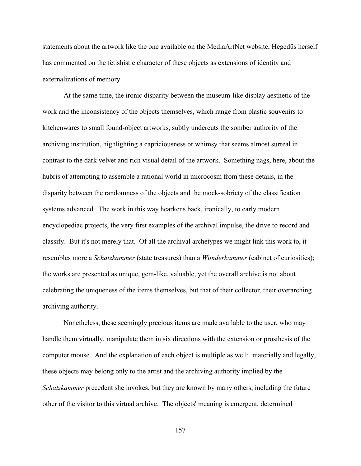statements about the artwork like the one available on the MediaArtNet website, Hegedüs herself has commented on the fetishistic character of these objects as extensions of identity and externalizations of memory.

At the same time, the ironic disparity between the museum-like display aesthetic of the work and the inconsistency of the objects themselves, which range from plastic souvenirs to kitchenwares to small found-object artworks, subtly undercuts the somber authority of the archiving institution, highlighting a capriciousness or whimsy that seems almost surreal in contrast to the dark velvet and rich visual detail of the artwork. Something nags, here, about the hubris of attempting to assemble a rational world in microcosm from these details, in the disparity between the randomness of the objects and the mock-sobriety of the classification systems advanced. The work in this way hearkens back, ironically, to early modern encyclopediac projects, the very first examples of the archival impulse, the drive to record and classify. But it's not merely that. Of all the archival archetypes we might link this work to, it resembles more a *Schatzkammer* (state treasures) than a *Wunderkammer* (cabinet of curiosities); the works are presented as unique, gem-like, valuable, yet the overall archive is not about celebrating the uniqueness of the items themselves, but that of their collector, their overarching archiving authority.

Nonetheless, these seemingly precious items are made available to the user, who may handle them virtually, manipulate them in six directions with the extension or prosthesis of the computer mouse. And the explanation of each object is multiple as well: materially and legally, these objects may belong only to the artist and the archiving authority implied by the *Schatzkammer* precedent she invokes, but they are known by many others, including the future other of the visitor to this virtual archive. The objects' meaning is emergent, determined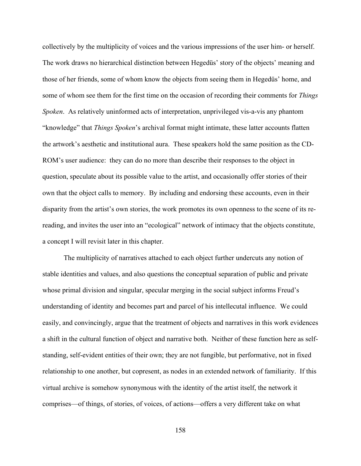collectively by the multiplicity of voices and the various impressions of the user him- or herself. The work draws no hierarchical distinction between Hegedüs' story of the objects' meaning and those of her friends, some of whom know the objects from seeing them in Hegedüs' home, and some of whom see them for the first time on the occasion of recording their comments for *Things Spoken*. As relatively uninformed acts of interpretation, unprivileged vis-a-vis any phantom "knowledge" that *Things Spoken*'s archival format might intimate, these latter accounts flatten the artwork's aesthetic and institutional aura. These speakers hold the same position as the CD-ROM's user audience: they can do no more than describe their responses to the object in question, speculate about its possible value to the artist, and occasionally offer stories of their own that the object calls to memory. By including and endorsing these accounts, even in their disparity from the artist's own stories, the work promotes its own openness to the scene of its rereading, and invites the user into an "ecological" network of intimacy that the objects constitute, a concept I will revisit later in this chapter.

The multiplicity of narratives attached to each object further undercuts any notion of stable identities and values, and also questions the conceptual separation of public and private whose primal division and singular, specular merging in the social subject informs Freud's understanding of identity and becomes part and parcel of his intellecutal influence. We could easily, and convincingly, argue that the treatment of objects and narratives in this work evidences a shift in the cultural function of object and narrative both. Neither of these function here as selfstanding, self-evident entities of their own; they are not fungible, but performative, not in fixed relationship to one another, but copresent, as nodes in an extended network of familiarity. If this virtual archive is somehow synonymous with the identity of the artist itself, the network it comprises—of things, of stories, of voices, of actions—offers a very different take on what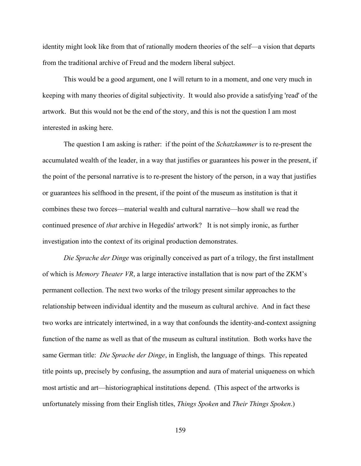identity might look like from that of rationally modern theories of the self—a vision that departs from the traditional archive of Freud and the modern liberal subject.

This would be a good argument, one I will return to in a moment, and one very much in keeping with many theories of digital subjectivity. It would also provide a satisfying 'read' of the artwork. But this would not be the end of the story, and this is not the question I am most interested in asking here.

The question I am asking is rather: if the point of the *Schatzkammer* is to re-present the accumulated wealth of the leader, in a way that justifies or guarantees his power in the present, if the point of the personal narrative is to re-present the history of the person, in a way that justifies or guarantees his selfhood in the present, if the point of the museum as institution is that it combines these two forces—material wealth and cultural narrative—how shall we read the continued presence of *that* archive in Hegedüs' artwork? It is not simply ironic, as further investigation into the context of its original production demonstrates.

*Die Sprache der Dinge* was originally conceived as part of a trilogy, the first installment of which is *Memory Theater VR*, a large interactive installation that is now part of the ZKM's permanent collection. The next two works of the trilogy present similar approaches to the relationship between individual identity and the museum as cultural archive. And in fact these two works are intricately intertwined, in a way that confounds the identity-and-context assigning function of the name as well as that of the museum as cultural institution. Both works have the same German title: *Die Sprache der Dinge*, in English, the language of things. This repeated title points up, precisely by confusing, the assumption and aura of material uniqueness on which most artistic and art—historiographical institutions depend. (This aspect of the artworks is unfortunately missing from their English titles, *Things Spoken* and *Their Things Spoken*.)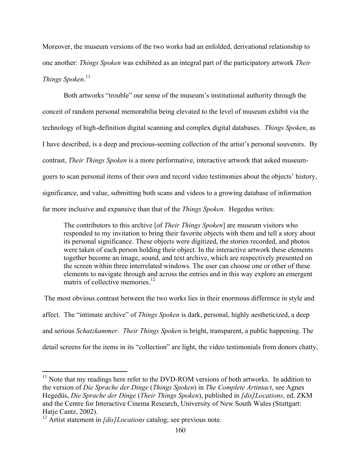Moreover, the museum versions of the two works had an enfolded, derivational relationship to one another: *Things Spoken* was exhibited as an integral part of the participatory artwork *Their Things Spoken*. 11

Both artworks "trouble" our sense of the museum's institutional authority through the conceit of random personal memorabilia being elevated to the level of museum exhibit via the technology of high-definition digital scanning and complex digital databases. *Things Spoken*, as I have described, is a deep and precious-seeming collection of the artist's personal souvenirs. By contrast, *Their Things Spoken* is a more performative, interactive artwork that asked museumgoers to scan personal items of their own and record video testimonies about the objects' history, significance, and value, submitting both scans and videos to a growing database of information far more inclusive and expansive than that of the *Things Spoken*. Hegedus writes:

The contributors to this archive [of *Their Things Spoken*] are museum visitors who responded to my invitation to bring their favorite objects with them and tell a story about its personal significance. These objects were digitized, the stories recorded, and photos were taken of each person holding their object. In the interactive artwork these elements together become an image, sound, and text archive, which are respectively presented on the screen within three interrelated windows. The user can choose one or other of these elements to navigate through and across the entries and in this way explore an emergent matrix of collective memories.<sup>12</sup>

 The most obvious contrast between the two works lies in their enormous difference in style and affect. The "intimate archive" of *Things Spoken* is dark, personal, highly aestheticized, a deep and serious *Schatzkammer*. *Their Things Spoken* is bright, transparent, a public happening. The detail screens for the items in its "collection" are light, the video testimonials from donors chatty,

<sup>&</sup>lt;sup>11</sup> Note that my readings here refer to the DVD-ROM versions of both artworks. In addition to the version of *Die Sprache der Dinge* (*Things Spoken*) in *The Complete Artintact*, see Agnes Hegedüs, *Die Sprache der Dinge* (*Their Things Spoken*), published in *[dis]Locations*, ed. ZKM and the Centre for Interactive Cinema Research, University of New South Wales (Stuttgart: Hatje Cantz, 2002).

<sup>&</sup>lt;sup>12</sup> Artist statement in *[dis]Locations* catalog; see previous note.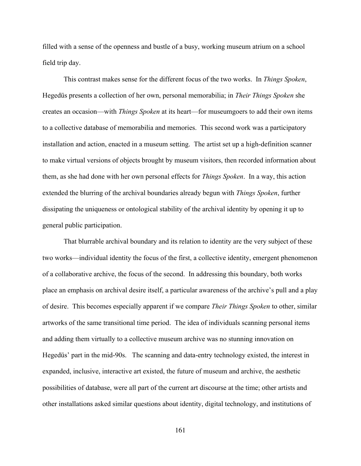filled with a sense of the openness and bustle of a busy, working museum atrium on a school field trip day.

This contrast makes sense for the different focus of the two works. In *Things Spoken*, Hegedüs presents a collection of her own, personal memorabilia; in *Their Things Spoken* she creates an occasion—with *Things Spoken* at its heart—for museumgoers to add their own items to a collective database of memorabilia and memories. This second work was a participatory installation and action, enacted in a museum setting. The artist set up a high-definition scanner to make virtual versions of objects brought by museum visitors, then recorded information about them, as she had done with her own personal effects for *Things Spoken*. In a way, this action extended the blurring of the archival boundaries already begun with *Things Spoken*, further dissipating the uniqueness or ontological stability of the archival identity by opening it up to general public participation.

That blurrable archival boundary and its relation to identity are the very subject of these two works—individual identity the focus of the first, a collective identity, emergent phenomenon of a collaborative archive, the focus of the second. In addressing this boundary, both works place an emphasis on archival desire itself, a particular awareness of the archive's pull and a play of desire. This becomes especially apparent if we compare *Their Things Spoken* to other, similar artworks of the same transitional time period. The idea of individuals scanning personal items and adding them virtually to a collective museum archive was no stunning innovation on Hegedüs' part in the mid-90s. The scanning and data-entry technology existed, the interest in expanded, inclusive, interactive art existed, the future of museum and archive, the aesthetic possibilities of database, were all part of the current art discourse at the time; other artists and other installations asked similar questions about identity, digital technology, and institutions of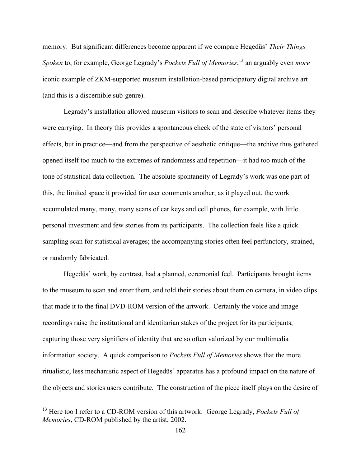memory. But significant differences become apparent if we compare Hegedüs' *Their Things Spoken* to, for example, George Legrady's *Pockets Full of Memories*, 13 an arguably even *more*  iconic example of ZKM-supported museum installation-based participatory digital archive art (and this is a discernible sub-genre).

Legrady's installation allowed museum visitors to scan and describe whatever items they were carrying. In theory this provides a spontaneous check of the state of visitors' personal effects, but in practice—and from the perspective of aesthetic critique—the archive thus gathered opened itself too much to the extremes of randomness and repetition—it had too much of the tone of statistical data collection. The absolute spontaneity of Legrady's work was one part of this, the limited space it provided for user comments another; as it played out, the work accumulated many, many, many scans of car keys and cell phones, for example, with little personal investment and few stories from its participants. The collection feels like a quick sampling scan for statistical averages; the accompanying stories often feel perfunctory, strained, or randomly fabricated.

Hegedüs' work, by contrast, had a planned, ceremonial feel. Participants brought items to the museum to scan and enter them, and told their stories about them on camera, in video clips that made it to the final DVD-ROM version of the artwork. Certainly the voice and image recordings raise the institutional and identitarian stakes of the project for its participants, capturing those very signifiers of identity that are so often valorized by our multimedia information society. A quick comparison to *Pockets Full of Memories* shows that the more ritualistic, less mechanistic aspect of Hegedüs' apparatus has a profound impact on the nature of the objects and stories users contribute. The construction of the piece itself plays on the desire of

<sup>&</sup>lt;sup>13</sup> Here too I refer to a CD-ROM version of this artwork: George Legrady, *Pockets Full of Memories*, CD-ROM published by the artist, 2002.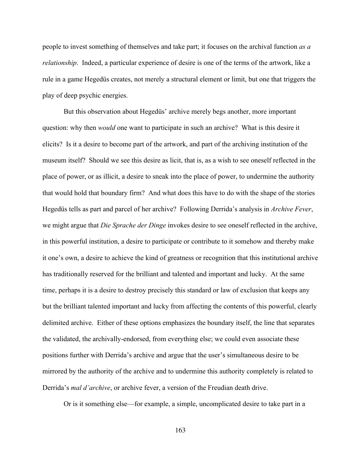people to invest something of themselves and take part; it focuses on the archival function *as a relationship*. Indeed, a particular experience of desire is one of the terms of the artwork, like a rule in a game Hegedüs creates, not merely a structural element or limit, but one that triggers the play of deep psychic energies.

But this observation about Hegedüs' archive merely begs another, more important question: why then *would* one want to participate in such an archive? What is this desire it elicits? Is it a desire to become part of the artwork, and part of the archiving institution of the museum itself? Should we see this desire as licit, that is, as a wish to see oneself reflected in the place of power, or as illicit, a desire to sneak into the place of power, to undermine the authority that would hold that boundary firm? And what does this have to do with the shape of the stories Hegedüs tells as part and parcel of her archive? Following Derrida's analysis in *Archive Fever*, we might argue that *Die Sprache der Dinge* invokes desire to see oneself reflected in the archive, in this powerful institution, a desire to participate or contribute to it somehow and thereby make it one's own, a desire to achieve the kind of greatness or recognition that this institutional archive has traditionally reserved for the brilliant and talented and important and lucky. At the same time, perhaps it is a desire to destroy precisely this standard or law of exclusion that keeps any but the brilliant talented important and lucky from affecting the contents of this powerful, clearly delimited archive. Either of these options emphasizes the boundary itself, the line that separates the validated, the archivally-endorsed, from everything else; we could even associate these positions further with Derrida's archive and argue that the user's simultaneous desire to be mirrored by the authority of the archive and to undermine this authority completely is related to Derrida's *mal d'archive*, or archive fever, a version of the Freudian death drive.

Or is it something else—for example, a simple, uncomplicated desire to take part in a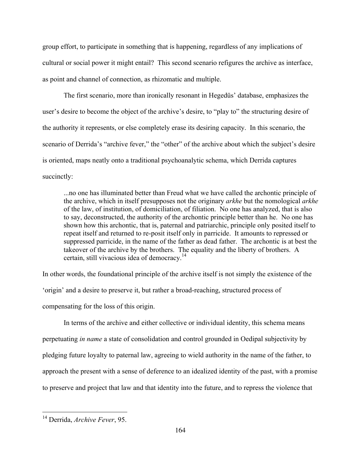group effort, to participate in something that is happening, regardless of any implications of cultural or social power it might entail? This second scenario refigures the archive as interface, as point and channel of connection, as rhizomatic and multiple.

The first scenario, more than ironically resonant in Hegedüs' database, emphasizes the user's desire to become the object of the archive's desire, to "play to" the structuring desire of the authority it represents, or else completely erase its desiring capacity. In this scenario, the scenario of Derrida's "archive fever," the "other" of the archive about which the subject's desire is oriented, maps neatly onto a traditional psychoanalytic schema, which Derrida captures succinctly:

...no one has illuminated better than Freud what we have called the archontic principle of the archive, which in itself presupposes not the originary *arkhe* but the nomological *arkhe* of the law, of institution, of domiciliation, of filiation. No one has analyzed, that is also to say, deconstructed, the authority of the archontic principle better than he. No one has shown how this archontic, that is, paternal and patriarchic, principle only posited itself to repeat itself and returned to re-posit itself only in parricide. It amounts to repressed or suppressed parricide, in the name of the father as dead father. The archontic is at best the takeover of the archive by the brothers. The equality and the liberty of brothers. A certain, still vivacious idea of democracy.<sup>14</sup>

In other words, the foundational principle of the archive itself is not simply the existence of the 'origin' and a desire to preserve it, but rather a broad-reaching, structured process of compensating for the loss of this origin.

In terms of the archive and either collective or individual identity, this schema means perpetuating *in name* a state of consolidation and control grounded in Oedipal subjectivity by pledging future loyalty to paternal law, agreeing to wield authority in the name of the father, to approach the present with a sense of deference to an idealized identity of the past, with a promise to preserve and project that law and that identity into the future, and to repress the violence that

14 Derrida, *Archive Fever*, 95.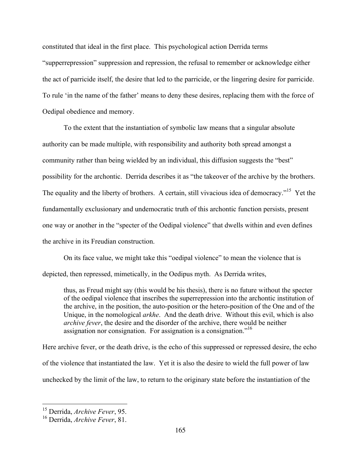constituted that ideal in the first place. This psychological action Derrida terms "supperrepression" suppression and repression, the refusal to remember or acknowledge either the act of parricide itself, the desire that led to the parricide, or the lingering desire for parricide. To rule 'in the name of the father' means to deny these desires, replacing them with the force of Oedipal obedience and memory.

To the extent that the instantiation of symbolic law means that a singular absolute authority can be made multiple, with responsibility and authority both spread amongst a community rather than being wielded by an individual, this diffusion suggests the "best" possibility for the archontic. Derrida describes it as "the takeover of the archive by the brothers. The equality and the liberty of brothers. A certain, still vivacious idea of democracy."<sup>15</sup> Yet the fundamentally exclusionary and undemocratic truth of this archontic function persists, present one way or another in the "specter of the Oedipal violence" that dwells within and even defines the archive in its Freudian construction.

On its face value, we might take this "oedipal violence" to mean the violence that is depicted, then repressed, mimetically, in the Oedipus myth. As Derrida writes,

thus, as Freud might say (this would be his thesis), there is no future without the specter of the oedipal violence that inscribes the superrepression into the archontic institution of the archive, in the position, the auto-position or the hetero-position of the One and of the Unique, in the nomological *arkhe*. And the death drive. Without this evil, which is also *archive fever*, the desire and the disorder of the archive, there would be neither assignation nor consignation. For assignation is a consignation."<sup>16</sup>

Here archive fever, or the death drive, is the echo of this suppressed or repressed desire, the echo of the violence that instantiated the law. Yet it is also the desire to wield the full power of law unchecked by the limit of the law, to return to the originary state before the instantiation of the

15 Derrida, *Archive Fever*, 95.

<sup>16</sup> Derrida, *Archive Fever*, 81.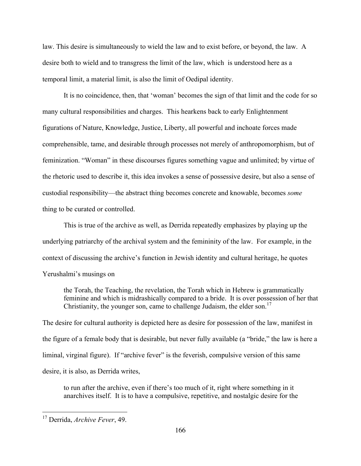law. This desire is simultaneously to wield the law and to exist before, or beyond, the law. A desire both to wield and to transgress the limit of the law, which is understood here as a temporal limit, a material limit, is also the limit of Oedipal identity.

It is no coincidence, then, that 'woman' becomes the sign of that limit and the code for so many cultural responsibilities and charges. This hearkens back to early Enlightenment figurations of Nature, Knowledge, Justice, Liberty, all powerful and inchoate forces made comprehensible, tame, and desirable through processes not merely of anthropomorphism, but of feminization. "Woman" in these discourses figures something vague and unlimited; by virtue of the rhetoric used to describe it, this idea invokes a sense of possessive desire, but also a sense of custodial responsibility—the abstract thing becomes concrete and knowable, becomes *some*  thing to be curated or controlled.

This is true of the archive as well, as Derrida repeatedly emphasizes by playing up the underlying patriarchy of the archival system and the femininity of the law. For example, in the context of discussing the archive's function in Jewish identity and cultural heritage, he quotes Yerushalmi's musings on

the Torah, the Teaching, the revelation, the Torah which in Hebrew is grammatically feminine and which is midrashically compared to a bride. It is over possession of her that Christianity, the younger son, came to challenge Judaism, the elder son.<sup>17</sup>

The desire for cultural authority is depicted here as desire for possession of the law, manifest in the figure of a female body that is desirable, but never fully available (a "bride," the law is here a liminal, virginal figure). If "archive fever" is the feverish, compulsive version of this same desire, it is also, as Derrida writes,

to run after the archive, even if there's too much of it, right where something in it anarchives itself. It is to have a compulsive, repetitive, and nostalgic desire for the

17 Derrida, *Archive Fever*, 49.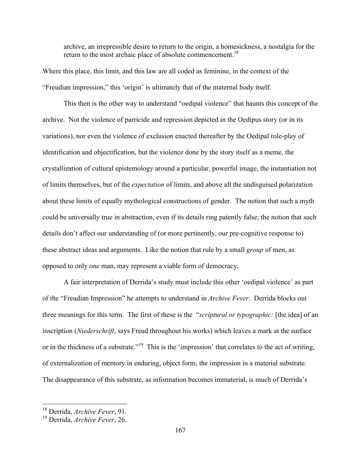archive, an irrepressible desire to return to the origin, a homesickness, a nostalgia for the return to the most archaic place of absolute commencement.<sup>18</sup>

Where this place, this limit, and this law are all coded as feminine, in the context of the "Freudian impression," this 'origin' is ultimately that of the maternal body itself.

This then is the other way to understand "oedipal violence" that haunts this concept of the archive. Not the violence of parricide and repression depicted in the Oedipus story (or in its variations), nor even the violence of exclusion enacted thereafter by the Oedipal role-play of identification and objectification, but the violence done by the story itself as a meme, the crystallization of cultural epistemology around a particular, powerful image, the instantiation not of limits themselves, but of the *expectation* of limits, and above all the undisguised polarization about these limits of equally mythological constructions of gender. The notion that such a myth could be universally true in abstraction, even if its details ring patently false; the notion that such details don't affect our understanding of (or more pertinently, our pre-cognitive response to) these abstract ideas and arguments. Like the notion that rule by a small *group* of men, as opposed to only *one* man, may represent a viable form of democracy.

A fair interpretation of Derrida's study must include this other 'oedipal violence' as part of the "Freudian Impression" he attempts to understand in *Archive Fever*. Derrida blocks out three meanings for this term. The first of these is the "*scriptural or typographic:* [the idea] of an inscription (*Niederschrift*, says Freud throughout his works) which leaves a mark at the surface or in the thickness of a substrate."<sup>19</sup> This is the 'impression' that correlates to the act of writing, of externalization of memory in enduring, object form, the impression in a material substrate. The disappearance of this substrate, as information becomes immaterial, is much of Derrida's

18 Derrida, *Archive Fever*, 91.

<sup>19</sup> Derrida, *Archive Fever*, 26.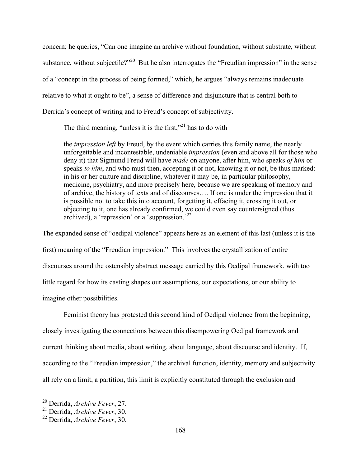concern; he queries, "Can one imagine an archive without foundation, without substrate, without substance, without subjectile? $2^{20}$  But he also interrogates the "Freudian impression" in the sense of a "concept in the process of being formed," which, he argues "always remains inadequate relative to what it ought to be", a sense of difference and disjuncture that is central both to Derrida's concept of writing and to Freud's concept of subjectivity.

The third meaning, "unless it is the first,"<sup>21</sup> has to do with

the *impression left* by Freud, by the event which carries this family name, the nearly unforgettable and incontestable, undeniable *impression* (even and above all for those who deny it) that Sigmund Freud will have *made* on anyone, after him, who speaks *of him* or speaks *to him*, and who must then, accepting it or not, knowing it or not, be thus marked: in his or her culture and discipline, whatever it may be, in particular philosophy, medicine, psychiatry, and more precisely here, because we are speaking of memory and of archive, the history of texts and of discourses…. If one is under the impression that it is possible not to take this into account, forgetting it, effacing it, crossing it out, or objecting to it, one has already confirmed, we could even say countersigned (thus archived), a 'repression' or a 'suppression.' 22

The expanded sense of "oedipal violence" appears here as an element of this last (unless it is the first) meaning of the "Freudian impression." This involves the crystallization of entire discourses around the ostensibly abstract message carried by this Oedipal framework, with too little regard for how its casting shapes our assumptions, our expectations, or our ability to imagine other possibilities.

Feminist theory has protested this second kind of Oedipal violence from the beginning, closely investigating the connections between this disempowering Oedipal framework and current thinking about media, about writing, about language, about discourse and identity. If, according to the "Freudian impression," the archival function, identity, memory and subjectivity all rely on a limit, a partition, this limit is explicitly constituted through the exclusion and

20 Derrida, *Archive Fever*, 27.

<sup>21</sup> Derrida, *Archive Fever*, 30.

<sup>22</sup> Derrida, *Archive Fever*, 30.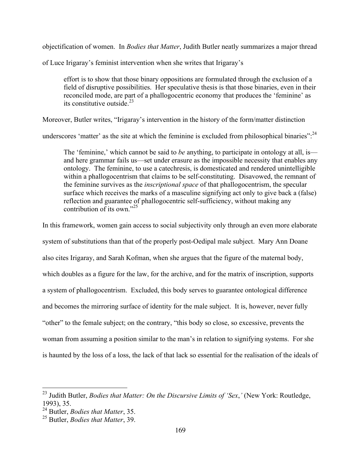objectification of women. In *Bodies that Matter*, Judith Butler neatly summarizes a major thread

of Luce Irigaray's feminist intervention when she writes that Irigaray's

effort is to show that those binary oppositions are formulated through the exclusion of a field of disruptive possibilities. Her speculative thesis is that those binaries, even in their reconciled mode, are part of a phallogocentric economy that produces the 'feminine' as its constitutive outside. 23

Moreover, Butler writes, "Irigaray's intervention in the history of the form/matter distinction

underscores 'matter' as the site at which the feminine is excluded from philosophical binaries".<sup>24</sup>

The 'feminine,' which cannot be said to *be* anything, to participate in ontology at all, is and here grammar fails us—set under erasure as the impossible necessity that enables any ontology. The feminine, to use a catechresis, is domesticated and rendered unintelligible within a phallogocentrism that claims to be self-constituting. Disavowed, the remnant of the feminine survives as the *inscriptional space* of that phallogocentrism, the specular surface which receives the marks of a masculine signifying act only to give back a (false) reflection and guarantee of phallogocentric self-sufficiency, without making any contribution of its own." 25

In this framework, women gain access to social subjectivity only through an even more elaborate

system of substitutions than that of the properly post-Oedipal male subject. Mary Ann Doane also cites Irigaray, and Sarah Kofman, when she argues that the figure of the maternal body, which doubles as a figure for the law, for the archive, and for the matrix of inscription, supports a system of phallogocentrism. Excluded, this body serves to guarantee ontological difference and becomes the mirroring surface of identity for the male subject. It is, however, never fully "other" to the female subject; on the contrary, "this body so close, so excessive, prevents the woman from assuming a position similar to the man's in relation to signifying systems. For she is haunted by the loss of a loss, the lack of that lack so essential for the realisation of the ideals of

23 Judith Butler, *Bodies that Matter: On the Discursive Limits of 'Sex*,*'* (New York: Routledge, 1993), 35.

<sup>24</sup> Butler, *Bodies that Matter*, 35.

<sup>25</sup> Butler, *Bodies that Matter*, 39.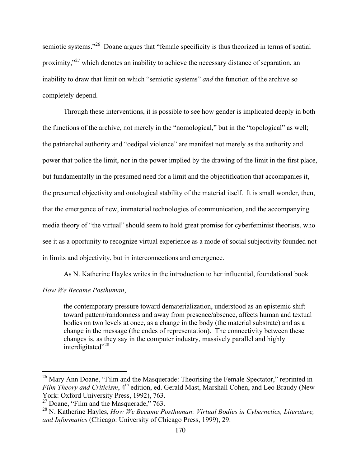semiotic systems."<sup>26</sup> Doane argues that "female specificity is thus theorized in terms of spatial proximity,"<sup>27</sup> which denotes an inability to achieve the necessary distance of separation, an inability to draw that limit on which "semiotic systems" *and* the function of the archive so completely depend.

Through these interventions, it is possible to see how gender is implicated deeply in both the functions of the archive, not merely in the "nomological," but in the "topological" as well; the patriarchal authority and "oedipal violence" are manifest not merely as the authority and power that police the limit, nor in the power implied by the drawing of the limit in the first place, but fundamentally in the presumed need for a limit and the objectification that accompanies it, the presumed objectivity and ontological stability of the material itself. It is small wonder, then, that the emergence of new, immaterial technologies of communication, and the accompanying media theory of "the virtual" should seem to hold great promise for cyberfeminist theorists, who see it as a oportunity to recognize virtual experience as a mode of social subjectivity founded not in limits and objectivity, but in interconnections and emergence.

As N. Katherine Hayles writes in the introduction to her influential, foundational book

## *How We Became Posthuman*,

the contemporary pressure toward dematerialization, understood as an epistemic shift toward pattern/randomness and away from presence/absence, affects human and textual bodies on two levels at once, as a change in the body (the material substrate) and as a change in the message (the codes of representation). The connectivity between these changes is, as they say in the computer industry, massively parallel and highly interdigitated"<sup>28</sup>

<sup>&</sup>lt;sup>26</sup> Mary Ann Doane, "Film and the Masquerade: Theorising the Female Spectator," reprinted in *Film Theory and Criticism*, 4<sup>th</sup> edition, ed. Gerald Mast, Marshall Cohen, and Leo Braudy (New York: Oxford University Press, 1992), 763.

<sup>&</sup>lt;sup>27</sup> Doane, "Film and the Masquerade," 763.

<sup>28</sup> N. Katherine Hayles, *How We Became Posthuman: Virtual Bodies in Cybernetics, Literature, and Informatics* (Chicago: University of Chicago Press, 1999), 29.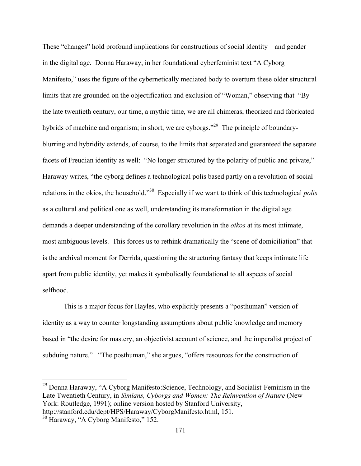These "changes" hold profound implications for constructions of social identity—and gender in the digital age. Donna Haraway, in her foundational cyberfeminist text "A Cyborg Manifesto," uses the figure of the cybernetically mediated body to overturn these older structural limits that are grounded on the objectification and exclusion of "Woman," observing that "By the late twentieth century, our time, a mythic time, we are all chimeras, theorized and fabricated hybrids of machine and organism; in short, we are cyborgs."<sup>29</sup> The principle of boundaryblurring and hybridity extends, of course, to the limits that separated and guaranteed the separate facets of Freudian identity as well: "No longer structured by the polarity of public and private," Haraway writes, "the cyborg defines a technological polis based partly on a revolution of social relations in the okios, the household." 30 Especially if we want to think of this technological *polis* as a cultural and political one as well, understanding its transformation in the digital age demands a deeper understanding of the corollary revolution in the *oikos* at its most intimate, most ambiguous levels. This forces us to rethink dramatically the "scene of domiciliation" that is the archival moment for Derrida, questioning the structuring fantasy that keeps intimate life apart from public identity, yet makes it symbolically foundational to all aspects of social selfhood.

This is a major focus for Hayles, who explicitly presents a "posthuman" version of identity as a way to counter longstanding assumptions about public knowledge and memory based in "the desire for mastery, an objectivist account of science, and the imperalist project of subduing nature." "The posthuman," she argues, "offers resources for the construction of

<sup>29</sup> Donna Haraway, "A Cyborg Manifesto: Science, Technology, and Socialist-Feminism in the Late Twentieth Century, in *Simians, Cyborgs and Women: The Reinvention of Nature* (New York: Routledge, 1991); online version hosted by Stanford University, http://stanford.edu/dept/HPS/Haraway/CyborgManifesto.html, 151.

<sup>&</sup>lt;sup>30</sup> Haraway, "A Cyborg Manifesto," 152.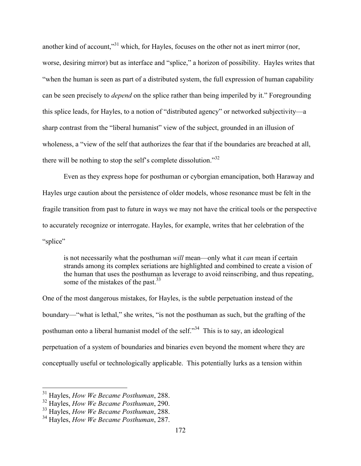another kind of account,"<sup>31</sup> which, for Hayles, focuses on the other not as inert mirror (nor, worse, desiring mirror) but as interface and "splice," a horizon of possibility. Hayles writes that "when the human is seen as part of a distributed system, the full expression of human capability can be seen precisely to *depend* on the splice rather than being imperiled by it." Foregrounding this splice leads, for Hayles, to a notion of "distributed agency" or networked subjectivity—a sharp contrast from the "liberal humanist" view of the subject, grounded in an illusion of wholeness, a "view of the self that authorizes the fear that if the boundaries are breached at all, there will be nothing to stop the self's complete dissolution."<sup>32</sup>

Even as they express hope for posthuman or cyborgian emancipation, both Haraway and Hayles urge caution about the persistence of older models, whose resonance must be felt in the fragile transition from past to future in ways we may not have the critical tools or the perspective to accurately recognize or interrogate. Hayles, for example, writes that her celebration of the "splice"

is not necessarily what the posthuman *will* mean—only what it *can* mean if certain strands among its complex seriations are highlighted and combined to create a vision of the human that uses the posthuman as leverage to avoid reinscribing, and thus repeating, some of the mistakes of the past.<sup>33</sup>

One of the most dangerous mistakes, for Hayles, is the subtle perpetuation instead of the boundary—"what is lethal," she writes, "is not the posthuman as such, but the grafting of the posthuman onto a liberal humanist model of the self."<sup>34</sup> This is to say, an ideological perpetuation of a system of boundaries and binaries even beyond the moment where they are conceptually useful or technologically applicable. This potentially lurks as a tension within

31 Hayles, *How We Became Posthuman*, 288.

<sup>32</sup> Hayles, *How We Became Posthuman*, 290.

<sup>33</sup> Hayles, *How We Became Posthuman*, 288.

<sup>34</sup> Hayles, *How We Became Posthuman*, 287.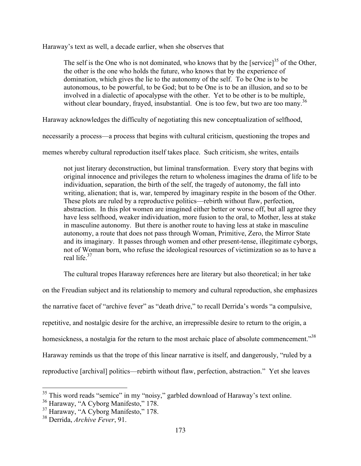Haraway's text as well, a decade earlier, when she observes that

The self is the One who is not dominated, who knows that by the  $\left[$  service $\right]^{35}$  of the Other, the other is the one who holds the future, who knows that by the experience of domination, which gives the lie to the autonomy of the self. To be One is to be autonomous, to be powerful, to be God; but to be One is to be an illusion, and so to be involved in a dialectic of apocalypse with the other. Yet to be other is to be multiple, without clear boundary, frayed, insubstantial. One is too few, but two are too many.<sup>36</sup>

Haraway acknowledges the difficulty of negotiating this new conceptualization of selfhood,

necessarily a process—a process that begins with cultural criticism, questioning the tropes and

memes whereby cultural reproduction itself takes place. Such criticism, she writes, entails

not just literary deconstruction, but liminal transformation. Every story that begins with original innocence and privileges the return to wholeness imagines the drama of life to be individuation, separation, the birth of the self, the tragedy of autonomy, the fall into writing, alienation; that is, war, tempered by imaginary respite in the bosom of the Other. These plots are ruled by a reproductive politics—rebirth without flaw, perfection, abstraction. In this plot women are imagined either better or worse off, but all agree they have less selfhood, weaker individuation, more fusion to the oral, to Mother, less at stake in masculine autonomy. But there is another route to having less at stake in masculine autonomy, a route that does not pass through Woman, Primitive, Zero, the Mirror State and its imaginary. It passes through women and other present-tense, illegitimate cyborgs, not of Woman born, who refuse the ideological resources of victimization so as to have a real life.<sup>37</sup>

The cultural tropes Haraway references here are literary but also theoretical; in her take

on the Freudian subject and its relationship to memory and cultural reproduction, she emphasizes the narrative facet of "archive fever" as "death drive," to recall Derrida's words "a compulsive, repetitive, and nostalgic desire for the archive, an irrepressible desire to return to the origin, a homesickness, a nostalgia for the return to the most archaic place of absolute commencement."<sup>38</sup> Haraway reminds us that the trope of this linear narrative is itself, and dangerously, "ruled by a reproductive [archival] politics—rebirth without flaw, perfection, abstraction." Yet she leaves

 $35$  This word reads "semice" in my "noisy," garbled download of Haraway's text online.

<sup>36</sup> Haraway, "A Cyborg Manifesto," 178.

<sup>37</sup> Haraway, "A Cyborg Manifesto," 178.

<sup>38</sup> Derrida, *Archive Fever*, 91.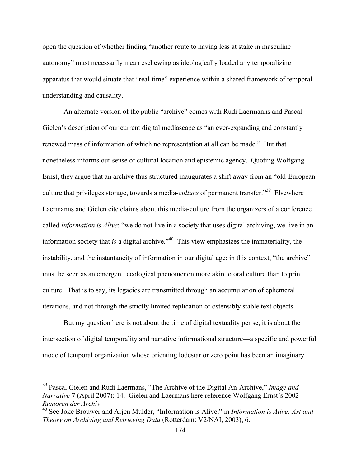open the question of whether finding "another route to having less at stake in masculine autonomy" must necessarily mean eschewing as ideologically loaded any temporalizing apparatus that would situate that "real-time" experience within a shared framework of temporal understanding and causality.

An alternate version of the public "archive" comes with Rudi Laermanns and Pascal Gielen's description of our current digital mediascape as "an ever-expanding and constantly renewed mass of information of which no representation at all can be made." But that nonetheless informs our sense of cultural location and epistemic agency. Quoting Wolfgang Ernst, they argue that an archive thus structured inaugurates a shift away from an "old-European culture that privileges storage, towards a media-*culture* of permanent transfer." 39 Elsewhere Laermanns and Gielen cite claims about this media-culture from the organizers of a conference called *Information is Alive*: "we do not live in a society that uses digital archiving, we live in an information society that *is* a digital archive." 40 This view emphasizes the immateriality, the instability, and the instantaneity of information in our digital age; in this context, "the archive" must be seen as an emergent, ecological phenomenon more akin to oral culture than to print culture. That is to say, its legacies are transmitted through an accumulation of ephemeral iterations, and not through the strictly limited replication of ostensibly stable text objects.

But my question here is not about the time of digital textuality per se, it is about the intersection of digital temporality and narrative informational structure—a specific and powerful mode of temporal organization whose orienting lodestar or zero point has been an imaginary

39 Pascal Gielen and Rudi Laermans, "The Archive of the Digital An-Archive," *Image and Narrative* 7 (April 2007): 14. Gielen and Laermans here reference Wolfgang Ernst's 2002 *Rumoren der Archiv.*<br><sup>40</sup> See Joke Brouwer and Arjen Mulder, "Information is Alive," in *Information is Alive: Art and* 

*Theory on Archiving and Retrieving Data* (Rotterdam: V2/NAI, 2003), 6.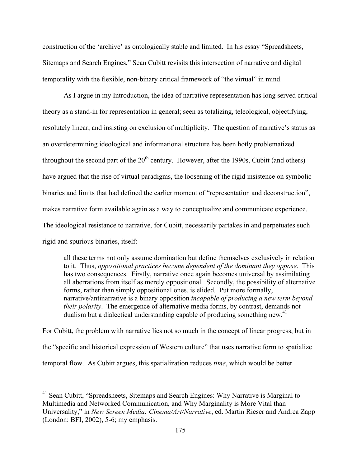construction of the 'archive' as ontologically stable and limited. In his essay "Spreadsheets, Sitemaps and Search Engines," Sean Cubitt revisits this intersection of narrative and digital temporality with the flexible, non-binary critical framework of "the virtual" in mind.

As I argue in my Introduction, the idea of narrative representation has long served critical theory as a stand-in for representation in general; seen as totalizing, teleological, objectifying, resolutely linear, and insisting on exclusion of multiplicity. The question of narrative's status as an overdetermining ideological and informational structure has been hotly problematized throughout the second part of the  $20<sup>th</sup>$  century. However, after the 1990s, Cubitt (and others) have argued that the rise of virtual paradigms, the loosening of the rigid insistence on symbolic binaries and limits that had defined the earlier moment of "representation and deconstruction", makes narrative form available again as a way to conceptualize and communicate experience. The ideological resistance to narrative, for Cubitt, necessarily partakes in and perpetuates such rigid and spurious binaries, itself:

all these terms not only assume domination but define themselves exclusively in relation to it. Thus, *oppositional practices become dependent of the dominant they oppose*. This has two consequences. Firstly, narrative once again becomes universal by assimilating all aberrations from itself as merely oppositional. Secondly, the possibility of alternative forms, rather than simply oppositional ones, is elided. Put more formally, narrative/antinarrative is a binary opposition *incapable of producing a new term beyond their polarity*. The emergence of alternative media forms, by contrast, demands not dualism but a dialectical understanding capable of producing something new.<sup>41</sup>

For Cubitt, the problem with narrative lies not so much in the concept of linear progress, but in the "specific and historical expression of Western culture" that uses narrative form to spatialize temporal flow. As Cubitt argues, this spatialization reduces *time*, which would be better

<sup>&</sup>lt;sup>41</sup> Sean Cubitt, "Spreadsheets, Sitemaps and Search Engines: Why Narrative is Marginal to Multimedia and Networked Communication, and Why Marginality is More Vital than Universality," in *New Screen Media: Cinema/Art/Narrative*, ed. Martin Rieser and Andrea Zapp (London: BFI, 2002), 5-6; my emphasis.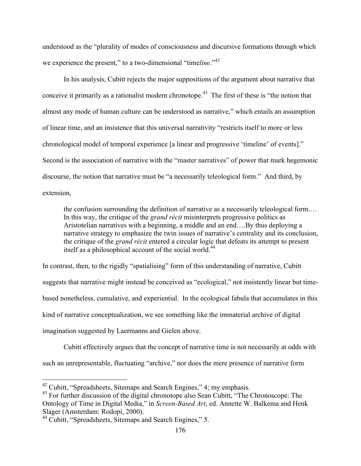understood as the "plurality of modes of consciousness and discursive formations through which we experience the present," to a two-dimensional "time*line*."<sup>42</sup>

In his analysis, Cubitt rejects the major suppositions of the argument about narrative that conceive it primarily as a rationalist modern chronotope.<sup>43</sup> The first of these is "the notion that almost any mode of human culture can be understood as narrative," which entails an assumption of linear time, and an insistence that this universal narrativity "restricts itself to more or less chronological model of temporal experience [a linear and progressive 'timeline' of events]." Second is the association of narrative with the "master narratives" of power that mark hegemonic discourse, the notion that narrative must be "a necessarily teleological form." And third, by extension,

the confusion surrounding the definition of narrative as a necessarily teleological form.… In this way, the critique of the *grand récit* misinterprets progressive politics as Aristotelian narratives with a beginning, a middle and an end….By thus deploying a narrative strategy to emphasize the twin issues of narrative's centrality and its conclusion, the critique of the *grand récit* entered a circular logic that defeats its attempt to present itself as a philosophical account of the social world.<sup>44</sup>

In contrast, then, to the rigidly "spatialising" form of this understanding of narrative, Cubitt suggests that narrative might instead be conceived as "ecological," not insistently linear but timebased nonetheless, cumulative, and experiential. In the ecological fabula that accumulates in this kind of narrative conceptualization, we see something like the immaterial archive of digital imagination suggested by Laermanns and Gielen above.

Cubitt effectively argues that the concept of narrative time is not necessarily at odds with such an unrepresentable, fluctuating "archive," nor does the mere presence of narrative form

<sup>&</sup>lt;sup>42</sup> Cubitt, "Spreadsheets, Sitemaps and Search Engines," 4; my emphasis.

<sup>&</sup>lt;sup>43</sup> For further discussion of the digital chronotope also Sean Cubitt, "The Chronoscope: The Ontology of Time in Digital Media," in *Screen-Based Art*, ed. Annette W. Balkema and Henk Slager (Amsterdam: Rodopi, 2000).

<sup>&</sup>lt;sup>44</sup> Cubitt, "Spreadsheets, Sitemaps and Search Engines," 5.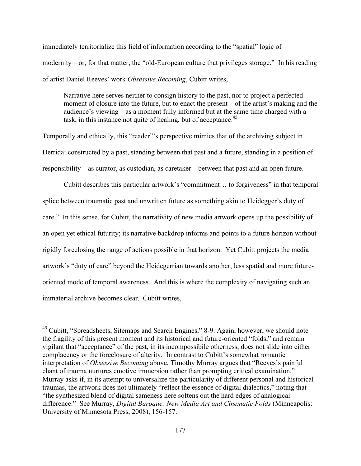immediately territorialize this field of information according to the "spatial" logic of modernity—or, for that matter, the "old-European culture that privileges storage." In his reading of artist Daniel Reeves' work *Obsessive Becoming*, Cubitt writes,

Narrative here serves neither to consign history to the past, nor to project a perfected moment of closure into the future, but to enact the present—of the artist's making and the audience's viewing—as a moment fully informed but at the same time charged with a task, in this instance not quite of healing, but of acceptance.<sup>45</sup>

Temporally and ethically, this "reader"'s perspective mimics that of the archiving subject in Derrida: constructed by a past, standing between that past and a future, standing in a position of responsibility—as curator, as custodian, as caretaker—between that past and an open future.

Cubitt describes this particular artwork's "commitment… to forgiveness" in that temporal splice between traumatic past and unwritten future as something akin to Heidegger's duty of care." In this sense, for Cubitt, the narrativity of new media artwork opens up the possibility of an open yet ethical futurity; its narrative backdrop informs and points to a future horizon without rigidly foreclosing the range of actions possible in that horizon. Yet Cubitt projects the media artwork's "duty of care" beyond the Heidegerrian towards another, less spatial and more futureoriented mode of temporal awareness. And this is where the complexity of navigating such an immaterial archive becomes clear. Cubitt writes,

<sup>&</sup>lt;sup>45</sup> Cubitt, "Spreadsheets, Sitemaps and Search Engines," 8-9. Again, however, we should note the fragility of this present moment and its historical and future-oriented "folds," and remain vigilant that "acceptance" of the past, in its incompossibile otherness, does not slide into either complacency or the foreclosure of alterity. In contrast to Cubitt's somewhat romantic interpretation of *Obsessive Becoming* above, Timothy Murray argues that "Reeves's painful chant of trauma nurtures emotive immersion rather than prompting critical examination." Murray asks if, in its attempt to universalize the particularity of different personal and historical traumas, the artwork does not ultimately "reflect the essence of digital dialectics," noting that "the synthesized blend of digital sameness here softens out the hard edges of analogical difference." See Murray, *Digital Baroque: New Media Art and Cinematic Folds* (Minneapolis: University of Minnesota Press, 2008), 156-157.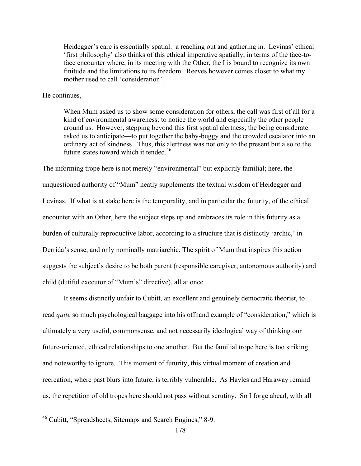Heidegger's care is essentially spatial: a reaching out and gathering in. Levinas' ethical 'first philosophy' also thinks of this ethical imperative spatially, in terms of the face-toface encounter where, in its meeting with the Other, the I is bound to recognize its own finitude and the limitations to its freedom. Reeves however comes closer to what my mother used to call 'consideration'.

### He continues,

When Mum asked us to show some consideration for others, the call was first of all for a kind of environmental awareness: to notice the world and especially the other people around us. However, stepping beyond this first spatial alertness, the being considerate asked us to anticipate—to put together the baby-buggy and the crowded escalator into an ordinary act of kindness. Thus, this alertness was not only to the present but also to the future states toward which it tended.<sup>46</sup>

The informing trope here is not merely "environmental" but explicitly familial; here, the unquestioned authority of "Mum" neatly supplements the textual wisdom of Heidegger and Levinas. If what is at stake here is the temporality, and in particular the futurity, of the ethical encounter with an Other, here the subject steps up and embraces its role in this futurity as a burden of culturally reproductive labor, according to a structure that is distinctly 'archic,' in Derrida's sense, and only nominally matriarchic. The spirit of Mum that inspires this action suggests the subject's desire to be both parent (responsible caregiver, autonomous authority) and child (dutiful executor of "Mum's" directive), all at once.

It seems distinctly unfair to Cubitt, an excellent and genuinely democratic theorist, to read *quite* so much psychological baggage into his offhand example of "consideration," which is ultimately a very useful, commonsense, and not necessarily ideological way of thinking our future-oriented, ethical relationships to one another. But the familial trope here is too striking and noteworthy to ignore. This moment of futurity, this virtual moment of creation and recreation, where past blurs into future, is terribly vulnerable. As Hayles and Haraway remind us, the repetition of old tropes here should not pass without scrutiny. So I forge ahead, with all

46 Cubitt, "Spreadsheets, Sitemaps and Search Engines," 8-9.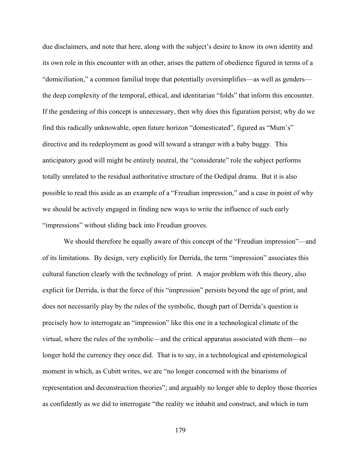due disclaimers, and note that here, along with the subject's desire to know its own identity and its own role in this encounter with an other, arises the pattern of obedience figured in terms of a "domiciliation," a common familial trope that potentially oversimplifies—as well as genders the deep complexity of the temporal, ethical, and identitarian "folds" that inform this encounter. If the gendering of this concept is unnecessary, then why does this figuration persist; why do we find this radically unknowable, open future horizon "domesticated", figured as "Mum's" directive and its redeployment as good will toward a stranger with a baby buggy. This anticipatory good will might be entirely neutral, the "considerate" role the subject performs totally unrelated to the residual authoritative structure of the Oedipal drama. But it is also possible to read this aside as an example of a "Freudian impression," and a case in point of why we should be actively engaged in finding new ways to write the influence of such early "impressions" without sliding back into Freudian grooves.

We should therefore be equally aware of this concept of the "Freudian impression"—and of its limitations. By design, very explicitly for Derrida, the term "impression" associates this cultural function clearly with the technology of print. A major problem with this theory, also explicit for Derrida, is that the force of this "impression" persists beyond the age of print, and does not necessarily play by the rules of the symbolic, though part of Derrida's question is precisely how to interrogate an "impression" like this one in a technological climate of the virtual, where the rules of the symbolic—and the critical apparatus associated with them—no longer hold the currency they once did. That is to say, in a technological and epistemological moment in which, as Cubitt writes, we are "no longer concerned with the binarisms of representation and deconstruction theories"; and arguably no longer able to deploy those theories as confidently as we did to interrogate "the reality we inhabit and construct, and which in turn

179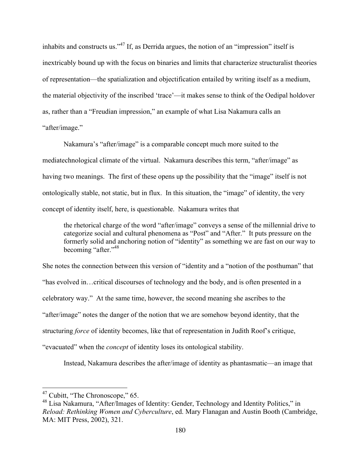inhabits and constructs us."<sup>47</sup> If, as Derrida argues, the notion of an "impression" itself is inextricably bound up with the focus on binaries and limits that characterize structuralist theories of representation—the spatialization and objectification entailed by writing itself as a medium, the material objectivity of the inscribed 'trace'—it makes sense to think of the Oedipal holdover as, rather than a "Freudian impression," an example of what Lisa Nakamura calls an "after/image."

Nakamura's "after/image" is a comparable concept much more suited to the mediatechnological climate of the virtual. Nakamura describes this term, "after/image" as having two meanings. The first of these opens up the possibility that the "image" itself is not ontologically stable, not static, but in flux. In this situation, the "image" of identity, the very concept of identity itself, here, is questionable. Nakamura writes that

the rhetorical charge of the word "after/image" conveys a sense of the millennial drive to categorize social and cultural phenomena as "Post" and "After." It puts pressure on the formerly solid and anchoring notion of "identity" as something we are fast on our way to becoming "after."<sup>48</sup>

She notes the connection between this version of "identity and a "notion of the posthuman" that "has evolved in…critical discourses of technology and the body, and is often presented in a celebratory way." At the same time, however, the second meaning she ascribes to the "after/image" notes the danger of the notion that we are somehow beyond identity, that the structuring *force* of identity becomes, like that of representation in Judith Roof's critique, "evacuated" when the *concept* of identity loses its ontological stability.

Instead, Nakamura describes the after/image of identity as phantasmatic—an image that

47 Cubitt, "The Chronoscope," 65.

<sup>48</sup> Lisa Nakamura, "After/Images of Identity: Gender, Technology and Identity Politics," in *Reload: Rethinking Women and Cyberculture*, ed. Mary Flanagan and Austin Booth (Cambridge, MA: MIT Press, 2002), 321.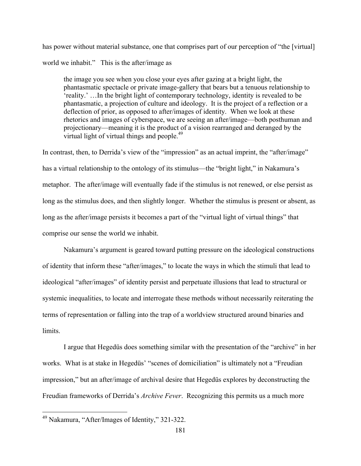has power without material substance, one that comprises part of our perception of "the [virtual] world we inhabit." This is the after/image as

the image you see when you close your eyes after gazing at a bright light, the phantasmatic spectacle or private image-gallery that bears but a tenuous relationship to 'reality.' …In the bright light of contemporary technology, identity is revealed to be phantasmatic, a projection of culture and ideology. It is the project of a reflection or a deflection of prior, as opposed to after/images of identity. When we look at these rhetorics and images of cyberspace, we are seeing an after/image—both posthuman and projectionary—meaning it is the product of a vision rearranged and deranged by the virtual light of virtual things and people. 49

In contrast, then, to Derrida's view of the "impression" as an actual imprint, the "after/image" has a virtual relationship to the ontology of its stimulus—the "bright light," in Nakamura's metaphor. The after/image will eventually fade if the stimulus is not renewed, or else persist as long as the stimulus does, and then slightly longer. Whether the stimulus is present or absent, as long as the after/image persists it becomes a part of the "virtual light of virtual things" that comprise our sense the world we inhabit.

Nakamura's argument is geared toward putting pressure on the ideological constructions of identity that inform these "after/images," to locate the ways in which the stimuli that lead to ideological "after/images" of identity persist and perpetuate illusions that lead to structural or systemic inequalities, to locate and interrogate these methods without necessarily reiterating the terms of representation or falling into the trap of a worldview structured around binaries and **limits** 

I argue that Hegedüs does something similar with the presentation of the "archive" in her works. What is at stake in Hegedüs' "scenes of domiciliation" is ultimately not a "Freudian impression," but an after/image of archival desire that Hegedüs explores by deconstructing the Freudian frameworks of Derrida's *Archive Fever*. Recognizing this permits us a much more

49 Nakamura, "After/Images of Identity," 321-322.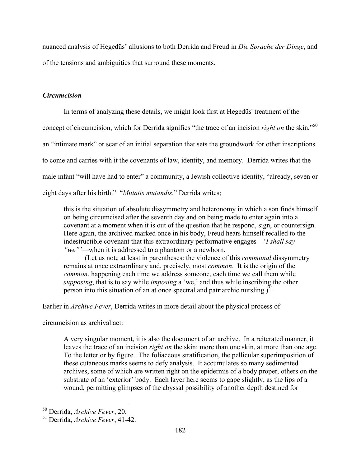nuanced analysis of Hegedüs' allusions to both Derrida and Freud in *Die Sprache der Dinge*, and of the tensions and ambiguities that surround these moments.

# *Circumcision*

In terms of analyzing these details, we might look first at Hegedüs' treatment of the

concept of circumcision, which for Derrida signifies "the trace of an incision *right on* the skin," 50

an "intimate mark" or scar of an initial separation that sets the groundwork for other inscriptions

to come and carries with it the covenants of law, identity, and memory. Derrida writes that the

male infant "will have had to enter" a community, a Jewish collective identity, "already, seven or

eight days after his birth." "*Mutatis mutandis*," Derrida writes;

this is the situation of absolute dissymmetry and heteronomy in which a son finds himself on being circumcised after the seventh day and on being made to enter again into a covenant at a moment when it is out of the question that he respond, sign, or countersign. Here again, the archived marked once in his body, Freud hears himself recalled to the indestructible covenant that this extraordinary performative engages—'*I shall say "we"'*—when it is addressed to a phantom or a newborn.

(Let us note at least in parentheses: the violence of this *communal* dissymmetry remains at once extraordinary and, precisely, most *common*. It is the origin of the *common*, happening each time we address someone, each time we call them while *supposing*, that is to say while *imposing* a 'we,' and thus while inscribing the other person into this situation of an at once spectral and patriarchic nursling.) $\overline{S}$ <sup>1</sup>

Earlier in *Archive Fever*, Derrida writes in more detail about the physical process of

circumcision as archival act:

A very singular moment, it is also the document of an archive. In a reiterated manner, it leaves the trace of an incision *right on* the skin: more than one skin, at more than one age. To the letter or by figure. The foliaceous stratification, the pellicular superimposition of these cutaneous marks seems to defy analysis. It accumulates so many sedimented archives, some of which are written right on the epidermis of a body proper, others on the substrate of an 'exterior' body. Each layer here seems to gape slightly, as the lips of a wound, permitting glimpses of the abyssal possibility of another depth destined for

50 Derrida, *Archive Fever*, 20.

<sup>51</sup> Derrida, *Archive Fever*, 41-42.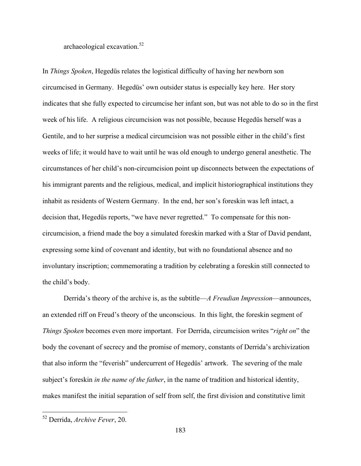archaeological excavation. 52

In *Things Spoken*, Hegedüs relates the logistical difficulty of having her newborn son circumcised in Germany. Hegedüs' own outsider status is especially key here. Her story indicates that she fully expected to circumcise her infant son, but was not able to do so in the first week of his life. A religious circumcision was not possible, because Hegedüs herself was a Gentile, and to her surprise a medical circumcision was not possible either in the child's first weeks of life; it would have to wait until he was old enough to undergo general anesthetic. The circumstances of her child's non-circumcision point up disconnects between the expectations of his immigrant parents and the religious, medical, and implicit historiographical institutions they inhabit as residents of Western Germany. In the end, her son's foreskin was left intact, a decision that, Hegedüs reports, "we have never regretted." To compensate for this noncircumcision, a friend made the boy a simulated foreskin marked with a Star of David pendant, expressing some kind of covenant and identity, but with no foundational absence and no involuntary inscription; commemorating a tradition by celebrating a foreskin still connected to the child's body.

Derrida's theory of the archive is, as the subtitle—*A Freudian Impression*—announces, an extended riff on Freud's theory of the unconscious. In this light, the foreskin segment of *Things Spoken* becomes even more important. For Derrida, circumcision writes "*right on*" the body the covenant of secrecy and the promise of memory, constants of Derrida's archivization that also inform the "feverish" undercurrent of Hegedüs' artwork. The severing of the male subject's foreskin *in the name of the father*, in the name of tradition and historical identity, makes manifest the initial separation of self from self, the first division and constitutive limit

52 Derrida, *Archive Fever*, 20.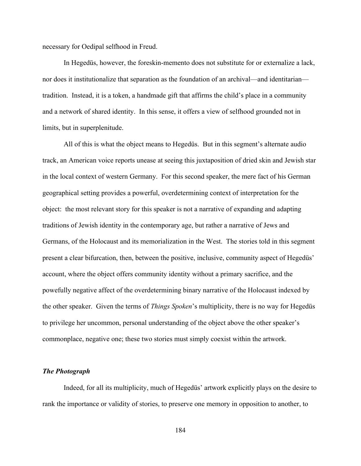necessary for Oedipal selfhood in Freud.

In Hegedüs, however, the foreskin-memento does not substitute for or externalize a lack, nor does it institutionalize that separation as the foundation of an archival—and identitarian tradition. Instead, it is a token, a handmade gift that affirms the child's place in a community and a network of shared identity. In this sense, it offers a view of selfhood grounded not in limits, but in superplenitude.

All of this is what the object means to Hegedüs. But in this segment's alternate audio track, an American voice reports unease at seeing this juxtaposition of dried skin and Jewish star in the local context of western Germany. For this second speaker, the mere fact of his German geographical setting provides a powerful, overdetermining context of interpretation for the object: the most relevant story for this speaker is not a narrative of expanding and adapting traditions of Jewish identity in the contemporary age, but rather a narrative of Jews and Germans, of the Holocaust and its memorialization in the West. The stories told in this segment present a clear bifurcation, then, between the positive, inclusive, community aspect of Hegedüs' account, where the object offers community identity without a primary sacrifice, and the powefully negative affect of the overdetermining binary narrative of the Holocaust indexed by the other speaker. Given the terms of *Things Spoken*'s multiplicity, there is no way for Hegedüs to privilege her uncommon, personal understanding of the object above the other speaker's commonplace, negative one; these two stories must simply coexist within the artwork.

#### *The Photograph*

Indeed, for all its multiplicity, much of Hegedüs' artwork explicitly plays on the desire to rank the importance or validity of stories, to preserve one memory in opposition to another, to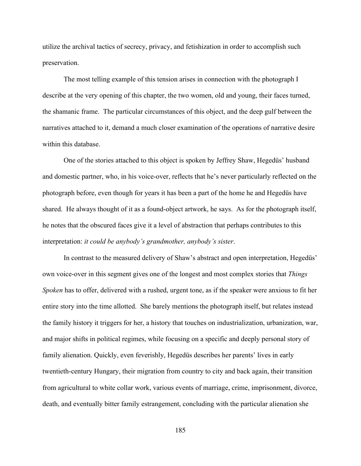utilize the archival tactics of secrecy, privacy, and fetishization in order to accomplish such preservation.

The most telling example of this tension arises in connection with the photograph I describe at the very opening of this chapter, the two women, old and young, their faces turned, the shamanic frame. The particular circumstances of this object, and the deep gulf between the narratives attached to it, demand a much closer examination of the operations of narrative desire within this database.

One of the stories attached to this object is spoken by Jeffrey Shaw, Hegedüs' husband and domestic partner, who, in his voice-over, reflects that he's never particularly reflected on the photograph before, even though for years it has been a part of the home he and Hegedüs have shared. He always thought of it as a found-object artwork, he says. As for the photograph itself, he notes that the obscured faces give it a level of abstraction that perhaps contributes to this interpretation: *it could be anybody's grandmother, anybody's sister*.

In contrast to the measured delivery of Shaw's abstract and open interpretation, Hegedüs' own voice-over in this segment gives one of the longest and most complex stories that *Things Spoken* has to offer, delivered with a rushed, urgent tone, as if the speaker were anxious to fit her entire story into the time allotted. She barely mentions the photograph itself, but relates instead the family history it triggers for her, a history that touches on industrialization, urbanization, war, and major shifts in political regimes, while focusing on a specific and deeply personal story of family alienation. Quickly, even feverishly, Hegedüs describes her parents' lives in early twentieth-century Hungary, their migration from country to city and back again, their transition from agricultural to white collar work, various events of marriage, crime, imprisonment, divorce, death, and eventually bitter family estrangement, concluding with the particular alienation she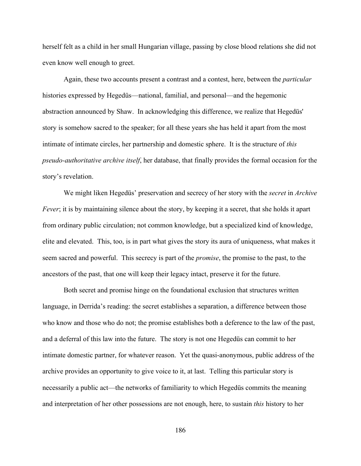herself felt as a child in her small Hungarian village, passing by close blood relations she did not even know well enough to greet.

Again, these two accounts present a contrast and a contest, here, between the *particular* histories expressed by Hegedüs—national, familial, and personal—and the hegemonic abstraction announced by Shaw. In acknowledging this difference, we realize that Hegedüs' story is somehow sacred to the speaker; for all these years she has held it apart from the most intimate of intimate circles, her partnership and domestic sphere. It is the structure of *this pseudo-authoritative archive itself*, her database, that finally provides the formal occasion for the story's revelation.

We might liken Hegedüs' preservation and secrecy of her story with the *secret* in *Archive Fever*; it is by maintaining silence about the story, by keeping it a secret, that she holds it apart from ordinary public circulation; not common knowledge, but a specialized kind of knowledge, elite and elevated. This, too, is in part what gives the story its aura of uniqueness, what makes it seem sacred and powerful. This secrecy is part of the *promise*, the promise to the past, to the ancestors of the past, that one will keep their legacy intact, preserve it for the future.

Both secret and promise hinge on the foundational exclusion that structures written language, in Derrida's reading: the secret establishes a separation, a difference between those who know and those who do not; the promise establishes both a deference to the law of the past, and a deferral of this law into the future. The story is not one Hegedüs can commit to her intimate domestic partner, for whatever reason. Yet the quasi-anonymous, public address of the archive provides an opportunity to give voice to it, at last. Telling this particular story is necessarily a public act—the networks of familiarity to which Hegedüs commits the meaning and interpretation of her other possessions are not enough, here, to sustain *this* history to her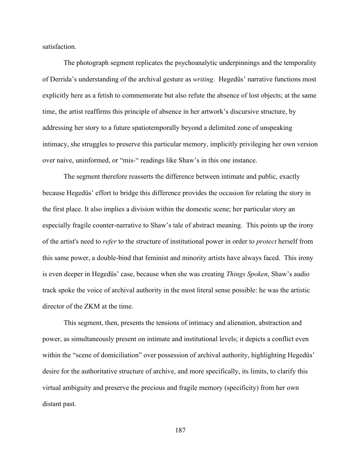satisfaction.

The photograph segment replicates the psychoanalytic underpinnings and the temporality of Derrida's understanding of the archival gesture as *writing*. Hegedüs' narrative functions most explicitly here as a fetish to commemorate but also refute the absence of lost objects; at the same time, the artist reaffirms this principle of absence in her artwork's discursive structure, by addressing her story to a future spatiotemporally beyond a delimited zone of unspeaking intimacy, she struggles to preserve this particular memory, implicitly privileging her own version over naive, uninformed, or "mis-" readings like Shaw's in this one instance.

The segment therefore reasserts the difference between intimate and public, exactly because Hegedüs' effort to bridge this difference provides the occasion for relating the story in the first place. It also implies a division within the domestic scene; her particular story an especially fragile counter-narrative to Shaw's tale of abstract meaning. This points up the irony of the artist's need to *refer* to the structure of institutional power in order to *protect* herself from this same power, a double-bind that feminist and minority artists have always faced. This irony is even deeper in Hegedüs' case, because when she was creating *Things Spoken*, Shaw's audio track spoke the voice of archival authority in the most literal sense possible: he was the artistic director of the ZKM at the time.

This segment, then, presents the tensions of intimacy and alienation, abstraction and power, as simultaneously present on intimate and institutional levels; it depicts a conflict even within the "scene of domiciliation" over possession of archival authority, highlighting Hegedüs' desire for the authoritative structure of archive, and more specifically, its limits, to clarify this virtual ambiguity and preserve the precious and fragile memory (specificity) from her own distant past.

187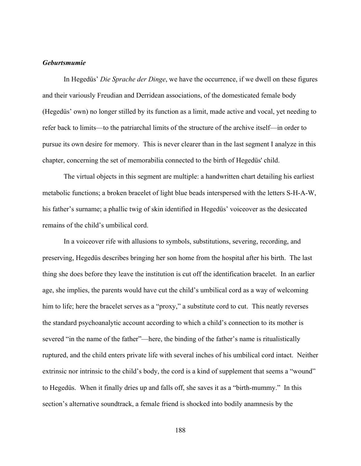### *Geburtsmumie*

In Hegedüs' *Die Sprache der Dinge*, we have the occurrence, if we dwell on these figures and their variously Freudian and Derridean associations, of the domesticated female body (Hegedüs' own) no longer stilled by its function as a limit, made active and vocal, yet needing to refer back to limits—to the patriarchal limits of the structure of the archive itself—in order to pursue its own desire for memory. This is never clearer than in the last segment I analyze in this chapter, concerning the set of memorabilia connected to the birth of Hegedüs' child.

The virtual objects in this segment are multiple: a handwritten chart detailing his earliest metabolic functions; a broken bracelet of light blue beads interspersed with the letters S-H-A-W, his father's surname; a phallic twig of skin identified in Hegedüs' voiceover as the desiccated remains of the child's umbilical cord.

In a voiceover rife with allusions to symbols, substitutions, severing, recording, and preserving, Hegedüs describes bringing her son home from the hospital after his birth. The last thing she does before they leave the institution is cut off the identification bracelet. In an earlier age, she implies, the parents would have cut the child's umbilical cord as a way of welcoming him to life; here the bracelet serves as a "proxy," a substitute cord to cut. This neatly reverses the standard psychoanalytic account according to which a child's connection to its mother is severed "in the name of the father"—here, the binding of the father's name is ritualistically ruptured, and the child enters private life with several inches of his umbilical cord intact. Neither extrinsic nor intrinsic to the child's body, the cord is a kind of supplement that seems a "wound" to Hegedüs. When it finally dries up and falls off, she saves it as a "birth-mummy." In this section's alternative soundtrack, a female friend is shocked into bodily anamnesis by the

188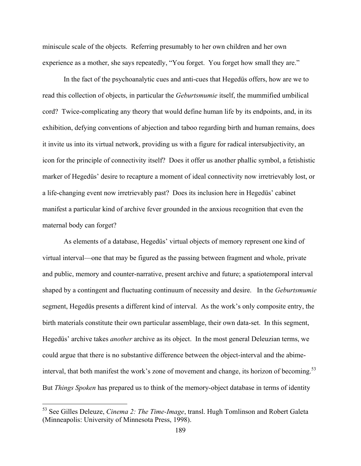miniscule scale of the objects. Referring presumably to her own children and her own experience as a mother, she says repeatedly, "You forget. You forget how small they are."

In the fact of the psychoanalytic cues and anti-cues that Hegedüs offers, how are we to read this collection of objects, in particular the *Geburtsmumie* itself, the mummified umbilical cord? Twice-complicating any theory that would define human life by its endpoints, and, in its exhibition, defying conventions of abjection and taboo regarding birth and human remains, does it invite us into its virtual network, providing us with a figure for radical intersubjectivity, an icon for the principle of connectivity itself? Does it offer us another phallic symbol, a fetishistic marker of Hegedüs' desire to recapture a moment of ideal connectivity now irretrievably lost, or a life-changing event now irretrievably past? Does its inclusion here in Hegedüs' cabinet manifest a particular kind of archive fever grounded in the anxious recognition that even the maternal body can forget?

As elements of a database, Hegedüs' virtual objects of memory represent one kind of virtual interval—one that may be figured as the passing between fragment and whole, private and public, memory and counter-narrative, present archive and future; a spatiotemporal interval shaped by a contingent and fluctuating continuum of necessity and desire. In the *Geburtsmumie* segment, Hegedüs presents a different kind of interval. As the work's only composite entry, the birth materials constitute their own particular assemblage, their own data-set. In this segment, Hegedüs' archive takes *another* archive as its object. In the most general Deleuzian terms, we could argue that there is no substantive difference between the object-interval and the abimeinterval, that both manifest the work's zone of movement and change, its horizon of becoming.<sup>53</sup> But *Things Spoken* has prepared us to think of the memory-object database in terms of identity

53 See Gilles Deleuze, *Cinema 2: The Time-Image*, transl. Hugh Tomlinson and Robert Galeta (Minneapolis: University of Minnesota Press, 1998).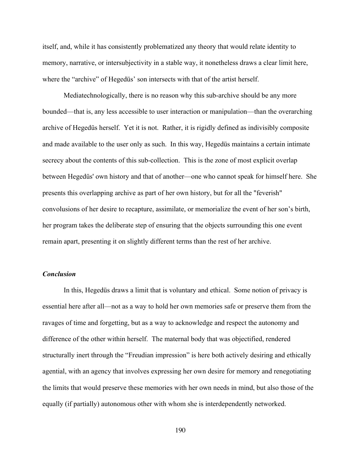itself, and, while it has consistently problematized any theory that would relate identity to memory, narrative, or intersubjectivity in a stable way, it nonetheless draws a clear limit here, where the "archive" of Hegedüs' son intersects with that of the artist herself.

Mediatechnologically, there is no reason why this sub-archive should be any more bounded—that is, any less accessible to user interaction or manipulation—than the overarching archive of Hegedüs herself. Yet it is not. Rather, it is rigidly defined as indivisibly composite and made available to the user only as such. In this way, Hegedüs maintains a certain intimate secrecy about the contents of this sub-collection. This is the zone of most explicit overlap between Hegedüs' own history and that of another—one who cannot speak for himself here. She presents this overlapping archive as part of her own history, but for all the "feverish" convolusions of her desire to recapture, assimilate, or memorialize the event of her son's birth, her program takes the deliberate step of ensuring that the objects surrounding this one event remain apart, presenting it on slightly different terms than the rest of her archive.

# *Conclusion*

In this, Hegedüs draws a limit that is voluntary and ethical. Some notion of privacy is essential here after all—not as a way to hold her own memories safe or preserve them from the ravages of time and forgetting, but as a way to acknowledge and respect the autonomy and difference of the other within herself. The maternal body that was objectified, rendered structurally inert through the "Freudian impression" is here both actively desiring and ethically agential, with an agency that involves expressing her own desire for memory and renegotiating the limits that would preserve these memories with her own needs in mind, but also those of the equally (if partially) autonomous other with whom she is interdependently networked.

190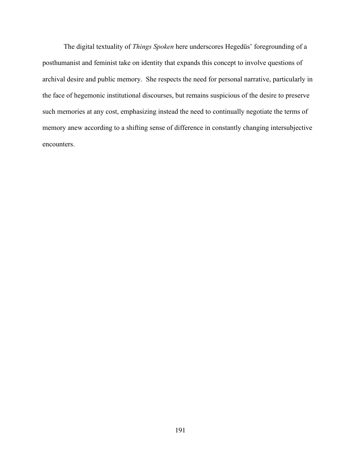The digital textuality of *Things Spoken* here underscores Hegedüs' foregrounding of a posthumanist and feminist take on identity that expands this concept to involve questions of archival desire and public memory. She respects the need for personal narrative, particularly in the face of hegemonic institutional discourses, but remains suspicious of the desire to preserve such memories at any cost, emphasizing instead the need to continually negotiate the terms of memory anew according to a shifting sense of difference in constantly changing intersubjective encounters.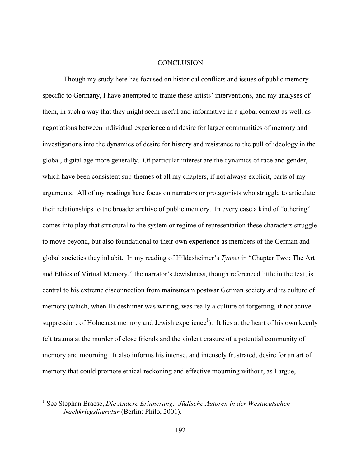# **CONCLUSION**

Though my study here has focused on historical conflicts and issues of public memory specific to Germany, I have attempted to frame these artists' interventions, and my analyses of them, in such a way that they might seem useful and informative in a global context as well, as negotiations between individual experience and desire for larger communities of memory and investigations into the dynamics of desire for history and resistance to the pull of ideology in the global, digital age more generally. Of particular interest are the dynamics of race and gender, which have been consistent sub-themes of all my chapters, if not always explicit, parts of my arguments. All of my readings here focus on narrators or protagonists who struggle to articulate their relationships to the broader archive of public memory. In every case a kind of "othering" comes into play that structural to the system or regime of representation these characters struggle to move beyond, but also foundational to their own experience as members of the German and global societies they inhabit. In my reading of Hildesheimer's *Tynset* in "Chapter Two: The Art and Ethics of Virtual Memory," the narrator's Jewishness, though referenced little in the text, is central to his extreme disconnection from mainstream postwar German society and its culture of memory (which, when Hildeshimer was writing, was really a culture of forgetting, if not active suppression, of Holocaust memory and Jewish experience<sup>1</sup>). It lies at the heart of his own keenly felt trauma at the murder of close friends and the violent erasure of a potential community of memory and mourning. It also informs his intense, and intensely frustrated, desire for an art of memory that could promote ethical reckoning and effective mourning without, as I argue,

1 See Stephan Braese, *Die Andere Erinnerung: Jüdische Autoren in der Westdeutschen Nachkriegsliteratur* (Berlin: Philo, 2001).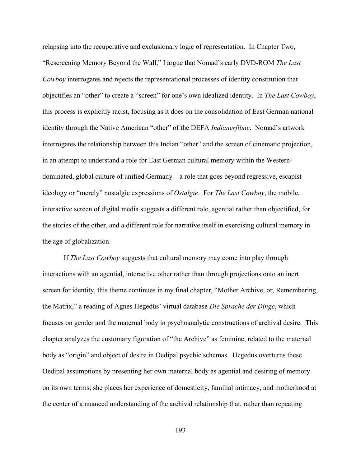relapsing into the recuperative and exclusionary logic of representation. In Chapter Two, "Rescreening Memory Beyond the Wall," I argue that Nomad's early DVD-ROM *The Last Cowboy* interrogates and rejects the representational processes of identity constitution that objectifies an "other" to create a "screen" for one's own idealized identity. In *The Last Cowboy*, this process is explicitly racist, focusing as it does on the consolidation of East German national identity through the Native American "other" of the DEFA *Indianerfilme*. Nomad's artwork interrogates the relationship between this Indian "other" and the screen of cinematic projection, in an attempt to understand a role for East German cultural memory within the Westerndominated, global culture of unified Germany—a role that goes beyond regressive, escapist ideology or "merely" nostalgic expressions of *Ostalgie*. For *The Last Cowboy*, the mobile, interactive screen of digital media suggests a different role, agential rather than objectified, for the stories of the other, and a different role for narrative itself in exercising cultural memory in the age of globalization.

If *The Last Cowboy* suggests that cultural memory may come into play through interactions with an agential, interactive other rather than through projections onto an inert screen for identity, this theme continues in my final chapter, "Mother Archive, or, Remembering, the Matrix," a reading of Agnes Hegedüs' virtual database *Die Sprache der Dinge*, which focuses on gender and the maternal body in psychoanalytic constructions of archival desire. This chapter analyzes the customary figuration of "the Archive" as feminine, related to the maternal body as "origin" and object of desire in Oedipal psychic schemas. Hegedüs overturns these Oedipal assumptions by presenting her own maternal body as agential and desiring of memory on its own terms; she places her experience of domesticity, familial intimacy, and motherhood at the center of a nuanced understanding of the archival relationship that, rather than repeating

193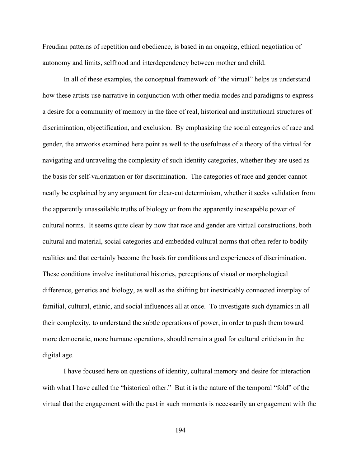Freudian patterns of repetition and obedience, is based in an ongoing, ethical negotiation of autonomy and limits, selfhood and interdependency between mother and child.

In all of these examples, the conceptual framework of "the virtual" helps us understand how these artists use narrative in conjunction with other media modes and paradigms to express a desire for a community of memory in the face of real, historical and institutional structures of discrimination, objectification, and exclusion. By emphasizing the social categories of race and gender, the artworks examined here point as well to the usefulness of a theory of the virtual for navigating and unraveling the complexity of such identity categories, whether they are used as the basis for self-valorization or for discrimination. The categories of race and gender cannot neatly be explained by any argument for clear-cut determinism, whether it seeks validation from the apparently unassailable truths of biology or from the apparently inescapable power of cultural norms. It seems quite clear by now that race and gender are virtual constructions, both cultural and material, social categories and embedded cultural norms that often refer to bodily realities and that certainly become the basis for conditions and experiences of discrimination. These conditions involve institutional histories, perceptions of visual or morphological difference, genetics and biology, as well as the shifting but inextricably connected interplay of familial, cultural, ethnic, and social influences all at once. To investigate such dynamics in all their complexity, to understand the subtle operations of power, in order to push them toward more democratic, more humane operations, should remain a goal for cultural criticism in the digital age.

I have focused here on questions of identity, cultural memory and desire for interaction with what I have called the "historical other." But it is the nature of the temporal "fold" of the virtual that the engagement with the past in such moments is necessarily an engagement with the

194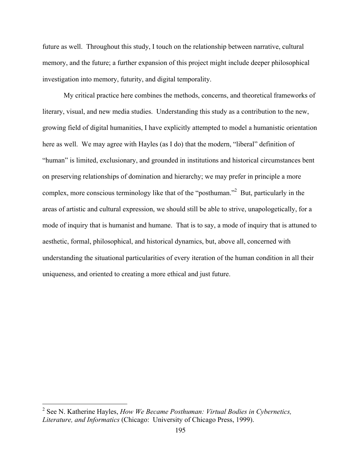future as well. Throughout this study, I touch on the relationship between narrative, cultural memory, and the future; a further expansion of this project might include deeper philosophical investigation into memory, futurity, and digital temporality.

My critical practice here combines the methods, concerns, and theoretical frameworks of literary, visual, and new media studies. Understanding this study as a contribution to the new, growing field of digital humanities, I have explicitly attempted to model a humanistic orientation here as well. We may agree with Hayles (as I do) that the modern, "liberal" definition of "human" is limited, exclusionary, and grounded in institutions and historical circumstances bent on preserving relationships of domination and hierarchy; we may prefer in principle a more complex, more conscious terminology like that of the "posthuman."<sup>2</sup> But, particularly in the areas of artistic and cultural expression, we should still be able to strive, unapologetically, for a mode of inquiry that is humanist and humane. That is to say, a mode of inquiry that is attuned to aesthetic, formal, philosophical, and historical dynamics, but, above all, concerned with understanding the situational particularities of every iteration of the human condition in all their uniqueness, and oriented to creating a more ethical and just future.

2 See N. Katherine Hayles, *How We Became Posthuman: Virtual Bodies in Cybernetics, Literature, and Informatics* (Chicago: University of Chicago Press, 1999).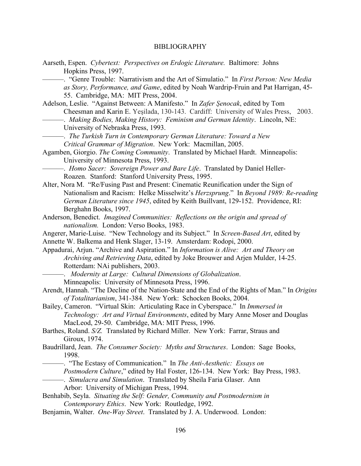#### BIBLIOGRAPHY

- Aarseth, Espen. *Cybertext: Perspectives on Erdogic Literature.* Baltimore: Johns Hopkins Press, 1997.
	- ———. "Genre Trouble: Narrativism and the Art of Simulatio." In *First Person: New Media as Story, Performance, and Game*, edited by Noah Wardrip-Fruin and Pat Harrigan, 45- 55. Cambridge, MA: MIT Press, 2004.
- Adelson, Leslie. "Against Between: A Manifesto." In *Zafer Şenocak*, edited by Tom Cheesman and Karin E. Yeşilada, 130-143. Cardiff: University of Wales Press, 2003.

———. *Making Bodies, Making History: Feminism and German Identity*. Lincoln, NE: University of Nebraska Press, 1993.

- ———. *The Turkish Turn in Contemporary German Literature: Toward a New*
- *Critical Grammar of Migration*. New York: Macmillan, 2005.
- Agamben, Giorgio. *The Coming Community*. Translated by Michael Hardt. Minneapolis: University of Minnesota Press, 1993.

———. *Homo Sacer: Sovereign Power and Bare Life*. Translated by Daniel Heller-Roazen. Stanford: Stanford University Press, 1995.

- Alter, Nora M. "Re/Fusing Past and Present: Cinematic Reunification under the Sign of Nationalism and Racism: Helke Misselwitz's *Herzsprung*." In *Beyond 1989: Re-reading German Literature since 1945*, edited by Keith Buillvant, 129-152. Providence, RI: Berghahn Books, 1997.
- Anderson, Benedict. *Imagined Communities: Reflections on the origin and spread of nationalism.* London: Verso Books, 1983.
- Angerer, Marie-Luise. "New Technology and its Subject." In *Screen-Based Art*, edited by Annette W. Balkema and Henk Slager, 13-19. Amsterdam: Rodopi, 2000.
- 

Appadurai, Arjun. "Archive and Aspiration." In *Information is Alive: Art and Theory on Archiving and Retrieving Data*, edited by Joke Brouwer and Arjen Mulder, 14-25. Rotterdam: NAi publishers, 2003.

———. *Modernity at Large: Cultural Dimensions of Globalization*.

- Minneapolis: University of Minnesota Press, 1996.
- Arendt, Hannah. "The Decline of the Nation-State and the End of the Rights of Man." In *Origins of Totalitarianism*, 341-384*.* New York: Schocken Books, 2004.
- Bailey, Cameron. "Virtual Skin: Articulating Race in Cyberspace." In *Immersed in Technology: Art and Virtual Environments*, edited by Mary Anne Moser and Douglas MacLeod, 29-50. Cambridge, MA: MIT Press, 1996.
- Barthes, Roland. *S/Z.* Translated by Richard Miller. New York: Farrar, Straus and Giroux, 1974.
- Baudrillard, Jean. *The Consumer Society: Myths and Structures*. London: Sage Books, 1998.
	- ———. "The Ecstasy of Communication." In *The Anti-Aesthetic: Essays on* 
		- *Postmodern Culture*," edited by Hal Foster, 126-134. New York: Bay Press, 1983.
	- ———. *Simulacra and Simulation*. Translated by Sheila Faria Glaser. Ann Arbor: University of Michigan Press, 1994.
- Benhabib, Seyla. *Situating the Self: Gender, Community and Postmodernism in Contemporary Ethics*. New York: Routledge, 1992.
- Benjamin, Walter. *One-Way Street*. Translated by J. A. Underwood. London: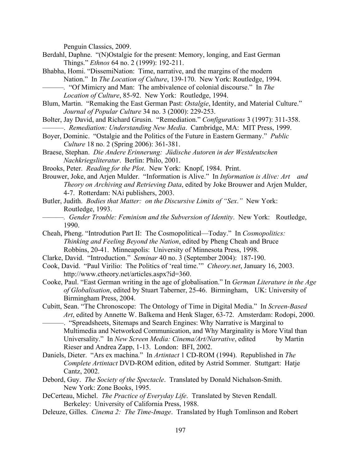Penguin Classics, 2009.

- Berdahl, Daphne. "(N)Ostalgie for the present: Memory, longing, and East German Things." *Ethnos* 64 no. 2 (1999): 192-211.
- Bhabha, Homi. "DissemiNation: Time, narrative, and the margins of the modern Nation." In *The Location of Culture*, 139-170. New York: Routledge, 1994. ———*.* "Of Mimicry and Man: The ambivalence of colonial discourse." In *The Location of Culture*, 85-92. New York: Routledge, 1994.
- Blum, Martin. "Remaking the East German Past: *Ostalgie*, Identity, and Material Culture." *Journal of Popular Culture* 34 no. 3 (2000): 229-253.
- Bolter, Jay David, and Richard Grusin. "Remediation." *Configurations* 3 (1997): 311-358. ———. *Remediation: Understanding New Media*. Cambridge, MA: MIT Press, 1999.
- Boyer, Dominic. "Ostalgie and the Politics of the Future in Eastern Germany." *Public Culture* 18 no. 2 (Spring 2006): 361-381.
- Braese, Stephan. *Die Andere Erinnerung: Jüdische Autoren in der Westdeutschen Nachkriegsliteratur*. Berlin: Philo, 2001.
- Brooks, Peter. *Reading for the Plot*. New York: Knopf, 1984. Print.
- Brouwer, Joke, and Arjen Mulder. "Information is Alive." In *Information is Alive: Art and Theory on Archiving and Retrieving Data*, edited by Joke Brouwer and Arjen Mulder, 4-7. Rotterdam: NAi publishers, 2003.
- Butler, Judith. *Bodies that Matter: on the Discursive Limits of "Sex*.*"* New York: Routledge, 1993.
- ———*. Gender Trouble: Feminism and the Subversion of Identity*. New York: Routledge, 1990.
- Cheah, Pheng. "Introdution Part II: The Cosmopolitical—Today." In *Cosmopolitics: Thinking and Feeling Beyond the Nation*, edited by Pheng Cheah and Bruce Robbins, 20-41. Minneapolis: University of Minnesota Press, 1998.
- Clarke, David. "Introduction." *Seminar* 40 no. 3 (September 2004): 187-190.
- Cook, David. "Paul Virilio: The Politics of 'real time.'" *Ctheory.net*, January 16, 2003. http://www.ctheory.net/articles.aspx?id=360.
- Cooke, Paul. "East German writing in the age of globalisation." In *German Literature in the Age of Globalisation*, edited by Stuart Taberner, 25-46. Birmingham, UK: University of Birmingham Press, 2004.
- Cubitt, Sean. "The Chronoscope: The Ontology of Time in Digital Media." In *Screen-Based Art*, edited by Annette W. Balkema and Henk Slager, 63-72. Amsterdam: Rodopi, 2000. ———. "Spreadsheets, Sitemaps and Search Engines: Why Narrative is Marginal to Multimedia and Networked Communication, and Why Marginality is More Vital than Universality." In *New Screen Media: Cinema/Art/Narrative*, edited by Martin Rieser and Andrea Zapp, 1-13. London: BFI, 2002.
- Daniels, Dieter. "Ars ex machina." In *Artintact* 1 CD-ROM (1994). Republished in *The Complete Artintact* DVD-ROM edition, edited by Astrid Sommer. Stuttgart: Hatje Cantz, 2002.
- Debord, Guy. *The Society of the Spectacle*. Translated by Donald Nichalson-Smith. New York: Zone Books, 1995.
- DeCerteau, Michel. *The Practice of Everyday Life*. Translated by Steven Rendall. Berkeley: University of California Press, 1988.
- Deleuze, Gilles. *Cinema 2: The Time-Image*. Translated by Hugh Tomlinson and Robert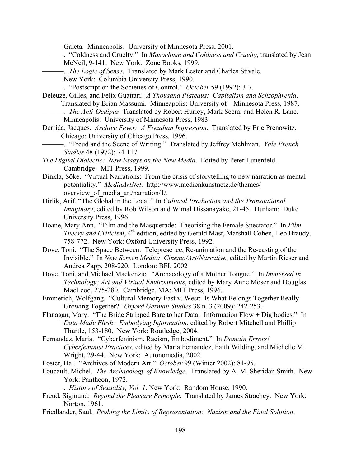Galeta. Minneapolis: University of Minnesota Press, 2001.

- ———. "Coldness and Cruelty." In *Masochism and Coldness and Cruelty*, translated by Jean McNeil, 9-141. New York: Zone Books, 1999.
- ———. *The Logic of Sense*. Translated by Mark Lester and Charles Stivale.

- ———. "Postscript on the Societies of Control." *October* 59 (1992): 3-7.
- Deleuze, Gilles, and Félix Guattari. *A Thousand Plateaus: Capitalism and Schzophrenia*. Translated by Brian Massumi. Minneapolis: University of Minnesota Press, 1987. ———*. The Anti-Oedipus*. Translated by Robert Hurley, Mark Seem, and Helen R. Lane. Minneapolis: University of Minnesota Press, 1983.
- Derrida, Jacques. *Archive Fever: A Freudian Impression*. Translated by Eric Prenowitz. Chicago: University of Chicago Press, 1996.
- ———. "Freud and the Scene of Writing." Translated by Jeffrey Mehlman. *Yale French Studies* 48 (1972): 74-117.
- *The Digital Dialectic: New Essays on the New Media*. Edited by Peter Lunenfeld. Cambridge: MIT Press, 1999.
- Dinkla, Söke. "Virtual Narrations: From the crisis of storytelling to new narration as mental potentiality." *MediaArtNet*. http://www.medienkunstnetz.de/themes/ overview of media art/narration/1/.
- Dirlik, Arif. "The Global in the Local." In *Cultural Production and the Transnational Imaginary*, edited by Rob Wilson and Wimal Dissanayake, 21-45. Durham: Duke University Press, 1996.
- Doane, Mary Ann. "Film and the Masquerade: Theorising the Female Spectator." In *Film Theory and Criticism*, 4<sup>th</sup> edition, edited by Gerald Mast, Marshall Cohen, Leo Braudy, 758-772. New York: Oxford University Press, 1992.
- Dove, Toni. "The Space Between: Telepresence, Re-animation and the Re-casting of the Invisible." In *New Screen Media: Cinema/Art/Narrative*, edited by Martin Rieser and Andrea Zapp, 208-220. London: BFI, 2002
- Dove, Toni, and Michael Mackenzie. "Archaeology of a Mother Tongue." In *Immersed in Technology: Art and Virtual Environments*, edited by Mary Anne Moser and Douglas MacLeod, 275-280. Cambridge, MA: MIT Press, 1996.
- Emmerich, Wolfgang. "Cultural Memory East v. West: Is What Belongs Together Really Growing Together?" *Oxford German Studies* 38 n. 3 (2009): 242-253.
- Flanagan, Mary. "The Bride Stripped Bare to her Data: Information Flow + Digibodies." In *Data Made Flesh: Embodying Information*, edited by Robert Mitchell and Phillip Thurtle, 153-180. New York: Routledge, 2004.
- Fernandez, Maria. "Cyberfeninism, Racism, Embodiment." In *Domain Errors! Cyberfeminist Practices*, edited by Maria Fernandez, Faith Wilding, and Michelle M. Wright, 29-44. New York: Autonomedia, 2002.
- Foster, Hal. "Archives of Modern Art." *October* 99 (Winter 2002): 81-95.
- Foucault, Michel. *The Archaeology of Knowledge*. Translated by A. M. Sheridan Smith. New York: Pantheon, 1972.

———. *History of Sexuality, Vol. 1*. New York: Random House, 1990.

- Freud, Sigmund. *Beyond the Pleasure Principle*. Translated by James Strachey. New York: Norton, 1961.
- Friedlander, Saul. *Probing the Limits of Representation: Nazism and the Final Solution*.

New York: Columbia University Press, 1990.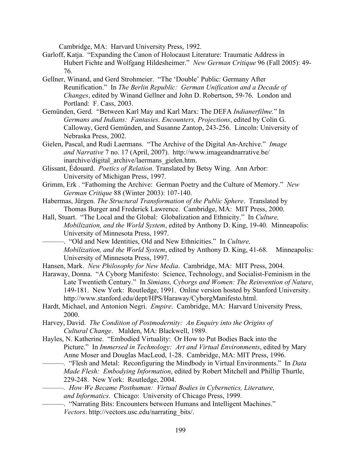Cambridge, MA: Harvard University Press, 1992.

- Garloff, Katja. "Expanding the Canon of Holocaust Literature: Traumatic Address in Hubert Fichte and Wolfgang Hildesheimer." *New German Critique* 96 (Fall 2005): 49- 76.
- Gellner, Winand, and Gerd Strohmeier. "The 'Double' Public: Germany After Reunification." In *The Berlin Republic: German Unification and a Decade of Changes*, edited by Winand Gellner and John D. Robertson, 59-76. London and Portland: F. Cass, 2003.
- Gemünden, Gerd. "Between Karl May and Karl Marx: The DEFA *Indianerfilme.*" In *Germans and Indians: Fantasies, Encounters, Projections*, edited by Colin G. Calloway, Gerd Gemünden, and Susanne Zantop, 243-256. Lincoln: University of Nebraska Press, 2002.
- Gielen, Pascal, and Rudi Laermans. "The Archive of the Digital An-Archive." *Image and Narrative* 7 no. 17 (April, 2007). http://www.imageandnarrative.be/ inarchive/digital\_archive/laermans\_gielen.htm.
- Glissant, Édouard. *Poetics of Relation*. Translated by Betsy Wing. Ann Arbor: University of Michigan Press, 1997.
- Grimm, Erk . "Fathoming the Archive: German Poetry and the Culture of Memory." *New German Critique* 88 (Winter 2003): 107-140.
- Habermas, Jürgen. *The Structural Transformation of the Public Sphere*. Translated by Thomas Burger and Frederick Lawrence. Cambridge, MA: MIT Press, 2000.
- Hall, Stuart. "The Local and the Global: Globalization and Ethnicity." In *Culture, Mobilization, and the World System*, edited by Anthony D. King, 19-40. Minneapolis: University of Minnesota Press, 1997.

———. "Old and New Identities, Old and New Ethnicities." In *Culture, Mobilization, and the World System*, edited by Anthony D. King, 41-68. Minneapolis: University of Minnesota Press, 1997.

- Hansen, Mark. *New Philosophy for New Media*. Cambridge, MA: MIT Press, 2004.
- Haraway, Donna. "A Cyborg Manifesto: Science, Technology, and Socialist-Feminism in the Late Twentieth Century." In *Simians, Cyborgs and Women: The Reinvention of Nature*, 149-181. New York: Routledge, 1991. Online version hosted by Stanford University. http://www.stanford.edu/dept/HPS/Haraway/CyborgManifesto.html.
- Hardt, Michael, and Antonion Negri. *Empire*. Cambridge, MA: Harvard University Press, 2000.

Harvey, David. *The Condition of Postmodernity: An Enquiry into the Origins of Cultural Change*. Malden, MA: Blackwell, 1989.

- Hayles, N. Katherine. "Embodied Virtuality: Or How to Put Bodies Back into the Picture." In *Immersed in Technology: Art and Virtual Environments*, edited by Mary Anne Moser and Douglas MacLeod, 1-28. Cambridge, MA: MIT Press, 1996.
	- ———*.* "Flesh and Metal: Reconfiguring the Mindbody in Virtual Environments." In *Data Made Flesh: Embodying Information*, edited by Robert Mitchell and Phillip Thurtle, 229-248. New York: Routledge, 2004.
- ———*. How We Became Posthuman: Virtual Bodies in Cybernetics, Literature, and Informatics*. Chicago: University of Chicago Press, 1999.
	- ———. "Narrating Bits: Encounters between Humans and Intelligent Machines." *Vectors*. http://vectors.usc.edu/narrating\_bits/.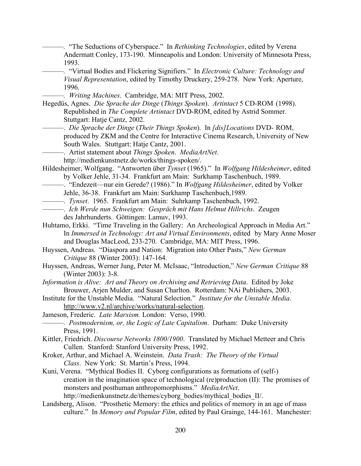———*.* "The Seductions of Cyberspace." In *Rethinking Technologies*, edited by Verena Andermatt Conley, 173-190. Minneapolis and London: University of Minnesota Press, 1993.

———*.* "Virtual Bodies and Flickering Signifiers." In *Electronic Culture: Technology and Visual Representation*, edited by Timothy Druckery, 259-278. New York: Aperture, 1996.

———*. Writing Machines*. Cambridge, MA: MIT Press, 2002.

Hegedüs, Agnes. *Die Sprache der Dinge* (*Things Spoken*). *Artintact* 5 CD-ROM (1998). Republished in *The Complete Artintact* DVD-ROM, edited by Astrid Sommer. Stuttgart: Hatje Cantz, 2002.

———. *Die Sprache der Dinge* (*Their Things Spoken*). In *[dis]Locations* DVD- ROM, produced by ZKM and the Centre for Interactive Cinema Research, University of New South Wales. Stuttgart: Hatje Cantz, 2001.

———. Artist statement about *Things Spoken*. *MediaArtNet*. http://medienkunstnetz.de/works/things-spoken/.

- Hildesheimer, Wolfgang. "Antworten über *Tynset* (1965)." In *Wolfgang Hildesheimer*, edited by Volker Jehle, 31-34. Frankfurt am Main: Surkhamp Taschenbuch, 1989.
- ———. "Endezeit—nur ein Gerede? (1986)." In *Wolfgang Hildesheimer*, edited by Volker Jehle, 36-38. Frankfurt am Main: Surkhamp Taschenbuch,1989.
- ———. *Tynset*. 1965. Frankfurt am Main: Suhrkamp Taschenbuch, 1992.
- ———. *Ich Werde nun Schweigen: Gespräch mit Hans Helmut Hillrichs*. Zeugen des Jahrhunderts. Göttingen: Lamuv, 1993.
- Huhtamo, Erkki. "Time Traveling in the Gallery: An Archeological Approach in Media Art." In *Immersed in Technology: Art and Virtual Environments*, edited by Mary Anne Moser and Douglas MacLeod, 233-270. Cambridge, MA: MIT Press, 1996.
- Huyssen, Andreas. "Diaspora and Nation: Migration into Other Pasts," *New German Critique* 88 (Winter 2003): 147-164.

Huyssen, Andreas, Werner Jung, Peter M. McIsaac, "Introduction," *New German Critique* 88 (Winter 2003): 3-8.

*Information is Alive: Art and Theory on Archiving and Retrieving Data*. Edited by Joke Brouwer, Arjen Mulder, and Susan Charlton. Rotterdam: NAi Publishers, 2003.

Institute for the Unstable Media. "Natural Selection." *Institute for the Unstable Media*. http://www.v2.nl/archive/works/natural-selection.

Jameson, Frederic. *Late Marxism.* London: Verso, 1990.

———*. Postmodernism, or, the Logic of Late Capitalism*. Durham: Duke University Press, 1991.

Kittler, Friedrich. *Discourse Networks 1800/1900*. Translated by Michael Metteer and Chris Cullen. Stanford: Stanford University Press, 1992.

- Kroker, Arthur, and Michael A. Weinstein. *Data Trash: The Theory of the Virtual Class*. New York: St. Martin's Press, 1994.
- Kuni, Verena. "Mythical Bodies II. Cyborg configurations as formations of (self-) creation in the imagination space of technological (re)production (II): The promises of monsters and posthuman anthropomorphisms." *MediaArtNet*. http://medienkunstnetz.de/themes/cyborg\_bodies/mythical\_bodies\_II/.
- Landsberg, Alison. "Prosthetic Memory: the ethics and politics of memory in an age of mass culture." In *Memory and Popular Film*, edited by Paul Grainge, 144-161. Manchester: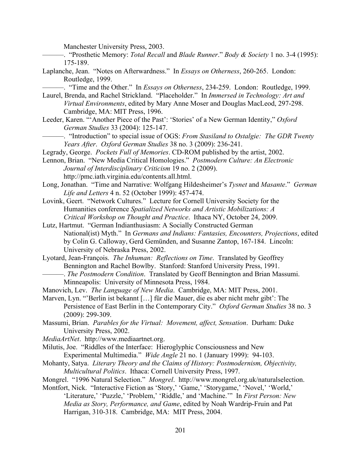Manchester University Press, 2003.

———. "Prosthetic Memory: *Total Recall* and *Blade Runner*." *Body & Society* 1 no. 3-4 (1995): 175-189.

Laplanche, Jean. "Notes on Afterwardness." In *Essays on Otherness*, 260-265. London: Routledge, 1999.

———. "Time and the Other." In *Essays on Otherness*, 234-259. London: Routledge, 1999.

- Laurel, Brenda, and Rachel Strickland. "Placeholder." In *Immersed in Technology: Art and Virtual Environments*, edited by Mary Anne Moser and Douglas MacLeod, 297-298. Cambridge, MA: MIT Press, 1996.
- Leeder, Karen. "'Another Piece of the Past': 'Stories' of a New German Identity," *Oxford German Studies* 33 (2004): 125-147.
- ———. "Introduction" to special issue of OGS: *From Stasiland to Ostalgie: The GDR Twenty Years After*. *Oxford German Studies* 38 no. 3 (2009): 236-241.

Legrady, George. *Pockets Full of Memories*. CD-ROM published by the artist, 2002.

Lennon, Brian. "New Media Critical Homologies." *Postmodern Culture: An Electronic Journal of Interdisciplinary Criticism* 19 no. 2 (2009). http://pmc.iath.virginia.edu/contents.all.html.

Long, Jonathan. "Time and Narrative: Wolfgang Hildesheimer's *Tysnet* and *Masante*." *German Life and Letters* 4 n. 52 (October 1999): 457-474.

Lovink, Geert. "Network Cultures." Lecture for Cornell University Society for the Humanities conference *Spatialized Networks and Artistic Mobilizations: A Critical Workshop on Thought and Practice*. Ithaca NY, October 24, 2009.

Lutz, Hartmut. "German Indianthusiasm: A Socially Constructed German National(ist) Myth." In *Germans and Indians: Fantasies, Encounters, Projections*, edited by Colin G. Calloway, Gerd Gemünden, and Susanne Zantop, 167-184. Lincoln: University of Nebraska Press, 2002.

Lyotard, Jean-François. *The Inhuman: Reflections on Time*. Translated by Geoffrey Bennington and Rachel Bowlby. Stanford: Stanford University Press, 1991.

Marven, Lyn. "'Berlin ist bekannt […] für die Mauer, die es aber nicht mehr gibt': The Persistence of East Berlin in the Contemporary City." *Oxford German Studies* 38 no. 3 (2009): 299-309.

Massumi, Brian. *Parables for the Virtual: Movement, affect, Sensation*. Durham: Duke University Press, 2002.

*MediaArtNet*. http://www.mediaartnet.org.

- Milutis, Joe. "Riddles of the Interface: Hieroglyphic Consciousness and New Experimental Multimedia." *Wide Angle* 21 no. 1 (January 1999): 94-103.
- Mohanty, Satya. *Literary Theory and the Claims of History: Postmodernism, Objectivity, Multicultural Politics*. Ithaca: Cornell University Press, 1997.
- Mongrel. "1996 Natural Selection." *Mongrel*. http://www.mongrel.org.uk/naturalselection.

Montfort, Nick. "Interactive Fiction as 'Story,' 'Game,' 'Storygame,' 'Novel,' 'World,' 'Literature,' 'Puzzle,' 'Problem,' 'Riddle,' and 'Machine.'" In *First Person: New Media as Story, Performance, and Game*, edited by Noah Wardrip-Fruin and Pat Harrigan, 310-318. Cambridge, MA: MIT Press, 2004.

<sup>———.</sup> *The Postmodern Condition*. Translated by Geoff Bennington and Brian Massumi. Minneapolis: University of Minnesota Press, 1984.

Manovich, Lev. *The Language of New Media*. Cambridge, MA: MIT Press, 2001.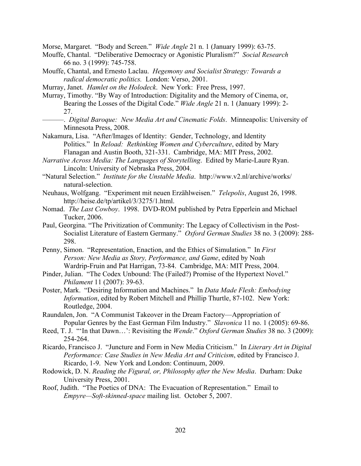Morse, Margaret. "Body and Screen." *Wide Angle* 21 n. 1 (January 1999): 63-75.

- Mouffe, Chantal. "Deliberative Democracy or Agonistic Pluralism?" *Social Research*  66 no. 3 (1999): 745-758.
- Mouffe, Chantal, and Ernesto Laclau. *Hegemony and Socialist Strategy: Towards a radical democratic politics.* London: Verso, 2001.
- Murray, Janet. *Hamlet on the Holodeck*. New York: Free Press, 1997.
- Murray, Timothy. "By Way of Introduction: Digitality and the Memory of Cinema, or, Bearing the Losses of the Digital Code." *Wide Angle* 21 n. 1 (January 1999): 2- 27.
- ———. *Digital Baroque: New Media Art and Cinematic Folds*. Minneapolis: University of Minnesota Press, 2008.
- Nakamura, Lisa. "After/Images of Identity: Gender, Technology, and Identity Politics." In *Reload: Rethinking Women and Cyberculture*, edited by Mary Flanagan and Austin Booth, 321-331. Cambridge, MA: MIT Press, 2002.
- *Narrative Across Media: The Languages of Storytelling*. Edited by Marie-Laure Ryan. Lincoln: University of Nebraska Press, 2004.
- "Natural Selection." *Institute for the Unstable Media*. http://www.v2.nl/archive/works/ natural-selection.
- Neuhaus, Wolfgang. "Experiment mit neuen Erzählweisen." *Telepolis*, August 26, 1998. http://heise.de/tp/artikel/3/3275/1.html.
- Nomad. *The Last Cowboy*. 1998. DVD-ROM published by Petra Epperlein and Michael Tucker, 2006.
- Paul, Georgina. "The Privitization of Community: The Legacy of Collectivism in the Post-Socialist Literature of Eastern Germany." *Oxford German Studies* 38 no. 3 (2009): 288- 298.
- Penny, Simon. "Representation, Enaction, and the Ethics of Simulation." In *First Person: New Media as Story, Performance, and Game*, edited by Noah Wardrip-Fruin and Pat Harrigan, 73-84. Cambridge, MA: MIT Press, 2004.
- Pinder, Julian. "The Codex Unbound: The (Failed?) Promise of the Hypertext Novel." *Philament* 11 (2007): 39-63.
- Poster, Mark. "Desiring Information and Machines." In *Data Made Flesh: Embodying Information*, edited by Robert Mitchell and Phillip Thurtle, 87-102. New York: Routledge, 2004.
- Raundalen, Jon. "A Communist Takeover in the Dream Factory—Appropriation of Popular Genres by the East German Film Industry." *Slavonica* 11 no. 1 (2005): 69-86.
- Reed, T. J. "'In that Dawn…': Revisiting the *Wende*." *Oxford German Studies* 38 no. 3 (2009): 254-264.
- Ricardo, Francisco J. "Juncture and Form in New Media Criticism." In *Literary Art in Digital Performance: Case Studies in New Media Art and Criticism*, edited by Francisco J. Ricardo, 1-9. New York and London: Continuum, 2009.
- Rodowick, D. N. *Reading the Figural, or, Philosophy after the New Media*. Durham: Duke University Press, 2001.
- Roof, Judith. "The Poetics of DNA: The Evacuation of Representation." Email to *Empyre—Soft-skinned-space* mailing list. October 5, 2007.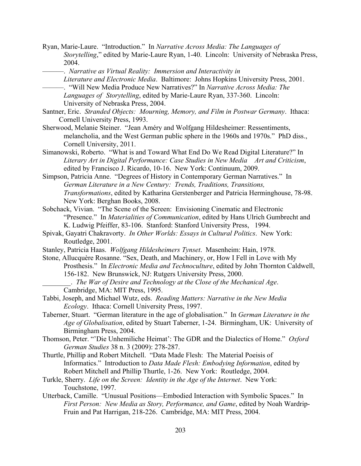- Ryan, Marie-Laure. "Introduction." In *Narrative Across Media: The Languages of Storytelling*," edited by Marie-Laure Ryan, 1-40.Lincoln: University of Nebraska Press, 2004.
	- ———. *Narrative as Virtual Reality: Immersion and Interactivity in* 
		- *Literature and Electronic Media*. Baltimore: Johns Hopkins University Press, 2001. ———. "Will New Media Produce New Narratives?" In *Narrative Across Media: The*
	- *Languages of Storytelling*, edited by Marie-Laure Ryan, 337-360.Lincoln: University of Nebraska Press, 2004.
- Santner, Eric. *Stranded Objects: Mourning, Memory, and Film in Postwar Germany*. Ithaca: Cornell University Press, 1993.
- Sherwood, Melanie Steiner. "Jean Améry and Wolfgang Hildesheimer: Ressentiments, melancholia, and the West German public sphere in the 1960s and 1970s." PhD diss., Cornell University, 2011.
- Simanowski, Roberto. "What is and Toward What End Do We Read Digital Literature?" In *Literary Art in Digital Performance: Case Studies in New Media Art and Criticism*, edited by Francisco J. Ricardo, 10-16. New York: Continuum, 2009.
- Simpson, Patricia Anne. "Degrees of History in Contemporary German Narratives." In *German Literature in a New Century: Trends, Traditions, Transitions, Transformations*, edited by Katharina Gerstenberger and Patricia Herminghouse, 78-98. New York: Berghan Books, 2008.
- Sobchack, Vivian. "The Scene of the Screen: Envisioning Cinematic and Electronic "Presence." In *Materialities of Communication*, edited by Hans Ulrich Gumbrecht and K. Ludwig Pfeiffer, 83-106. Stanford: Stanford University Press, 1994.
- Spivak, Gayatri Chakravorty. *In Other Worlds: Essays in Cultural Politics*. New York: Routledge, 2001.
- Stanley, Patricia Haas. *Wolfgang Hildesheimers Tynset*. Masenheim: Hain, 1978.
- Stone, Allucquère Rosanne. "Sex, Death, and Machinery, or, How I Fell in Love with My Prosthesis." In *Electronic Media and Technoculture*, edited by John Thornton Caldwell, 156-182. New Brunswick, NJ: Rutgers University Press, 2000. \_\_\_\_\_\_\_\_. *The War of Desire and Technology at the Close of the Mechanical Age*.
	- Cambridge, MA: MIT Press, 1995.
- Tabbi, Joseph, and Michael Wutz, eds. *Reading Matters: Narrative in the New Media Ecology*. Ithaca: Cornell University Press, 1997.
- Taberner, Stuart. "German literature in the age of globalisation." In *German Literature in the Age of Globalisation*, edited by Stuart Taberner, 1-24. Birmingham, UK: University of Birmingham Press, 2004.
- Thomson, Peter. "'Die Unhemiliche Heimat': The GDR and the Dialectics of Home." *Oxford German Studies* 38 n. 3 (2009): 278-287.
- Thurtle, Phillip and Robert Mitchell. "Data Made Flesh: The Material Poeisis of Informatics." Introduction to *Data Made Flesh: Embodying Information*, edited by Robert Mitchell and Phillip Thurtle, 1-26. New York: Routledge, 2004.
- Turkle, Sherry. *Life on the Screen: Identity in the Age of the Internet*. New York: Touchstone, 1997.
- Utterback, Camille. "Unusual Positions—Embodied Interaction with Symbolic Spaces." In *First Person: New Media as Story, Performance, and Game*, edited by Noah Wardrip-Fruin and Pat Harrigan, 218-226. Cambridge, MA: MIT Press, 2004.